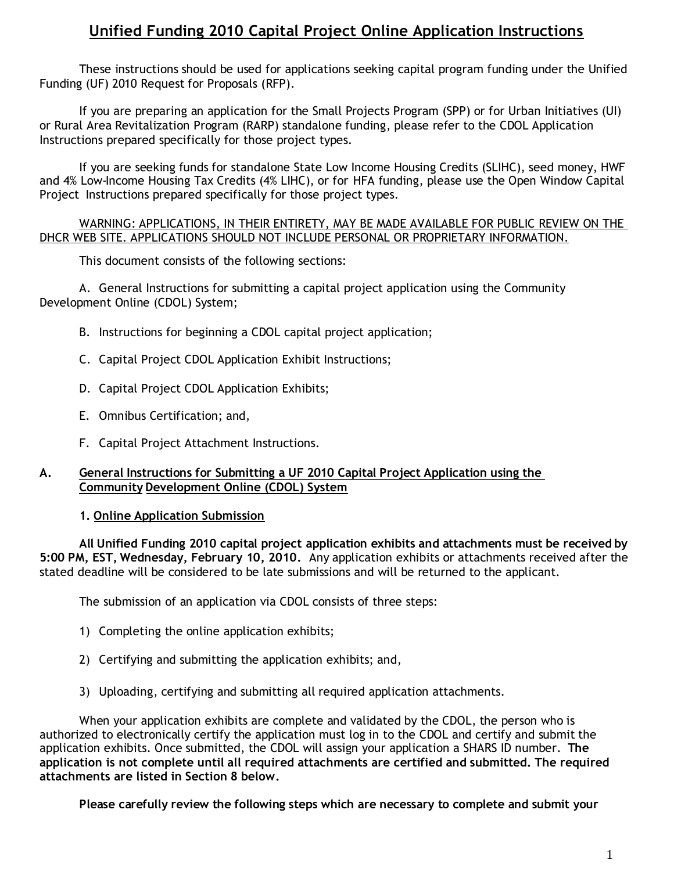# **Unified Funding 2010 Capital Project Online Application Instructions**

These instructions should be used for applications seeking capital program funding under the Unified Funding (UF) 2010 Request for Proposals (RFP).

If you are preparing an application for the Small Projects Program (SPP) or for Urban Initiatives (UI) or Rural Area Revitalization Program (RARP) standalone funding, please refer to the CDOL Application Instructions prepared specifically for those project types.

If you are seeking funds for standalone State Low Income Housing Credits (SLIHC), seed money, HWF and 4% Low-Income Housing Tax Credits (4% LIHC), or for HFA funding, please use the Open Window Capital Project Instructions prepared specifically for those project types.

#### WARNING: APPLICATIONS, IN THEIR ENTIRETY, MAY BE MADE AVAILABLE FOR PUBLIC REVIEW ON THE DHCR WEB SITE. APPLICATIONS SHOULD NOT INCLUDE PERSONAL OR PROPRIETARY INFORMATION.

This document consists of the following sections:

A. General Instructions for submitting a capital project application using the Community Development Online (CDOL) System;

- B. Instructions for beginning a CDOL capital project application;
- C. Capital Project CDOL Application Exhibit Instructions;
- D. Capital Project CDOL Application Exhibits;
- E. Omnibus Certification; and,
- F. Capital Project Attachment Instructions.

#### **A. General Instructions for Submitting a UF 2010 Capital Project Application using the Community Development Online (CDOL) System**

#### **1. Online Application Submission**

**All Unified Funding 2010 capital project application exhibits and attachments must be received by 5:00 PM, EST, Wednesday, February 10, 2010.** Any application exhibits or attachments received after the stated deadline will be considered to be late submissions and will be returned to the applicant.

The submission of an application via CDOL consists of three steps:

- 1) Completing the online application exhibits;
- 2) Certifying and submitting the application exhibits; and,
- 3) Uploading, certifying and submitting all required application attachments.

When your application exhibits are complete and validated by the CDOL, the person who is authorized to electronically certify the application must log in to the CDOL and certify and submit the application exhibits. Once submitted, the CDOL will assign your application a SHARS ID number. **The application is not complete until all required attachments are certified and submitted. The required attachments are listed in Section 8 below.**

**Please carefully review the following steps which are necessary to complete and submit your**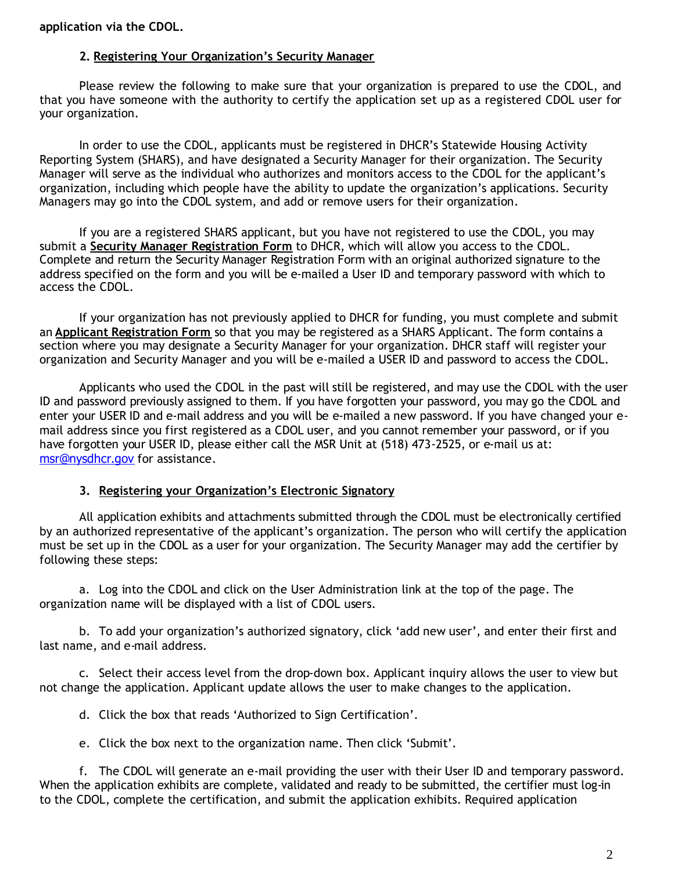#### **application via the CDOL.**

#### **2. Registering Your Organization's Security Manager**

Please review the following to make sure that your organization is prepared to use the CDOL, and that you have someone with the authority to certify the application set up as a registered CDOL user for your organization.

In order to use the CDOL, applicants must be registered in DHCR's Statewide Housing Activity Reporting System (SHARS), and have designated a Security Manager for their organization. The Security Manager will serve as the individual who authorizes and monitors access to the CDOL for the applicant's organization, including which people have the ability to update the organization's applications. Security Managers may go into the CDOL system, and add or remove users for their organization.

If you are a registered SHARS applicant, but you have not registered to use the CDOL, you may submit a **Security Manager Registration Form** to DHCR, which will allow you access to the CDOL. Complete and return the Security Manager Registration Form with an original authorized signature to the address specified on the form and you will be e-mailed a User ID and temporary password with which to access the CDOL.

If your organization has not previously applied to DHCR for funding, you must complete and submit an **Applicant Registration Form** so that you may be registered as a SHARS Applicant. The form contains a section where you may designate a Security Manager for your organization. DHCR staff will register your organization and Security Manager and you will be e-mailed a USER ID and password to access the CDOL.

Applicants who used the CDOL in the past will still be registered, and may use the CDOL with the user ID and password previously assigned to them. If you have forgotten your password, you may go the CDOL and enter your USER ID and e-mail address and you will be e-mailed a new password. If you have changed your email address since you first registered as a CDOL user, and you cannot remember your password, or if you have forgotten your USER ID, please either call the MSR Unit at (518) 473-2525, or e-mail us at: msr@nysdhcr.gov for assistance.

#### **3. Registering your Organization's Electronic Signatory**

All application exhibits and attachments submitted through the CDOL must be electronically certified by an authorized representative of the applicant's organization. The person who will certify the application must be set up in the CDOL as a user for your organization. The Security Manager may add the certifier by following these steps:

a. Log into the CDOL and click on the User Administration link at the top of the page. The organization name will be displayed with a list of CDOL users.

b. To add your organization's authorized signatory, click 'add new user', and enter their first and last name, and e-mail address.

c. Select their access level from the drop-down box. Applicant inquiry allows the user to view but not change the application. Applicant update allows the user to make changes to the application.

d. Click the box that reads 'Authorized to Sign Certification'.

e. Click the box next to the organization name. Then click 'Submit'.

f. The CDOL will generate an e-mail providing the user with their User ID and temporary password. When the application exhibits are complete, validated and ready to be submitted, the certifier must log-in to the CDOL, complete the certification, and submit the application exhibits. Required application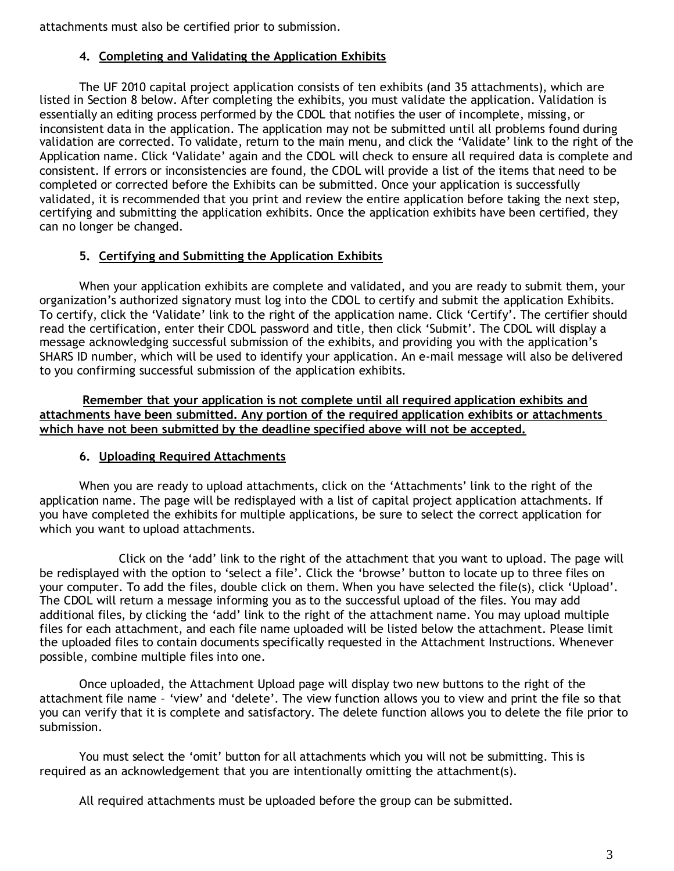attachments must also be certified prior to submission.

#### **4. Completing and Validating the Application Exhibits**

The UF 2010 capital project application consists of ten exhibits (and 35 attachments), which are listed in Section 8 below. After completing the exhibits, you must validate the application. Validation is essentially an editing process performed by the CDOL that notifies the user of incomplete, missing, or inconsistent data in the application. The application may not be submitted until all problems found during validation are corrected. To validate, return to the main menu, and click the 'Validate' link to the right of the Application name. Click 'Validate' again and the CDOL will check to ensure all required data is complete and consistent. If errors or inconsistencies are found, the CDOL will provide a list of the items that need to be completed or corrected before the Exhibits can be submitted. Once your application is successfully validated, it is recommended that you print and review the entire application before taking the next step, certifying and submitting the application exhibits. Once the application exhibits have been certified, they can no longer be changed.

### **5. Certifying and Submitting the Application Exhibits**

When your application exhibits are complete and validated, and you are ready to submit them, your organization's authorized signatory must log into the CDOL to certify and submit the application Exhibits. To certify, click the 'Validate' link to the right of the application name. Click 'Certify'. The certifier should read the certification, enter their CDOL password and title, then click 'Submit'. The CDOL will display a message acknowledging successful submission of the exhibits, and providing you with the application's SHARS ID number, which will be used to identify your application. An e-mail message will also be delivered to you confirming successful submission of the application exhibits.

**Remember that your application is not complete until all required application exhibits and attachments have been submitted. Any portion of the required application exhibits or attachments which have not been submitted by the deadline specified above will not be accepted.**

### **6. Uploading Required Attachments**

When you are ready to upload attachments, click on the 'Attachments' link to the right of the application name. The page will be redisplayed with a list of capital project application attachments. If you have completed the exhibits for multiple applications, be sure to select the correct application for which you want to upload attachments.

Click on the 'add' link to the right of the attachment that you want to upload. The page will be redisplayed with the option to 'select a file'. Click the 'browse' button to locate up to three files on your computer. To add the files, double click on them. When you have selected the file(s), click 'Upload'. The CDOL will return a message informing you as to the successful upload of the files. You may add additional files, by clicking the 'add' link to the right of the attachment name. You may upload multiple files for each attachment, and each file name uploaded will be listed below the attachment. Please limit the uploaded files to contain documents specifically requested in the Attachment Instructions. Whenever possible, combine multiple files into one.

Once uploaded, the Attachment Upload page will display two new buttons to the right of the attachment file name – 'view' and 'delete'. The view function allows you to view and print the file so that you can verify that it is complete and satisfactory. The delete function allows you to delete the file prior to submission.

You must select the 'omit' button for all attachments which you will not be submitting. This is required as an acknowledgement that you are intentionally omitting the attachment(s).

All required attachments must be uploaded before the group can be submitted.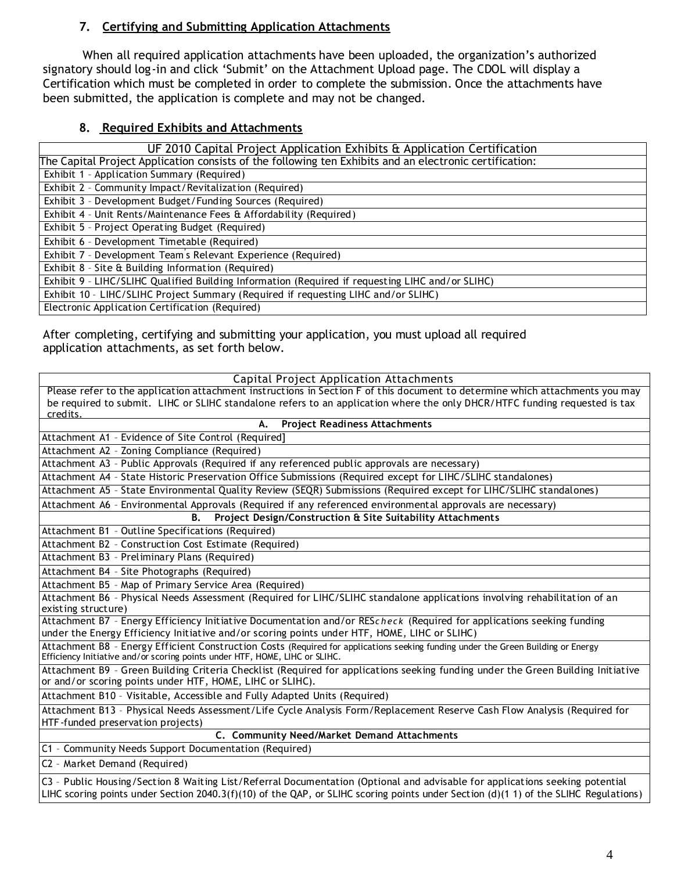### **7. Certifying and Submitting Application Attachments**

When all required application attachments have been uploaded, the organization's authorized signatory should log-in and click 'Submit' on the Attachment Upload page. The CDOL will display a Certification which must be completed in order to complete the submission. Once the attachments have been submitted, the application is complete and may not be changed.

# **8. Required Exhibits and Attachments**

| UF 2010 Capital Project Application Exhibits & Application Certification                                |
|---------------------------------------------------------------------------------------------------------|
| The Capital Project Application consists of the following ten Exhibits and an electronic certification: |
| Exhibit 1 - Application Summary (Required)                                                              |
| Exhibit 2 - Community Impact/Revitalization (Required)                                                  |
| Exhibit 3 - Development Budget/Funding Sources (Required)                                               |
| Exhibit 4 - Unit Rents/Maintenance Fees & Affordability (Required)                                      |
| Exhibit 5 - Project Operating Budget (Required)                                                         |
| Exhibit 6 - Development Timetable (Required)                                                            |
| Exhibit 7 - Development Team's Relevant Experience (Required)                                           |
| Exhibit 8 - Site & Building Information (Required)                                                      |
| Exhibit 9 - LIHC/SLIHC Qualified Building Information (Required if requesting LIHC and/or SLIHC)        |
| Exhibit 10 - LIHC/SLIHC Project Summary (Required if requesting LIHC and/or SLIHC)                      |
| Electronic Application Certification (Required)                                                         |

After completing, certifying and submitting your application, you must upload all required application attachments, as set forth below.

| Capital Project Application Attachments                                                                                                                                                                                                                              |
|----------------------------------------------------------------------------------------------------------------------------------------------------------------------------------------------------------------------------------------------------------------------|
| Please refer to the application attachment instructions in Section F of this document to determine which attachments you may                                                                                                                                         |
| be required to submit. LIHC or SLIHC standalone refers to an application where the only DHCR/HTFC funding requested is tax<br>credits.                                                                                                                               |
| А.<br><b>Project Readiness Attachments</b>                                                                                                                                                                                                                           |
| Attachment A1 - Evidence of Site Control (Required]                                                                                                                                                                                                                  |
| Attachment A2 - Zoning Compliance (Required)                                                                                                                                                                                                                         |
| Attachment A3 - Public Approvals (Required if any referenced public approvals are necessary)                                                                                                                                                                         |
| Attachment A4 - State Historic Preservation Office Submissions (Required except for LIHC/SLIHC standalones)                                                                                                                                                          |
| Attachment A5 - State Environmental Quality Review (SEQR) Submissions (Required except for LIHC/SLIHC standalones)                                                                                                                                                   |
| Attachment A6 - Environmental Approvals (Required if any referenced environmental approvals are necessary)                                                                                                                                                           |
| Project Design/Construction & Site Suitability Attachments<br><b>B.</b>                                                                                                                                                                                              |
| Attachment B1 - Outline Specifications (Required)                                                                                                                                                                                                                    |
| Attachment B2 - Construction Cost Estimate (Required)                                                                                                                                                                                                                |
| Attachment B3 - Preliminary Plans (Required)                                                                                                                                                                                                                         |
| Attachment B4 - Site Photographs (Required)                                                                                                                                                                                                                          |
| Attachment B5 - Map of Primary Service Area (Required)                                                                                                                                                                                                               |
| Attachment B6 - Physical Needs Assessment (Required for LIHC/SLIHC standalone applications involving rehabilitation of an<br>existing structure)                                                                                                                     |
| Attachment B7 - Energy Efficiency Initiative Documentation and/or REScheck (Required for applications seeking funding<br>under the Energy Efficiency Initiative and/or scoring points under HTF, HOME, LIHC or SLIHC)                                                |
| Attachment B8 - Energy Efficient Construction Costs (Required for applications seeking funding under the Green Building or Energy<br>Efficiency Initiative and/or scoring points under HTF, HOME, LIHC or SLIHC.                                                     |
| Attachment B9 - Green Building Criteria Checklist (Required for applications seeking funding under the Green Building Initiative<br>or and/or scoring points under HTF, HOME, LIHC or SLIHC).                                                                        |
| Attachment B10 - Visitable, Accessible and Fully Adapted Units (Required)                                                                                                                                                                                            |
| Attachment B13 - Physical Needs Assessment/Life Cycle Analysis Form/Replacement Reserve Cash Flow Analysis (Required for<br>HTF-funded preservation projects)                                                                                                        |
| C. Community Need/Market Demand Attachments                                                                                                                                                                                                                          |
| C1 - Community Needs Support Documentation (Required)                                                                                                                                                                                                                |
| C2 - Market Demand (Required)                                                                                                                                                                                                                                        |
| C3 - Public Housing/Section 8 Waiting List/Referral Documentation (Optional and advisable for applications seeking potential<br>LIHC scoring points under Section 2040.3(f)(10) of the QAP, or SLIHC scoring points under Section (d)(1 1) of the SLIHC Regulations) |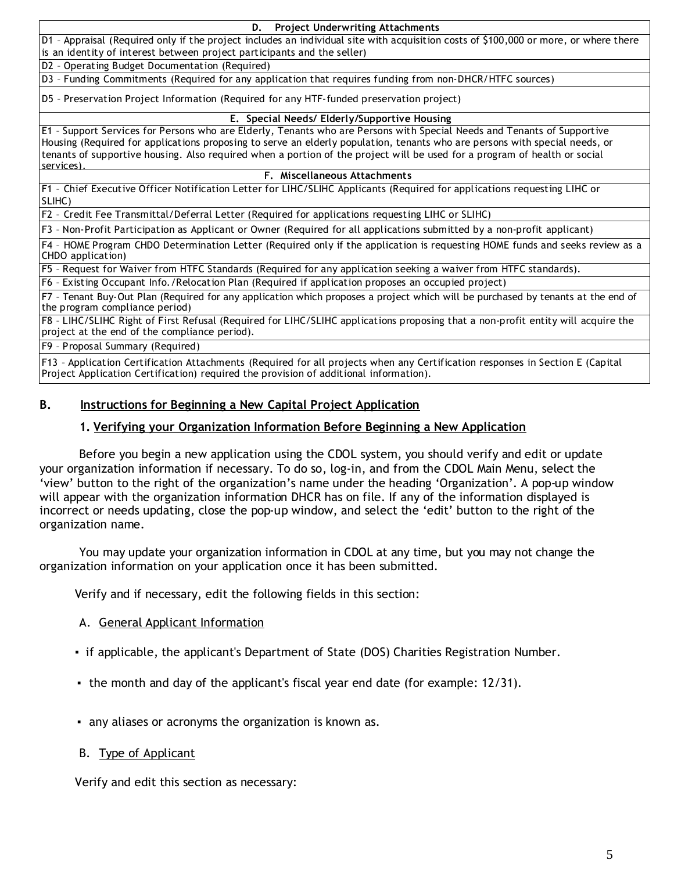**D. Project Underwriting Attachments** D1 – Appraisal (Required only if the project includes an individual site with acquisition costs of \$100,000 or more, or where there is an identity of interest between project participants and the seller)

D2 – Operating Budget Documentation (Required)

D3 – Funding Commitments (Required for any application that requires funding from non-DHCR/HTFC sources)

D5 – Preservation Project Information (Required for any HTF-funded preservation project)

#### **E. Special Needs/ Elderly/Supportive Housing**

E1 – Support Services for Persons who are Elderly, Tenants who are Persons with Special Needs and Tenants of Supportive Housing (Required for applications proposing to serve an elderly population, tenants who are persons with special needs, or tenants of supportive housing. Also required when a portion of the project will be used for a program of health or social services).

#### **F. Miscellaneous Attachments**

F1 – Chief Executive Officer Notification Letter for LIHC/SLIHC Applicants (Required for applications requesting LIHC or SLIHC)

F2 – Credit Fee Transmittal/Deferral Letter (Required for applications requesting LIHC or SLIHC)

F3 – Non-Profit Participation as Applicant or Owner (Required for all applications submitted by a non-profit applicant)

F4 – HOME Program CHDO Determination Letter (Required only if the application is requesting HOME funds and seeks review as a CHDO application)

F5 – Request for Waiver from HTFC Standards (Required for any application seeking a waiver from HTFC standards).

F6 – Existing Occupant Info./Relocation Plan (Required if application proposes an occupied project)

F7 – Tenant Buy-Out Plan (Required for any application which proposes a project which will be purchased by tenants at the end of the program compliance period)

F8 – LIHC/SLIHC Right of First Refusal (Required for LIHC/SLIHC applications proposing that a non-profit entity will acquire the project at the end of the compliance period).

F9 – Proposal Summary (Required)

F13 – Application Certification Attachments (Required for all projects when any Certification responses in Section E (Capital Project Application Certification) required the provision of additional information).

#### **B. Instructions for Beginning a New Capital Project Application**

#### **1. Verifying your Organization Information Before Beginning a New Application**

Before you begin a new application using the CDOL system, you should verify and edit or update your organization information if necessary. To do so, log-in, and from the CDOL Main Menu, select the 'view' button to the right of the organization's name under the heading 'Organization'. A pop-up window will appear with the organization information DHCR has on file. If any of the information displayed is incorrect or needs updating, close the pop-up window, and select the 'edit' button to the right of the organization name.

You may update your organization information in CDOL at any time, but you may not change the organization information on your application once it has been submitted.

Verify and if necessary, edit the following fields in this section:

#### A. General Applicant Information

- ▪if applicable, the applicant's Department of State (DOS) Charities Registration Number.
- ▪the month and day of the applicant's fiscal year end date (for example: 12/31).
- ▪any aliases or acronyms the organization is known as.
- B. Type of Applicant

Verify and edit this section as necessary: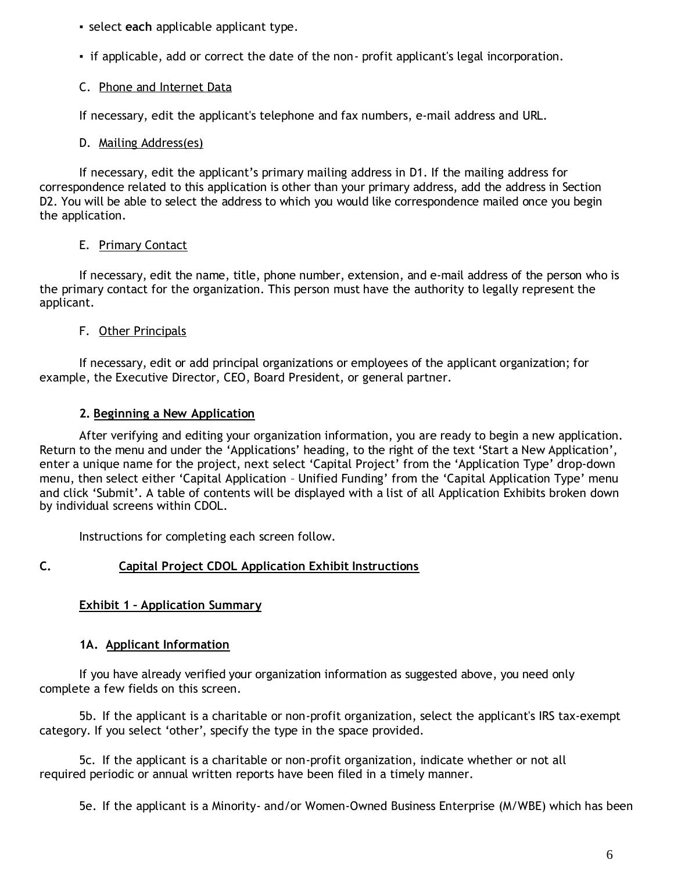▪select **each** applicable applicant type.

▪if applicable, add or correct the date of the non- profit applicant's legal incorporation.

# C. Phone and Internet Data

If necessary, edit the applicant's telephone and fax numbers, e-mail address and URL.

# D. Mailing Address(es)

If necessary, edit the applicant's primary mailing address in D1. If the mailing address for correspondence related to this application is other than your primary address, add the address in Section D2. You will be able to select the address to which you would like correspondence mailed once you begin the application.

# E. Primary Contact

If necessary, edit the name, title, phone number, extension, and e-mail address of the person who is the primary contact for the organization. This person must have the authority to legally represent the applicant.

# F. Other Principals

If necessary, edit or add principal organizations or employees of the applicant organization; for example, the Executive Director, CEO, Board President, or general partner.

# **2. Beginning a New Application**

After verifying and editing your organization information, you are ready to begin a new application. Return to the menu and under the 'Applications' heading, to the right of the text 'Start a New Application', enter a unique name for the project, next select 'Capital Project' from the 'Application Type' drop-down menu, then select either 'Capital Application – Unified Funding' from the 'Capital Application Type' menu and click 'Submit'. A table of contents will be displayed with a list of all Application Exhibits broken down by individual screens within CDOL.

Instructions for completing each screen follow.

# **C. Capital Project CDOL Application Exhibit Instructions**

### **Exhibit 1 – Application Summary**

# **1A. Applicant Information**

If you have already verified your organization information as suggested above, you need only complete a few fields on this screen.

5b. If the applicant is a charitable or non-profit organization, select the applicant's IRS tax-exempt category. If you select 'other', specify the type in the space provided.

5c. If the applicant is a charitable or non-profit organization, indicate whether or not all required periodic or annual written reports have been filed in a timely manner.

5e. If the applicant is a Minority- and/or Women-Owned Business Enterprise (M/WBE) which has been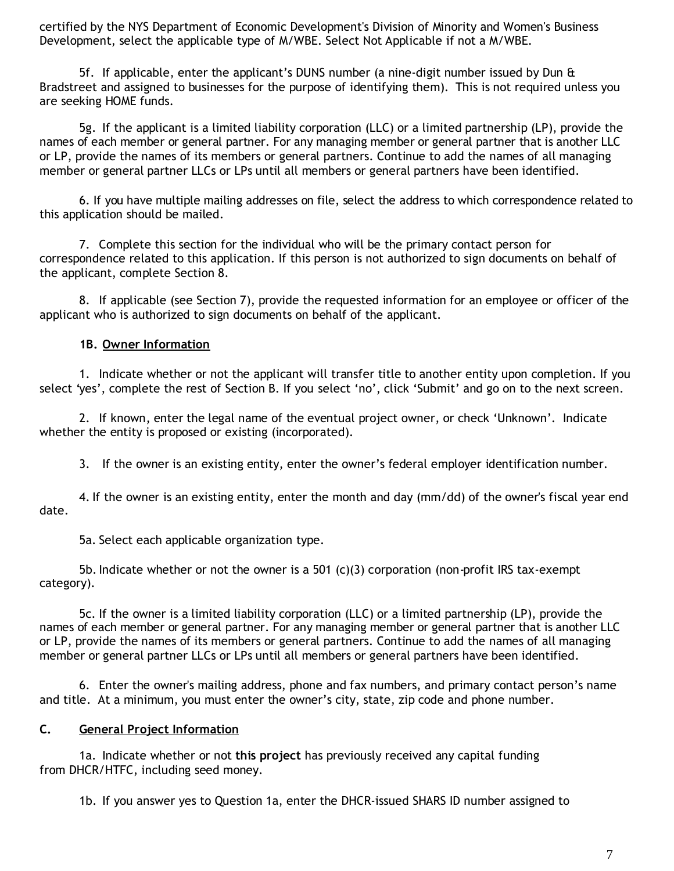certified by the NYS Department of Economic Development's Division of Minority and Women's Business Development, select the applicable type of M/WBE. Select Not Applicable if not a M/WBE.

5f. If applicable, enter the applicant's DUNS number (a nine-digit number issued by Dun & Bradstreet and assigned to businesses for the purpose of identifying them). This is not required unless you are seeking HOME funds.

5g. If the applicant is a limited liability corporation (LLC) or a limited partnership (LP), provide the names of each member or general partner. For any managing member or general partner that is another LLC or LP, provide the names of its members or general partners. Continue to add the names of all managing member or general partner LLCs or LPs until all members or general partners have been identified.

6. If you have multiple mailing addresses on file, select the address to which correspondence related to this application should be mailed.

7. Complete this section for the individual who will be the primary contact person for correspondence related to this application. If this person is not authorized to sign documents on behalf of the applicant, complete Section 8.

8. If applicable (see Section 7), provide the requested information for an employee or officer of the applicant who is authorized to sign documents on behalf of the applicant.

### **1B. Owner Information**

1. Indicate whether or not the applicant will transfer title to another entity upon completion. If you select 'yes', complete the rest of Section B. If you select 'no', click 'Submit' and go on to the next screen.

2. If known, enter the legal name of the eventual project owner, or check 'Unknown'. Indicate whether the entity is proposed or existing (incorporated).

3. If the owner is an existing entity, enter the owner's federal employer identification number.

4. If the owner is an existing entity, enter the month and day (mm/dd) of the owner's fiscal year end date.

5a. Select each applicable organization type.

5b. Indicate whether or not the owner is a 501  $(c)(3)$  corporation (non-profit IRS tax-exempt category).

5c. If the owner is a limited liability corporation (LLC) or a limited partnership (LP), provide the names of each member or general partner. For any managing member or general partner that is another LLC or LP, provide the names of its members or general partners. Continue to add the names of all managing member or general partner LLCs or LPs until all members or general partners have been identified.

6. Enter the owner's mailing address, phone and fax numbers, and primary contact person's name and title. At a minimum, you must enter the owner's city, state, zip code and phone number.

#### **C. General Project Information**

1a. Indicate whether or not **this project** has previously received any capital funding from DHCR/HTFC, including seed money.

1b. If you answer yes to Question 1a, enter the DHCR-issued SHARS ID number assigned to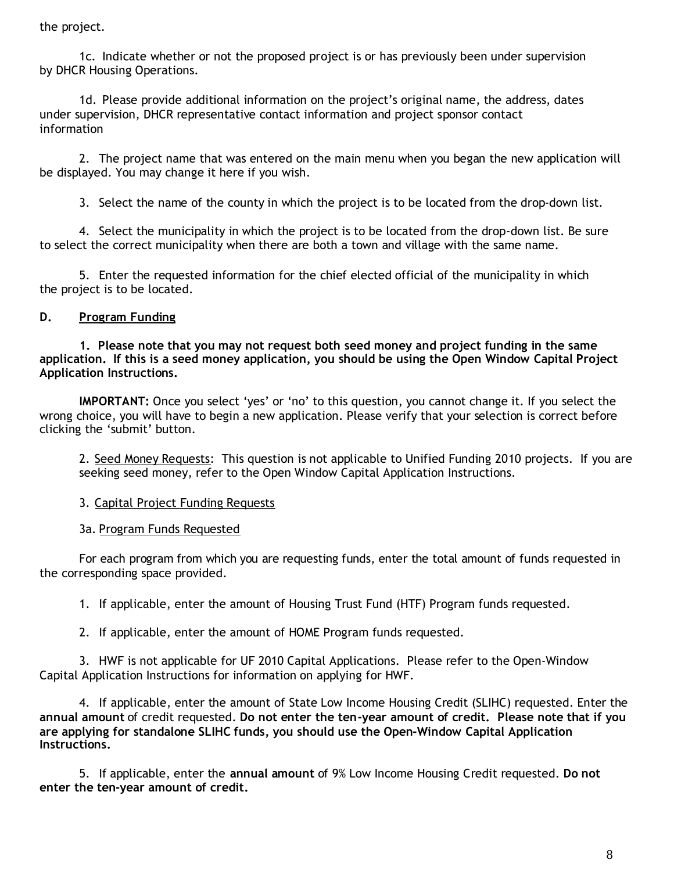the project.

1c. Indicate whether or not the proposed project is or has previously been under supervision by DHCR Housing Operations.

1d. Please provide additional information on the project's original name, the address, dates under supervision, DHCR representative contact information and project sponsor contact information

2. The project name that was entered on the main menu when you began the new application will be displayed. You may change it here if you wish.

3. Select the name of the county in which the project is to be located from the drop-down list.

4. Select the municipality in which the project is to be located from the drop-down list. Be sure to select the correct municipality when there are both a town and village with the same name.

5. Enter the requested information for the chief elected official of the municipality in which the project is to be located.

# **D. Program Funding**

**1. Please note that you may not request both seed money and project funding in the same application. If this is a seed money application, you should be using the Open Window Capital Project Application Instructions.**

**IMPORTANT:** Once you select 'yes' or 'no' to this question, you cannot change it. If you select the wrong choice, you will have to begin a new application. Please verify that your selection is correct before clicking the 'submit' button.

2. Seed Money Requests: This question is not applicable to Unified Funding 2010 projects. If you are seeking seed money, refer to the Open Window Capital Application Instructions.

3. Capital Project Funding Requests

3a. Program Funds Requested

For each program from which you are requesting funds, enter the total amount of funds requested in the corresponding space provided.

1. If applicable, enter the amount of Housing Trust Fund (HTF) Program funds requested.

2. If applicable, enter the amount of HOME Program funds requested.

3. HWF is not applicable for UF 2010 Capital Applications. Please refer to the Open-Window Capital Application Instructions for information on applying for HWF.

4. If applicable, enter the amount of State Low Income Housing Credit (SLIHC) requested. Enter the **annual amount** of credit requested. **Do not enter the ten-year amount of credit. Please note that if you are applying for standalone SLIHC funds, you should use the Open-Window Capital Application Instructions.**

5. If applicable, enter the **annual amount** of 9% Low Income Housing Credit requested. **Do not enter the ten-year amount of credit.**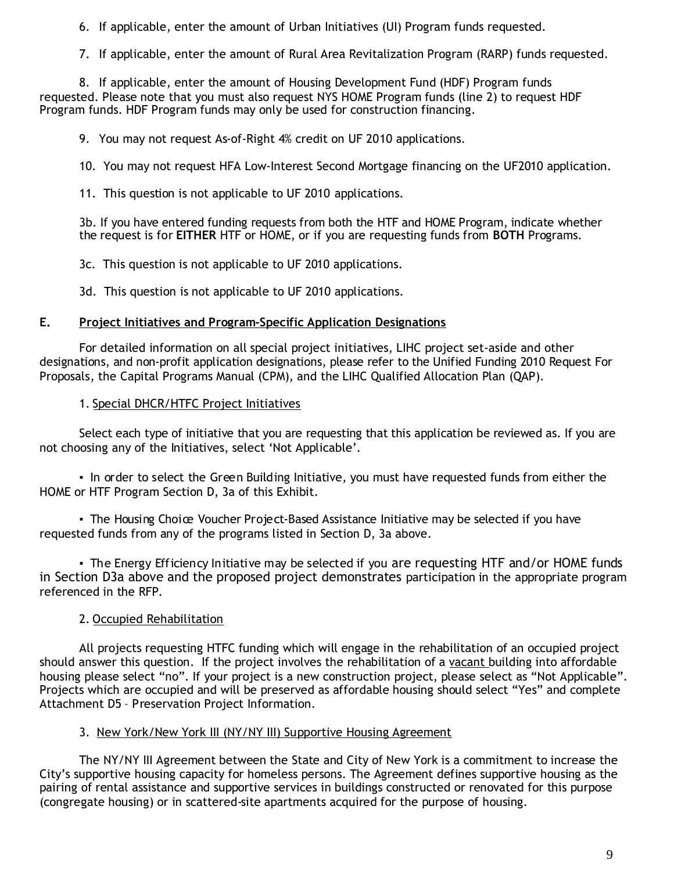6. If applicable, enter the amount of Urban Initiatives (UI) Program funds requested.

7. If applicable, enter the amount of Rural Area Revitalization Program (RARP) funds requested.

8. If applicable, enter the amount of Housing Development Fund (HDF) Program funds requested. Please note that you must also request NYS HOME Program funds (line 2) to request HDF Program funds. HDF Program funds may only be used for construction financing.

9. You may not request As-of-Right 4% credit on UF 2010 applications.

10. You may not request HFA Low-Interest Second Mortgage financing on the UF2010 application.

11. This question is not applicable to UF 2010 applications.

3b. If you have entered funding requests from both the HTF and HOME Program, indicate whether the request is for **EITHER** HTF or HOME, or if you are requesting funds from **BOTH** Programs.

3c. This question is not applicable to UF 2010 applications.

3d. This question is not applicable to UF 2010 applications.

#### **E. Project Initiatives and Program-Specific Application Designations**

For detailed information on all special project initiatives, LIHC project set-aside and other designations, and non-profit application designations, please refer to the Unified Funding 2010 Request For Proposals, the Capital Programs Manual (CPM), and the LIHC Qualified Allocation Plan (QAP).

### 1. Special DHCR/HTFC Project Initiatives

Select each type of initiative that you are requesting that this application be reviewed as. If you are not choosing any of the Initiatives, select 'Not Applicable'.

. In order to select the Green Building Initiative, you must have requested funds from either the HOME or HTF Program Section D, 3a of this Exhibit.

• The Housing Choice Voucher Project-Based Assistance Initiative may be selected if you have requested funds from any of the programs listed in Section D, 3a above.

• The Energy Efficiency Initiative may be selected if you are requesting HTF and/or HOME funds in Section D3a above and the proposed project demonstrates participation in the appropriate program referenced in the RFP.

### 2. Occupied Rehabilitation

All projects requesting HTFC funding which will engage in the rehabilitation of an occupied project should answer this question. If the project involves the rehabilitation of a vacant building into affordable housing please select "no". If your project is a new construction project, please select as "Not Applicable". Projects which are occupied and will be preserved as affordable housing should select "Yes" and complete Attachment D5 – Preservation Project Information.

#### 3. New York/New York III (NY/NY III) Supportive Housing Agreement

The NY/NY III Agreement between the State and City of New York is a commitment to increase the City's supportive housing capacity for homeless persons. The Agreement defines supportive housing as the pairing of rental assistance and supportive services in buildings constructed or renovated for this purpose (congregate housing) or in scattered-site apartments acquired for the purpose of housing.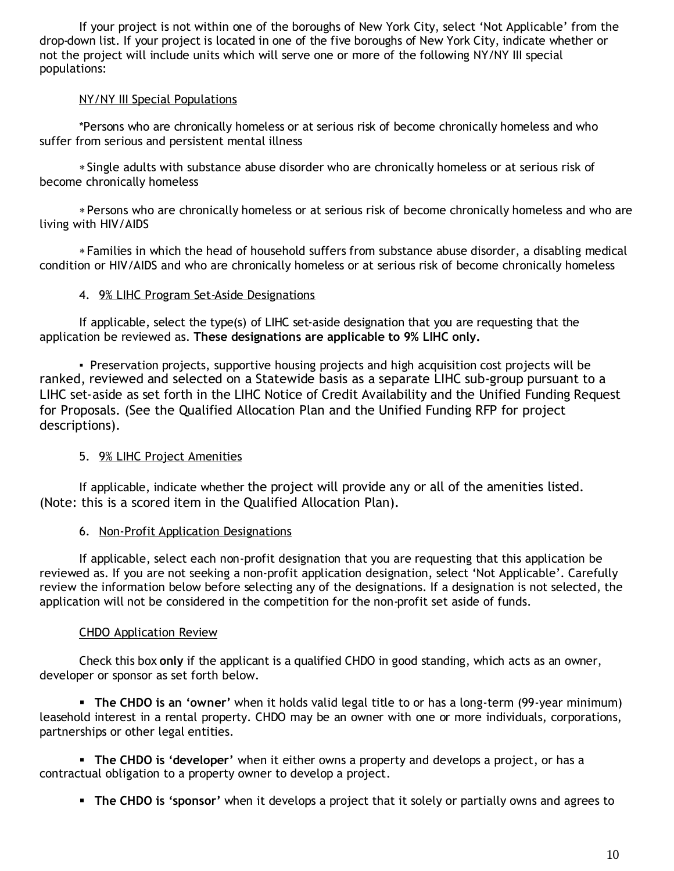If your project is not within one of the boroughs of New York City, select 'Not Applicable' from the drop-down list. If your project is located in one of the five boroughs of New York City, indicate whether or not the project will include units which will serve one or more of the following NY/NY III special populations:

### NY/NY III Special Populations

\*Persons who are chronically homeless or at serious risk of become chronically homeless and who suffer from serious and persistent mental illness

Single adults with substance abuse disorder who are chronically homeless or at serious risk of become chronically homeless

Persons who are chronically homeless or at serious risk of become chronically homeless and who are living with HIV/AIDS

Families in which the head of household suffers from substance abuse disorder, a disabling medical condition or HIV/AIDS and who are chronically homeless or at serious risk of become chronically homeless

### 4. 9% LIHC Program Set-Aside Designations

If applicable, select the type(s) of LIHC set-aside designation that you are requesting that the application be reviewed as. **These designations are applicable to 9% LIHC only.**

**▪**Preservation projects, supportive housing projects and high acquisition cost projects will be ranked, reviewed and selected on a Statewide basis as a separate LIHC sub-group pursuant to a LIHC set-aside as set forth in the LIHC Notice of Credit Availability and the Unified Funding Request for Proposals. (See the Qualified Allocation Plan and the Unified Funding RFP for project descriptions).

### 5. 9% LIHC Project Amenities

If applicable, indicate whether the project will provide any or all of the amenities listed. (Note: this is a scored item in the Qualified Allocation Plan).

#### 6. Non-Profit Application Designations

If applicable, select each non-profit designation that you are requesting that this application be reviewed as. If you are not seeking a non-profit application designation, select 'Not Applicable'. Carefully review the information below before selecting any of the designations. If a designation is not selected, the application will not be considered in the competition for the non-profit set aside of funds.

### CHDO Application Review

Check this box **only** if the applicant is a qualified CHDO in good standing, which acts as an owner, developer or sponsor as set forth below.

 **The CHDO is an 'owner'** when it holds valid legal title to or has a long-term (99-year minimum) leasehold interest in a rental property. CHDO may be an owner with one or more individuals, corporations, partnerships or other legal entities.

 **The CHDO is 'developer'** when it either owns a property and develops a project, or has a contractual obligation to a property owner to develop a project.

**The CHDO is 'sponsor'** when it develops a project that it solely or partially owns and agrees to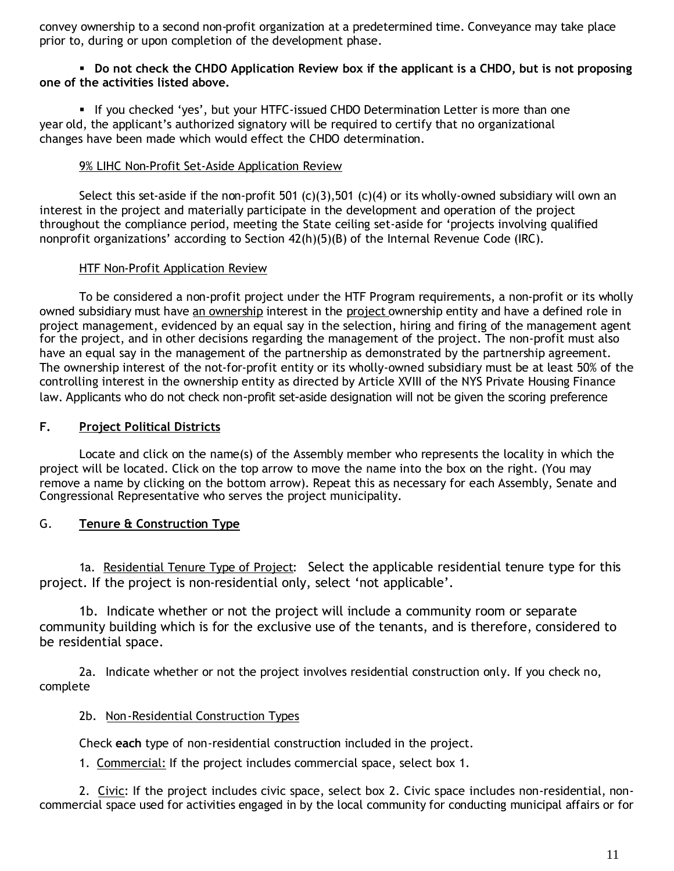convey ownership to a second non-profit organization at a predetermined time. Conveyance may take place prior to, during or upon completion of the development phase.

#### **Do not check the CHDO Application Review box if the applicant is a CHDO, but is not proposing one of the activities listed above.**

If you checked 'yes', but your HTFC-issued CHDO Determination Letter is more than one year old, the applicant's authorized signatory will be required to certify that no organizational changes have been made which would effect the CHDO determination.

### 9% LIHC Non-Profit Set-Aside Application Review

Select this set-aside if the non-profit 501 (c)(3),501 (c)(4) or its wholly-owned subsidiary will own an interest in the project and materially participate in the development and operation of the project throughout the compliance period, meeting the State ceiling set-aside for 'projects involving qualified nonprofit organizations' according to Section 42(h)(5)(B) of the Internal Revenue Code (IRC).

### HTF Non-Profit Application Review

To be considered a non-profit project under the HTF Program requirements, a non-profit or its wholly owned subsidiary must have an ownership interest in the project ownership entity and have a defined role in project management, evidenced by an equal say in the selection, hiring and firing of the management agent for the project, and in other decisions regarding the management of the project. The non-profit must also have an equal say in the management of the partnership as demonstrated by the partnership agreement. The ownership interest of the not-for-profit entity or its wholly-owned subsidiary must be at least 50% of the controlling interest in the ownership entity as directed by Article XVIII of the NYS Private Housing Finance law. Applicants who do not check non-profit set-aside designation will not be given the scoring preference

### **F. Project Political Districts**

Locate and click on the name(s) of the Assembly member who represents the locality in which the project will be located. Click on the top arrow to move the name into the box on the right. (You may remove a name by clicking on the bottom arrow). Repeat this as necessary for each Assembly, Senate and Congressional Representative who serves the project municipality.

### G. **Tenure & Construction Type**

1a. Residential Tenure Type of Project: Select the applicable residential tenure type for this project. If the project is non-residential only, select 'not applicable'.

1b. Indicate whether or not the project will include a community room or separate community building which is for the exclusive use of the tenants, and is therefore, considered to be residential space.

2a. Indicate whether or not the project involves residential construction only. If you check no, complete

### 2b. Non-Residential Construction Types

Check **each** type of non-residential construction included in the project.

1. Commercial: If the project includes commercial space, select box 1.

2. Civic: If the project includes civic space, select box 2. Civic space includes non-residential, noncommercial space used for activities engaged in by the local community for conducting municipal affairs or for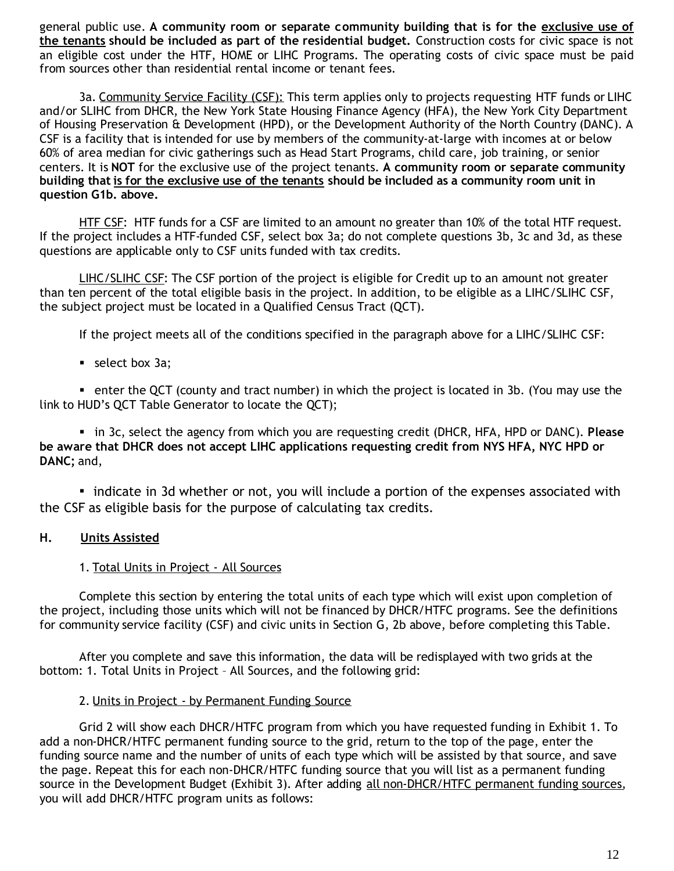general public use. **A community room or separate community building that is for the exclusive use of the tenants should be included as part of the residential budget.** Construction costs for civic space is not an eligible cost under the HTF, HOME or LIHC Programs. The operating costs of civic space must be paid from sources other than residential rental income or tenant fees.

3a. Community Service Facility (CSF): This term applies only to projects requesting HTF funds or LIHC and/or SLIHC from DHCR, the New York State Housing Finance Agency (HFA), the New York City Department of Housing Preservation & Development (HPD), or the Development Authority of the North Country (DANC). A CSF is a facility that is intended for use by members of the community-at-large with incomes at or below 60% of area median for civic gatherings such as Head Start Programs, child care, job training, or senior centers. It is **NOT** for the exclusive use of the project tenants. **A community room or separate community building that is for the exclusive use of the tenants should be included as a community room unit in question G1b. above.**

HTF CSF: HTF funds for a CSF are limited to an amount no greater than 10% of the total HTF request. If the project includes a HTF-funded CSF, select box 3a; do not complete questions 3b, 3c and 3d, as these questions are applicable only to CSF units funded with tax credits.

LIHC/SLIHC CSF: The CSF portion of the project is eligible for Credit up to an amount not greater than ten percent of the total eligible basis in the project. In addition, to be eligible as a LIHC/SLIHC CSF, the subject project must be located in a Qualified Census Tract (QCT).

If the project meets all of the conditions specified in the paragraph above for a LIHC/SLIHC CSF:

select box 3a;

 enter the QCT (county and tract number) in which the project is located in 3b. (You may use the link to HUD's QCT Table Generator to locate the QCT);

 in 3c, select the agency from which you are requesting credit (DHCR, HFA, HPD or DANC). **Please be aware that DHCR does not accept LIHC applications requesting credit from NYS HFA, NYC HPD or DANC;** and,

▪indicate in 3d whether or not, you will include a portion of the expenses associated with the CSF as eligible basis for the purpose of calculating tax credits.

### **H. Units Assisted**

#### 1. Total Units in Project - All Sources

Complete this section by entering the total units of each type which will exist upon completion of the project, including those units which will not be financed by DHCR/HTFC programs. See the definitions for community service facility (CSF) and civic units in Section G, 2b above, before completing this Table.

After you complete and save this information, the data will be redisplayed with two grids at the bottom: 1. Total Units in Project – All Sources, and the following grid:

#### 2. Units in Project - by Permanent Funding Source

Grid 2 will show each DHCR/HTFC program from which you have requested funding in Exhibit 1. To add a non-DHCR/HTFC permanent funding source to the grid, return to the top of the page, enter the funding source name and the number of units of each type which will be assisted by that source, and save the page. Repeat this for each non-DHCR/HTFC funding source that you will list as a permanent funding source in the Development Budget (Exhibit 3). After adding all non-DHCR/HTFC permanent funding sources, you will add DHCR/HTFC program units as follows: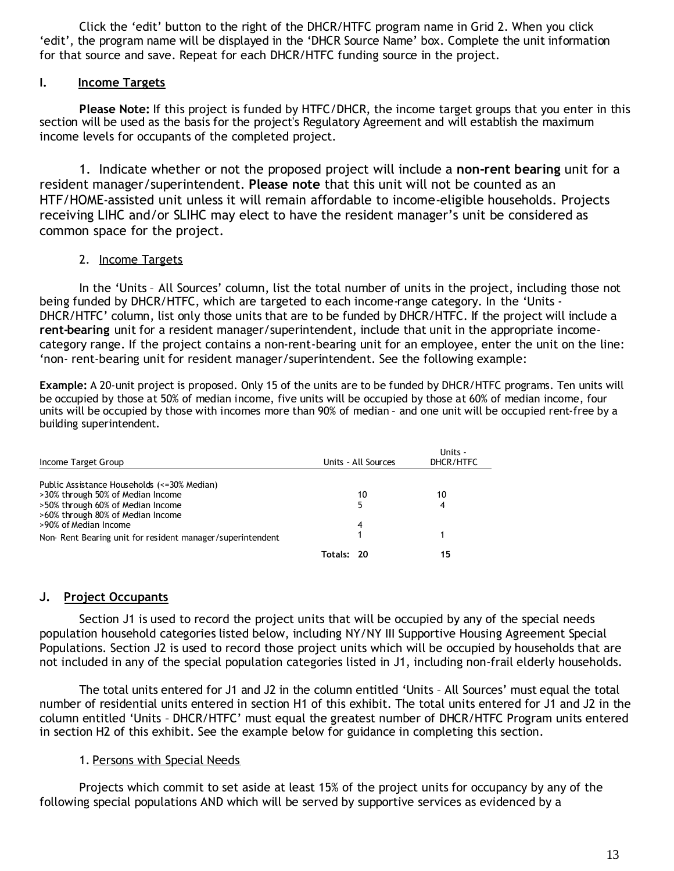Click the 'edit' button to the right of the DHCR/HTFC program name in Grid 2. When you click 'edit', the program name will be displayed in the 'DHCR Source Name' box. Complete the unit information for that source and save. Repeat for each DHCR/HTFC funding source in the project.

#### **I. Income Targets**

**Please Note:** If this project is funded by HTFC/DHCR, the income target groups that you enter in this section will be used as the basis for the project's Regulatory Agreement and will establish the maximum income levels for occupants of the completed project.

1. Indicate whether or not the proposed project will include a **non-rent bearing** unit for a resident manager/superintendent. **Please note** that this unit will not be counted as an HTF/HOME-assisted unit unless it will remain affordable to income-eligible households. Projects receiving LIHC and/or SLIHC may elect to have the resident manager's unit be considered as common space for the project.

#### 2. Income Targets

In the 'Units – All Sources' column, list the total number of units in the project, including those not being funded by DHCR/HTFC, which are targeted to each income-range category. In the 'Units - DHCR/HTFC' column, list only those units that are to be funded by DHCR/HTFC. If the project will include a **rent-bearing** unit for a resident manager/superintendent, include that unit in the appropriate incomecategory range. If the project contains a non-rent-bearing unit for an employee, enter the unit on the line: 'non- rent-bearing unit for resident manager/superintendent. See the following example:

**Example:** A 20-unit project is proposed. Only 15 of the units are to be funded by DHCR/HTFC programs. Ten units will be occupied by those at 50% of median income, five units will be occupied by those at 60% of median income, four units will be occupied by those with incomes more than 90% of median – and one unit will be occupied rent-free by a building superintendent.

| Income Target Group                                       |            | Units - All Sources | Units -<br>DHCR/HTFC |
|-----------------------------------------------------------|------------|---------------------|----------------------|
| Public Assistance Households (<=30% Median)               |            |                     |                      |
| >30% through 50% of Median Income                         |            | 10                  | 10                   |
| >50% through 60% of Median Income                         |            |                     | 4                    |
| >60% through 80% of Median Income                         |            |                     |                      |
| >90% of Median Income                                     |            | 4                   |                      |
| Non-Rent Bearing unit for resident manager/superintendent |            |                     |                      |
|                                                           | Totals: 20 |                     | 15                   |

#### **J. Project Occupants**

Section J1 is used to record the project units that will be occupied by any of the special needs population household categories listed below, including NY/NY III Supportive Housing Agreement Special Populations. Section J2 is used to record those project units which will be occupied by households that are not included in any of the special population categories listed in J1, including non-frail elderly households.

The total units entered for J1 and J2 in the column entitled 'Units – All Sources' must equal the total number of residential units entered in section H1 of this exhibit. The total units entered for J1 and J2 in the column entitled 'Units – DHCR/HTFC' must equal the greatest number of DHCR/HTFC Program units entered in section H2 of this exhibit. See the example below for guidance in completing this section.

#### 1. Persons with Special Needs

Projects which commit to set aside at least 15% of the project units for occupancy by any of the following special populations AND which will be served by supportive services as evidenced by a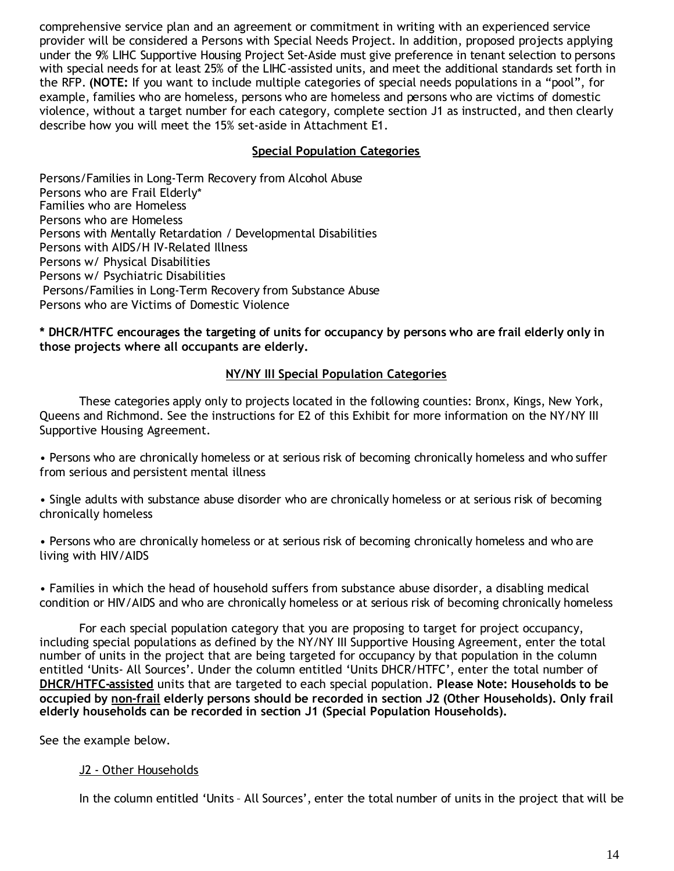comprehensive service plan and an agreement or commitment in writing with an experienced service provider will be considered a Persons with Special Needs Project. In addition, proposed projects applying under the 9% LIHC Supportive Housing Project Set-Aside must give preference in tenant selection to persons with special needs for at least 25% of the LIHC-assisted units, and meet the additional standards set forth in the RFP. **(NOTE:** If you want to include multiple categories of special needs populations in a "pool", for example, families who are homeless, persons who are homeless and persons who are victims of domestic violence, without a target number for each category, complete section J1 as instructed, and then clearly describe how you will meet the 15% set-aside in Attachment E1.

### **Special Population Categories**

Persons/Families in Long-Term Recovery from Alcohol Abuse Persons who are Frail Elderly\* Families who are Homeless Persons who are Homeless Persons with Mentally Retardation / Developmental Disabilities Persons with AIDS/H IV-Related Illness Persons w/ Physical Disabilities Persons w/ Psychiatric Disabilities Persons/Families in Long-Term Recovery from Substance Abuse Persons who are Victims of Domestic Violence

**\* DHCR/HTFC encourages the targeting of units for occupancy by persons who are frail elderly only in those projects where all occupants are elderly.**

### **NY/NY III Special Population Categories**

These categories apply only to projects located in the following counties: Bronx, Kings, New York, Queens and Richmond. See the instructions for E2 of this Exhibit for more information on the NY/NY III Supportive Housing Agreement.

• Persons who are chronically homeless or at serious risk of becoming chronically homeless and who suffer from serious and persistent mental illness

• Single adults with substance abuse disorder who are chronically homeless or at serious risk of becoming chronically homeless

• Persons who are chronically homeless or at serious risk of becoming chronically homeless and who are living with HIV/AIDS

• Families in which the head of household suffers from substance abuse disorder, a disabling medical condition or HIV/AIDS and who are chronically homeless or at serious risk of becoming chronically homeless

For each special population category that you are proposing to target for project occupancy, including special populations as defined by the NY/NY III Supportive Housing Agreement, enter the total number of units in the project that are being targeted for occupancy by that population in the column entitled 'Units- All Sources'. Under the column entitled 'Units DHCR/HTFC', enter the total number of **DHCR/HTFC-assisted** units that are targeted to each special population. **Please Note: Households to be occupied by non-frail elderly persons should be recorded in section J2 (Other Households). Only frail elderly households can be recorded in section J1 (Special Population Households).**

See the example below.

#### J2 - Other Households

In the column entitled 'Units – All Sources', enter the total number of units in the project that will be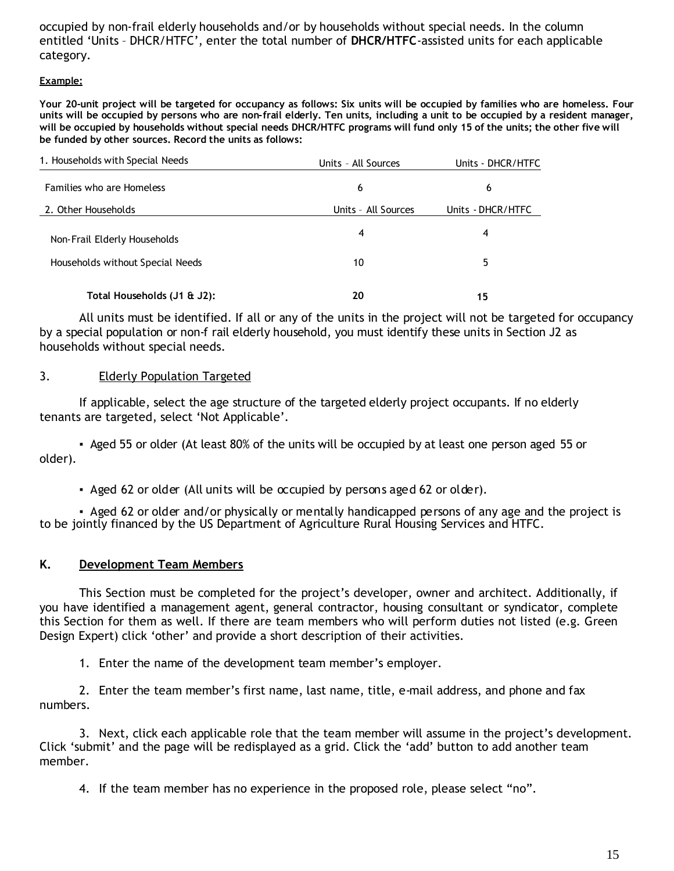occupied by non-frail elderly households and/or by households without special needs. In the column entitled 'Units – DHCR/HTFC', enter the total number of **DHCR/HTFC**-assisted units for each applicable category.

#### **Example:**

**Your 20-unit project will be targeted for occupancy as follows: Six units will be occupied by families who are homeless. Four units will be occupied by persons who are non-frail elderly. Ten units, including a unit to be occupied by a resident manager, will be occupied by households without special needs DHCR/HTFC programs will fund only 15 of the units; the other five will be funded by other sources. Record the units as follows:**

| 1. Households with Special Needs | Units - All Sources |                   |
|----------------------------------|---------------------|-------------------|
| Families who are Homeless        | 6                   | 6                 |
| 2. Other Households              | Units - All Sources | Units - DHCR/HTFC |
| Non-Frail Elderly Households     | 4                   | 4                 |
| Households without Special Needs | 10                  | 5                 |
| Total Households (J1 & J2):      | 20                  | 15                |

All units must be identified. If all or any of the units in the project will not be targeted for occupancy by a special population or non-f rail elderly household, you must identify these units in Section J2 as households without special needs.

#### 3. Elderly Population Targeted

If applicable, select the age structure of the targeted elderly project occupants. If no elderly tenants are targeted, select 'Not Applicable'.

▪Aged 55 or older (At least 80% of the units will be occupied by at least one person aged 55 or older).

▪Aged 62 or older (All units will be occupied by persons aged 62 or older).

▪Aged 62 or older and/or physically or mentally handicapped persons of any age and the project is to be jointly financed by the US Department of Agriculture Rural Housing Services and HTFC.

#### **K. Development Team Members**

This Section must be completed for the project's developer, owner and architect. Additionally, if you have identified a management agent, general contractor, housing consultant or syndicator, complete this Section for them as well. If there are team members who will perform duties not listed (e.g. Green Design Expert) click 'other' and provide a short description of their activities.

1. Enter the name of the development team member's employer.

2. Enter the team member's first name, last name, title, e-mail address, and phone and fax numbers.

3. Next, click each applicable role that the team member will assume in the project's development. Click 'submit' and the page will be redisplayed as a grid. Click the 'add' button to add another team member.

4. If the team member has no experience in the proposed role, please select "no".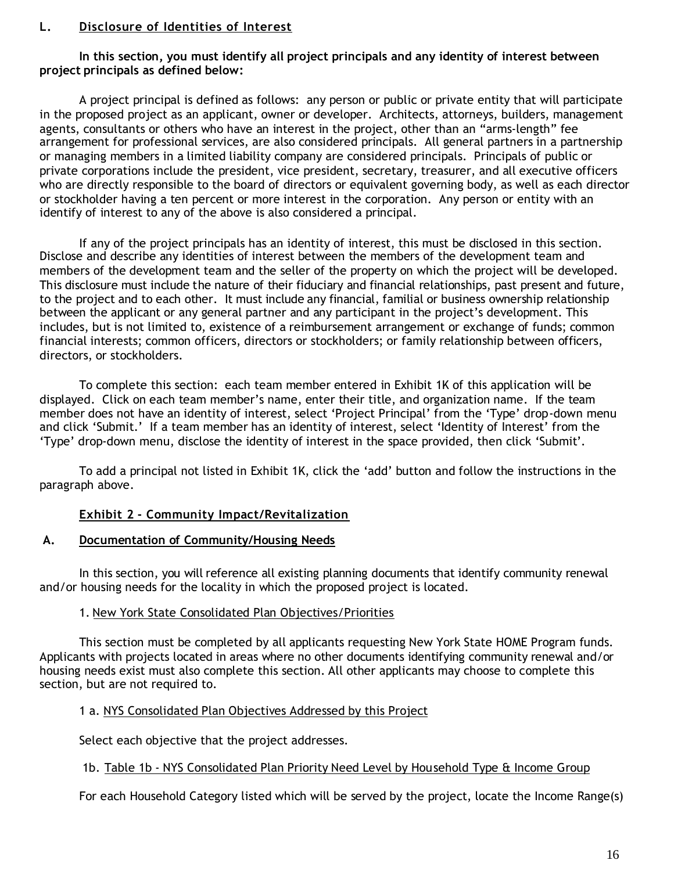#### **L. Disclosure of Identities of Interest**

**In this section, you must identify all project principals and any identity of interest between project principals as defined below:**

A project principal is defined as follows: any person or public or private entity that will participate in the proposed project as an applicant, owner or developer. Architects, attorneys, builders, management agents, consultants or others who have an interest in the project, other than an "arms-length" fee arrangement for professional services, are also considered principals. All general partners in a partnership or managing members in a limited liability company are considered principals. Principals of public or private corporations include the president, vice president, secretary, treasurer, and all executive officers who are directly responsible to the board of directors or equivalent governing body, as well as each director or stockholder having a ten percent or more interest in the corporation. Any person or entity with an identify of interest to any of the above is also considered a principal.

If any of the project principals has an identity of interest, this must be disclosed in this section. Disclose and describe any identities of interest between the members of the development team and members of the development team and the seller of the property on which the project will be developed. This disclosure must include the nature of their fiduciary and financial relationships, past present and future, to the project and to each other. It must include any financial, familial or business ownership relationship between the applicant or any general partner and any participant in the project's development. This includes, but is not limited to, existence of a reimbursement arrangement or exchange of funds; common financial interests; common officers, directors or stockholders; or family relationship between officers, directors, or stockholders.

To complete this section: each team member entered in Exhibit 1K of this application will be displayed. Click on each team member's name, enter their title, and organization name. If the team member does not have an identity of interest, select 'Project Principal' from the 'Type' drop-down menu and click 'Submit.' If a team member has an identity of interest, select 'Identity of Interest' from the 'Type' drop-down menu, disclose the identity of interest in the space provided, then click 'Submit'.

To add a principal not listed in Exhibit 1K, click the 'add' button and follow the instructions in the paragraph above.

### **Exhibit 2 - Community Impact/Revitalization**

#### **A. Documentation of Community/Housing Needs**

In this section, you will reference all existing planning documents that identify community renewal and/or housing needs for the locality in which the proposed project is located.

#### 1. New York State Consolidated Plan Objectives/Priorities

This section must be completed by all applicants requesting New York State HOME Program funds. Applicants with projects located in areas where no other documents identifying community renewal and/or housing needs exist must also complete this section. All other applicants may choose to complete this section, but are not required to.

### 1 a. NYS Consolidated Plan Objectives Addressed by this Project

Select each objective that the project addresses.

### 1b. Table 1b - NYS Consolidated Plan Priority Need Level by Household Type & Income Group

For each Household Category listed which will be served by the project, locate the Income Range(s)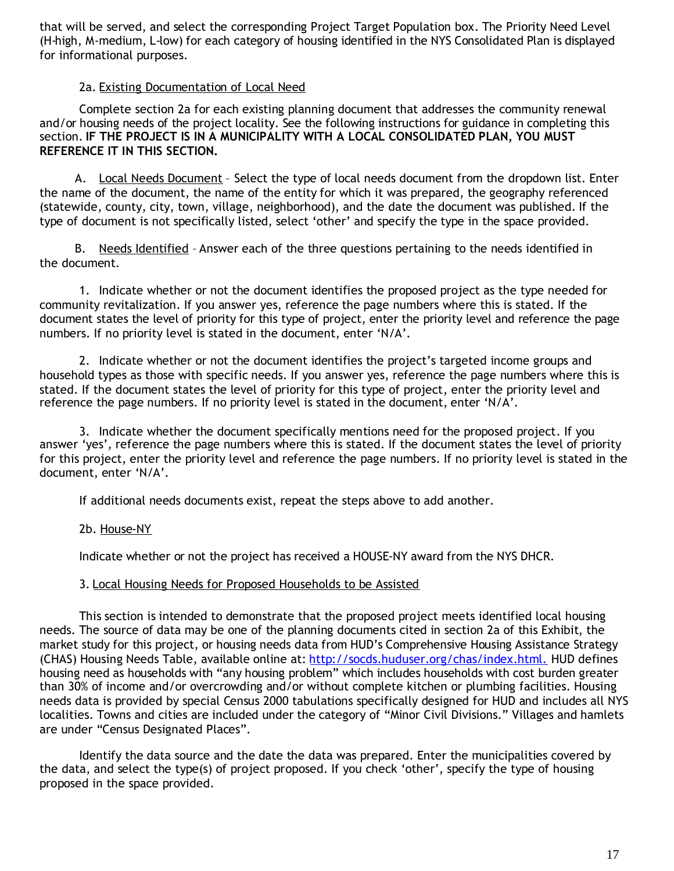that will be served, and select the corresponding Project Target Population box. The Priority Need Level (H-high, M-medium, L-low) for each category of housing identified in the NYS Consolidated Plan is displayed for informational purposes.

### 2a. Existing Documentation of Local Need

Complete section 2a for each existing planning document that addresses the community renewal and/or housing needs of the project locality. See the following instructions for guidance in completing this section. **IF THE PROJECT IS IN A MUNICIPALITY WITH A LOCAL CONSOLIDATED PLAN, YOU MUST REFERENCE IT IN THIS SECTION.**

A. Local Needs Document - Select the type of local needs document from the dropdown list. Enter the name of the document, the name of the entity for which it was prepared, the geography referenced (statewide, county, city, town, village, neighborhood), and the date the document was published. If the type of document is not specifically listed, select 'other' and specify the type in the space provided.

B. Needs Identified - Answer each of the three questions pertaining to the needs identified in the document.

1. Indicate whether or not the document identifies the proposed project as the type needed for community revitalization. If you answer yes, reference the page numbers where this is stated. If the document states the level of priority for this type of project, enter the priority level and reference the page numbers. If no priority level is stated in the document, enter 'N/A'.

2. Indicate whether or not the document identifies the project's targeted income groups and household types as those with specific needs. If you answer yes, reference the page numbers where this is stated. If the document states the level of priority for this type of project, enter the priority level and reference the page numbers. If no priority level is stated in the document, enter 'N/A'.

3. Indicate whether the document specifically mentions need for the proposed project. If you answer 'yes', reference the page numbers where this is stated. If the document states the level of priority for this project, enter the priority level and reference the page numbers. If no priority level is stated in the document, enter 'N/A'.

If additional needs documents exist, repeat the steps above to add another.

2b. House-NY

Indicate whether or not the project has received a HOUSE-NY award from the NYS DHCR.

#### 3. Local Housing Needs for Proposed Households to be Assisted

This section is intended to demonstrate that the proposed project meets identified local housing needs. The source of data may be one of the planning documents cited in section 2a of this Exhibit, the market study for this project, or housing needs data from HUD's Comprehensive Housing Assistance Strategy (CHAS) Housing Needs Table, available online at: http://socds.huduser.org/chas/index.html. HUD defines housing need as households with "any housing problem" which includes households with cost burden greater than 30% of income and/or overcrowding and/or without complete kitchen or plumbing facilities. Housing needs data is provided by special Census 2000 tabulations specifically designed for HUD and includes all NYS localities. Towns and cities are included under the category of "Minor Civil Divisions." Villages and hamlets are under "Census Designated Places".

Identify the data source and the date the data was prepared. Enter the municipalities covered by the data, and select the type(s) of project proposed. If you check 'other', specify the type of housing proposed in the space provided.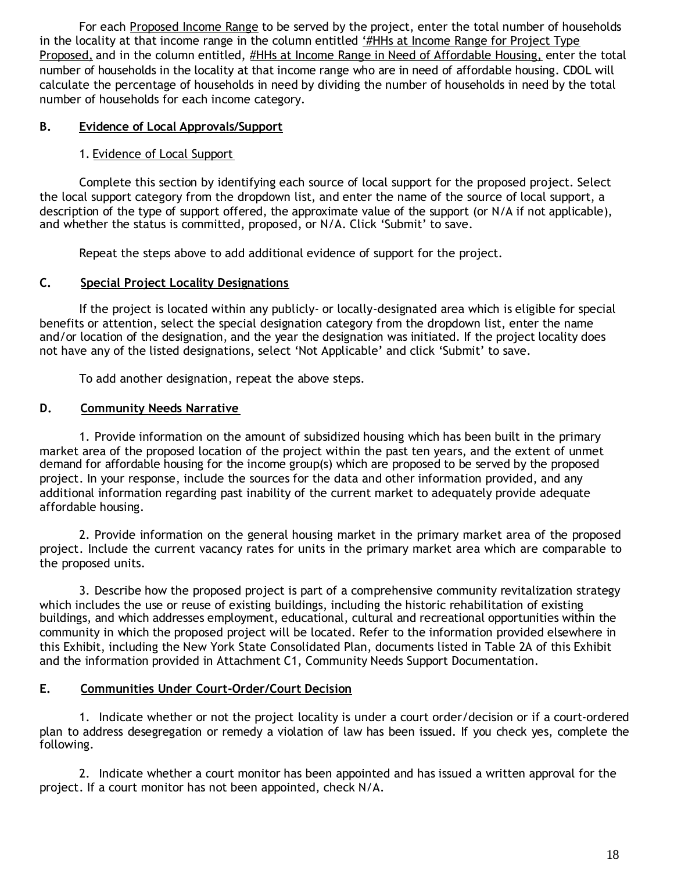For each Proposed Income Range to be served by the project, enter the total number of households in the locality at that income range in the column entitled '#HHs at Income Range for Project Type Proposed, and in the column entitled, #HHs at Income Range in Need of Affordable Housing, enter the total number of households in the locality at that income range who are in need of affordable housing. CDOL will calculate the percentage of households in need by dividing the number of households in need by the total number of households for each income category.

# **B. Evidence of Local Approvals/Support**

# 1. Evidence of Local Support

Complete this section by identifying each source of local support for the proposed project. Select the local support category from the dropdown list, and enter the name of the source of local support, a description of the type of support offered, the approximate value of the support (or N/A if not applicable), and whether the status is committed, proposed, or N/A. Click 'Submit' to save.

Repeat the steps above to add additional evidence of support for the project.

### **C. Special Project Locality Designations**

If the project is located within any publicly- or locally-designated area which is eligible for special benefits or attention, select the special designation category from the dropdown list, enter the name and/or location of the designation, and the year the designation was initiated. If the project locality does not have any of the listed designations, select 'Not Applicable' and click 'Submit' to save.

To add another designation, repeat the above steps.

### **D. Community Needs Narrative**

1. Provide information on the amount of subsidized housing which has been built in the primary market area of the proposed location of the project within the past ten years, and the extent of unmet demand for affordable housing for the income group(s) which are proposed to be served by the proposed project. In your response, include the sources for the data and other information provided, and any additional information regarding past inability of the current market to adequately provide adequate affordable housing.

2. Provide information on the general housing market in the primary market area of the proposed project. Include the current vacancy rates for units in the primary market area which are comparable to the proposed units.

3. Describe how the proposed project is part of a comprehensive community revitalization strategy which includes the use or reuse of existing buildings, including the historic rehabilitation of existing buildings, and which addresses employment, educational, cultural and recreational opportunities within the community in which the proposed project will be located. Refer to the information provided elsewhere in this Exhibit, including the New York State Consolidated Plan, documents listed in Table 2A of this Exhibit and the information provided in Attachment C1, Community Needs Support Documentation.

### **E. Communities Under Court-Order/Court Decision**

1. Indicate whether or not the project locality is under a court order/decision or if a court-ordered plan to address desegregation or remedy a violation of law has been issued. If you check yes, complete the following.

2. Indicate whether a court monitor has been appointed and has issued a written approval for the project. If a court monitor has not been appointed, check N/A.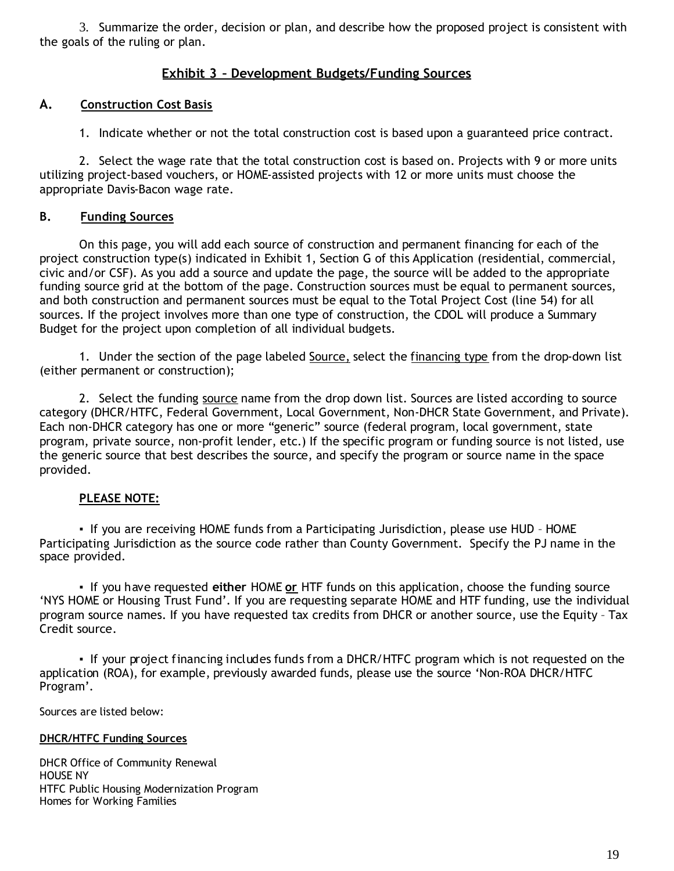3. Summarize the order, decision or plan, and describe how the proposed project is consistent with the goals of the ruling or plan.

### **Exhibit 3 – Development Budgets/Funding Sources**

#### **A. Construction Cost Basis**

1. Indicate whether or not the total construction cost is based upon a guaranteed price contract.

2. Select the wage rate that the total construction cost is based on. Projects with 9 or more units utilizing project-based vouchers, or HOME-assisted projects with 12 or more units must choose the appropriate Davis-Bacon wage rate.

#### **B. Funding Sources**

On this page, you will add each source of construction and permanent financing for each of the project construction type(s) indicated in Exhibit 1, Section G of this Application (residential, commercial, civic and/or CSF). As you add a source and update the page, the source will be added to the appropriate funding source grid at the bottom of the page. Construction sources must be equal to permanent sources, and both construction and permanent sources must be equal to the Total Project Cost (line 54) for all sources. If the project involves more than one type of construction, the CDOL will produce a Summary Budget for the project upon completion of all individual budgets.

1. Under the section of the page labeled Source, select the financing type from the drop-down list (either permanent or construction);

2. Select the funding source name from the drop down list. Sources are listed according to source category (DHCR/HTFC, Federal Government, Local Government, Non-DHCR State Government, and Private). Each non-DHCR category has one or more "generic" source (federal program, local government, state program, private source, non-profit lender, etc.) If the specific program or funding source is not listed, use the generic source that best describes the source, and specify the program or source name in the space provided.

#### **PLEASE NOTE:**

**▪**If you are receiving HOME funds from a Participating Jurisdiction, please use HUD – HOME Participating Jurisdiction as the source code rather than County Government. Specify the PJ name in the space provided.

▪If you have requested **either** HOME **or** HTF funds on this application, choose the funding source 'NYS HOME or Housing Trust Fund'. If you are requesting separate HOME and HTF funding, use the individual program source names. If you have requested tax credits from DHCR or another source, use the Equity – Tax Credit source.

• If your project financing includes funds from a DHCR/HTFC program which is not requested on the application (ROA), for example, previously awarded funds, please use the source 'Non-ROA DHCR/HTFC Program'.

Sources are listed below:

#### **DHCR/HTFC Funding Sources**

DHCR Office of Community Renewal HOUSE NY HTFC Public Housing Modernization Program Homes for Working Families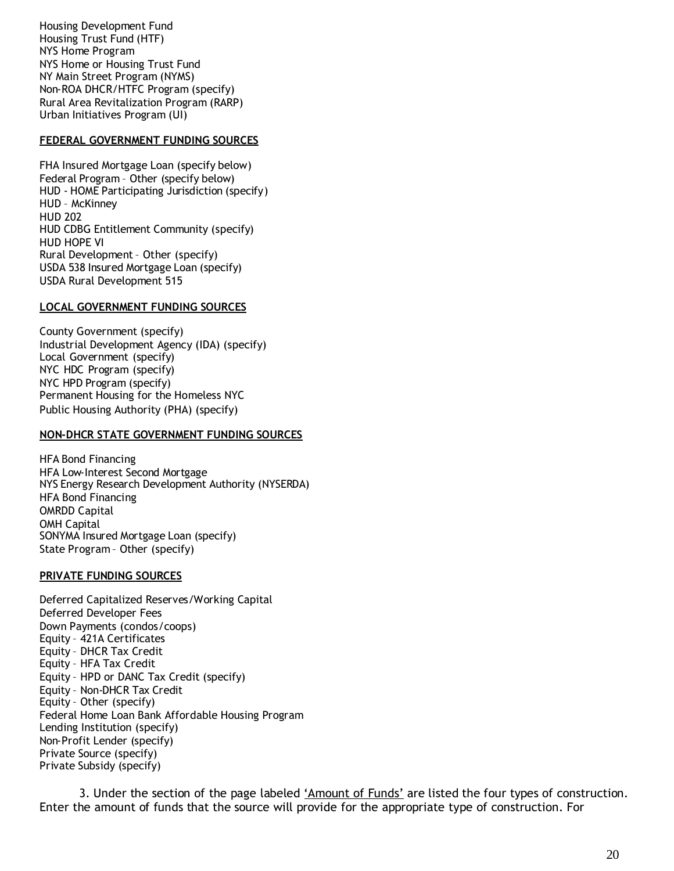Housing Development Fund Housing Trust Fund (HTF) NYS Home Program NYS Home or Housing Trust Fund NY Main Street Program (NYMS) Non-ROA DHCR/HTFC Program (specify) Rural Area Revitalization Program (RARP) Urban Initiatives Program (UI)

#### **FEDERAL GOVERNMENT FUNDING SOURCES**

FHA Insured Mortgage Loan (specify below) Federal Program – Other (specify below) HUD - HOME Participating Jurisdiction (specify) HUD – McKinney HUD 202 HUD CDBG Entitlement Community (specify) HUD HOPE VI Rural Development– Other (specify) USDA 538 Insured Mortgage Loan (specify) USDA Rural Development 515

#### **LOCAL GOVERNMENT FUNDING SOURCES**

County Government (specify) Industrial Development Agency (IDA) (specify) Local Government (specify) NYC HDC Program (specify) NYC HPD Program (specify) Permanent Housing for the Homeless NYC Public Housing Authority (PHA) (specify)

#### **NON-DHCR STATE GOVERNMENT FUNDING SOURCES**

HFA Bond Financing HFA Low-Interest Second Mortgage NYS Energy Research Development Authority (NYSERDA) HFA Bond Financing OMRDD Capital OMH Capital SONYMA Insured Mortgage Loan (specify) State Program – Other (specify)

#### **PRIVATE FUNDING SOURCES**

Deferred Capitalized Reserves/Working Capital Deferred Developer Fees Down Payments (condos/coops) Equity – 421A Certificates Equity – DHCR Tax Credit Equity – HFA Tax Credit Equity – HPD or DANC Tax Credit (specify) Equity – Non-DHCR Tax Credit Equity – Other (specify) Federal Home Loan Bank Affordable Housing Program Lending Institution (specify) Non-Profit Lender (specify) Private Source (specify) Private Subsidy (specify)

3. Under the section of the page labeled 'Amount of Funds' are listed the four types of construction. Enter the amount of funds that the source will provide for the appropriate type of construction. For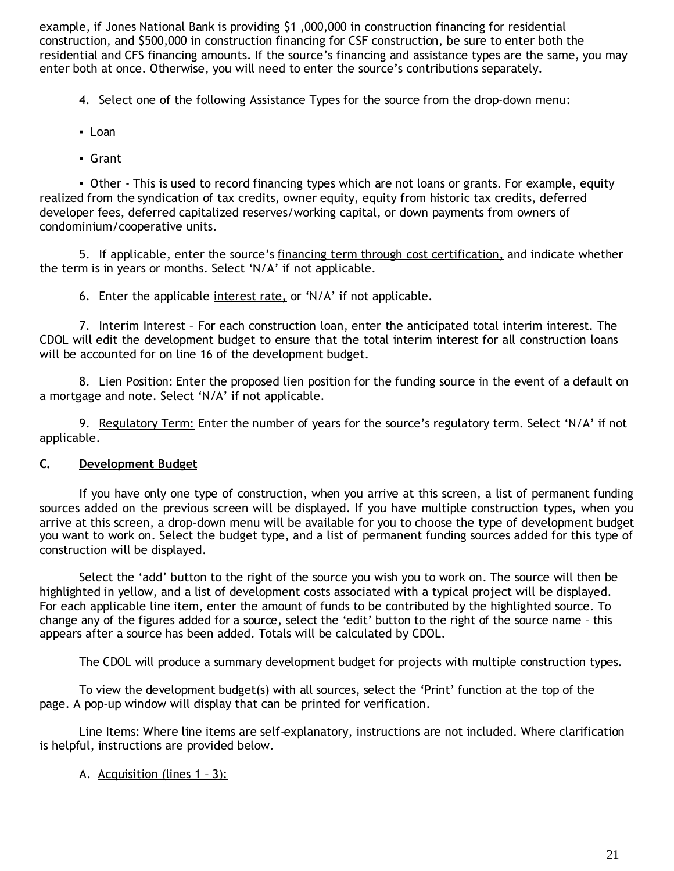example, if Jones National Bank is providing \$1 ,000,000 in construction financing for residential construction, and \$500,000 in construction financing for CSF construction, be sure to enter both the residential and CFS financing amounts. If the source's financing and assistance types are the same, you may enter both at once. Otherwise, you will need to enter the source's contributions separately.

4. Select one of the following Assistance Types for the source from the drop-down menu:

- ▪Loan
- ▪Grant

• Other - This is used to record financing types which are not loans or grants. For example, equity realized from the syndication of tax credits, owner equity, equity from historic tax credits, deferred developer fees, deferred capitalized reserves/working capital, or down payments from owners of condominium/cooperative units.

5. If applicable, enter the source's financing term through cost certification, and indicate whether the term is in years or months. Select 'N/A' if not applicable.

6. Enter the applicable interest rate, or 'N/A' if not applicable.

7. Interim Interest - For each construction loan, enter the anticipated total interim interest. The CDOL will edit the development budget to ensure that the total interim interest for all construction loans will be accounted for on line 16 of the development budget.

8. Lien Position: Enter the proposed lien position for the funding source in the event of a default on a mortgage and note. Select 'N/A' if not applicable.

9. Regulatory Term: Enter the number of years for the source's regulatory term. Select 'N/A' if not applicable.

### **C. Development Budget**

If you have only one type of construction, when you arrive at this screen, a list of permanent funding sources added on the previous screen will be displayed. If you have multiple construction types, when you arrive at this screen, a drop-down menu will be available for you to choose the type of development budget you want to work on. Select the budget type, and a list of permanent funding sources added for this type of construction will be displayed.

Select the 'add' button to the right of the source you wish you to work on. The source will then be highlighted in yellow, and a list of development costs associated with a typical project will be displayed. For each applicable line item, enter the amount of funds to be contributed by the highlighted source. To change any of the figures added for a source, select the 'edit' button to the right of the source name – this appears after a source has been added. Totals will be calculated by CDOL.

The CDOL will produce a summary development budget for projects with multiple construction types.

To view the development budget(s) with all sources, select the 'Print' function at the top of the page. A pop-up window will display that can be printed for verification.

Line Items: Where line items are self-explanatory, instructions are not included. Where clarification is helpful, instructions are provided below.

A. Acquisition (lines 1 - 3):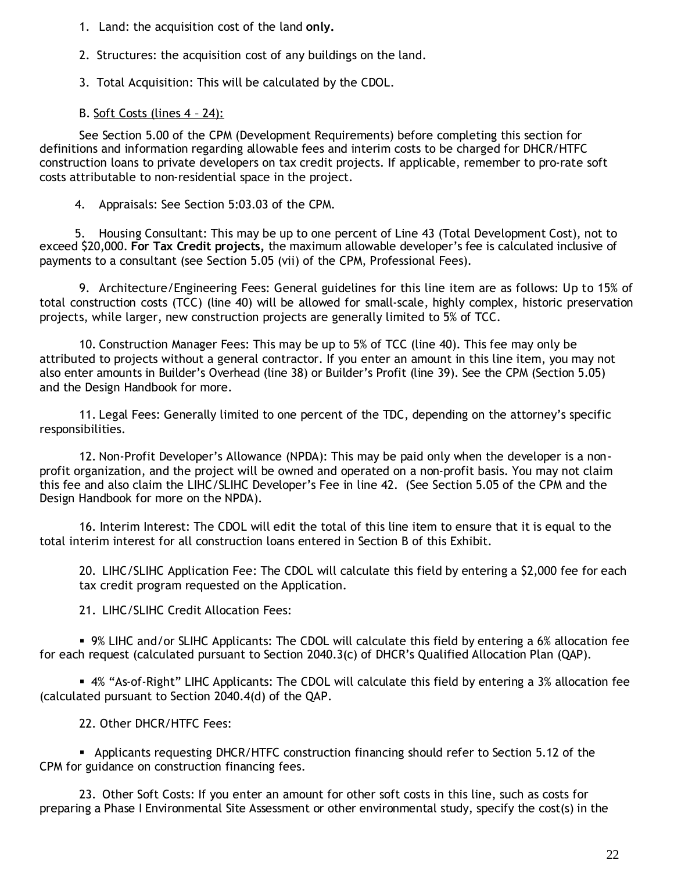1. Land: the acquisition cost of the land **only.**

2. Structures: the acquisition cost of any buildings on the land.

3. Total Acquisition: This will be calculated by the CDOL.

# B. Soft Costs (lines 4 – 24):

See Section 5.00 of the CPM (Development Requirements) before completing this section for definitions and information regarding allowable fees and interim costs to be charged for DHCR/HTFC construction loans to private developers on tax credit projects. If applicable, remember to pro-rate soft costs attributable to non-residential space in the project.

4. Appraisals: See Section 5:03.03 of the CPM.

5. Housing Consultant: This may be up to one percent of Line 43 (Total Development Cost), not to exceed \$20,000. **For Tax Credit projects,** the maximum allowable developer's fee is calculated inclusive of payments to a consultant (see Section 5.05 (vii) of the CPM, Professional Fees).

9. Architecture/Engineering Fees: General guidelines for this line item are as follows: Up to 15% of total construction costs (TCC) (line 40) will be allowed for small-scale, highly complex, historic preservation projects, while larger, new construction projects are generally limited to 5% of TCC.

10. Construction Manager Fees: This may be up to 5% of TCC (line 40). This fee may only be attributed to projects without a general contractor. If you enter an amount in this line item, you may not also enter amounts in Builder's Overhead (line 38) or Builder's Profit (line 39). See the CPM (Section 5.05) and the Design Handbook for more.

11. Legal Fees: Generally limited to one percent of the TDC, depending on the attorney's specific responsibilities.

12. Non-Profit Developer's Allowance (NPDA): This may be paid only when the developer is a nonprofit organization, and the project will be owned and operated on a non-profit basis. You may not claim this fee and also claim the LIHC/SLIHC Developer's Fee in line 42. (See Section 5.05 of the CPM and the Design Handbook for more on the NPDA).

16. Interim Interest: The CDOL will edit the total of this line item to ensure that it is equal to the total interim interest for all construction loans entered in Section B of this Exhibit.

20. LIHC/SLIHC Application Fee: The CDOL will calculate this field by entering a \$2,000 fee for each tax credit program requested on the Application.

21. LIHC/SLIHC Credit Allocation Fees:

9% LIHC and/or SLIHC Applicants: The CDOL will calculate this field by entering a 6% allocation fee for each request (calculated pursuant to Section 2040.3(c) of DHCR's Qualified Allocation Plan (QAP).

4% "As-of-Right" LIHC Applicants: The CDOL will calculate this field by entering a 3% allocation fee (calculated pursuant to Section 2040.4(d) of the QAP.

22. Other DHCR/HTFC Fees:

 Applicants requesting DHCR/HTFC construction financing should refer to Section 5.12 of the CPM for guidance on construction financing fees.

23. Other Soft Costs: If you enter an amount for other soft costs in this line, such as costs for preparing a Phase I Environmental Site Assessment or other environmental study, specify the cost(s) in the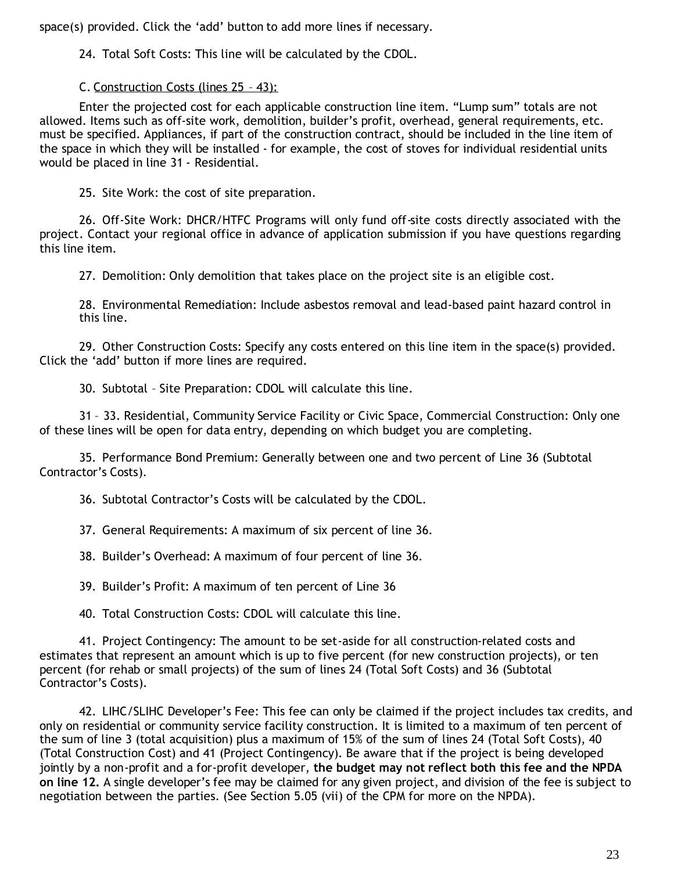space(s) provided. Click the 'add' button to add more lines if necessary.

24. Total Soft Costs: This line will be calculated by the CDOL.

C. Construction Costs (lines 25 – 43):

Enter the projected cost for each applicable construction line item. "Lump sum" totals are not allowed. Items such as off-site work, demolition, builder's profit, overhead, general requirements, etc. must be specified. Appliances, if part of the construction contract, should be included in the line item of the space in which they will be installed - for example, the cost of stoves for individual residential units would be placed in line 31 - Residential.

25. Site Work: the cost of site preparation.

26. Off-Site Work: DHCR/HTFC Programs will only fund off-site costs directly associated with the project. Contact your regional office in advance of application submission if you have questions regarding this line item.

27. Demolition: Only demolition that takes place on the project site is an eligible cost.

28. Environmental Remediation: Include asbestos removal and lead-based paint hazard control in this line.

29. Other Construction Costs: Specify any costs entered on this line item in the space(s) provided. Click the 'add' button if more lines are required.

30. Subtotal – Site Preparation: CDOL will calculate this line.

31 – 33. Residential, Community Service Facility or Civic Space, Commercial Construction: Only one of these lines will be open for data entry, depending on which budget you are completing.

35. Performance Bond Premium: Generally between one and two percent of Line 36 (Subtotal Contractor's Costs).

36. Subtotal Contractor's Costs will be calculated by the CDOL.

37. General Requirements: A maximum of six percent of line 36.

38. Builder's Overhead: A maximum of four percent of line 36.

39. Builder's Profit: A maximum of ten percent of Line 36

40. Total Construction Costs: CDOL will calculate this line.

41. Project Contingency: The amount to be set-aside for all construction-related costs and estimates that represent an amount which is up to five percent (for new construction projects), or ten percent (for rehab or small projects) of the sum of lines 24 (Total Soft Costs) and 36 (Subtotal Contractor's Costs).

42. LIHC/SLIHC Developer's Fee: This fee can only be claimed if the project includes tax credits, and only on residential or community service facility construction. It is limited to a maximum of ten percent of the sum of line 3 (total acquisition) plus a maximum of 15% of the sum of lines 24 (Total Soft Costs), 40 (Total Construction Cost) and 41 (Project Contingency). Be aware that if the project is being developed jointly by a non-profit and a for-profit developer, **the budget may not reflect both this fee and the NPDA on line 12.** A single developer's fee may be claimed for any given project, and division of the fee is subject to negotiation between the parties. (See Section 5.05 (vii) of the CPM for more on the NPDA).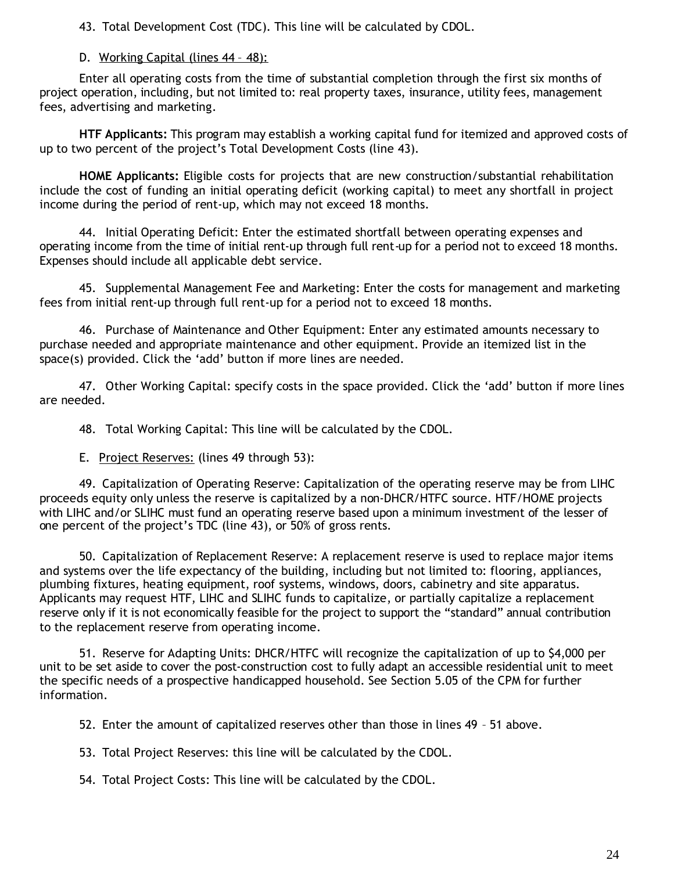43. Total Development Cost (TDC). This line will be calculated by CDOL.

### D. Working Capital (lines 44 – 48):

Enter all operating costs from the time of substantial completion through the first six months of project operation, including, but not limited to: real property taxes, insurance, utility fees, management fees, advertising and marketing.

**HTF Applicants:** This program may establish a working capital fund for itemized and approved costs of up to two percent of the project's Total Development Costs (line 43).

**HOME Applicants:** Eligible costs for projects that are new construction/substantial rehabilitation include the cost of funding an initial operating deficit (working capital) to meet any shortfall in project income during the period of rent-up, which may not exceed 18 months.

44. Initial Operating Deficit: Enter the estimated shortfall between operating expenses and operating income from the time of initial rent-up through full rent-up for a period not to exceed 18 months. Expenses should include all applicable debt service.

45. Supplemental Management Fee and Marketing: Enter the costs for management and marketing fees from initial rent-up through full rent-up for a period not to exceed 18 months.

46. Purchase of Maintenance and Other Equipment: Enter any estimated amounts necessary to purchase needed and appropriate maintenance and other equipment. Provide an itemized list in the space(s) provided. Click the 'add' button if more lines are needed.

47. Other Working Capital: specify costs in the space provided. Click the 'add' button if more lines are needed.

48. Total Working Capital: This line will be calculated by the CDOL.

E. Project Reserves: (lines 49 through 53):

49. Capitalization of Operating Reserve: Capitalization of the operating reserve may be from LIHC proceeds equity only unless the reserve is capitalized by a non-DHCR/HTFC source. HTF/HOME projects with LIHC and/or SLIHC must fund an operating reserve based upon a minimum investment of the lesser of one percent of the project's TDC (line 43), or 50% of gross rents.

50. Capitalization of Replacement Reserve: A replacement reserve is used to replace major items and systems over the life expectancy of the building, including but not limited to: flooring, appliances, plumbing fixtures, heating equipment, roof systems, windows, doors, cabinetry and site apparatus. Applicants may request HTF, LIHC and SLIHC funds to capitalize, or partially capitalize a replacement reserve only if it is not economically feasible for the project to support the "standard" annual contribution to the replacement reserve from operating income.

51. Reserve for Adapting Units: DHCR/HTFC will recognize the capitalization of up to \$4,000 per unit to be set aside to cover the post-construction cost to fully adapt an accessible residential unit to meet the specific needs of a prospective handicapped household. See Section 5.05 of the CPM for further information.

52. Enter the amount of capitalized reserves other than those in lines 49 – 51 above.

53. Total Project Reserves: this line will be calculated by the CDOL.

54. Total Project Costs: This line will be calculated by the CDOL.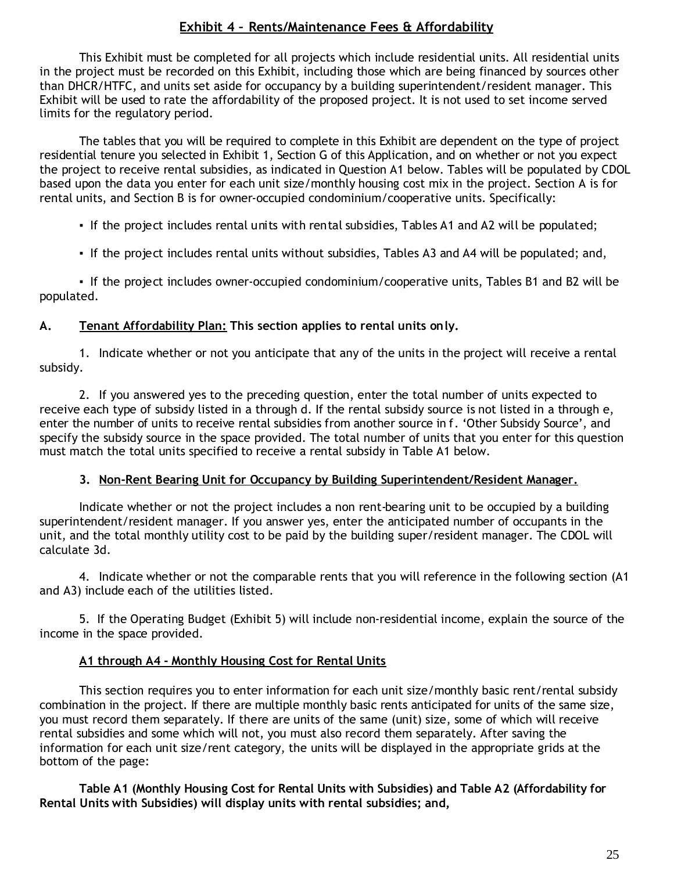# **Exhibit 4 – Rents/Maintenance Fees & Affordability**

This Exhibit must be completed for all projects which include residential units. All residential units in the project must be recorded on this Exhibit, including those which are being financed by sources other than DHCR/HTFC, and units set aside for occupancy by a building superintendent/resident manager. This Exhibit will be used to rate the affordability of the proposed project. It is not used to set income served limits for the regulatory period.

The tables that you will be required to complete in this Exhibit are dependent on the type of project residential tenure you selected in Exhibit 1, Section G of this Application, and on whether or not you expect the project to receive rental subsidies, as indicated in Question A1 below. Tables will be populated by CDOL based upon the data you enter for each unit size/monthly housing cost mix in the project. Section A is for rental units, and Section B is for owner-occupied condominium/cooperative units. Specifically:

- ▪If the project includes rental units with rental subsidies, Tables A1 and A2 will be populated;
- ▪If the project includes rental units without subsidies, Tables A3 and A4 will be populated; and,

▪If the project includes owner-occupied condominium/cooperative units, Tables B1 and B2 will be populated.

### **A. Tenant Affordability Plan: This section applies to rental units only.**

1. Indicate whether or not you anticipate that any of the units in the project will receive a rental subsidy.

2. If you answered yes to the preceding question, enter the total number of units expected to receive each type of subsidy listed in a through d. If the rental subsidy source is not listed in a through e, enter the number of units to receive rental subsidies from another source in f. 'Other Subsidy Source', and specify the subsidy source in the space provided. The total number of units that you enter for this question must match the total units specified to receive a rental subsidy in Table A1 below.

#### **3. Non-Rent Bearing Unit for Occupancy by Building Superintendent/Resident Manager.**

Indicate whether or not the project includes a non rent-bearing unit to be occupied by a building superintendent/resident manager. If you answer yes, enter the anticipated number of occupants in the unit, and the total monthly utility cost to be paid by the building super/resident manager. The CDOL will calculate 3d.

4. Indicate whether or not the comparable rents that you will reference in the following section (A1 and A3) include each of the utilities listed.

5. If the Operating Budget (Exhibit 5) will include non-residential income, explain the source of the income in the space provided.

### **A1 through A4 - Monthly Housing Cost for Rental Units**

This section requires you to enter information for each unit size/monthly basic rent/rental subsidy combination in the project. If there are multiple monthly basic rents anticipated for units of the same size, you must record them separately. If there are units of the same (unit) size, some of which will receive rental subsidies and some which will not, you must also record them separately. After saving the information for each unit size/rent category, the units will be displayed in the appropriate grids at the bottom of the page:

**Table A1 (Monthly Housing Cost for Rental Units with Subsidies) and Table A2 (Affordability for Rental Units with Subsidies) will display units with rental subsidies; and,**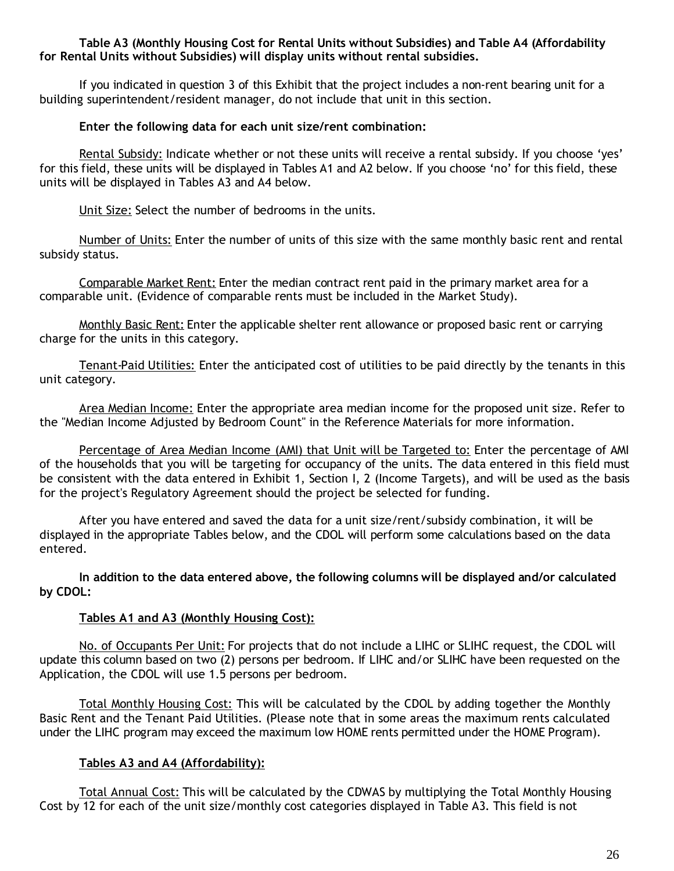#### **Table A3 (Monthly Housing Cost for Rental Units without Subsidies) and Table A4 (Affordability for Rental Units without Subsidies) will display units without rental subsidies.**

If you indicated in question 3 of this Exhibit that the project includes a non-rent bearing unit for a building superintendent/resident manager, do not include that unit in this section.

#### **Enter the following data for each unit size/rent combination:**

Rental Subsidy: Indicate whether or not these units will receive a rental subsidy. If you choose 'yes' for this field, these units will be displayed in Tables A1 and A2 below. If you choose 'no' for this field, these units will be displayed in Tables A3 and A4 below.

Unit Size: Select the number of bedrooms in the units.

Number of Units: Enter the number of units of this size with the same monthly basic rent and rental subsidy status.

Comparable Market Rent: Enter the median contract rent paid in the primary market area for a comparable unit. (Evidence of comparable rents must be included in the Market Study).

Monthly Basic Rent: Enter the applicable shelter rent allowance or proposed basic rent or carrying charge for the units in this category.

Tenant-Paid Utilities: Enter the anticipated cost of utilities to be paid directly by the tenants in this unit category.

Area Median Income: Enter the appropriate area median income for the proposed unit size. Refer to the "Median Income Adjusted by Bedroom Count" in the Reference Materials for more information.

Percentage of Area Median Income (AMI) that Unit will be Targeted to: Enter the percentage of AMI of the households that you will be targeting for occupancy of the units. The data entered in this field must be consistent with the data entered in Exhibit 1, Section I, 2 (Income Targets), and will be used as the basis for the project's Regulatory Agreement should the project be selected for funding.

After you have entered and saved the data for a unit size/rent/subsidy combination, it will be displayed in the appropriate Tables below, and the CDOL will perform some calculations based on the data entered.

**In addition to the data entered above, the following columns will be displayed and/or calculated by CDOL:**

#### **Tables A1 and A3 (Monthly Housing Cost):**

No. of Occupants Per Unit: For projects that do not include a LIHC or SLIHC request, the CDOL will update this column based on two (2) persons per bedroom. If LIHC and/or SLIHC have been requested on the Application, the CDOL will use 1.5 persons per bedroom.

Total Monthly Housing Cost: This will be calculated by the CDOL by adding together the Monthly Basic Rent and the Tenant Paid Utilities. (Please note that in some areas the maximum rents calculated under the LIHC program may exceed the maximum low HOME rents permitted under the HOME Program).

#### **Tables A3 and A4 (Affordability):**

Total Annual Cost: This will be calculated by the CDWAS by multiplying the Total Monthly Housing Cost by 12 for each of the unit size/monthly cost categories displayed in Table A3. This field is not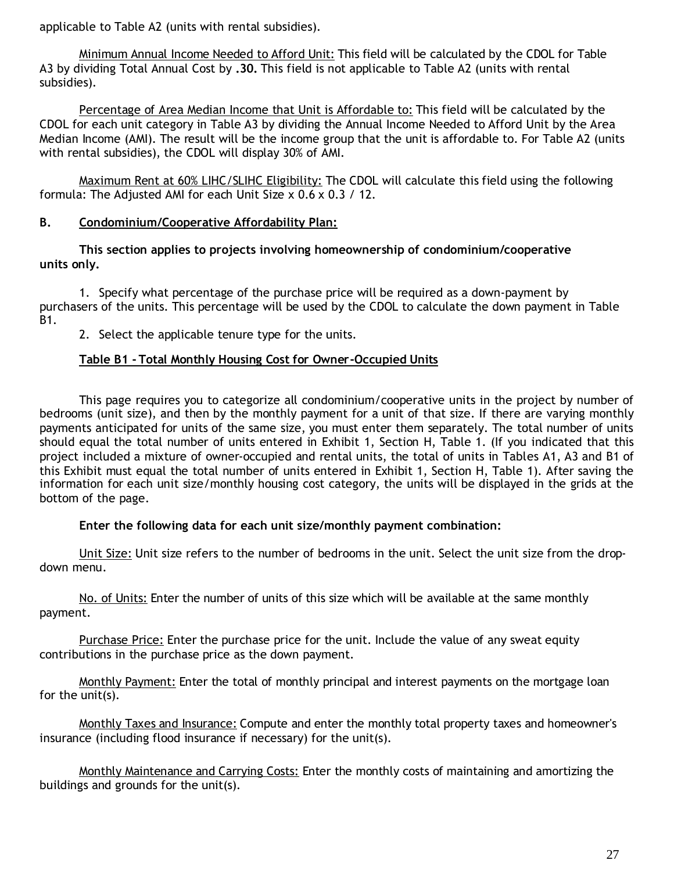applicable to Table A2 (units with rental subsidies).

Minimum Annual Income Needed to Afford Unit: This field will be calculated by the CDOL for Table A3 by dividing Total Annual Cost by **.30.** This field is not applicable to Table A2 (units with rental subsidies).

Percentage of Area Median Income that Unit is Affordable to: This field will be calculated by the CDOL for each unit category in Table A3 by dividing the Annual Income Needed to Afford Unit by the Area Median Income (AMI). The result will be the income group that the unit is affordable to. For Table A2 (units with rental subsidies), the CDOL will display 30% of AMI.

Maximum Rent at 60% LIHC/SLIHC Eligibility: The CDOL will calculate this field using the following formula: The Adjusted AMI for each Unit Size x 0.6 x 0.3 / 12.

### **B. Condominium/Cooperative Affordability Plan:**

#### **This section applies to projects involving homeownership of condominium/cooperative units only.**

1. Specify what percentage of the purchase price will be required as a down-payment by purchasers of the units. This percentage will be used by the CDOL to calculate the down payment in Table B1.

2. Select the applicable tenure type for the units.

### **Table B1 - Total Monthly Housing Cost for Owner-Occupied Units**

This page requires you to categorize all condominium/cooperative units in the project by number of bedrooms (unit size), and then by the monthly payment for a unit of that size. If there are varying monthly payments anticipated for units of the same size, you must enter them separately. The total number of units should equal the total number of units entered in Exhibit 1, Section H, Table 1. (If you indicated that this project included a mixture of owner-occupied and rental units, the total of units in Tables A1, A3 and B1 of this Exhibit must equal the total number of units entered in Exhibit 1, Section H, Table 1). After saving the information for each unit size/monthly housing cost category, the units will be displayed in the grids at the bottom of the page.

#### **Enter the following data for each unit size/monthly payment combination:**

Unit Size: Unit size refers to the number of bedrooms in the unit. Select the unit size from the dropdown menu.

No. of Units: Enter the number of units of this size which will be available at the same monthly payment.

Purchase Price: Enter the purchase price for the unit. Include the value of any sweat equity contributions in the purchase price as the down payment.

Monthly Payment: Enter the total of monthly principal and interest payments on the mortgage loan for the unit(s).

Monthly Taxes and Insurance: Compute and enter the monthly total property taxes and homeowner's insurance (including flood insurance if necessary) for the unit(s).

Monthly Maintenance and Carrying Costs: Enter the monthly costs of maintaining and amortizing the buildings and grounds for the unit(s).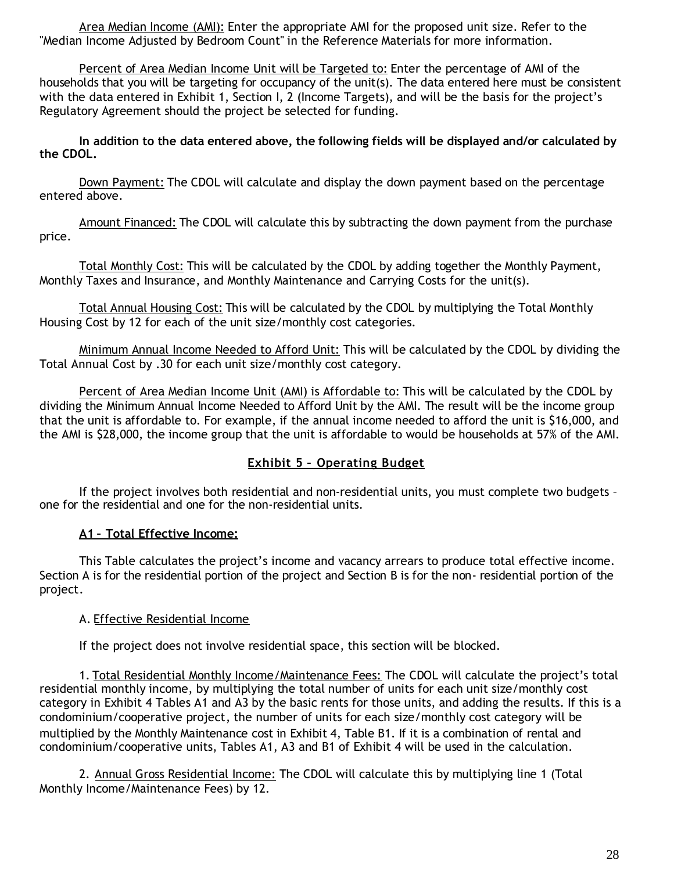Area Median Income (AMI): Enter the appropriate AMI for the proposed unit size. Refer to the "Median Income Adjusted by Bedroom Count" in the Reference Materials for more information.

Percent of Area Median Income Unit will be Targeted to: Enter the percentage of AMI of the households that you will be targeting for occupancy of the unit(s). The data entered here must be consistent with the data entered in Exhibit 1, Section I, 2 (Income Targets), and will be the basis for the project's Regulatory Agreement should the project be selected for funding.

**In addition to the data entered above, the following fields will be displayed and/or calculated by the CDOL.**

Down Payment: The CDOL will calculate and display the down payment based on the percentage entered above.

Amount Financed: The CDOL will calculate this by subtracting the down payment from the purchase price.

Total Monthly Cost: This will be calculated by the CDOL by adding together the Monthly Payment, Monthly Taxes and Insurance, and Monthly Maintenance and Carrying Costs for the unit(s).

Total Annual Housing Cost: This will be calculated by the CDOL by multiplying the Total Monthly Housing Cost by 12 for each of the unit size/monthly cost categories.

Minimum Annual Income Needed to Afford Unit: This will be calculated by the CDOL by dividing the Total Annual Cost by .30 for each unit size/monthly cost category.

Percent of Area Median Income Unit (AMI) is Affordable to: This will be calculated by the CDOL by dividing the Minimum Annual Income Needed to Afford Unit by the AMI. The result will be the income group that the unit is affordable to. For example, if the annual income needed to afford the unit is \$16,000, and the AMI is \$28,000, the income group that the unit is affordable to would be households at 57% of the AMI.

### **Exhibit 5 – Operating Budget**

If the project involves both residential and non-residential units, you must complete two budgets – one for the residential and one for the non-residential units.

### **A1 – Total Effective Income:**

This Table calculates the project's income and vacancy arrears to produce total effective income. Section A is for the residential portion of the project and Section B is for the non- residential portion of the project.

#### A. Effective Residential Income

If the project does not involve residential space, this section will be blocked.

1. Total Residential Monthly Income/Maintenance Fees: The CDOL will calculate the project's total residential monthly income, by multiplying the total number of units for each unit size/monthly cost category in Exhibit 4 Tables A1 and A3 by the basic rents for those units, and adding the results. If this is a condominium/cooperative project, the number of units for each size/monthly cost category will be multiplied by the Monthly Maintenance cost in Exhibit 4, Table B1. If it is a combination of rental and condominium/cooperative units, Tables A1, A3 and B1 of Exhibit 4 will be used in the calculation.

2. Annual Gross Residential Income: The CDOL will calculate this by multiplying line 1 (Total Monthly Income/Maintenance Fees) by 12.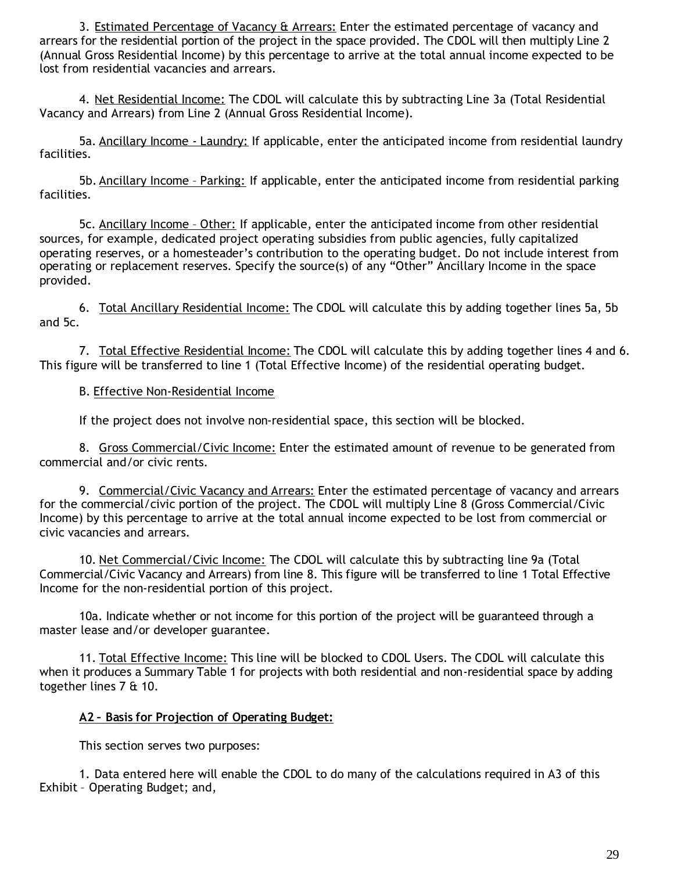3. Estimated Percentage of Vacancy & Arrears: Enter the estimated percentage of vacancy and arrears for the residential portion of the project in the space provided. The CDOL will then multiply Line 2 (Annual Gross Residential Income) by this percentage to arrive at the total annual income expected to be lost from residential vacancies and arrears.

4. Net Residential Income: The CDOL will calculate this by subtracting Line 3a (Total Residential Vacancy and Arrears) from Line 2 (Annual Gross Residential Income).

5a. Ancillary Income - Laundry: If applicable, enter the anticipated income from residential laundry facilities.

5b. Ancillary Income – Parking: If applicable, enter the anticipated income from residential parking facilities.

5c. Ancillary Income – Other: If applicable, enter the anticipated income from other residential sources, for example, dedicated project operating subsidies from public agencies, fully capitalized operating reserves, or a homesteader's contribution to the operating budget. Do not include interest from operating or replacement reserves. Specify the source(s) of any "Other" Ancillary Income in the space provided.

6. Total Ancillary Residential Income: The CDOL will calculate this by adding together lines 5a, 5b and 5c.

7. Total Effective Residential Income: The CDOL will calculate this by adding together lines 4 and 6. This figure will be transferred to line 1 (Total Effective Income) of the residential operating budget.

### B. Effective Non-Residential Income

If the project does not involve non-residential space, this section will be blocked.

8. Gross Commercial/Civic Income: Enter the estimated amount of revenue to be generated from commercial and/or civic rents.

9. Commercial/Civic Vacancy and Arrears: Enter the estimated percentage of vacancy and arrears for the commercial/civic portion of the project. The CDOL will multiply Line 8 (Gross Commercial/Civic Income) by this percentage to arrive at the total annual income expected to be lost from commercial or civic vacancies and arrears.

10. Net Commercial/Civic Income: The CDOL will calculate this by subtracting line 9a (Total Commercial/Civic Vacancy and Arrears) from line 8. This figure will be transferred to line 1 Total Effective Income for the non-residential portion of this project.

10a. Indicate whether or not income for this portion of the project will be guaranteed through a master lease and/or developer guarantee.

11. Total Effective Income: This line will be blocked to CDOL Users. The CDOL will calculate this when it produces a Summary Table 1 for projects with both residential and non-residential space by adding together lines 7 & 10.

#### **A2 – Basis for Projection of Operating Budget:**

This section serves two purposes:

1. Data entered here will enable the CDOL to do many of the calculations required in A3 of this Exhibit – Operating Budget; and,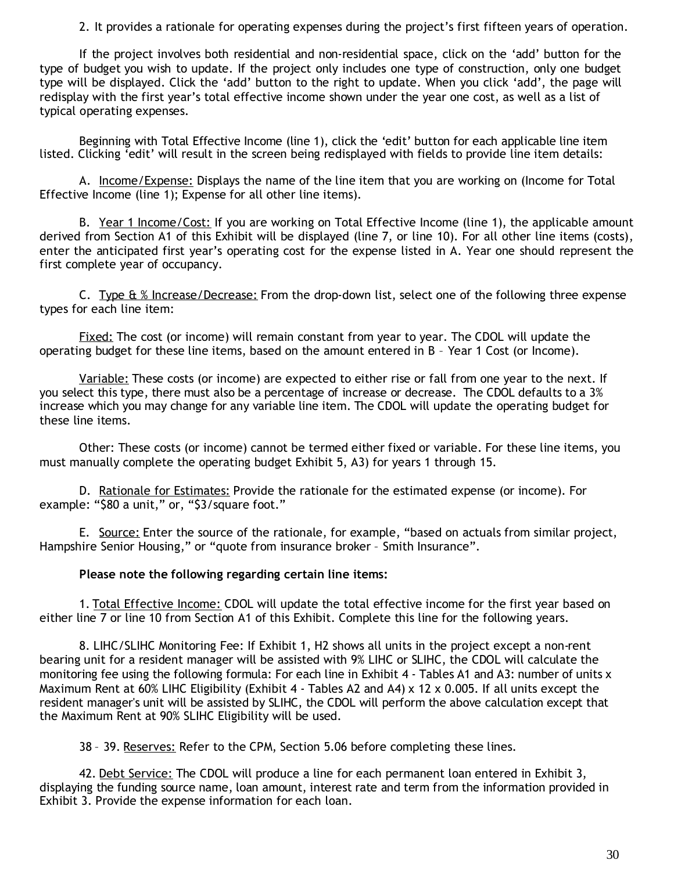2. It provides a rationale for operating expenses during the project's first fifteen years of operation.

If the project involves both residential and non-residential space, click on the 'add' button for the type of budget you wish to update. If the project only includes one type of construction, only one budget type will be displayed. Click the 'add' button to the right to update. When you click 'add', the page will redisplay with the first year's total effective income shown under the year one cost, as well as a list of typical operating expenses.

Beginning with Total Effective Income (line 1), click the 'edit' button for each applicable line item listed. Clicking 'edit' will result in the screen being redisplayed with fields to provide line item details:

A. Income/Expense: Displays the name of the line item that you are working on (Income for Total Effective Income (line 1); Expense for all other line items).

B. Year 1 Income/Cost: If you are working on Total Effective Income (line 1), the applicable amount derived from Section A1 of this Exhibit will be displayed (line 7, or line 10). For all other line items (costs), enter the anticipated first year's operating cost for the expense listed in A. Year one should represent the first complete year of occupancy.

C. Type  $\&$  % Increase/Decrease: From the drop-down list, select one of the following three expense types for each line item:

Fixed: The cost (or income) will remain constant from year to year. The CDOL will update the operating budget for these line items, based on the amount entered in B – Year 1 Cost (or Income).

Variable: These costs (or income) are expected to either rise or fall from one year to the next. If you select this type, there must also be a percentage of increase or decrease. The CDOL defaults to a 3% increase which you may change for any variable line item. The CDOL will update the operating budget for these line items.

Other: These costs (or income) cannot be termed either fixed or variable. For these line items, you must manually complete the operating budget Exhibit 5, A3) for years 1 through 15.

D. Rationale for Estimates: Provide the rationale for the estimated expense (or income). For example: "\$80 a unit," or, "\$3/square foot."

E. Source: Enter the source of the rationale, for example, "based on actuals from similar project, Hampshire Senior Housing," or "quote from insurance broker – Smith Insurance".

#### **Please note the following regarding certain line items:**

1. Total Effective Income: CDOL will update the total effective income for the first year based on either line 7 or line 10 from Section A1 of this Exhibit. Complete this line for the following years.

8. LIHC/SLIHC Monitoring Fee: If Exhibit 1, H2 shows all units in the project except a non-rent bearing unit for a resident manager will be assisted with 9% LIHC or SLIHC, the CDOL will calculate the monitoring fee using the following formula: For each line in Exhibit 4 - Tables A1 and A3: number of units x Maximum Rent at 60% LIHC Eligibility (Exhibit 4 - Tables A2 and A4)  $\times$  12  $\times$  0.005. If all units except the resident manager's unit will be assisted by SLIHC, the CDOL will perform the above calculation except that the Maximum Rent at 90% SLIHC Eligibility will be used.

38 - 39. Reserves: Refer to the CPM, Section 5.06 before completing these lines.

42. Debt Service: The CDOL will produce a line for each permanent loan entered in Exhibit 3, displaying the funding source name, loan amount, interest rate and term from the information provided in Exhibit 3. Provide the expense information for each loan.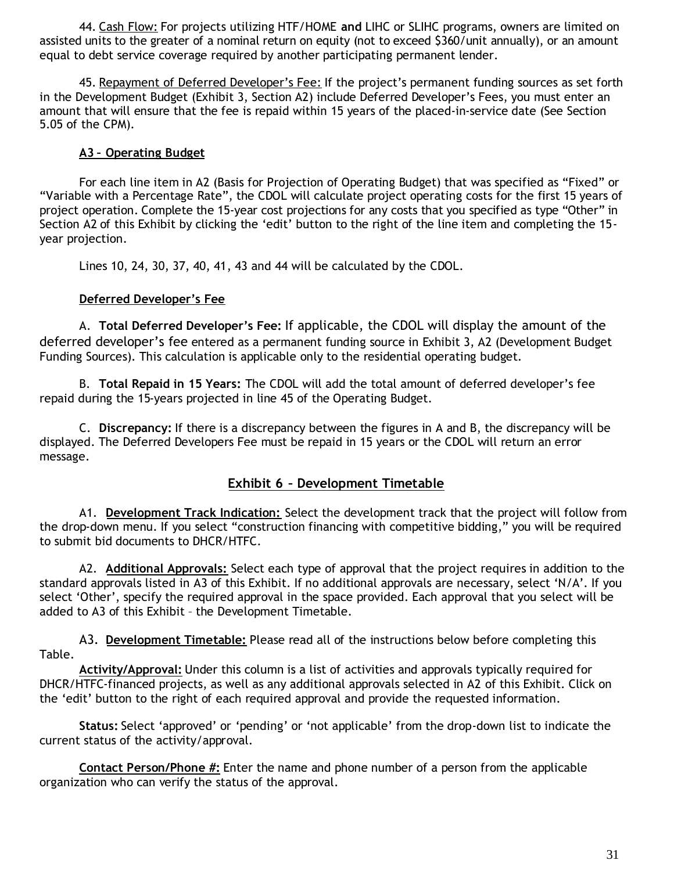44. Cash Flow: For projects utilizing HTF/HOME **and** LIHC or SLIHC programs, owners are limited on assisted units to the greater of a nominal return on equity (not to exceed \$360/unit annually), or an amount equal to debt service coverage required by another participating permanent lender.

45. Repayment of Deferred Developer's Fee: If the project's permanent funding sources as set forth in the Development Budget (Exhibit 3, Section A2) include Deferred Developer's Fees, you must enter an amount that will ensure that the fee is repaid within 15 years of the placed-in-service date (See Section 5.05 of the CPM).

### **A3 – Operating Budget**

For each line item in A2 (Basis for Projection of Operating Budget) that was specified as "Fixed" or "Variable with a Percentage Rate", the CDOL will calculate project operating costs for the first 15 years of project operation. Complete the 15-year cost projections for any costs that you specified as type "Other" in Section A2 of this Exhibit by clicking the 'edit' button to the right of the line item and completing the 15 year projection.

Lines 10, 24, 30, 37, 40, 41, 43 and 44 will be calculated by the CDOL.

### **Deferred Developer's Fee**

A. **Total Deferred Developer's Fee:** If applicable, the CDOL will display the amount of the deferred developer's fee entered as a permanent funding source in Exhibit 3, A2 (Development Budget Funding Sources). This calculation is applicable only to the residential operating budget.

B. **Total Repaid in 15 Years:** The CDOL will add the total amount of deferred developer's fee repaid during the 15-years projected in line 45 of the Operating Budget.

C. **Discrepancy:** If there is a discrepancy between the figures in A and B, the discrepancy will be displayed. The Deferred Developers Fee must be repaid in 15 years or the CDOL will return an error message.

### **Exhibit 6 – Development Timetable**

A1. **Development Track Indication:** Select the development track that the project will follow from the drop-down menu. If you select "construction financing with competitive bidding," you will be required to submit bid documents to DHCR/HTFC.

A2. **Additional Approvals:** Select each type of approval that the project requires in addition to the standard approvals listed in A3 of this Exhibit. If no additional approvals are necessary, select 'N/A'. If you select 'Other', specify the required approval in the space provided. Each approval that you select will be added to A3 of this Exhibit – the Development Timetable.

A3. **Development Timetable:** Please read all of the instructions below before completing this Table.

**Activity/Approval:** Under this column is a list of activities and approvals typically required for DHCR/HTFC-financed projects, as well as any additional approvals selected in A2 of this Exhibit. Click on the 'edit' button to the right of each required approval and provide the requested information.

**Status:** Select 'approved' or 'pending' or 'not applicable' from the drop-down list to indicate the current status of the activity/approval.

**Contact Person/Phone #:** Enter the name and phone number of a person from the applicable organization who can verify the status of the approval.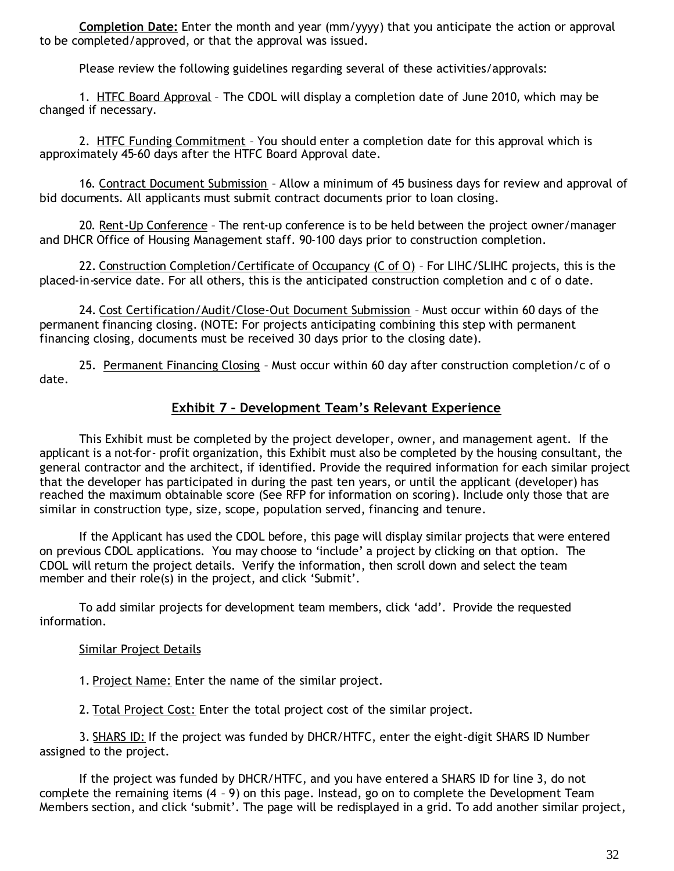**Completion Date:** Enter the month and year (mm/yyyy) that you anticipate the action or approval to be completed/approved, or that the approval was issued.

Please review the following guidelines regarding several of these activities/approvals:

1. HTFC Board Approval - The CDOL will display a completion date of June 2010, which may be changed if necessary.

2. HTFC Funding Commitment – You should enter a completion date for this approval which is approximately 45-60 days after the HTFC Board Approval date.

16. Contract Document Submission – Allow a minimum of 45 business days for review and approval of bid documents. All applicants must submit contract documents prior to loan closing.

20. Rent-Up Conference – The rent-up conference is to be held between the project owner/manager and DHCR Office of Housing Management staff. 90-100 days prior to construction completion.

22. Construction Completion/Certificate of Occupancy (C of O) - For LIHC/SLIHC projects, this is the placed-in-service date. For all others, this is the anticipated construction completion and c of o date.

24. Cost Certification/Audit/Close-Out Document Submission – Must occur within 60 days of the permanent financing closing. (NOTE: For projects anticipating combining this step with permanent financing closing, documents must be received 30 days prior to the closing date).

25. Permanent Financing Closing – Must occur within 60 day after construction completion/c of o date.

# **Exhibit 7 – Development Team's Relevant Experience**

This Exhibit must be completed by the project developer, owner, and management agent. If the applicant is a not-for- profit organization, this Exhibit must also be completed by the housing consultant, the general contractor and the architect, if identified. Provide the required information for each similar project that the developer has participated in during the past ten years, or until the applicant (developer) has reached the maximum obtainable score (See RFP for information on scoring). Include only those that are similar in construction type, size, scope, population served, financing and tenure.

If the Applicant has used the CDOL before, this page will display similar projects that were entered on previous CDOL applications. You may choose to 'include' a project by clicking on that option. The CDOL will return the project details. Verify the information, then scroll down and select the team member and their role(s) in the project, and click 'Submit'.

To add similar projects for development team members, click 'add'. Provide the requested information.

#### Similar Project Details

1. Project Name: Enter the name of the similar project.

2. Total Project Cost: Enter the total project cost of the similar project.

3. SHARS ID: If the project was funded by DHCR/HTFC, enter the eight-digit SHARS ID Number assigned to the project.

If the project was funded by DHCR/HTFC, and you have entered a SHARS ID for line 3, do not complete the remaining items (4 – 9) on this page. Instead, go on to complete the Development Team Members section, and click 'submit'. The page will be redisplayed in a grid. To add another similar project,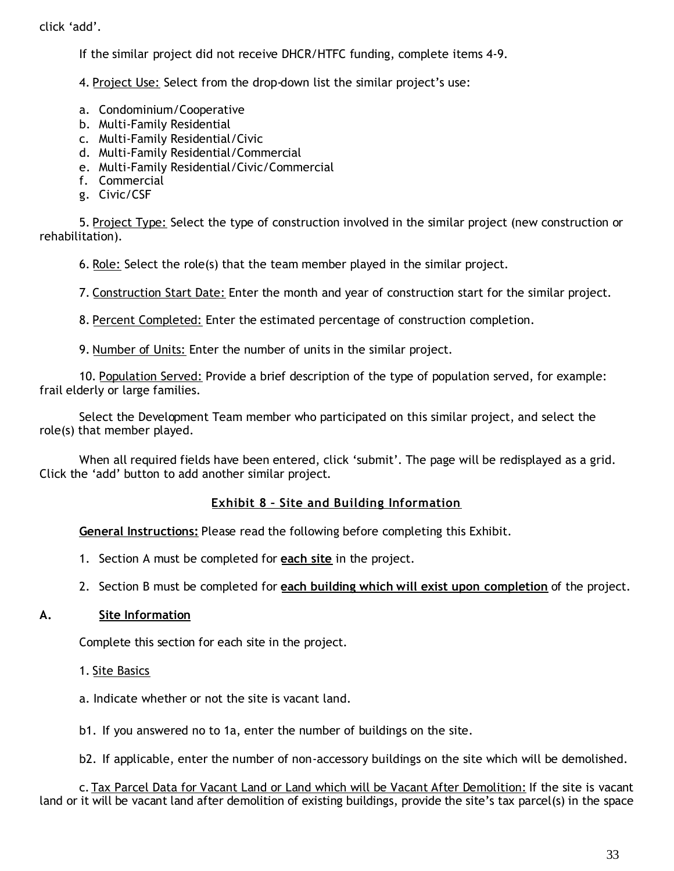click 'add'.

If the similar project did not receive DHCR/HTFC funding, complete items 4-9.

4. Project Use: Select from the drop-down list the similar project's use:

- a. Condominium/Cooperative
- b. Multi-Family Residential
- c. Multi-Family Residential/Civic
- d. Multi-Family Residential/Commercial
- e. Multi-Family Residential/Civic/Commercial
- f. Commercial
- g. Civic/CSF

5. Project Type: Select the type of construction involved in the similar project (new construction or rehabilitation).

6. Role: Select the role(s) that the team member played in the similar project.

7. Construction Start Date: Enter the month and year of construction start for the similar project.

8. Percent Completed: Enter the estimated percentage of construction completion.

9. Number of Units: Enter the number of units in the similar project.

10. Population Served: Provide a brief description of the type of population served, for example: frail elderly or large families.

Select the Development Team member who participated on this similar project, and select the role(s) that member played.

When all required fields have been entered, click 'submit'. The page will be redisplayed as a grid. Click the 'add' button to add another similar project.

#### **Exhibit 8 – Site and Building Information**

**General Instructions:** Please read the following before completing this Exhibit.

- 1. Section A must be completed for **each site** in the project.
- 2. Section B must be completed for **each building which will exist upon completion** of the project.

#### **A. Site Information**

Complete this section for each site in the project.

1. Site Basics

a. Indicate whether or not the site is vacant land.

b1. If you answered no to 1a, enter the number of buildings on the site.

b2. If applicable, enter the number of non-accessory buildings on the site which will be demolished.

c. Tax Parcel Data for Vacant Land or Land which will be Vacant After Demolition: If the site is vacant land or it will be vacant land after demolition of existing buildings, provide the site's tax parcel(s) in the space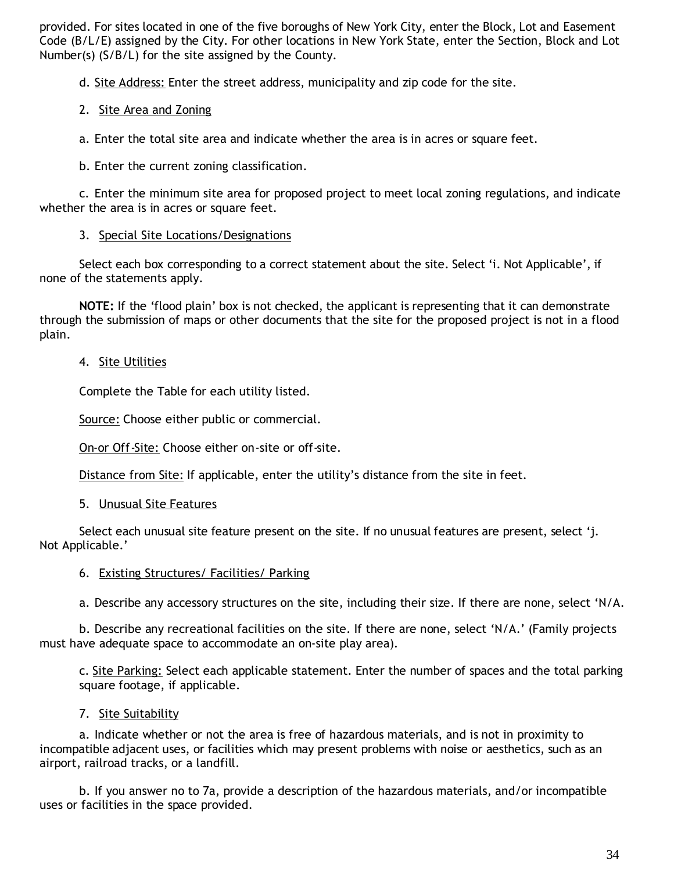provided. For sites located in one of the five boroughs of New York City, enter the Block, Lot and Easement Code (B/L/E) assigned by the City. For other locations in New York State, enter the Section, Block and Lot Number(s) (S/B/L) for the site assigned by the County.

d. Site Address: Enter the street address, municipality and zip code for the site.

### 2. Site Area and Zoning

a. Enter the total site area and indicate whether the area is in acres or square feet.

b. Enter the current zoning classification.

c. Enter the minimum site area for proposed project to meet local zoning regulations, and indicate whether the area is in acres or square feet.

### 3. Special Site Locations/Designations

Select each box corresponding to a correct statement about the site. Select 'i. Not Applicable', if none of the statements apply.

**NOTE:** If the 'flood plain' box is not checked, the applicant is representing that it can demonstrate through the submission of maps or other documents that the site for the proposed project is not in a flood plain.

### 4. Site Utilities

Complete the Table for each utility listed.

Source: Choose either public or commercial.

On-or Off-Site: Choose either on-site or off-site.

Distance from Site: If applicable, enter the utility's distance from the site in feet.

5. Unusual Site Features

Select each unusual site feature present on the site. If no unusual features are present, select 'j. Not Applicable.'

#### 6. Existing Structures/ Facilities/ Parking

a. Describe any accessory structures on the site, including their size. If there are none, select 'N/A.

b. Describe any recreational facilities on the site. If there are none, select 'N/A.' (Family projects must have adequate space to accommodate an on-site play area).

c. Site Parking: Select each applicable statement. Enter the number of spaces and the total parking square footage, if applicable.

#### 7. Site Suitability

a. Indicate whether or not the area is free of hazardous materials, and is not in proximity to incompatible adjacent uses, or facilities which may present problems with noise or aesthetics, such as an airport, railroad tracks, or a landfill.

b. If you answer no to 7a, provide a description of the hazardous materials, and/or incompatible uses or facilities in the space provided.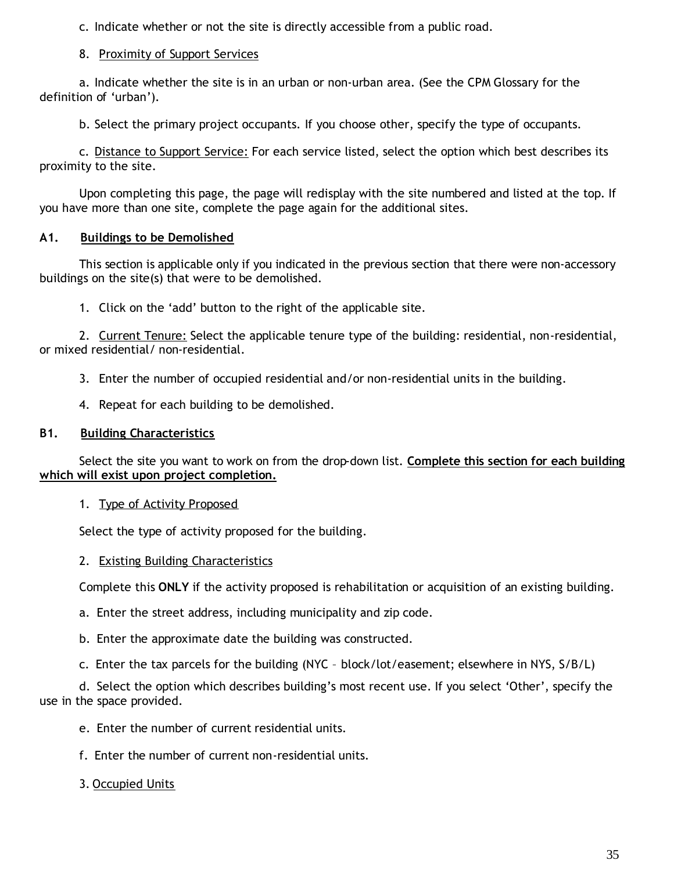c. Indicate whether or not the site is directly accessible from a public road.

### 8. Proximity of Support Services

a. Indicate whether the site is in an urban or non-urban area. (See the CPM Glossary for the definition of 'urban').

b. Select the primary project occupants. If you choose other, specify the type of occupants.

c. Distance to Support Service: For each service listed, select the option which best describes its proximity to the site.

Upon completing this page, the page will redisplay with the site numbered and listed at the top. If you have more than one site, complete the page again for the additional sites.

### **A1. Buildings to be Demolished**

This section is applicable only if you indicated in the previous section that there were non-accessory buildings on the site(s) that were to be demolished.

1. Click on the 'add' button to the right of the applicable site.

2. Current Tenure: Select the applicable tenure type of the building: residential, non-residential, or mixed residential/ non-residential.

3. Enter the number of occupied residential and/or non-residential units in the building.

4. Repeat for each building to be demolished.

# **B1. Building Characteristics**

Select the site you want to work on from the drop-down list. **Complete this section for each building which will exist upon project completion.**

### 1. Type of Activity Proposed

Select the type of activity proposed for the building.

### 2. Existing Building Characteristics

Complete this **ONLY** if the activity proposed is rehabilitation or acquisition of an existing building.

- a. Enter the street address, including municipality and zip code.
- b. Enter the approximate date the building was constructed.
- c. Enter the tax parcels for the building (NYC block/lot/easement; elsewhere in NYS, S/B/L)

d. Select the option which describes building's most recent use. If you select 'Other', specify the use in the space provided.

- e. Enter the number of current residential units.
- f. Enter the number of current non-residential units.

# 3. Occupied Units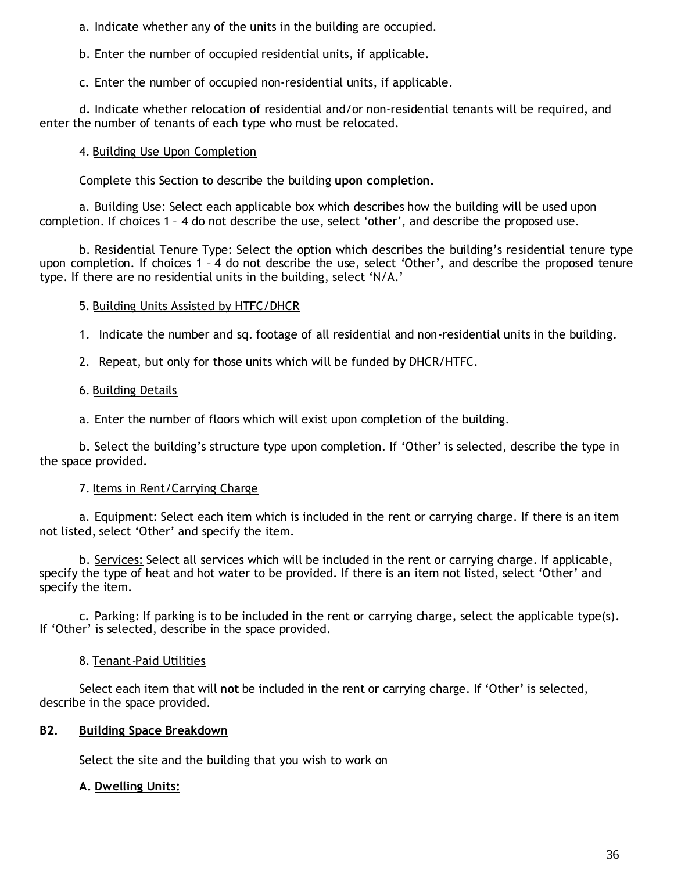a. Indicate whether any of the units in the building are occupied.

b. Enter the number of occupied residential units, if applicable.

c. Enter the number of occupied non-residential units, if applicable.

d. Indicate whether relocation of residential and/or non-residential tenants will be required, and enter the number of tenants of each type who must be relocated.

### 4. Building Use Upon Completion

Complete this Section to describe the building **upon completion.**

a. Building Use: Select each applicable box which describes how the building will be used upon completion. If choices 1 – 4 do not describe the use, select 'other', and describe the proposed use.

b. Residential Tenure Type: Select the option which describes the building's residential tenure type upon completion. If choices 1 – 4 do not describe the use, select 'Other', and describe the proposed tenure type. If there are no residential units in the building, select 'N/A.'

### 5. Building Units Assisted by HTFC/DHCR

1. Indicate the number and sq. footage of all residential and non-residential units in the building.

2. Repeat, but only for those units which will be funded by DHCR/HTFC.

### 6. Building Details

a. Enter the number of floors which will exist upon completion of the building.

b. Select the building's structure type upon completion. If 'Other' is selected, describe the type in the space provided.

### 7. Items in Rent/Carrying Charge

a. Equipment: Select each item which is included in the rent or carrying charge. If there is an item not listed, select 'Other' and specify the item.

b. Services: Select all services which will be included in the rent or carrying charge. If applicable, specify the type of heat and hot water to be provided. If there is an item not listed, select 'Other' and specify the item.

c. Parking: If parking is to be included in the rent or carrying charge, select the applicable type(s). If 'Other' is selected, describe in the space provided.

### 8. Tenant-Paid Utilities

Select each item that will **not** be included in the rent or carrying charge. If 'Other' is selected, describe in the space provided.

### **B2. Building Space Breakdown**

Select the site and the building that you wish to work on

### **A. Dwelling Units:**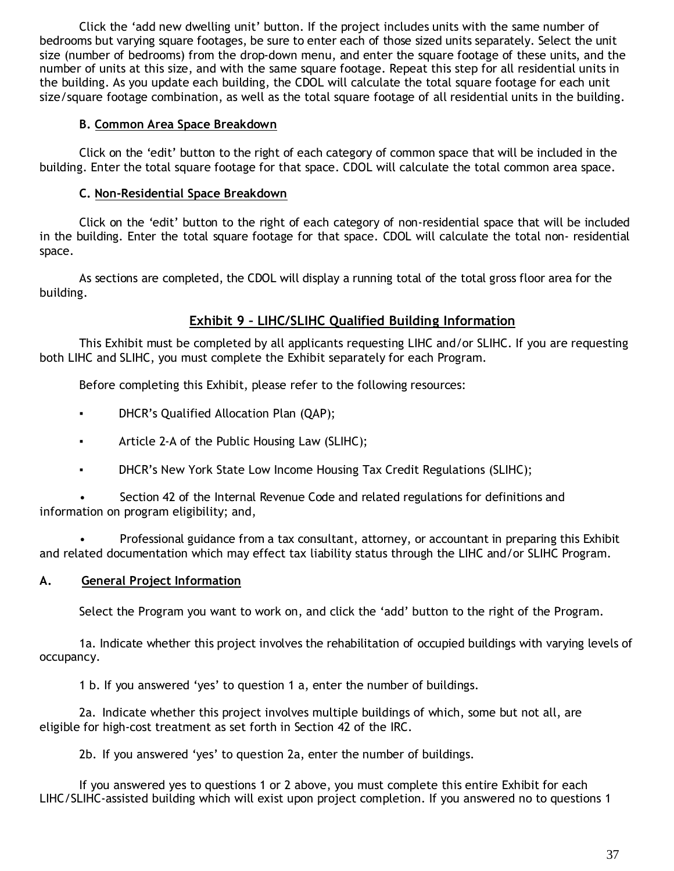Click the 'add new dwelling unit' button. If the project includes units with the same number of bedrooms but varying square footages, be sure to enter each of those sized units separately. Select the unit size (number of bedrooms) from the drop-down menu, and enter the square footage of these units, and the number of units at this size, and with the same square footage. Repeat this step for all residential units in the building. As you update each building, the CDOL will calculate the total square footage for each unit size/square footage combination, as well as the total square footage of all residential units in the building.

#### **B. Common Area Space Breakdown**

Click on the 'edit' button to the right of each category of common space that will be included in the building. Enter the total square footage for that space. CDOL will calculate the total common area space.

### **C. Non-Residential Space Breakdown**

Click on the 'edit' button to the right of each category of non-residential space that will be included in the building. Enter the total square footage for that space. CDOL will calculate the total non- residential space.

As sections are completed, the CDOL will display a running total of the total gross floor area for the building.

## **Exhibit 9 – LIHC/SLIHC Qualified Building Information**

This Exhibit must be completed by all applicants requesting LIHC and/or SLIHC. If you are requesting both LIHC and SLIHC, you must complete the Exhibit separately for each Program.

Before completing this Exhibit, please refer to the following resources:

- DHCR's Qualified Allocation Plan (QAP);
- Article 2-A of the Public Housing Law (SLIHC);
- DHCR's New York State Low Income Housing Tax Credit Regulations (SLIHC);

• Section 42 of the Internal Revenue Code and related regulations for definitions and information on program eligibility; and,

• Professional guidance from a tax consultant, attorney, or accountant in preparing this Exhibit and related documentation which may effect tax liability status through the LIHC and/or SLIHC Program.

### **A. General Project Information**

Select the Program you want to work on, and click the 'add' button to the right of the Program.

1a. Indicate whether this project involves the rehabilitation of occupied buildings with varying levels of occupancy.

1 b. If you answered 'yes' to question 1 a, enter the number of buildings.

2a. Indicate whether this project involves multiple buildings of which, some but not all, are eligible for high-cost treatment as set forth in Section 42 of the IRC.

2b. If you answered 'yes' to question 2a, enter the number of buildings.

If you answered yes to questions 1 or 2 above, you must complete this entire Exhibit for each LIHC/SLIHC-assisted building which will exist upon project completion. If you answered no to questions 1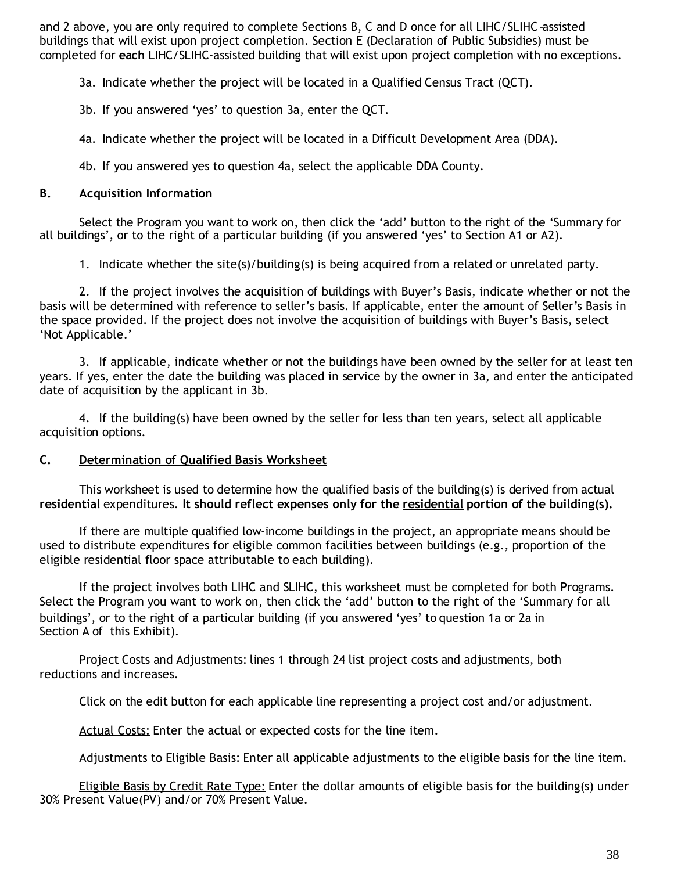and 2 above, you are only required to complete Sections B, C and D once for all LIHC/SLIHC-assisted buildings that will exist upon project completion. Section E (Declaration of Public Subsidies) must be completed for **each** LIHC/SLIHC-assisted building that will exist upon project completion with no exceptions.

3a. Indicate whether the project will be located in a Qualified Census Tract (QCT).

3b. If you answered 'yes' to question 3a, enter the QCT.

4a. Indicate whether the project will be located in a Difficult Development Area (DDA).

4b. If you answered yes to question 4a, select the applicable DDA County.

#### **B. Acquisition Information**

Select the Program you want to work on, then click the 'add' button to the right of the 'Summary for all buildings', or to the right of a particular building (if you answered 'yes' to Section A1 or A2).

1. Indicate whether the site(s)/building(s) is being acquired from a related or unrelated party.

2. If the project involves the acquisition of buildings with Buyer's Basis, indicate whether or not the basis will be determined with reference to seller's basis. If applicable, enter the amount of Seller's Basis in the space provided. If the project does not involve the acquisition of buildings with Buyer's Basis, select 'Not Applicable.'

3. If applicable, indicate whether or not the buildings have been owned by the seller for at least ten years. If yes, enter the date the building was placed in service by the owner in 3a, and enter the anticipated date of acquisition by the applicant in 3b.

4. If the building(s) have been owned by the seller for less than ten years, select all applicable acquisition options.

#### **C. Determination of Qualified Basis Worksheet**

This worksheet is used to determine how the qualified basis of the building(s) is derived from actual **residential** expenditures. **It should reflect expenses only for the residential portion of the building(s).**

If there are multiple qualified low-income buildings in the project, an appropriate means should be used to distribute expenditures for eligible common facilities between buildings (e.g., proportion of the eligible residential floor space attributable to each building).

If the project involves both LIHC and SLIHC, this worksheet must be completed for both Programs. Select the Program you want to work on, then click the 'add' button to the right of the 'Summary for all buildings', or to the right of a particular building (if you answered 'yes' to question 1a or 2a in Section A of this Exhibit).

Project Costs and Adjustments: lines 1 through 24 list project costs and adjustments, both reductions and increases.

Click on the edit button for each applicable line representing a project cost and/or adjustment.

Actual Costs: Enter the actual or expected costs for the line item.

Adjustments to Eligible Basis: Enter all applicable adjustments to the eligible basis for the line item.

Eligible Basis by Credit Rate Type: Enter the dollar amounts of eligible basis for the building(s) under 30% Present Value(PV) and/or 70% Present Value.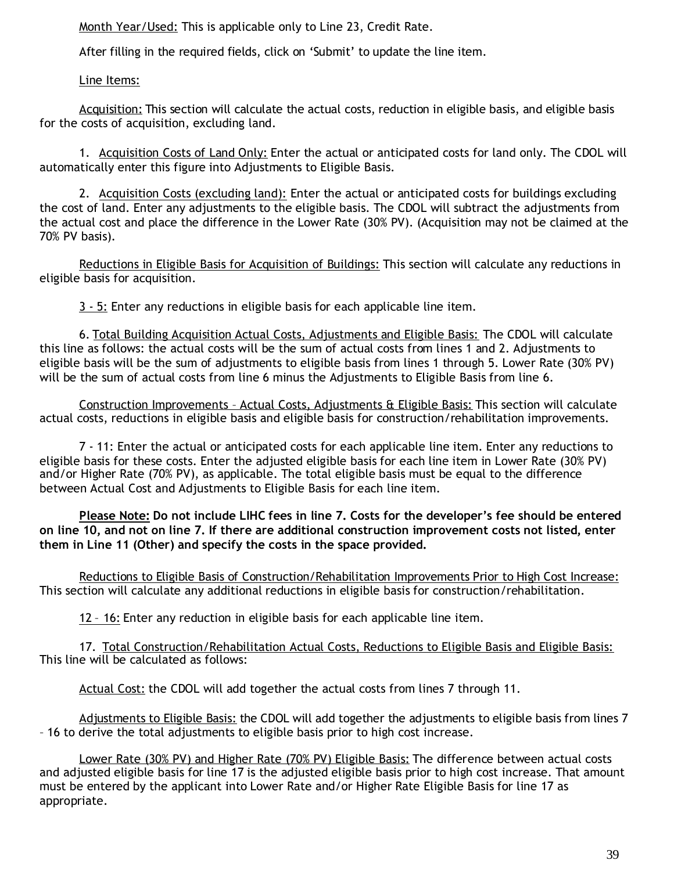Month Year/Used: This is applicable only to Line 23, Credit Rate.

After filling in the required fields, click on 'Submit' to update the line item.

Line Items:

Acquisition: This section will calculate the actual costs, reduction in eligible basis, and eligible basis for the costs of acquisition, excluding land.

1. Acquisition Costs of Land Only: Enter the actual or anticipated costs for land only. The CDOL will automatically enter this figure into Adjustments to Eligible Basis.

2. Acquisition Costs (excluding land): Enter the actual or anticipated costs for buildings excluding the cost of land. Enter any adjustments to the eligible basis. The CDOL will subtract the adjustments from the actual cost and place the difference in the Lower Rate (30% PV). (Acquisition may not be claimed at the 70% PV basis).

Reductions in Eligible Basis for Acquisition of Buildings: This section will calculate any reductions in eligible basis for acquisition.

3 - 5: Enter any reductions in eligible basis for each applicable line item.

6. Total Building Acquisition Actual Costs, Adjustments and Eligible Basis: The CDOL will calculate this line as follows: the actual costs will be the sum of actual costs from lines 1 and 2. Adjustments to eligible basis will be the sum of adjustments to eligible basis from lines 1 through 5. Lower Rate (30% PV) will be the sum of actual costs from line 6 minus the Adjustments to Eligible Basis from line 6.

Construction Improvements – Actual Costs, Adjustments & Eligible Basis: This section will calculate actual costs, reductions in eligible basis and eligible basis for construction/rehabilitation improvements.

7 - 11: Enter the actual or anticipated costs for each applicable line item. Enter any reductions to eligible basis for these costs. Enter the adjusted eligible basis for each line item in Lower Rate (30% PV) and/or Higher Rate (70% PV), as applicable. The total eligible basis must be equal to the difference between Actual Cost and Adjustments to Eligible Basis for each line item.

**Please Note: Do not include LIHC fees in line 7. Costs for the developer's fee should be entered on line 10, and not on line 7. If there are additional construction improvement costs not listed, enter them in Line 11 (Other) and specify the costs in the space provided.**

Reductions to Eligible Basis of Construction/Rehabilitation Improvements Prior to High Cost Increase: This section will calculate any additional reductions in eligible basis for construction/rehabilitation.

12 – 16: Enter any reduction in eligible basis for each applicable line item.

17. Total Construction/Rehabilitation Actual Costs, Reductions to Eligible Basis and Eligible Basis: This line will be calculated as follows:

Actual Cost: the CDOL will add together the actual costs from lines 7 through 11.

Adjustments to Eligible Basis: the CDOL will add together the adjustments to eligible basis from lines 7 – 16 to derive the total adjustments to eligible basis prior to high cost increase.

Lower Rate (30% PV) and Higher Rate (70% PV) Eligible Basis: The difference between actual costs and adjusted eligible basis for line 17 is the adjusted eligible basis prior to high cost increase. That amount must be entered by the applicant into Lower Rate and/or Higher Rate Eligible Basis for line 17 as appropriate.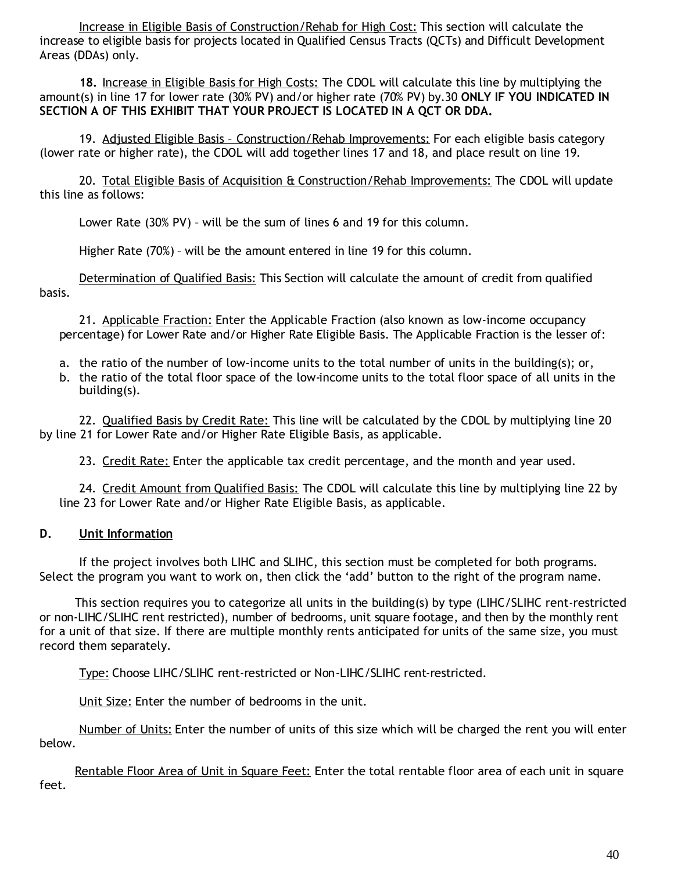Increase in Eligible Basis of Construction/Rehab for High Cost: This section will calculate the increase to eligible basis for projects located in Qualified Census Tracts (QCTs) and Difficult Development Areas (DDAs) only.

**18.** Increase in Eligible Basis for High Costs: The CDOL will calculate this line by multiplying the amount(s) in line 17 for lower rate (30% PV) and/or higher rate (70% PV) by.30 **ONLY IF YOU INDICATED IN SECTION A OF THIS EXHIBIT THAT YOUR PROJECT IS LOCATED IN A QCT OR DDA.**

19. Adjusted Eligible Basis – Construction/Rehab Improvements: For each eligible basis category (lower rate or higher rate), the CDOL will add together lines 17 and 18, and place result on line 19.

20. Total Eligible Basis of Acquisition & Construction/Rehab Improvements: The CDOL will update this line as follows:

Lower Rate (30% PV) – will be the sum of lines 6 and 19 for this column.

Higher Rate (70%) – will be the amount entered in line 19 for this column.

Determination of Qualified Basis: This Section will calculate the amount of credit from qualified basis.

21. Applicable Fraction: Enter the Applicable Fraction (also known as low-income occupancy percentage) for Lower Rate and/or Higher Rate Eligible Basis. The Applicable Fraction is the lesser of:

- a. the ratio of the number of low-income units to the total number of units in the building(s); or,
- b. the ratio of the total floor space of the low-income units to the total floor space of all units in the building(s).

22. Qualified Basis by Credit Rate: This line will be calculated by the CDOL by multiplying line 20 by line 21 for Lower Rate and/or Higher Rate Eligible Basis, as applicable.

23. Credit Rate: Enter the applicable tax credit percentage, and the month and year used.

24. Credit Amount from Qualified Basis: The CDOL will calculate this line by multiplying line 22 by line 23 for Lower Rate and/or Higher Rate Eligible Basis, as applicable.

### **D. Unit Information**

If the project involves both LIHC and SLIHC, this section must be completed for both programs. Select the program you want to work on, then click the 'add' button to the right of the program name.

This section requires you to categorize all units in the building(s) by type (LIHC/SLIHC rent-restricted or non-LIHC/SLIHC rent restricted), number of bedrooms, unit square footage, and then by the monthly rent for a unit of that size. If there are multiple monthly rents anticipated for units of the same size, you must record them separately.

Type: Choose LIHC/SLIHC rent-restricted or Non-LIHC/SLIHC rent-restricted.

Unit Size: Enter the number of bedrooms in the unit.

Number of Units: Enter the number of units of this size which will be charged the rent you will enter below.

Rentable Floor Area of Unit in Square Feet: Enter the total rentable floor area of each unit in square feet.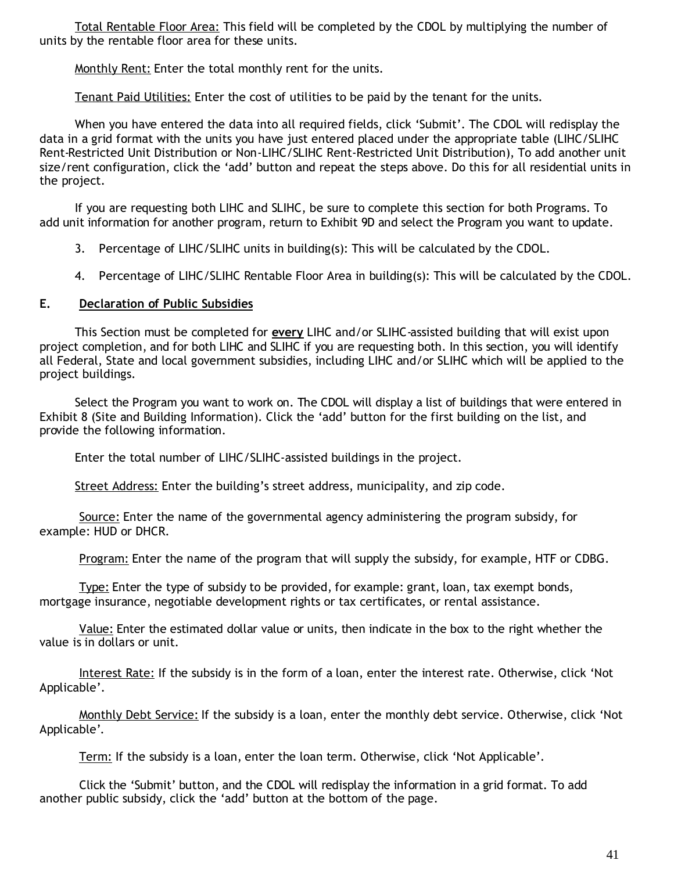Total Rentable Floor Area: This field will be completed by the CDOL by multiplying the number of units by the rentable floor area for these units.

Monthly Rent: Enter the total monthly rent for the units.

Tenant Paid Utilities: Enter the cost of utilities to be paid by the tenant for the units.

When you have entered the data into all required fields, click 'Submit'. The CDOL will redisplay the data in a grid format with the units you have just entered placed under the appropriate table (LIHC/SLIHC Rent-Restricted Unit Distribution or Non-LIHC/SLIHC Rent-Restricted Unit Distribution), To add another unit size/rent configuration, click the 'add' button and repeat the steps above. Do this for all residential units in the project.

If you are requesting both LIHC and SLIHC, be sure to complete this section for both Programs. To add unit information for another program, return to Exhibit 9D and select the Program you want to update.

- 3. Percentage of LIHC/SLIHC units in building(s): This will be calculated by the CDOL.
- 4. Percentage of LIHC/SLIHC Rentable Floor Area in building(s): This will be calculated by the CDOL.

#### **E. Declaration of Public Subsidies**

This Section must be completed for **every** LIHC and/or SLIHC-assisted building that will exist upon project completion, and for both LIHC and SLIHC if you are requesting both. In this section, you will identify all Federal, State and local government subsidies, including LIHC and/or SLIHC which will be applied to the project buildings.

Select the Program you want to work on. The CDOL will display a list of buildings that were entered in Exhibit 8 (Site and Building Information). Click the 'add' button for the first building on the list, and provide the following information.

Enter the total number of LIHC/SLIHC-assisted buildings in the project.

Street Address: Enter the building's street address, municipality, and zip code.

Source: Enter the name of the governmental agency administering the program subsidy, for example: HUD or DHCR.

Program: Enter the name of the program that will supply the subsidy, for example, HTF or CDBG.

Type: Enter the type of subsidy to be provided, for example: grant, loan, tax exempt bonds, mortgage insurance, negotiable development rights or tax certificates, or rental assistance.

Value: Enter the estimated dollar value or units, then indicate in the box to the right whether the value is in dollars or unit.

Interest Rate: If the subsidy is in the form of a loan, enter the interest rate. Otherwise, click 'Not Applicable'.

Monthly Debt Service: If the subsidy is a loan, enter the monthly debt service. Otherwise, click 'Not Applicable'.

Term: If the subsidy is a loan, enter the loan term. Otherwise, click 'Not Applicable'.

Click the 'Submit' button, and the CDOL will redisplay the information in a grid format. To add another public subsidy, click the 'add' button at the bottom of the page.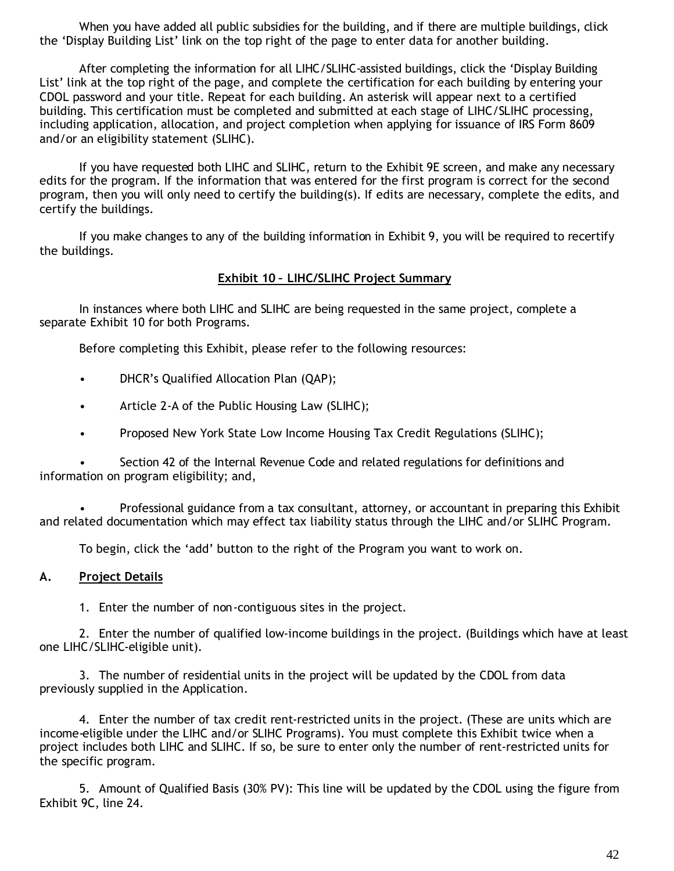When you have added all public subsidies for the building, and if there are multiple buildings, click the 'Display Building List' link on the top right of the page to enter data for another building.

After completing the information for all LIHC/SLIHC-assisted buildings, click the 'Display Building List' link at the top right of the page, and complete the certification for each building by entering your CDOL password and your title. Repeat for each building. An asterisk will appear next to a certified building. This certification must be completed and submitted at each stage of LIHC/SLIHC processing, including application, allocation, and project completion when applying for issuance of IRS Form 8609 and/or an eligibility statement (SLIHC).

If you have requested both LIHC and SLIHC, return to the Exhibit 9E screen, and make any necessary edits for the program. If the information that was entered for the first program is correct for the second program, then you will only need to certify the building(s). If edits are necessary, complete the edits, and certify the buildings.

If you make changes to any of the building information in Exhibit 9, you will be required to recertify the buildings.

#### **Exhibit 10 – LIHC/SLIHC Project Summary**

In instances where both LIHC and SLIHC are being requested in the same project, complete a separate Exhibit 10 for both Programs.

Before completing this Exhibit, please refer to the following resources:

- DHCR's Qualified Allocation Plan (QAP);
- Article 2-A of the Public Housing Law (SLIHC);
- Proposed New York State Low Income Housing Tax Credit Regulations (SLIHC);

• Section 42 of the Internal Revenue Code and related regulations for definitions and information on program eligibility; and,

• Professional guidance from a tax consultant, attorney, or accountant in preparing this Exhibit and related documentation which may effect tax liability status through the LIHC and/or SLIHC Program.

To begin, click the 'add' button to the right of the Program you want to work on.

#### **A. Project Details**

1. Enter the number of non-contiguous sites in the project.

2. Enter the number of qualified low-income buildings in the project. (Buildings which have at least one LIHC/SLIHC-eligible unit).

3. The number of residential units in the project will be updated by the CDOL from data previously supplied in the Application.

4. Enter the number of tax credit rent-restricted units in the project. (These are units which are income-eligible under the LIHC and/or SLIHC Programs). You must complete this Exhibit twice when a project includes both LIHC and SLIHC. If so, be sure to enter only the number of rent-restricted units for the specific program.

5. Amount of Qualified Basis (30% PV): This line will be updated by the CDOL using the figure from Exhibit 9C, line 24.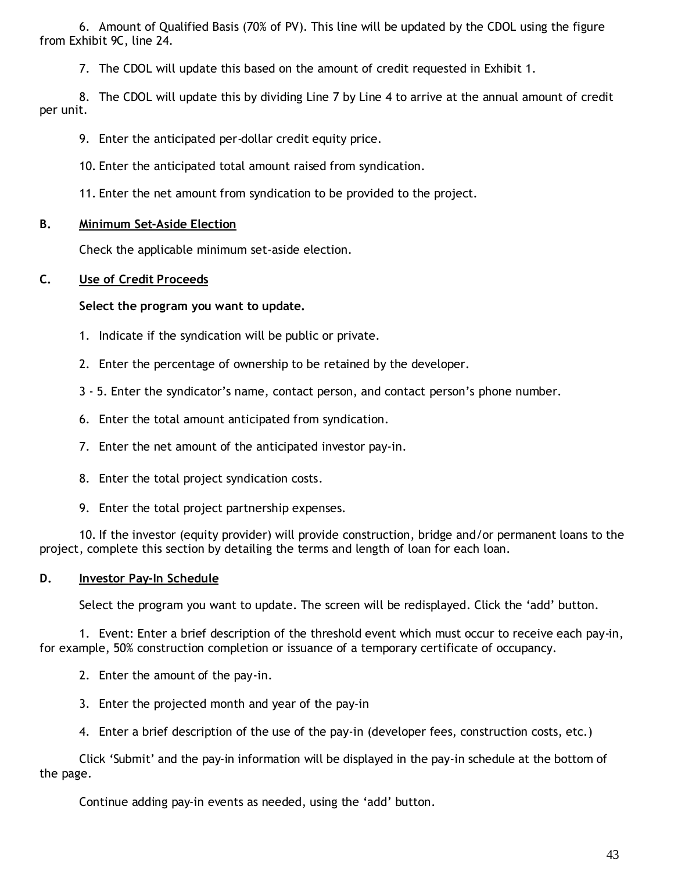6. Amount of Qualified Basis (70% of PV). This line will be updated by the CDOL using the figure from Exhibit 9C, line 24.

7. The CDOL will update this based on the amount of credit requested in Exhibit 1.

8. The CDOL will update this by dividing Line 7 by Line 4 to arrive at the annual amount of credit per unit.

9. Enter the anticipated per-dollar credit equity price.

10. Enter the anticipated total amount raised from syndication.

11. Enter the net amount from syndication to be provided to the project.

#### **B. Minimum Set-Aside Election**

Check the applicable minimum set-aside election.

#### **C. Use of Credit Proceeds**

**Select the program you want to update.**

- 1. Indicate if the syndication will be public or private.
- 2. Enter the percentage of ownership to be retained by the developer.
- 3 5. Enter the syndicator's name, contact person, and contact person's phone number.
- 6. Enter the total amount anticipated from syndication.
- 7. Enter the net amount of the anticipated investor pay-in.
- 8. Enter the total project syndication costs.
- 9. Enter the total project partnership expenses.

10. If the investor (equity provider) will provide construction, bridge and/or permanent loans to the project, complete this section by detailing the terms and length of loan for each loan.

#### **D. Investor Pay-In Schedule**

Select the program you want to update. The screen will be redisplayed. Click the 'add' button.

1. Event: Enter a brief description of the threshold event which must occur to receive each pay-in, for example, 50% construction completion or issuance of a temporary certificate of occupancy.

- 2. Enter the amount of the pay-in.
- 3. Enter the projected month and year of the pay-in
- 4. Enter a brief description of the use of the pay-in (developer fees, construction costs, etc.)

Click 'Submit' and the pay-in information will be displayed in the pay-in schedule at the bottom of the page.

Continue adding pay-in events as needed, using the 'add' button.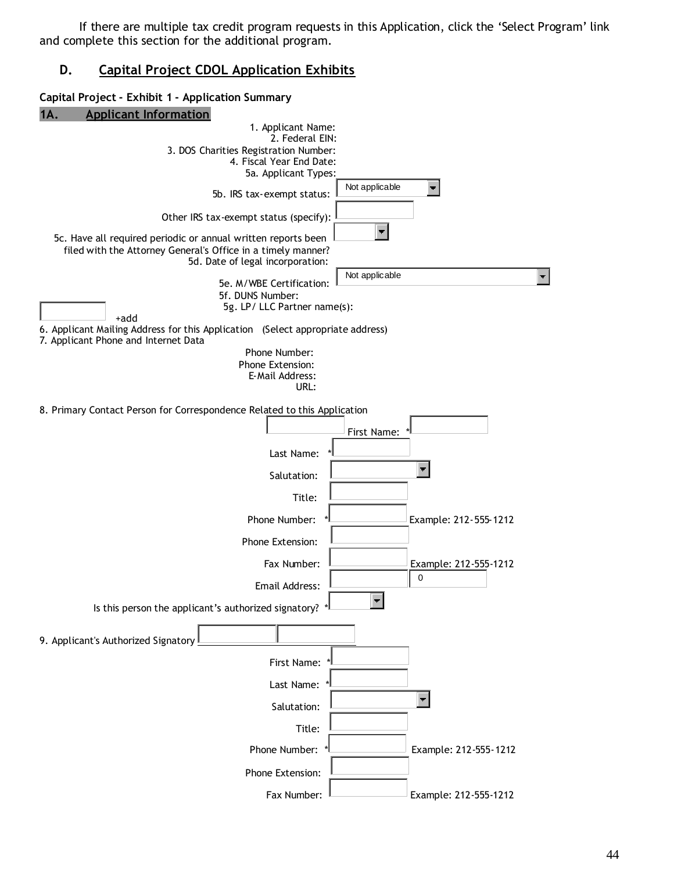If there are multiple tax credit program requests in this Application, click the 'Select Program' link and complete this section for the additional program.

#### **D. Capital Project CDOL Application Exhibits**

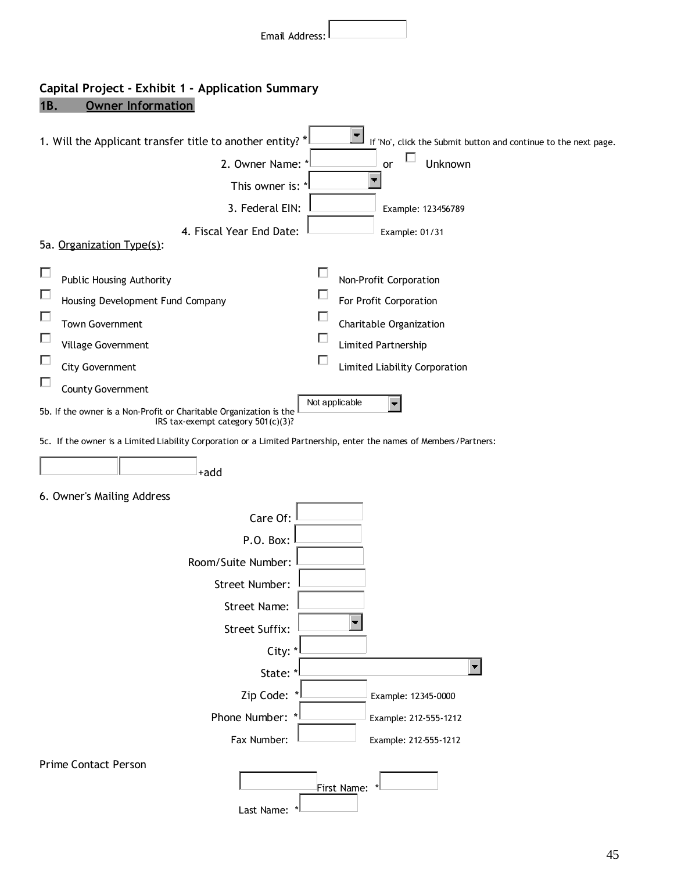| Email Address:                                                                                                                                                                                                                                                                                                                                                                                                                                                             |
|----------------------------------------------------------------------------------------------------------------------------------------------------------------------------------------------------------------------------------------------------------------------------------------------------------------------------------------------------------------------------------------------------------------------------------------------------------------------------|
| Capital Project - Exhibit 1 - Application Summary<br>1B.<br><b>Owner Information</b>                                                                                                                                                                                                                                                                                                                                                                                       |
| 1. Will the Applicant transfer title to another entity? *<br>If 'No', click the Submit button and continue to the next page.<br>2. Owner Name: *<br>Unknown<br>or<br>This owner is: *<br>3. Federal EIN:<br>Example: 123456789<br>4. Fiscal Year End Date:<br>Example: 01/31<br>5a. Organization Type(s):                                                                                                                                                                  |
| $\Box$<br><b>Public Housing Authority</b><br>Non-Profit Corporation<br>П<br>For Profit Corporation<br>Housing Development Fund Company<br>П<br><b>Town Government</b><br>Charitable Organization<br>П<br>Village Government<br>Limited Partnership<br>Е<br><b>City Government</b><br>Limited Liability Corporation<br>□<br>County Government<br>Not applicable<br>5b. If the owner is a Non-Profit or Charitable Organization is the<br>IRS tax-exempt category 501(c)(3)? |
| 5c. If the owner is a Limited Liability Corporation or a Limited Partnership, enter the names of Members/Partners:<br>+add                                                                                                                                                                                                                                                                                                                                                 |
| 6. Owner's Mailing Address<br>Care Of:<br>P.O. Box:<br>Room/Suite Number:<br>Street Number:<br>Street Name:<br><b>Street Suffix:</b><br>City: *<br>State: *<br>Zip Code:<br>Example: 12345-0000<br>Phone Number: *<br>Example: 212-555-1212<br>Fax Number:<br>Example: 212-555-1212                                                                                                                                                                                        |
| <b>Prime Contact Person</b><br>First Name:                                                                                                                                                                                                                                                                                                                                                                                                                                 |

Last Name: \*

 $\overline{\phantom{a}}$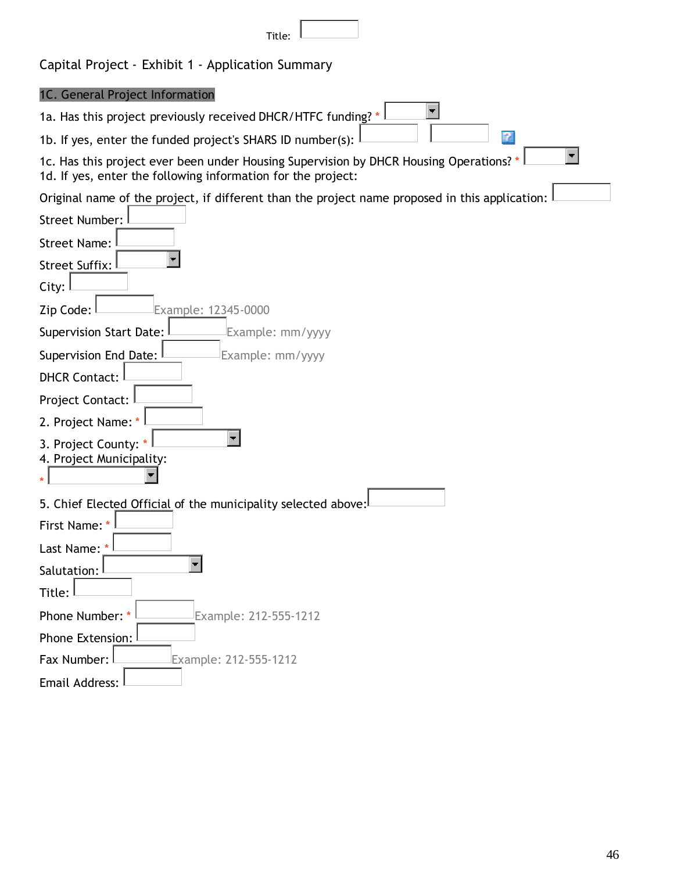| p.<br>Į |  |
|---------|--|
|         |  |

| 1C. General Project Information                                                                                                                      |
|------------------------------------------------------------------------------------------------------------------------------------------------------|
| 1a. Has this project previously received DHCR/HTFC funding? *                                                                                        |
| -9<br>1b. If yes, enter the funded project's SHARS ID number(s):                                                                                     |
| 1c. Has this project ever been under Housing Supervision by DHCR Housing Operations?<br>1d. If yes, enter the following information for the project: |
| Original name of the project, if different than the project name proposed in this application:                                                       |
| <b>Street Number:</b>                                                                                                                                |
| <b>Street Name:</b>                                                                                                                                  |
| <b>Street Suffix:</b>                                                                                                                                |
| City:                                                                                                                                                |
| Zip Code:<br>Example: 12345-0000                                                                                                                     |
| Supervision Start Date:<br>Example: mm/yyyy                                                                                                          |
| Supervision End Date:<br>Example: mm/yyyy                                                                                                            |
| <b>DHCR Contact:</b>                                                                                                                                 |
| Project Contact:                                                                                                                                     |
| 2. Project Name:                                                                                                                                     |
| 3. Project County: *<br>4. Project Municipality:                                                                                                     |
| 5. Chief Elected Official of the municipality selected above:                                                                                        |
| First Name:                                                                                                                                          |
| Last Name:                                                                                                                                           |
| Salutation:                                                                                                                                          |
| Title:                                                                                                                                               |
| Phone Number: *<br>Example: 212-555-1212                                                                                                             |
| Phone Extension:                                                                                                                                     |
| Fax Number:<br>Example: 212-555-1212                                                                                                                 |
| Email Address:                                                                                                                                       |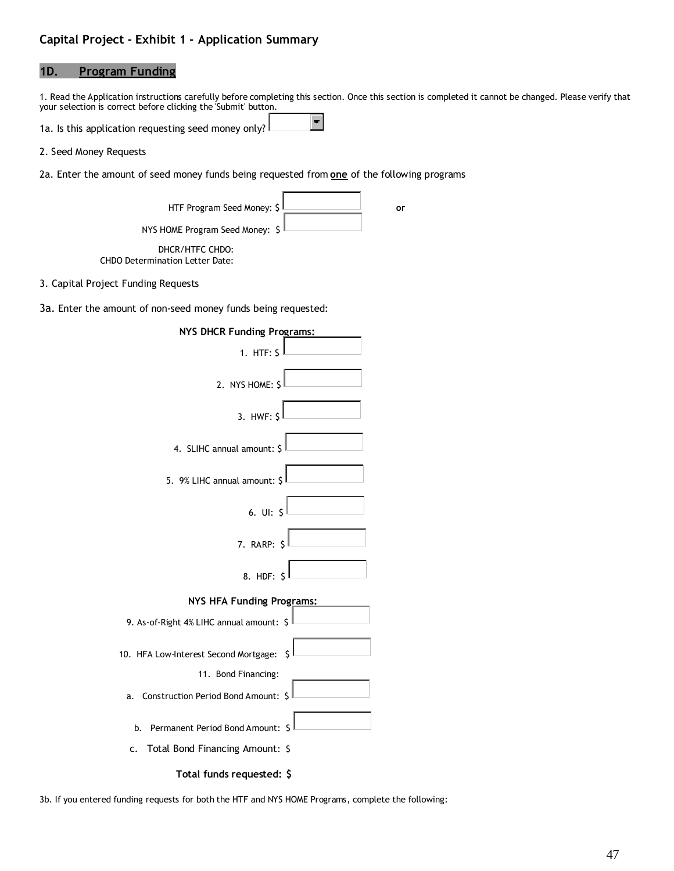#### **1D. Program Funding**

1. Read the Application instructions carefully before completing this section. Once this section is completed it cannot be changed. Please verify that your selection is correct before clicking the 'Submit' button.

 $\blacksquare$ 

1a. Is this application requesting seed money only?

- 2. Seed Money Requests
- 2a. Enter the amount of seed money funds being requested from **one** of the following programs

| HTF Program Seed Money: $\frac{1}{2}$  | Οľ |
|----------------------------------------|----|
| NYS HOME Program Seed Money: \$        |    |
| DHCR/HTFC CHDO:                        |    |
| <b>CHDO Determination Letter Date:</b> |    |

3. Capital Project Funding Requests

3a. Enter the amount of non-seed money funds being requested:

| NYS DHCR Funding Programs:                  |
|---------------------------------------------|
| 1. HTF: $S$                                 |
| 2. NYS HOME: $S$                            |
| $3.$ HWF: $\overline{S}$                    |
| 4. SLIHC annual amount: \$                  |
| 5. 9% LIHC annual amount: \$                |
| 6. $UI: S$                                  |
| 7. RARP: S                                  |
| 8. HDF: \$                                  |
| <b>NYS HFA Funding Programs:</b>            |
| 9. As-of-Right 4% LIHC annual amount: \$    |
| 10. HFA Low-Interest Second Mortgage:<br>\$ |
| 11. Bond Financing:                         |
| a. Construction Period Bond Amount: \$      |
| Permanent Period Bond Amount: \$<br>b.      |
| c. Total Bond Financing Amount: \$          |
| Total funds requested: \$                   |

3b. If you entered funding requests for both the HTF and NYS HOME Programs, complete the following: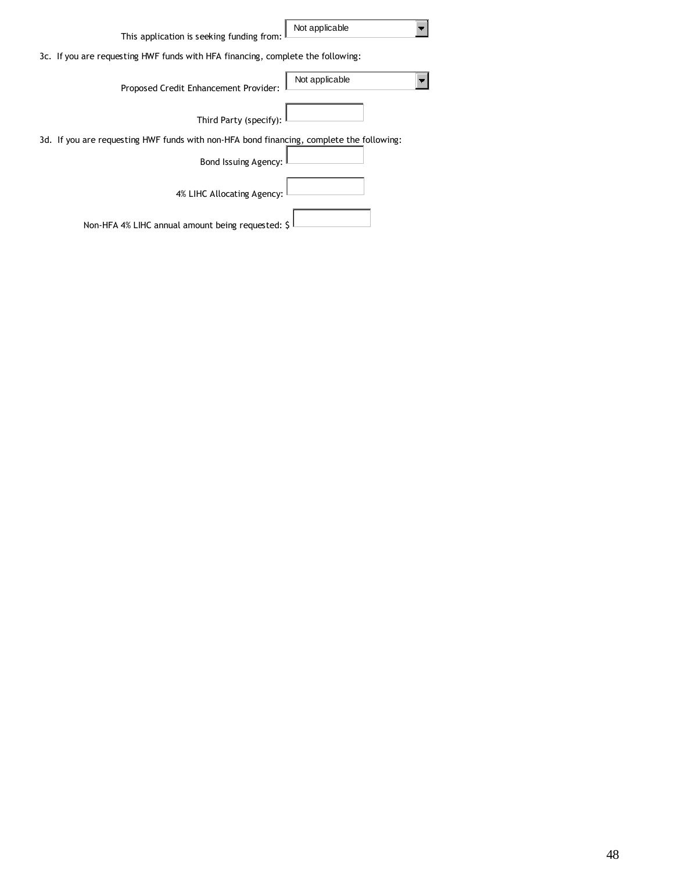| This application is seeking funding from:                                                | Not applicable |
|------------------------------------------------------------------------------------------|----------------|
| 3c. If you are requesting HWF funds with HFA financing, complete the following:          |                |
| Proposed Credit Enhancement Provider:                                                    | Not applicable |
| Third Party (specify):                                                                   |                |
| 3d. If you are requesting HWF funds with non-HFA bond financing, complete the following: |                |
| Bond Issuing Agency:                                                                     |                |
| 4% LIHC Allocating Agency:                                                               |                |
| Non-HFA 4% LIHC annual amount being requested: \$                                        |                |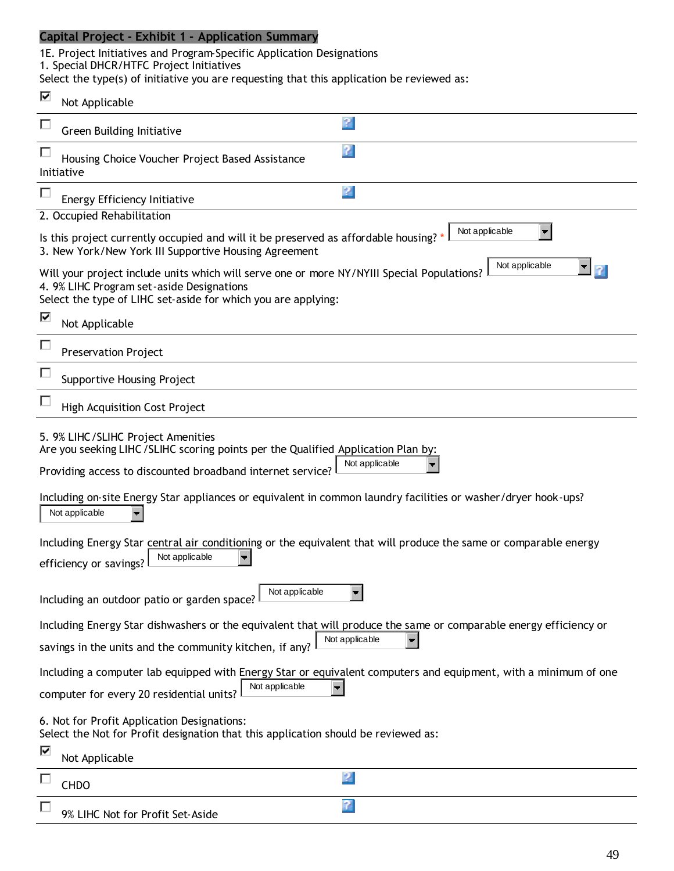1E. Project Initiatives and Program-Specific Application Designations 1. Special DHCR/HTFC Project Initiatives

Select the type(s) of initiative you are requesting that this application be reviewed as:

| ⊽ | Not Applicable                                                                                                                                                                                           |                                                                                                                 |
|---|----------------------------------------------------------------------------------------------------------------------------------------------------------------------------------------------------------|-----------------------------------------------------------------------------------------------------------------|
| П | <b>Green Building Initiative</b>                                                                                                                                                                         | P                                                                                                               |
|   | Housing Choice Voucher Project Based Assistance<br>Initiative                                                                                                                                            | v                                                                                                               |
|   | <b>Energy Efficiency Initiative</b>                                                                                                                                                                      | 2                                                                                                               |
|   | 2. Occupied Rehabilitation                                                                                                                                                                               |                                                                                                                 |
|   | Is this project currently occupied and will it be preserved as affordable housing?<br>3. New York/New York III Supportive Housing Agreement                                                              | Not applicable                                                                                                  |
|   | Will your project include units which will serve one or more NY/NYIII Special Populations?<br>4. 9% LIHC Program set-aside Designations<br>Select the type of LIHC set-aside for which you are applying: | Not applicable                                                                                                  |
| ⊽ | Not Applicable                                                                                                                                                                                           |                                                                                                                 |
| П | <b>Preservation Project</b>                                                                                                                                                                              |                                                                                                                 |
| П | <b>Supportive Housing Project</b>                                                                                                                                                                        |                                                                                                                 |
|   | <b>High Acquisition Cost Project</b>                                                                                                                                                                     |                                                                                                                 |
|   | 5. 9% LIHC/SLIHC Project Amenities<br>Are you seeking LIHC / SLIHC scoring points per the Qualified Application Plan by:<br>Providing access to discounted broadband internet service?                   | Not applicable                                                                                                  |
|   | Including on-site Energy Star appliances or equivalent in common laundry facilities or washer/dryer hook-ups?<br>Not applicable                                                                          |                                                                                                                 |
|   | Including Energy Star central air conditioning or the equivalent that will produce the same or comparable energy<br>Not applicable<br>efficiency or savings?                                             |                                                                                                                 |
|   | Not applicable<br>Including an outdoor patio or garden space?                                                                                                                                            |                                                                                                                 |
|   | Including Energy Star dishwashers or the equivalent that will produce the same or comparable energy efficiency or                                                                                        |                                                                                                                 |
|   | savings in the units and the community kitchen, if any?                                                                                                                                                  | Not applicable                                                                                                  |
|   | Not applicable                                                                                                                                                                                           | Including a computer lab equipped with Energy Star or equivalent computers and equipment, with a minimum of one |
|   | computer for every 20 residential units?                                                                                                                                                                 |                                                                                                                 |
|   | 6. Not for Profit Application Designations:<br>Select the Not for Profit designation that this application should be reviewed as:                                                                        |                                                                                                                 |
| ⊽ | Not Applicable                                                                                                                                                                                           |                                                                                                                 |
|   | <b>CHDO</b>                                                                                                                                                                                              | 2                                                                                                               |
| П | 9% LIHC Not for Profit Set-Aside                                                                                                                                                                         | 7                                                                                                               |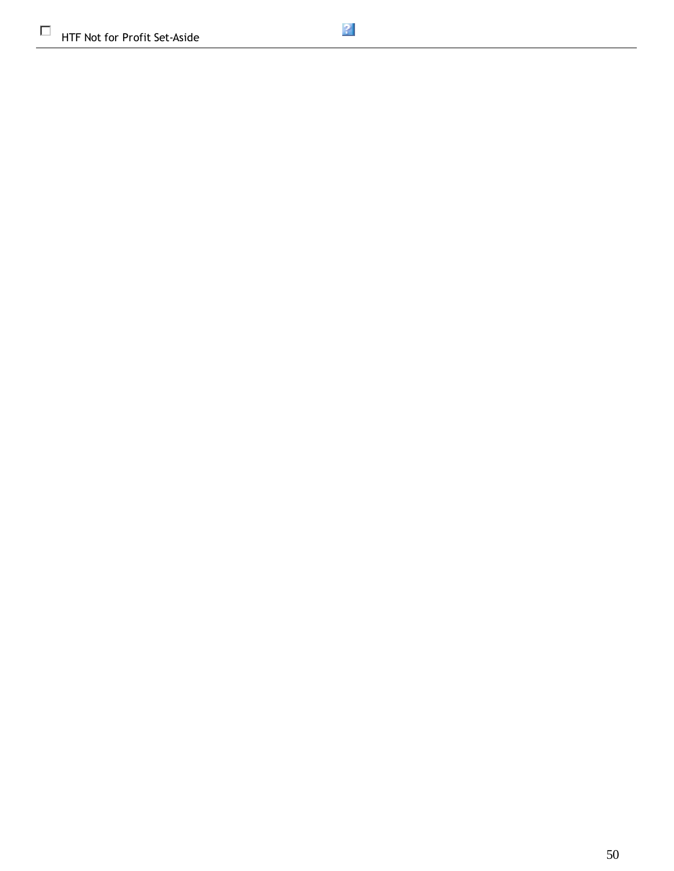$\Box$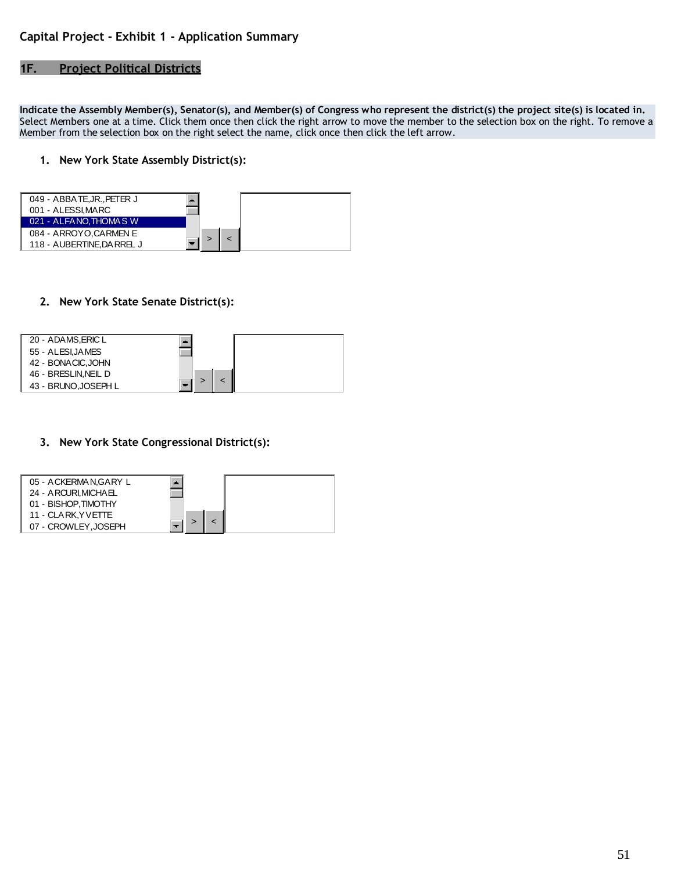#### **1F. Project Political Districts**

**Indicate the Assembly Member(s), Senator(s), and Member(s) of Congress who represent the district(s) the project site(s) is located in.** Select Members one at a time. Click them once then click the right arrow to move the member to the selection box on the right. To remove a Member from the selection box on the right select the name, click once then click the left arrow.

#### **1. New York State Assembly District(s):**



#### **2. New York State Senate District(s):**



#### **3. New York State Congressional District(s):**

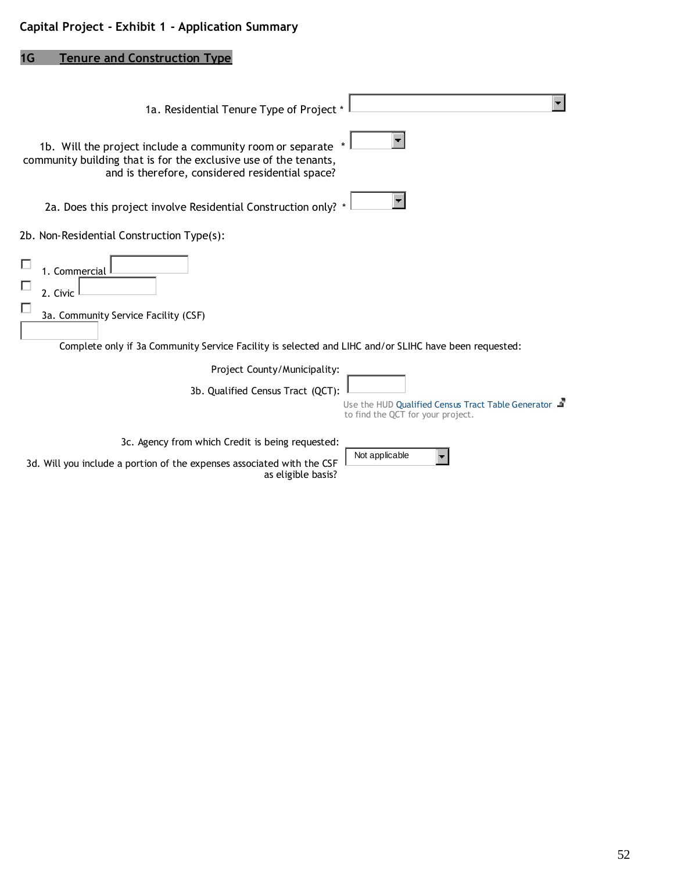# **1G Tenure and Construction Type**

| 1a. Residential Tenure Type of Project *                                                                                                                                         |
|----------------------------------------------------------------------------------------------------------------------------------------------------------------------------------|
| 1b. Will the project include a community room or separate<br>community building that is for the exclusive use of the tenants,<br>and is therefore, considered residential space? |
| 2a. Does this project involve Residential Construction only?                                                                                                                     |
| 2b. Non-Residential Construction Type(s):                                                                                                                                        |
| 1. Commercial<br>2. Civic<br>3a. Community Service Facility (CSF)<br>Complete only if 3a Community Service Facility is selected and LIHC and/or SLIHC have been requested:       |
| Project County/Municipality:                                                                                                                                                     |
| 3b. Qualified Census Tract (QCT):<br>Use the HUD Qualified Census Tract Table Generator<br>to find the QCT for your project.                                                     |
| 3c. Agency from which Credit is being requested:                                                                                                                                 |
| Not applicable<br>3d. Will you include a portion of the expenses associated with the CSF<br>as eligible basis?                                                                   |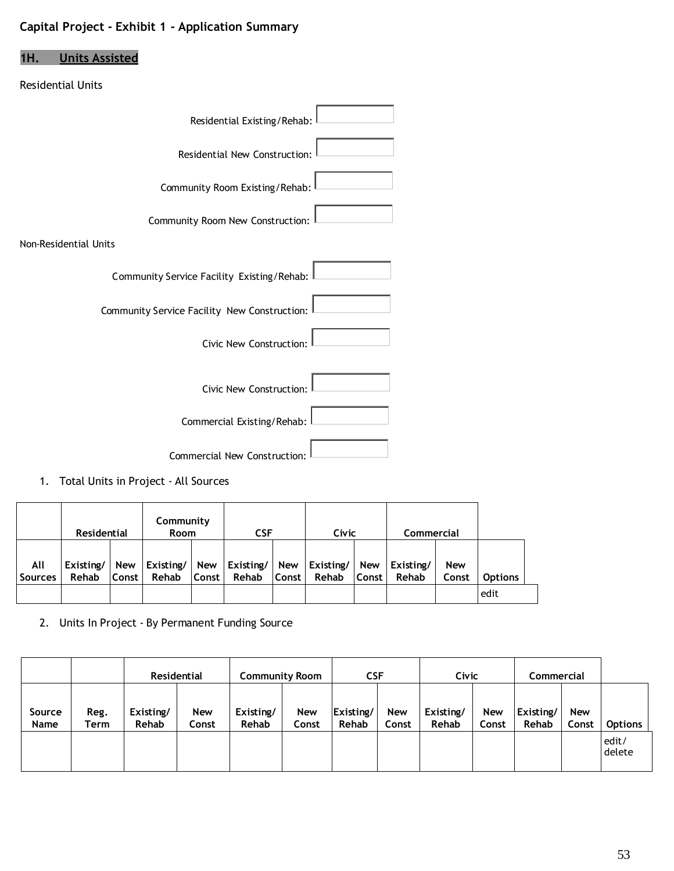# **1H. Units Assisted**

#### Residential Units

| Residential Existing/Rehab:                  |
|----------------------------------------------|
| Residential New Construction:                |
| Community Room Existing/Rehab:               |
| Community Room New Construction:             |
| Non-Residential Units                        |
| Community Service Facility Existing/Rehab:   |
| Community Service Facility New Construction: |
| Civic New Construction:                      |
| Civic New Construction:                      |
| Commercial Existing/Rehab:                   |
| Commercial New Construction:                 |

1. Total Units in Project - All Sources

|                       | Residential        |              | Community<br><b>Room</b> |                     | <b>CSF</b>                 |              | Civic              |                     | Commercial         |                     |                |
|-----------------------|--------------------|--------------|--------------------------|---------------------|----------------------------|--------------|--------------------|---------------------|--------------------|---------------------|----------------|
| All<br><b>Sources</b> | Existing/<br>Rehab | New<br>Const | Existing/<br>Rehab       | New<br><b>Const</b> | Existing/ $\vert$<br>Rehab | New<br>Const | Existing/<br>Rehab | New<br><b>Const</b> | Existing/<br>Rehab | <b>New</b><br>Const | <b>Options</b> |
|                       |                    |              |                          |                     |                            |              |                    |                     |                    |                     | edit           |

2. Units In Project - By Permanent Funding Source

|                |              |                    | <b>Residential</b>  | <b>Community Room</b> |                     |                    | <b>CSF</b><br>Civic |                    | Commercial          |                    |                     |                 |
|----------------|--------------|--------------------|---------------------|-----------------------|---------------------|--------------------|---------------------|--------------------|---------------------|--------------------|---------------------|-----------------|
| Source<br>Name | Reg.<br>Term | Existing/<br>Rehab | <b>New</b><br>Const | Existing/<br>Rehab    | <b>New</b><br>Const | Existing/<br>Rehab | <b>New</b><br>Const | Existing/<br>Rehab | <b>New</b><br>Const | Existing/<br>Rehab | <b>New</b><br>Const | <b>Options</b>  |
|                |              |                    |                     |                       |                     |                    |                     |                    |                     |                    |                     | edit/<br>delete |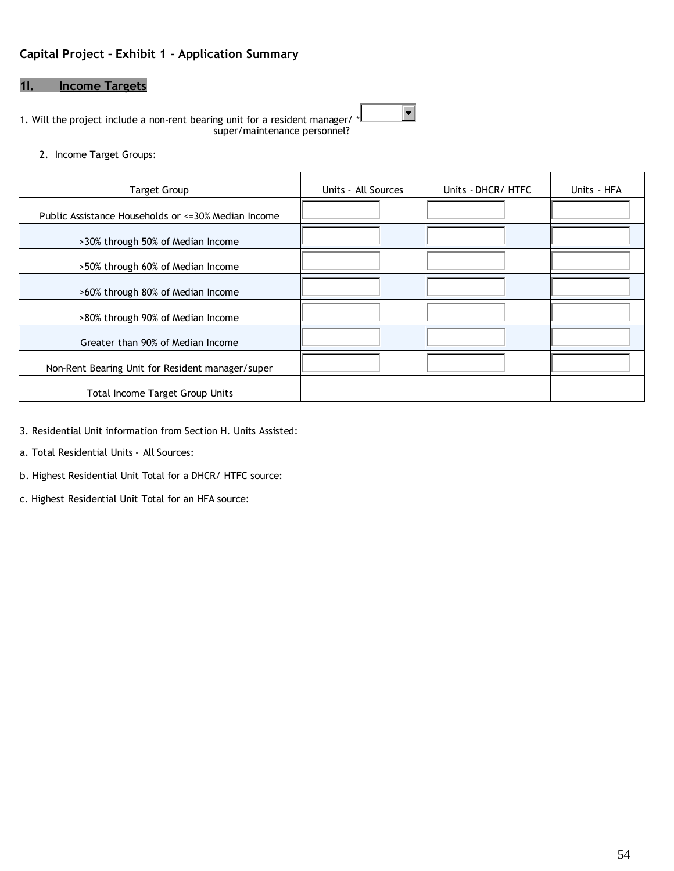#### **1I. Income Targets**

1. Will the project include a non-rent bearing unit for a resident manager/ \* super/maintenance personnel?

2. Income Target Groups:

| <b>Target Group</b>                                  | Units - All Sources | Units - DHCR/ HTFC | Units HFA |
|------------------------------------------------------|---------------------|--------------------|-----------|
| Public Assistance Households or <= 30% Median Income |                     |                    |           |
| >30% through 50% of Median Income                    |                     |                    |           |
| >50% through 60% of Median Income                    |                     |                    |           |
| >60% through 80% of Median Income                    |                     |                    |           |
| >80% through 90% of Median Income                    |                     |                    |           |
| Greater than 90% of Median Income                    |                     |                    |           |
| Non-Rent Bearing Unit for Resident manager/super     |                     |                    |           |
| <b>Total Income Target Group Units</b>               |                     |                    |           |

 $\overline{\phantom{a}}$ 

- 3. Residential Unit information from Section H. Units Assisted:
- a. Total Residential Units All Sources:
- b. Highest Residential Unit Total for a DHCR/ HTFC source:
- c. Highest Residential Unit Total for an HFA source: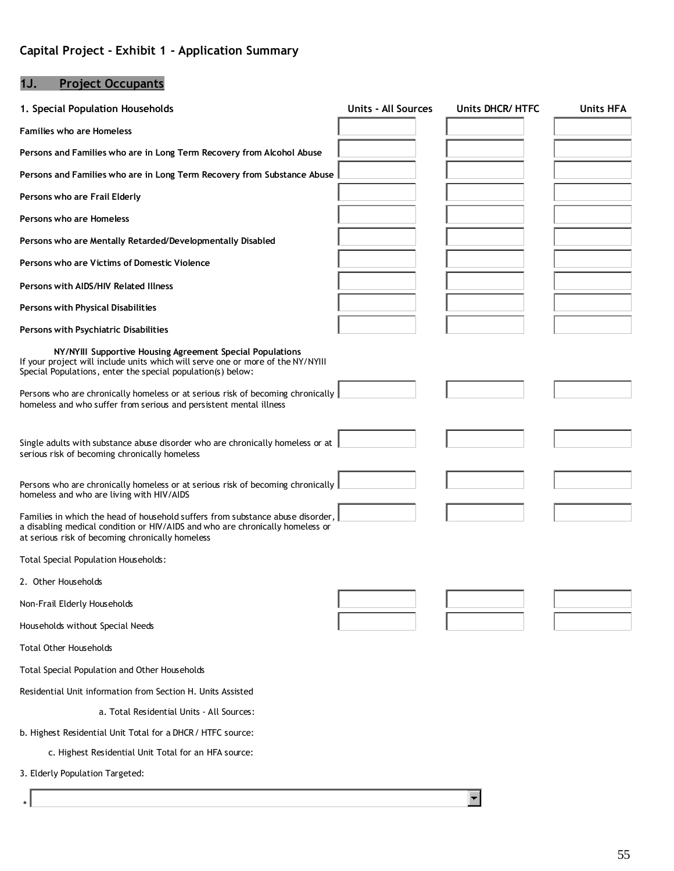# **1J. Project Occupants**

| 1. Special Population Households                                                                                                                                                                                    | <b>Units - All Sources</b> | Units DHCR/ HTFC | <b>Units HFA</b> |
|---------------------------------------------------------------------------------------------------------------------------------------------------------------------------------------------------------------------|----------------------------|------------------|------------------|
| <b>Families who are Homeless</b>                                                                                                                                                                                    |                            |                  |                  |
| Persons and Families who are in Long Term Recovery from Alcohol Abuse                                                                                                                                               |                            |                  |                  |
| Persons and Families who are in Long Term Recovery from Substance Abuse                                                                                                                                             |                            |                  |                  |
| Persons who are Frail Elderly                                                                                                                                                                                       |                            |                  |                  |
| Persons who are Homeless                                                                                                                                                                                            |                            |                  |                  |
| Persons who are Mentally Retarded/Developmentally Disabled                                                                                                                                                          |                            |                  |                  |
| Persons who are Victims of Domestic Violence                                                                                                                                                                        |                            |                  |                  |
| Persons with AIDS/HIV Related Illness                                                                                                                                                                               |                            |                  |                  |
| Persons with Physical Disabilities                                                                                                                                                                                  |                            |                  |                  |
| Persons with Psychiatric Disabilities                                                                                                                                                                               |                            |                  |                  |
| NY/NYIII Supportive Housing Agreement Special Populations<br>If your project will include units which will serve one or more of the NY/NYIII<br>Special Populations, enter the special population(s) below:         |                            |                  |                  |
| Persons who are chronically homeless or at serious risk of becoming chronically<br>homeless and who suffer from serious and persistent mental illness                                                               |                            |                  |                  |
| Single adults with substance abuse disorder who are chronically homeless or at<br>serious risk of becoming chronically homeless                                                                                     |                            |                  |                  |
| Persons who are chronically homeless or at serious risk of becoming chronically<br>homeless and who are living with HIV/AIDS                                                                                        |                            |                  |                  |
| Families in which the head of household suffers from substance abuse disorder,<br>a disabling medical condition or HIV/AIDS and who are chronically homeless or<br>at serious risk of becoming chronically homeless |                            |                  |                  |
| Total Special Population Households:                                                                                                                                                                                |                            |                  |                  |
| 2. Other Households                                                                                                                                                                                                 |                            |                  |                  |
| Non-Frail Elderly Households                                                                                                                                                                                        |                            |                  |                  |
| Households without Special Needs                                                                                                                                                                                    |                            |                  |                  |
| <b>Total Other Households</b>                                                                                                                                                                                       |                            |                  |                  |
| Total Special Population and Other Households                                                                                                                                                                       |                            |                  |                  |
| Residential Unit information from Section H. Units Assisted                                                                                                                                                         |                            |                  |                  |
| a. Total Residential Units - All Sources:                                                                                                                                                                           |                            |                  |                  |
| b. Highest Residential Unit Total for a DHCR / HTFC source:                                                                                                                                                         |                            |                  |                  |
| c. Highest Residential Unit Total for an HFA source:                                                                                                                                                                |                            |                  |                  |
| 3. Elderly Population Targeted:                                                                                                                                                                                     |                            |                  |                  |
|                                                                                                                                                                                                                     |                            |                  |                  |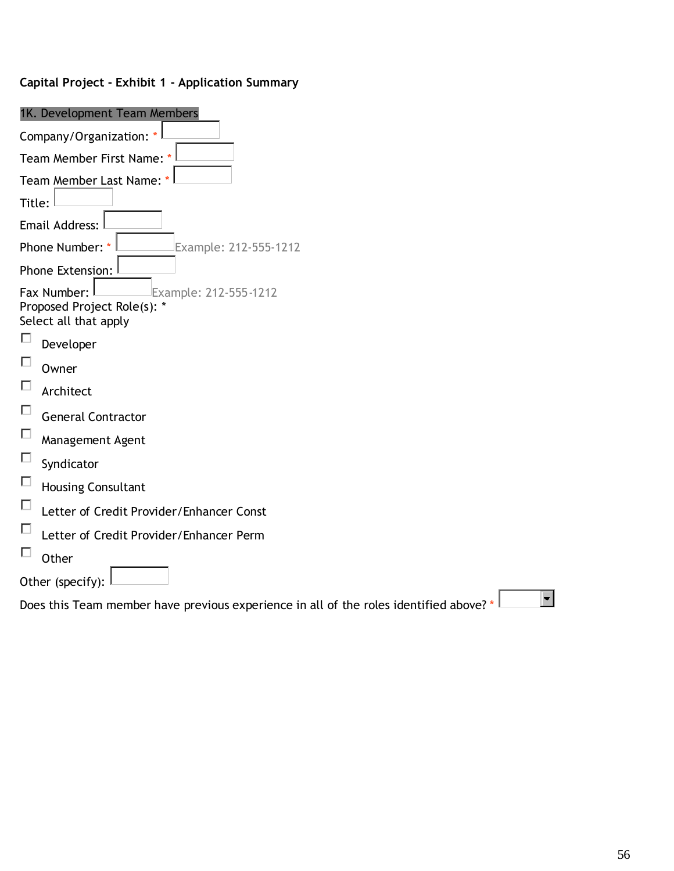| 1K. Development Team Members                                                           |
|----------------------------------------------------------------------------------------|
| Company/Organization: *                                                                |
| Team Member First Name: *                                                              |
| Team Member Last Name: *                                                               |
| Title:                                                                                 |
| Email Address:                                                                         |
| Phone Number: *<br>Example: 212-555-1212                                               |
| Phone Extension:                                                                       |
| Fax Number:<br>Example: 212-555-1212                                                   |
| Proposed Project Role(s): *<br>Select all that apply                                   |
| Developer                                                                              |
| Owner                                                                                  |
| Г<br>Architect                                                                         |
| П<br><b>General Contractor</b>                                                         |
| □<br>Management Agent                                                                  |
| □<br>Syndicator                                                                        |
| П<br><b>Housing Consultant</b>                                                         |
| П<br>Letter of Credit Provider/Enhancer Const                                          |
| Е<br>Letter of Credit Provider/Enhancer Perm                                           |
| Other                                                                                  |
| Other (specify):                                                                       |
| Does this Team member have previous experience in all of the roles identified above? * |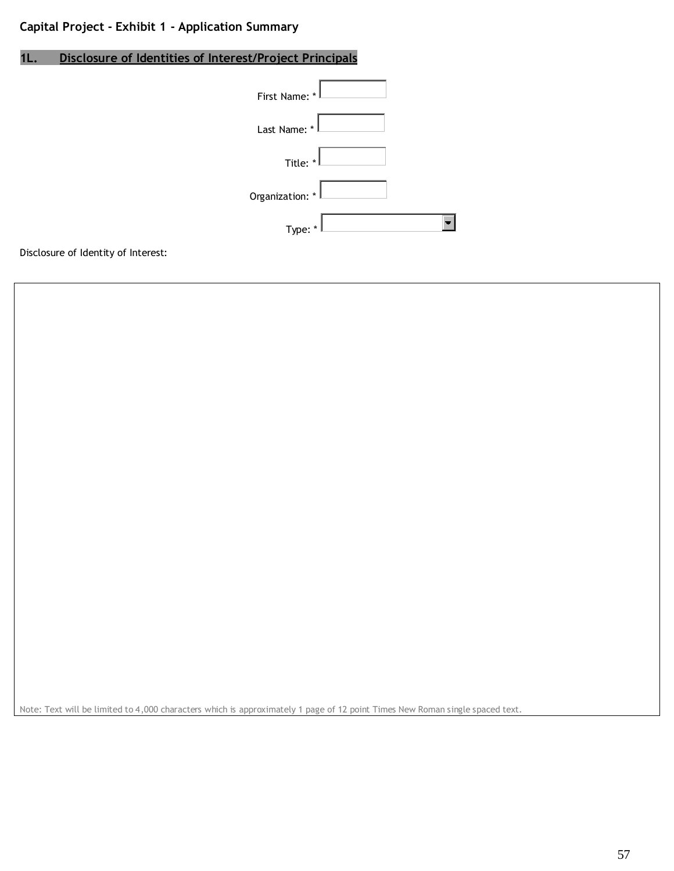# **1L. Disclosure of Identities of Interest/Project Principals**

| First Name: *   |  |
|-----------------|--|
| Last Name: *    |  |
| Title: *        |  |
| Organization: * |  |
| Type: *         |  |

Disclosure of Identity of Interest:

Note: Text will be limited to 4,000 characters which is approximately 1 page of 12 point Times New Roman single spaced text.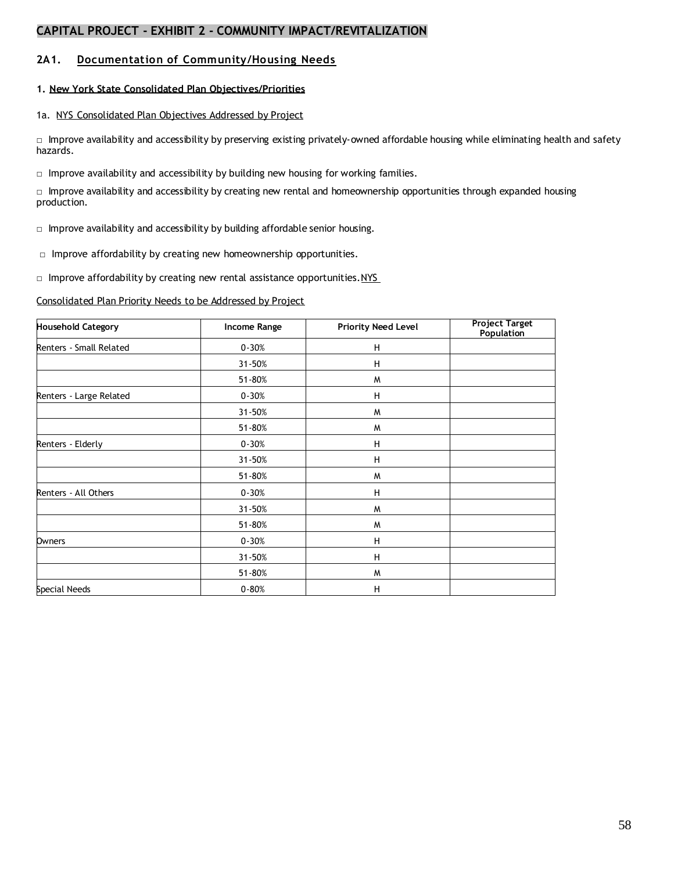#### **2A1. Documentation of Community/Housing Needs**

#### **1. New York State Consolidated Plan Objectives/Priorities**

#### 1a. NYS Consolidated Plan Objectives Addressed by Project

□ Improve availability and accessibility by preserving existing privately-owned affordable housing while eliminating health and safety hazards.

 $\Box$  Improve availability and accessibility by building new housing for working families.

□ Improve availability and accessibility by creating new rental and homeownership opportunities through expanded housing production.

 $\Box$  Improve availability and accessibility by building affordable senior housing.

□ Improve affordability by creating new homeownership opportunities.

□ Improve affordability by creating new rental assistance opportunities.NYS

Consolidated Plan Priority Needs to be Addressed by Project

| <b>Household Category</b> | Income Range | <b>Priority Need Level</b> | <b>Project Target</b><br><b>Population</b> |
|---------------------------|--------------|----------------------------|--------------------------------------------|
| Renters - Small Related   | $0 - 30%$    | н                          |                                            |
|                           | 31-50%       | н                          |                                            |
|                           | 51-80%       | W                          |                                            |
| Renters - Large Related   | $0 - 30%$    | Н                          |                                            |
|                           | 31-50%       | W                          |                                            |
|                           | 51-80%       | W                          |                                            |
| Renters - Elderly         | $0 - 30%$    | H                          |                                            |
|                           | 31-50%       | н                          |                                            |
|                           | 51-80%       | W                          |                                            |
| Renters - All Others      | $0 - 30%$    | H                          |                                            |
|                           | 31-50%       | W                          |                                            |
|                           | 51-80%       | W                          |                                            |
| Owners                    | $0 - 30%$    | н                          |                                            |
|                           | 31-50%       | н                          |                                            |
|                           | 51-80%       | W                          |                                            |
| Special Needs             | $0 - 80%$    | н                          |                                            |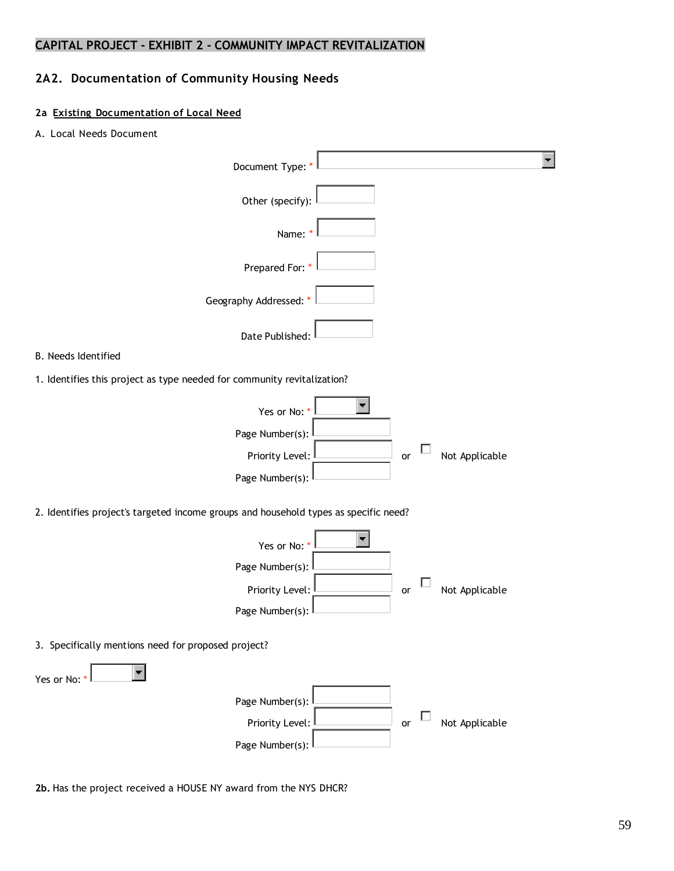# **2A2. Documentation of Community Housing Needs**

### **2a Existing Documentation of Local Need**

A. Local Needs Document

| Document Type:                                                                       |    | $\blacksquare$ |
|--------------------------------------------------------------------------------------|----|----------------|
| Other (specify):                                                                     |    |                |
| Name:                                                                                |    |                |
| Prepared For: *                                                                      |    |                |
| Geography Addressed:                                                                 |    |                |
| Date Published:                                                                      |    |                |
| B. Needs Identified                                                                  |    |                |
| 1. Identifies this project as type needed for community revitalization?              |    |                |
| Yes or No:                                                                           |    |                |
| Page Number(s):                                                                      |    |                |
| Priority Level:                                                                      | or | Not Applicable |
| Page Number(s):                                                                      |    |                |
| 2. Identifies project's targeted income groups and household types as specific need? |    |                |
| Yes or No:                                                                           |    |                |
| Page Number(s):                                                                      |    |                |
| Priority Level:                                                                      | or | Not Applicable |
| Page Number(s):                                                                      |    |                |
| 3. Specifically mentions need for proposed project?                                  |    |                |
| Yes or No: *                                                                         |    |                |
| Page Number(s):                                                                      |    |                |
| Priority Level:                                                                      | or | Not Applicable |
| Page Number(s):                                                                      |    |                |
|                                                                                      |    |                |

**2b.** Has the project received a HOUSE NY award from the NYS DHCR?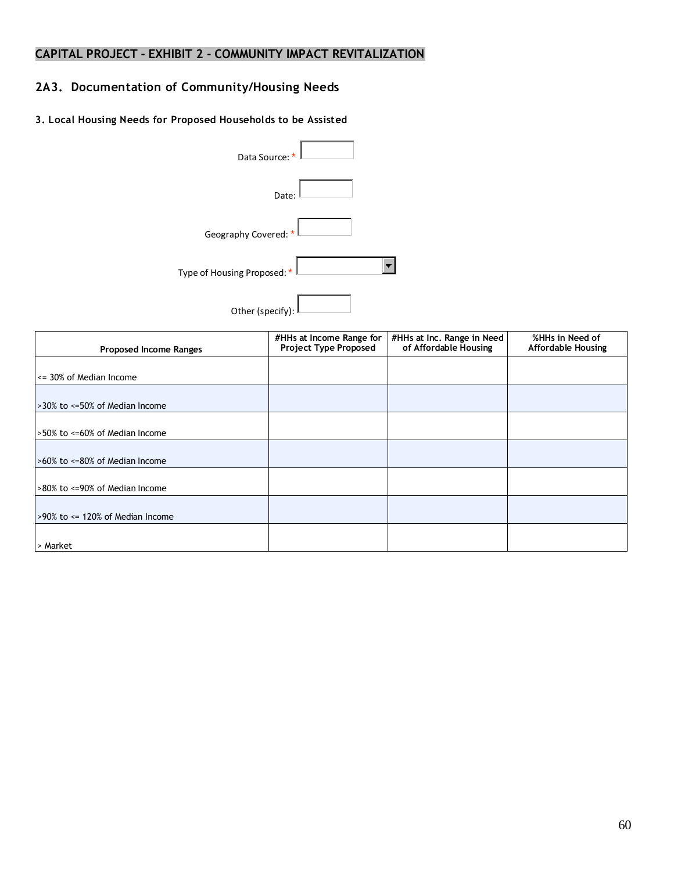# **2A3. Documentation of Community/Housing Needs**

#### **3. Local Housing Needs for Proposed Households to be Assisted**

| Data Source: *              |  |
|-----------------------------|--|
| Date:                       |  |
| Geography Covered: *        |  |
| Type of Housing Proposed: * |  |
| Other (specify):            |  |

| <b>Proposed Income Ranges</b>           | #HHs at Income Range for<br>Project Type Proposed | #HHs at Inc. Range in Need<br>of Affordable Housing | %HHs in Need of<br><b>Affordable Housing</b> |
|-----------------------------------------|---------------------------------------------------|-----------------------------------------------------|----------------------------------------------|
|                                         |                                                   |                                                     |                                              |
| $\leq$ 30% of Median Income             |                                                   |                                                     |                                              |
|                                         |                                                   |                                                     |                                              |
| >30% to <=50% of Median Income          |                                                   |                                                     |                                              |
|                                         |                                                   |                                                     |                                              |
| >50% to <=60% of Median Income          |                                                   |                                                     |                                              |
|                                         |                                                   |                                                     |                                              |
| >60% to <=80% of Median Income          |                                                   |                                                     |                                              |
|                                         |                                                   |                                                     |                                              |
| >80% to <=90% of Median Income          |                                                   |                                                     |                                              |
|                                         |                                                   |                                                     |                                              |
| $>90\%$ to $\leq$ 120% of Median Income |                                                   |                                                     |                                              |
|                                         |                                                   |                                                     |                                              |
| > Market                                |                                                   |                                                     |                                              |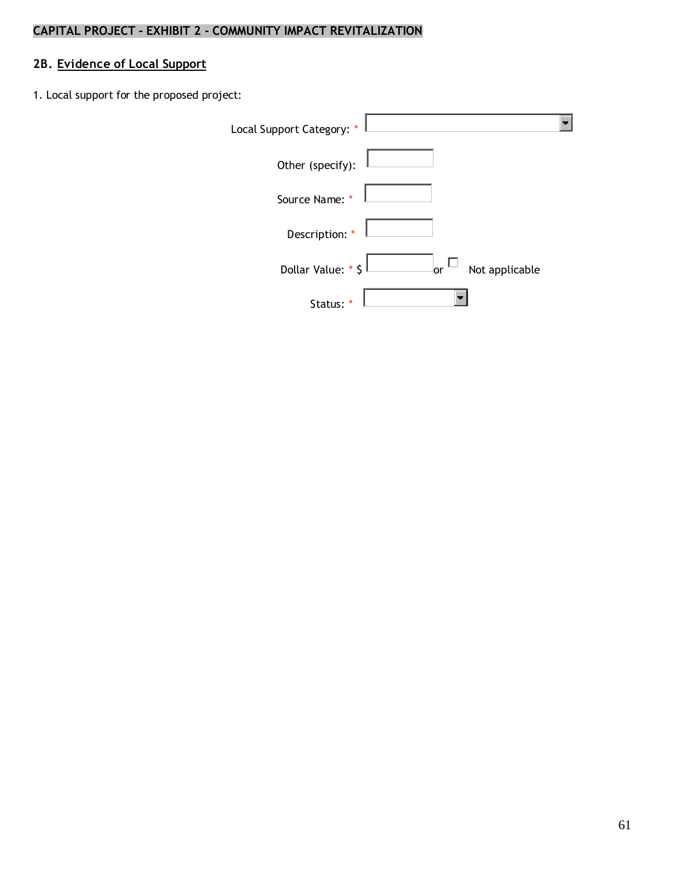# **2B. Evidence of Local Support**

1. Local support for the proposed project:

| Local Support Category: * |                      |
|---------------------------|----------------------|
| Other (specify):          |                      |
| Source Name: *            |                      |
| Description: *            |                      |
| Dollar Value: * \$        | Not applicable<br>or |
| Status:                   |                      |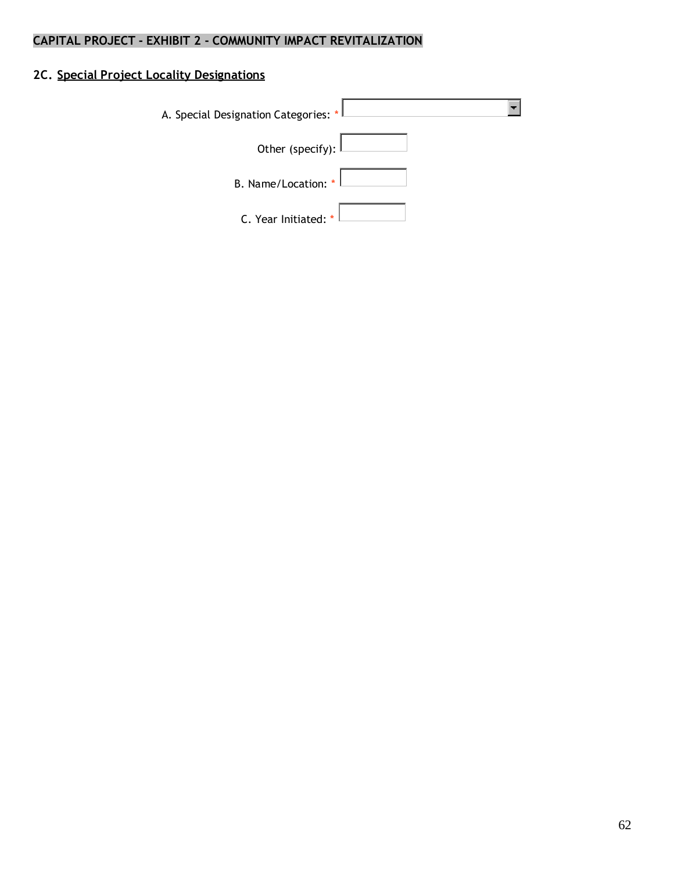# **2C. Special Project Locality Designations**

| A. Special Designation Categories: * |  |
|--------------------------------------|--|
|                                      |  |
| Other (specify): $\lfloor$           |  |
| B. Name/Location: $\vert$            |  |
| C. Year Initiated: $\frac{1}{k}$     |  |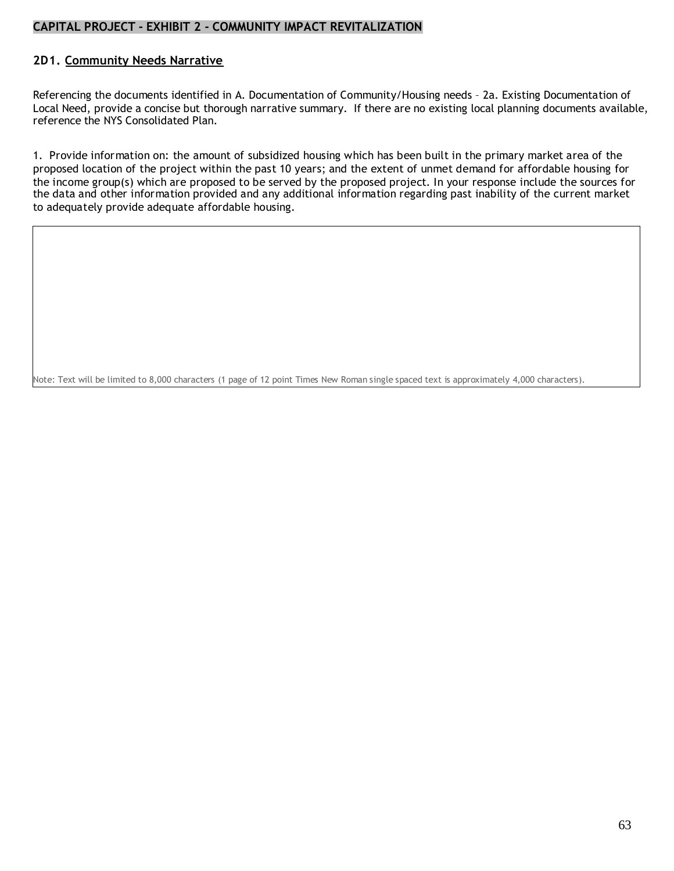#### **2D1. Community Needs Narrative**

Referencing the documents identified in A. Documentation of Community/Housing needs – 2a. Existing Documentation of Local Need, provide a concise but thorough narrative summary. If there are no existing local planning documents available, reference the NYS Consolidated Plan.

1. Provide information on: the amount of subsidized housing which has been built in the primary market area of the proposed location of the project within the past 10 years; and the extent of unmet demand for affordable housing for the income group(s) which are proposed to be served by the proposed project. In your response include the sources for the data and other information provided and any additional information regarding past inability of the current market to adequately provide adequate affordable housing.

Note: Text will be limited to 8,000 characters (1 page of 12 point Times New Roman single spaced text is approximately 4,000 characters).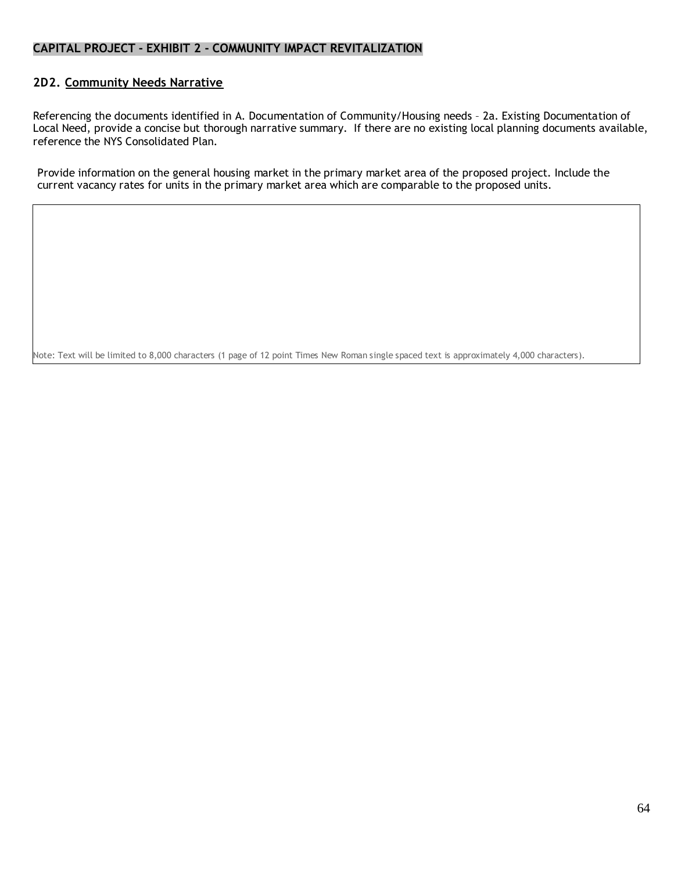#### **2D2. Community Needs Narrative**

Referencing the documents identified in A. Documentation of Community/Housing needs – 2a. Existing Documentation of Local Need, provide a concise but thorough narrative summary. If there are no existing local planning documents available, reference the NYS Consolidated Plan.

Provide information on the general housing market in the primary market area of the proposed project. Include the current vacancy rates for units in the primary market area which are comparable to the proposed units.

Note: Text will be limited to 8,000 characters (1 page of 12 point Times New Roman single spaced text is approximately 4,000 characters).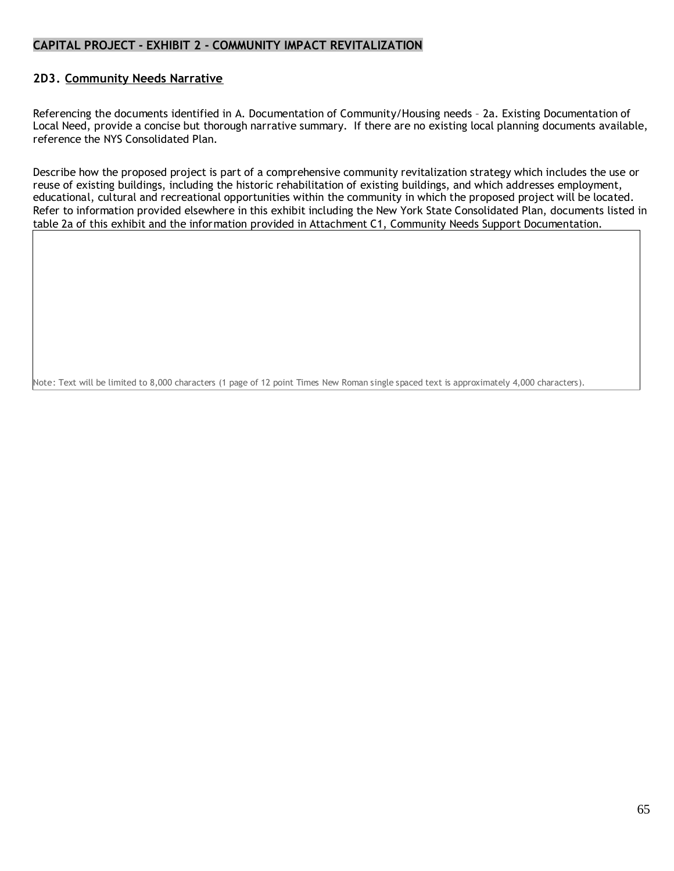#### **2D3. Community Needs Narrative**

Referencing the documents identified in A. Documentation of Community/Housing needs – 2a. Existing Documentation of Local Need, provide a concise but thorough narrative summary. If there are no existing local planning documents available, reference the NYS Consolidated Plan.

Describe how the proposed project is part of a comprehensive community revitalization strategy which includes the use or reuse of existing buildings, including the historic rehabilitation of existing buildings, and which addresses employment, educational, cultural and recreational opportunities within the community in which the proposed project will be located. Refer to information provided elsewhere in this exhibit including the New York State Consolidated Plan, documents listed in table 2a of this exhibit and the information provided in Attachment C1, Community Needs Support Documentation.

Note: Text will be limited to 8,000 characters (1 page of 12 point Times New Roman single spaced text is approximately 4,000 characters).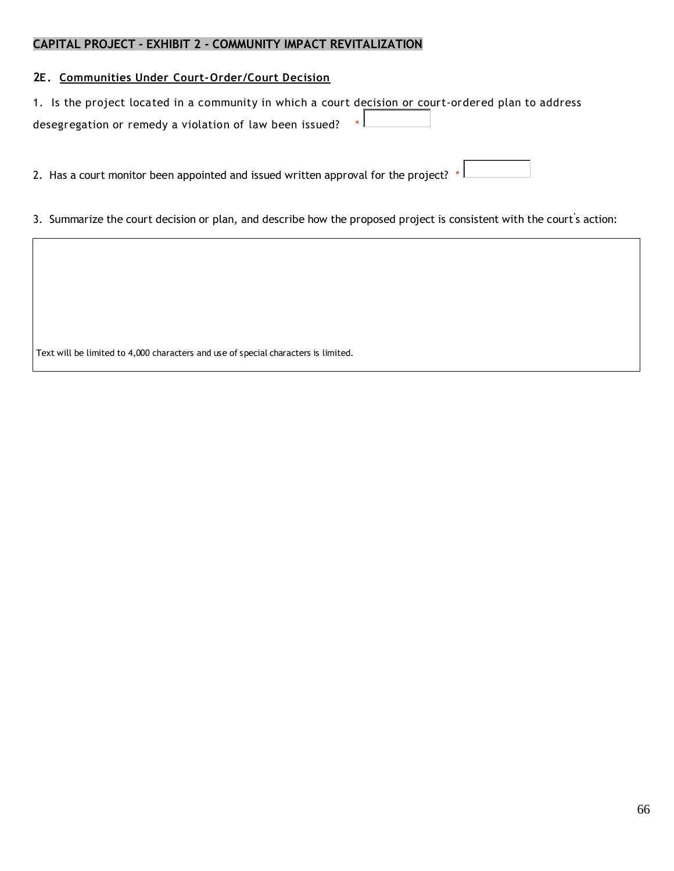#### **2E. Communities Under Court-Order/Court Decision**

| 1. Is the project located in a community in which a court decision or court-ordered plan to address |  |  |  |  |
|-----------------------------------------------------------------------------------------------------|--|--|--|--|
| desegregation or remedy a violation of law been issued? $*L$                                        |  |  |  |  |

2. Has a court monitor been appointed and issued written approval for the project? \*

3. Summarize the court decision or plan, and describe how the proposed project is consistent with the court' s action:

Text will be limited to 4,000 characters and use of special characters is limited.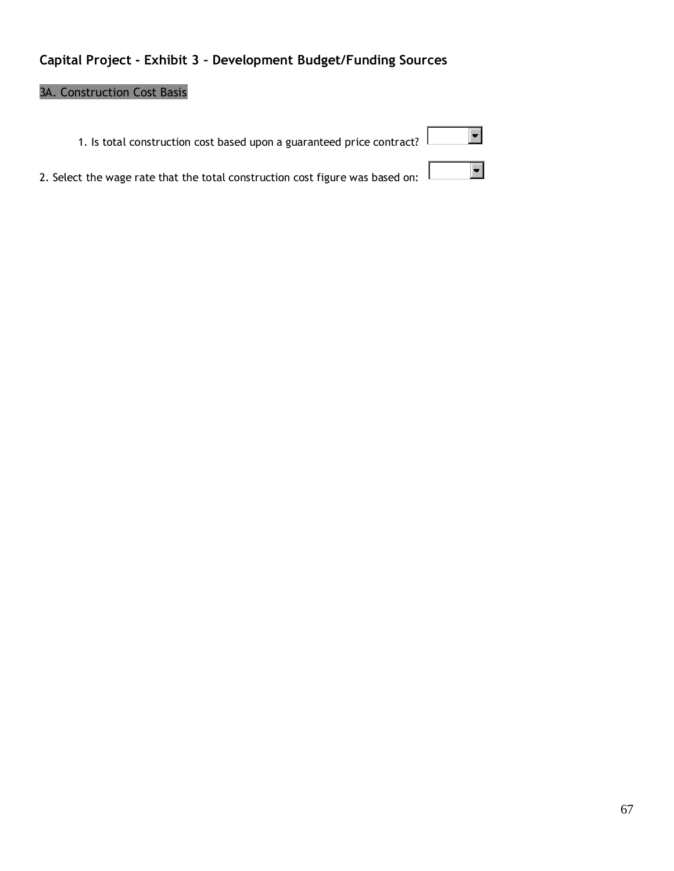# **Capital Project - Exhibit 3 – Development Budget/Funding Sources**

# 3A. Construction Cost Basis

| 1. Is total construction cost based upon a guaranteed price contract?                               |  |
|-----------------------------------------------------------------------------------------------------|--|
| $\frac{1}{2}$ and the wage rate that the total construction cost figure was based on: $\frac{1}{2}$ |  |

|  |  | 2. Select the wage rate that the total construction cost figure was based on: |
|--|--|-------------------------------------------------------------------------------|
|  |  |                                                                               |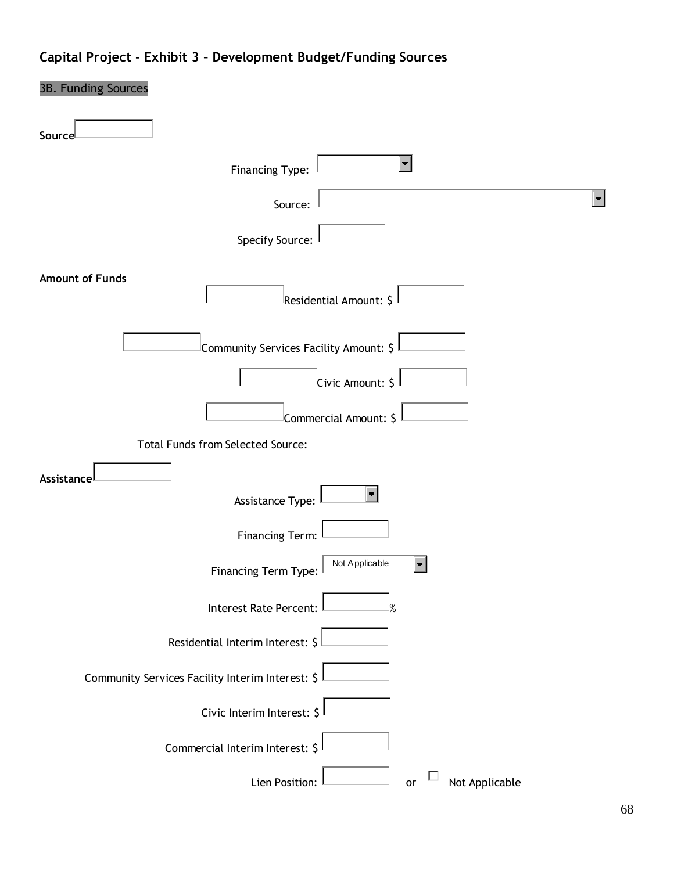# **Capital Project - Exhibit 3 – Development Budget/Funding Sources**

| 3B. Funding Sources                              |
|--------------------------------------------------|
| Source                                           |
| $\blacksquare$<br>Financing Type:                |
| Source:                                          |
| Specify Source:                                  |
| <b>Amount of Funds</b><br>Residential Amount: \$ |
| Community Services Facility Amount: \$           |
| Civic Amount: \$                                 |
| Commercial Amount: \$                            |
| Total Funds from Selected Source:                |
| Assistance<br>Assistance Type:                   |
| Financing Term:                                  |
| Not Applicable<br>Financing Term Type:           |
| <b>Interest Rate Percent:</b><br>%               |
| Residential Interim Interest: \$                 |
| Community Services Facility Interim Interest: \$ |
| Civic Interim Interest: \$                       |
| Commercial Interim Interest: \$                  |
| Not Applicable<br>Lien Position:<br>or           |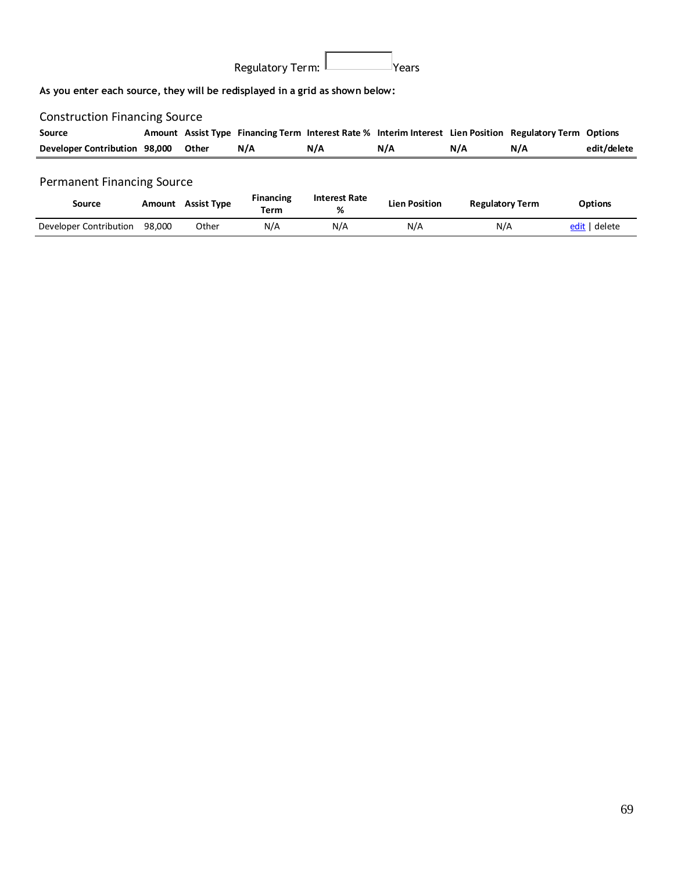| Regulatory Term: I | Years |
|--------------------|-------|

**As you enter each source, they will be redisplayed in a grid as shown below:**

# Construction Financing Source

| Source                        |       |     |     |     |     | Amount Assist Type Financing Term Interest Rate % Interim Interest Lien Position Regulatory Term Options |             |
|-------------------------------|-------|-----|-----|-----|-----|----------------------------------------------------------------------------------------------------------|-------------|
| Developer Contribution 98,000 | Other | N/A | N/A | N/A | N/A | N/A                                                                                                      | edit/delete |

## Permanent Financing Source

| Source                 | Amount | <b>Assist Type</b> | <b>Financing</b><br><b>Term</b> | <b>Interest Rate</b><br>% | <b>Lien Position</b> | <b>Regulatory Term</b> | <b>Options</b> |
|------------------------|--------|--------------------|---------------------------------|---------------------------|----------------------|------------------------|----------------|
| Developer Contribution | 98.000 | Other              | N/A                             | N/A                       | N/A                  | N/A                    | edit   delete  |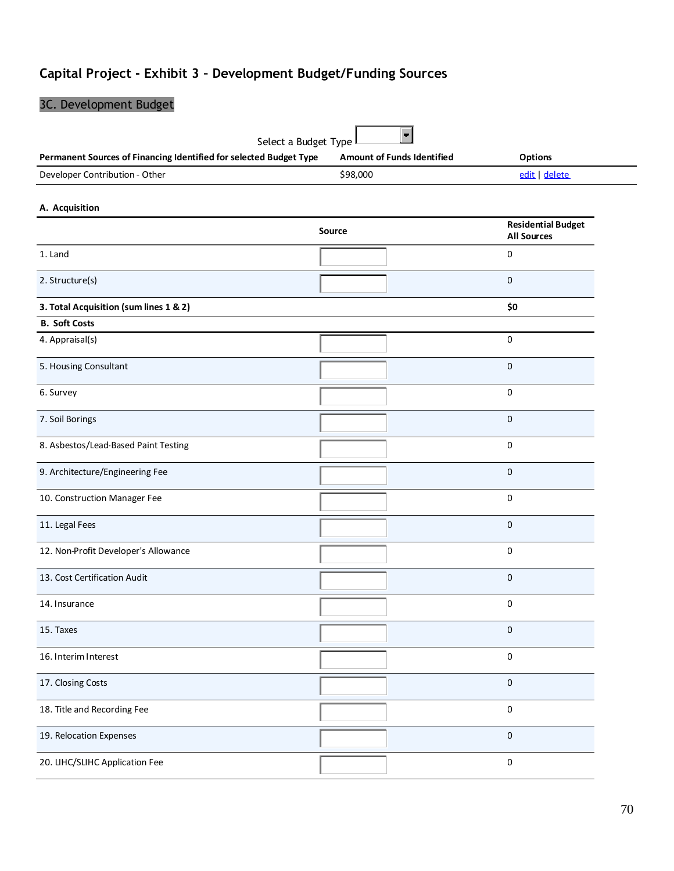# **Capital Project - Exhibit 3 – Development Budget/Funding Sources**

| 3C. Development Budget                                                                     |                                   |                           |  |  |  |
|--------------------------------------------------------------------------------------------|-----------------------------------|---------------------------|--|--|--|
|                                                                                            |                                   |                           |  |  |  |
| Select a Budget Type<br>Permanent Sources of Financing Identified for selected Budget Type | <b>Amount of Funds Identified</b> | <b>Options</b>            |  |  |  |
| Developer Contribution - Other                                                             | \$98,000                          | edit   delete             |  |  |  |
|                                                                                            |                                   |                           |  |  |  |
| A. Acquisition                                                                             |                                   | <b>Residential Budget</b> |  |  |  |
|                                                                                            | <b>Source</b>                     | <b>All Sources</b>        |  |  |  |
| 1. Land                                                                                    |                                   | 0                         |  |  |  |
| 2. Structure(s)                                                                            |                                   | 0                         |  |  |  |
| 3. Total Acquisition (sum lines 1 & 2)                                                     |                                   | \$0                       |  |  |  |
| <b>B. Soft Costs</b>                                                                       |                                   |                           |  |  |  |
| 4. Appraisal(s)                                                                            |                                   | 0                         |  |  |  |
| 5. Housing Consultant                                                                      |                                   | 0                         |  |  |  |
| 6. Survey                                                                                  |                                   | 0                         |  |  |  |
| 7. Soil Borings                                                                            |                                   | 0                         |  |  |  |
| 8. Asbestos/Lead-Based Paint Testing                                                       |                                   | 0                         |  |  |  |
| 9. Architecture/Engineering Fee                                                            |                                   | 0                         |  |  |  |
| 10. Construction Manager Fee                                                               |                                   | 0                         |  |  |  |
| 11. Legal Fees                                                                             |                                   | 0                         |  |  |  |
| 12. Non-Profit Developer's Allowance                                                       |                                   | 0                         |  |  |  |
| 13. Cost Certification Audit                                                               |                                   | 0                         |  |  |  |
| 14. Insurance                                                                              |                                   | 0                         |  |  |  |
| 15. Taxes                                                                                  |                                   | 0                         |  |  |  |
| 16. Interim Interest                                                                       |                                   | 0                         |  |  |  |
| 17. Closing Costs                                                                          |                                   | 0                         |  |  |  |
| 18. Title and Recording Fee                                                                |                                   | 0                         |  |  |  |
| 19. Relocation Expenses                                                                    |                                   | 0                         |  |  |  |
| 20. LIHC/SLIHC Application Fee                                                             |                                   | 0                         |  |  |  |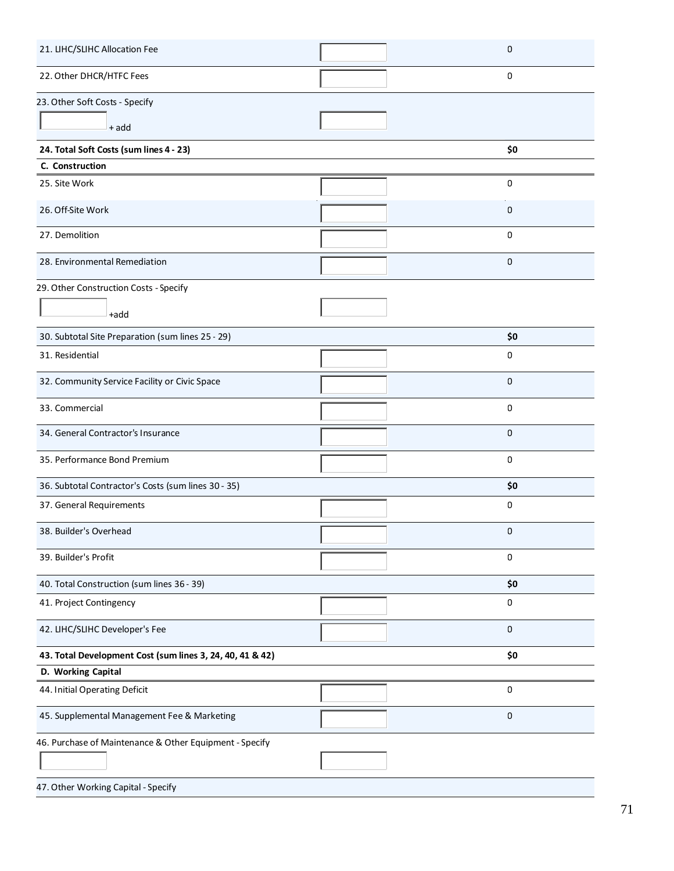| 21. LIHC/SLIHC Allocation Fee                             | 0           |
|-----------------------------------------------------------|-------------|
| 22. Other DHCR/HTFC Fees                                  | 0           |
| 23. Other Soft Costs - Specify                            |             |
| + add                                                     |             |
| 24. Total Soft Costs (sum lines 4 - 23)                   | \$0         |
| C. Construction                                           |             |
| 25. Site Work                                             | 0           |
| 26. Off-Site Work                                         | 0           |
| 27. Demolition                                            | 0           |
| 28. Environmental Remediation                             | 0           |
| 29. Other Construction Costs - Specify                    |             |
| +add                                                      |             |
| 30. Subtotal Site Preparation (sum lines 25 - 29)         | \$0         |
| 31. Residential                                           | 0           |
| 32. Community Service Facility or Civic Space             | 0           |
| 33. Commercial                                            | 0           |
| 34. General Contractor's Insurance                        | $\mathbf 0$ |
| 35. Performance Bond Premium                              | 0           |
| 36. Subtotal Contractor's Costs (sum lines 30 - 35)       | \$0         |
| 37. General Requirements                                  | 0           |
| 38. Builder's Overhead                                    | 0           |
| 39. Builder's Profit                                      | 0           |
| 40. Total Construction (sum lines 36 - 39)                | \$0         |
| 41. Project Contingency                                   | 0           |
| 42. LIHC/SLIHC Developer's Fee                            | 0           |
| 43. Total Development Cost (sum lines 3, 24, 40, 41 & 42) | \$0         |
| D. Working Capital                                        |             |
| 44. Initial Operating Deficit                             | 0           |
| 45. Supplemental Management Fee & Marketing               | 0           |
| 46. Purchase of Maintenance & Other Equipment - Specify   |             |
|                                                           |             |
| 47. Other Working Capital - Specify                       |             |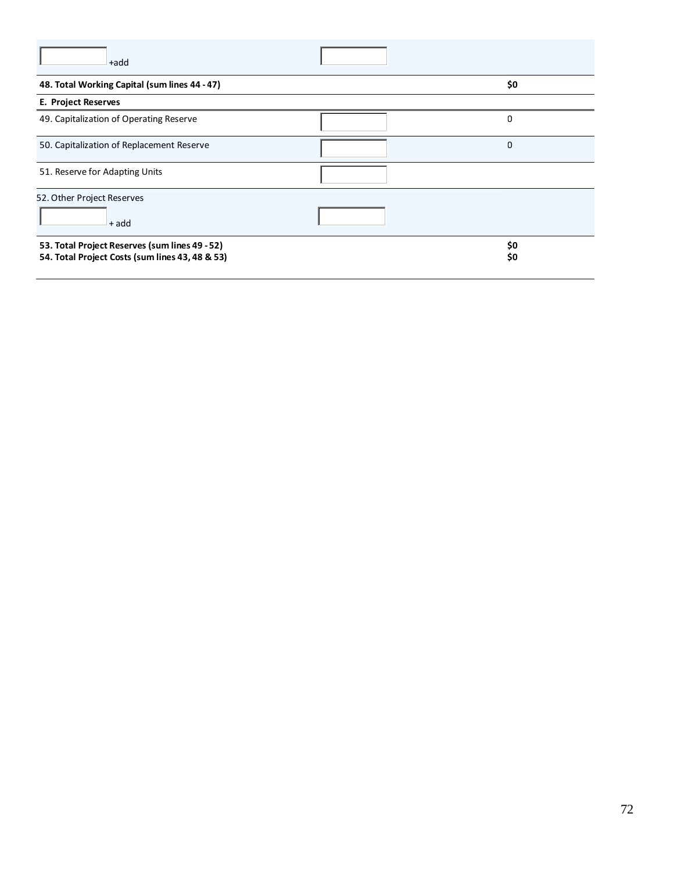| +add                                            |     |
|-------------------------------------------------|-----|
| 48. Total Working Capital (sum lines 44 - 47)   | \$0 |
| E. Project Reserves                             |     |
| 49. Capitalization of Operating Reserve         | 0   |
| 50. Capitalization of Replacement Reserve       | 0   |
| 51. Reserve for Adapting Units                  |     |
| 52. Other Project Reserves                      |     |
| + add                                           |     |
| 53. Total Project Reserves (sum lines 49 - 52)  | \$0 |
| 54. Total Project Costs (sum lines 43, 48 & 53) | \$0 |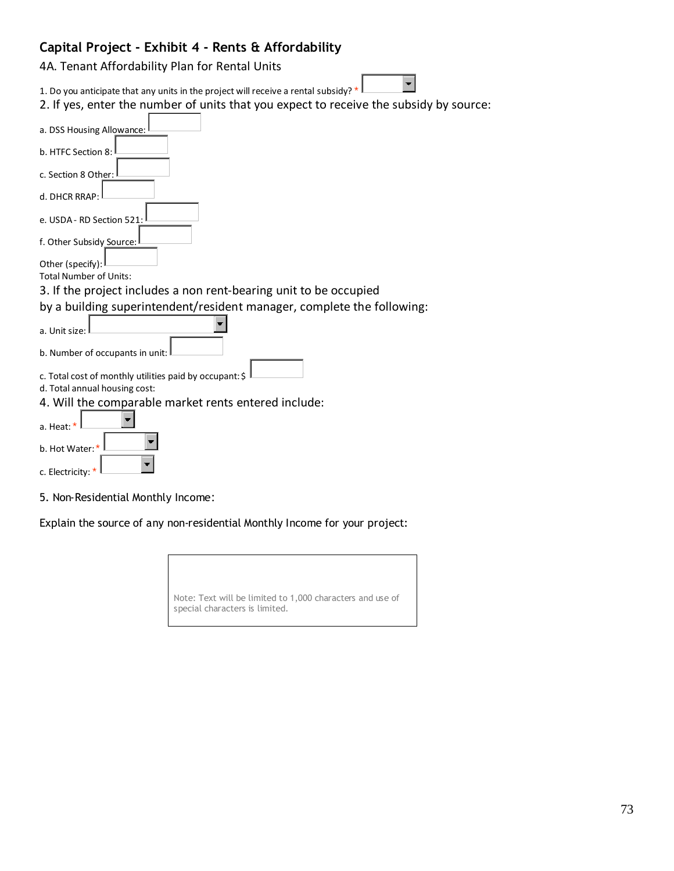## **Capital Project - Exhibit 4 - Rents & Affordability**

4A. Tenant Affordability Plan for Rental Units

1. Do you anticipate that any units in the project will receive a rental subsidy?  $*$ 

| 2. If yes, enter the number of units that you expect to receive the subsidy by source: |
|----------------------------------------------------------------------------------------|
| a. DSS Housing Allowance:                                                              |
| b. HTFC Section 8:                                                                     |
| c. Section 8 Other:                                                                    |
| d. DHCR RRAP:                                                                          |
| e. USDA - RD Section 521:                                                              |
| f. Other Subsidy Source:                                                               |
| Other (specify):                                                                       |
| <b>Total Number of Units:</b>                                                          |
| 3. If the project includes a non rent-bearing unit to be occupied                      |
| by a building superintendent/resident manager, complete the following:                 |
|                                                                                        |
| a. Unit size:                                                                          |
| b. Number of occupants in unit:                                                        |
|                                                                                        |
| c. Total cost of monthly utilities paid by occupant: \$                                |
| d. Total annual housing cost:                                                          |
| 4. Will the comparable market rents entered include:                                   |
| a. Heat: *                                                                             |
| b. Hot Water:                                                                          |
| $c$ Eloctricity: $*$                                                                   |

 $\blacksquare$ 

c. Electricity:  $*$ 

5. Non-Residential Monthly Income:

Explain the source of any non-residential Monthly Income for your project:

| Note: Text will be limited to 1,000 characters and use of<br>special characters is limited. |  |
|---------------------------------------------------------------------------------------------|--|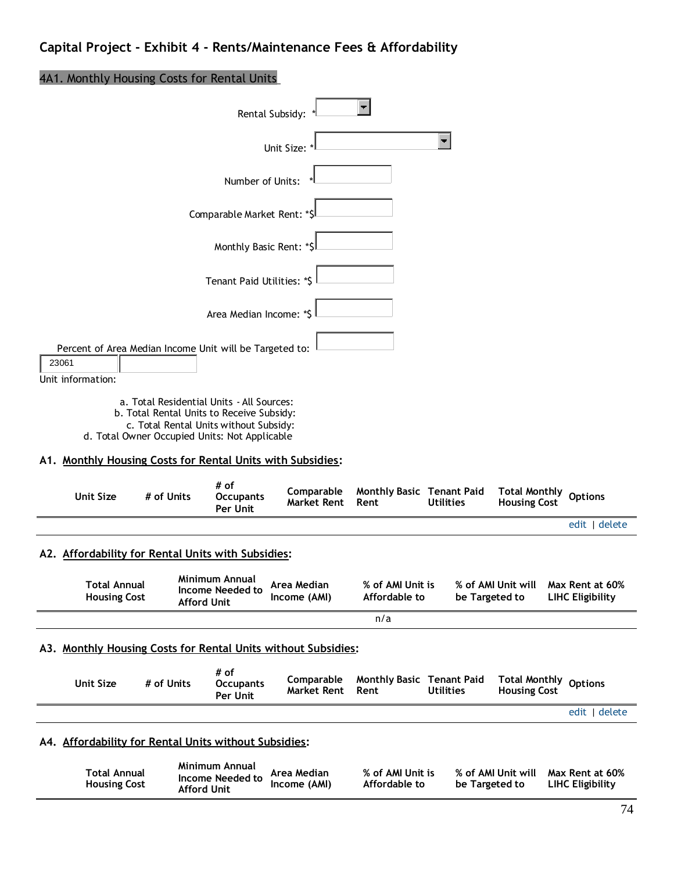### 4A1. Monthly Housing Costs for Rental Units

|                                                                                            | Rental Subsidy:                                                                     |                                  |                                   |                  |                                             |                                            |
|--------------------------------------------------------------------------------------------|-------------------------------------------------------------------------------------|----------------------------------|-----------------------------------|------------------|---------------------------------------------|--------------------------------------------|
|                                                                                            |                                                                                     | Unit Size:                       |                                   | $\blacksquare$   |                                             |                                            |
|                                                                                            | Number of Units:                                                                    |                                  |                                   |                  |                                             |                                            |
|                                                                                            | Comparable Market Rent: *\$                                                         |                                  |                                   |                  |                                             |                                            |
|                                                                                            | Monthly Basic Rent: *\$                                                             |                                  |                                   |                  |                                             |                                            |
|                                                                                            | Tenant Paid Utilities: *\$                                                          |                                  |                                   |                  |                                             |                                            |
|                                                                                            | Area Median Income: *\$                                                             |                                  |                                   |                  |                                             |                                            |
| Percent of Area Median Income Unit will be Targeted to:<br>23061<br>Unit information:      |                                                                                     |                                  |                                   |                  |                                             |                                            |
| b. Total Rental Units to Receive Subsidy:<br>d. Total Owner Occupied Units: Not Applicable | a. Total Residential Units - All Sources:<br>c. Total Rental Units without Subsidy: |                                  |                                   |                  |                                             |                                            |
| A1. Monthly Housing Costs for Rental Units with Subsidies:                                 |                                                                                     |                                  |                                   |                  |                                             |                                            |
| <b>Unit Size</b><br># of Units                                                             | # of<br><b>Occupants</b><br>Per Unit                                                | Comparable<br><b>Market Rent</b> | Monthly Basic Tenant Paid<br>Rent | <b>Utilities</b> | <b>Total Monthly</b><br><b>Housing Cost</b> | <b>Options</b>                             |
|                                                                                            |                                                                                     |                                  |                                   |                  |                                             | edit   delete                              |
| A2. Affordability for Rental Units with Subsidies:                                         |                                                                                     |                                  |                                   |                  |                                             |                                            |
| <b>Total Annual</b><br><b>Housing Cost</b>                                                 | Minimum Annual<br>Income Needed to<br><b>Afford Unit</b>                            | Area Median<br>Income (AMI)      | % of AMI Unit is<br>Affordable to | be Targeted to   | % of AMI Unit will                          | Max Rent at 60%<br><b>LIHC Eligibility</b> |
|                                                                                            |                                                                                     |                                  | n/a                               |                  |                                             |                                            |

#### **A3. Monthly Housing Costs for Rental Units without Subsidies:**

**Afford Unit**

**Housing Cost**

| Unit Size                                             | # of Units | # of<br><b>Occupants</b><br>Per Unit      | Comparable<br>Market Rent Rent           | <b>Monthly Basic Tenant Paid</b>    | <b>Utilities</b> | Total Monthly<br><b>Housing Cost</b> | <b>Options</b>                      |
|-------------------------------------------------------|------------|-------------------------------------------|------------------------------------------|-------------------------------------|------------------|--------------------------------------|-------------------------------------|
|                                                       |            |                                           |                                          |                                     |                  |                                      | edit   delete                       |
| A4. Affordability for Rental Units without Subsidies: |            |                                           |                                          |                                     |                  |                                      |                                     |
| <b>Total Annual</b><br>Houring Cost                   |            | <b>Minimum Annual</b><br>Income Needed to | Area Median<br>$l_{n \times n} \sim (M)$ | % of AMI Unit is<br>$Affardshla$ to | ho Tamotod to    | % of AMI Unit will                   | Max Rent at 60%<br>LIUC Eliaibility |

**Affordable to**

**be Targeted to**

**Income (AMI)**

**LIHC Eligibility**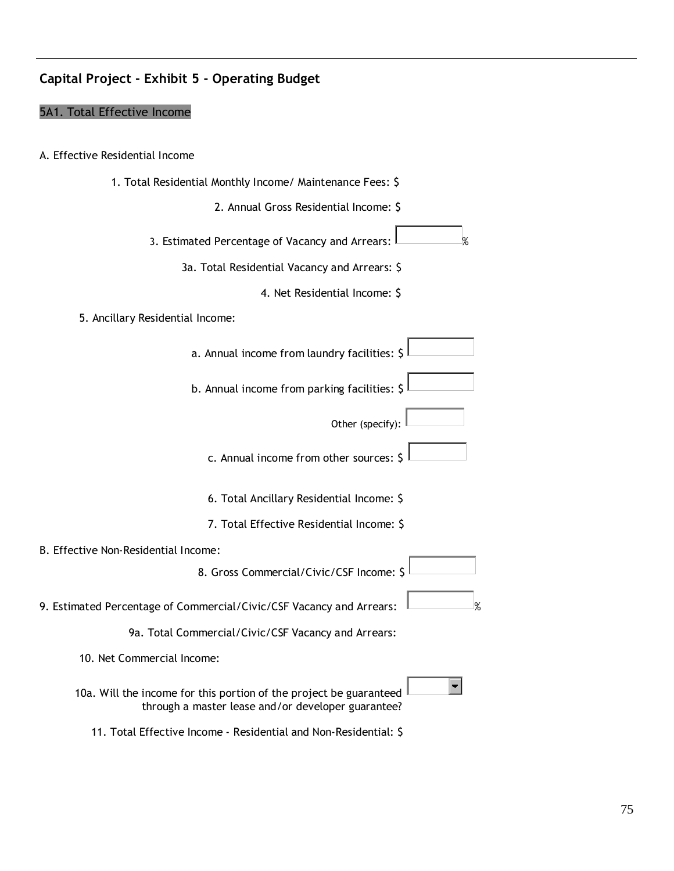### **Capital Project - Exhibit 5 - Operating Budget**

#### 5A1. Total Effective Income

- A. Effective Residential Income
- 1. Total Residential Monthly Income/ Maintenance Fees: \$ 2. Annual Gross Residential Income: \$ 3. Estimated Percentage of Vacancy and Arrears:  $\|$  \_\_\_\_\_\_\_\_\_\_\_% 3a. Total Residential Vacancy and Arrears: \$ 4. Net Residential Income: \$ 5. Ancillary Residential Income: a. Annual income from laundry facilities: \$ b. Annual income from parking facilities: \$ Other (specify): c. Annual income from other sources:  $\frac{1}{2}$ 6. Total Ancillary Residential Income: \$ 7. Total Effective Residential Income: \$ B. Effective Non-Residential Income: 8. Gross Commercial/Civic/CSF Income: \$ 9. Estimated Percentage of Commercial/Civic/CSF Vacancy and Arrears:  $\sim$  % 9a. Total Commercial/Civic/CSF Vacancy and Arrears: 10. Net Commercial Income:  $\blacksquare$ 10a. Will the income for this portion of the project be guaranteed  $\frac{1}{2}$ through a master lease and/or developer guarantee? 11. Total Effective Income - Residential and Non-Residential: \$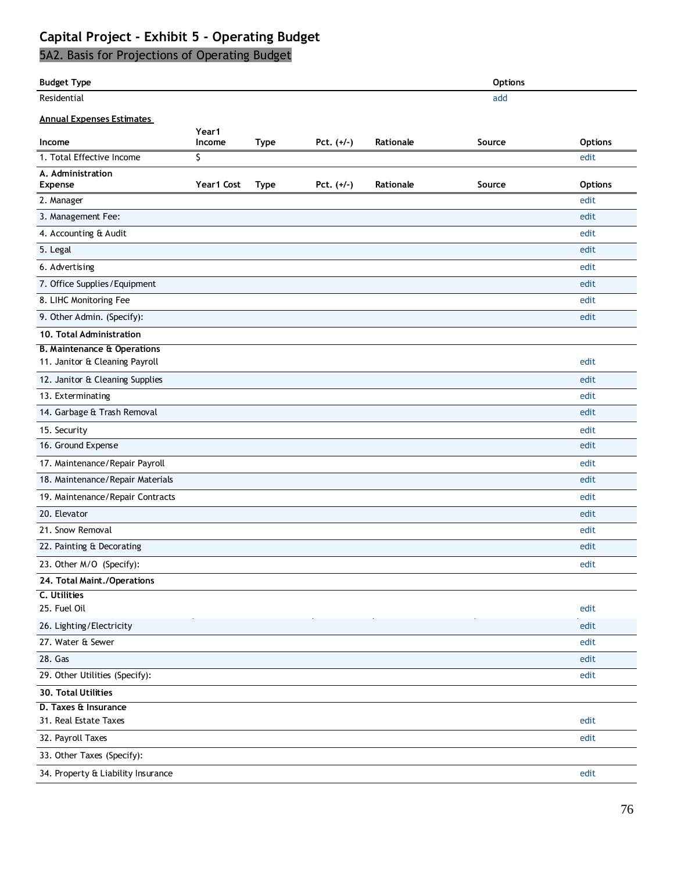# **Capital Project - Exhibit 5 - Operating Budget**

# 5A2. Basis for Projections of Operating Budget

| <b>Budget Type</b>                     |                 |             |              |           | <b>Options</b> |                |
|----------------------------------------|-----------------|-------------|--------------|-----------|----------------|----------------|
| Residential                            |                 |             |              |           | add            |                |
| <b>Annual Expenses Estimates</b>       |                 |             |              |           |                |                |
| Income                                 | Year1<br>Income | <b>Type</b> | Pct. $(+/-)$ | Rationale | Source         | <b>Options</b> |
| 1. Total Effective Income              | S.              |             |              |           |                | edit           |
| A. Administration                      |                 |             |              |           |                |                |
| <b>Expense</b>                         | Year1 Cost      | <b>Type</b> | Pct. $(+/-)$ | Rationale | Source         | <b>Options</b> |
| 2. Manager                             |                 |             |              |           |                | edit           |
| 3. Management Fee:                     |                 |             |              |           |                | edit           |
| 4. Accounting & Audit                  |                 |             |              |           |                | edit           |
| 5. Legal                               |                 |             |              |           |                | edit           |
| 6. Advertising                         |                 |             |              |           |                | edit           |
| 7. Office Supplies/Equipment           |                 |             |              |           |                | edit           |
| 8. LIHC Monitoring Fee                 |                 |             |              |           |                | edit           |
| 9. Other Admin. (Specify):             |                 |             |              |           |                | edit           |
| 10. Total Administration               |                 |             |              |           |                |                |
| <b>B. Maintenance &amp; Operations</b> |                 |             |              |           |                |                |
| 11. Janitor & Cleaning Payroll         |                 |             |              |           |                | edit           |
| 12. Janitor & Cleaning Supplies        |                 |             |              |           |                | edit           |
| 13. Exterminating                      |                 |             |              |           |                | edit           |
| 14. Garbage & Trash Removal            |                 |             |              |           |                | edit           |
| 15. Security                           |                 |             |              |           |                | edit           |
| 16. Ground Expense                     |                 |             |              |           |                | edit           |
| 17. Maintenance/Repair Payroll         |                 |             |              |           |                | edit           |
| 18. Maintenance/Repair Materials       |                 |             |              |           |                | edit           |
| 19. Maintenance/Repair Contracts       |                 |             |              |           |                | edit           |
| 20. Elevator                           |                 |             |              |           |                | edit           |
| 21. Snow Removal                       |                 |             |              |           |                | edit           |
| 22. Painting & Decorating              |                 |             |              |           |                | edit           |
| 23. Other M/O (Specify):               |                 |             |              |           |                | edit           |
| 24. Total Maint./Operations            |                 |             |              |           |                |                |
| C. Utilities                           |                 |             |              |           |                |                |
| 25. Fuel Oil                           |                 |             |              |           |                | edit           |
| 26. Lighting/Electricity               |                 |             |              |           |                | edit           |
| 27. Water & Sewer                      |                 |             |              |           |                | edit           |
| 28. Gas                                |                 |             |              |           |                | edit           |
| 29. Other Utilities (Specify):         |                 |             |              |           |                | edit           |
| 30. Total Utilities                    |                 |             |              |           |                |                |
| D. Taxes & Insurance                   |                 |             |              |           |                |                |
| 31. Real Estate Taxes                  |                 |             |              |           |                | edit           |
| 32. Payroll Taxes                      |                 |             |              |           |                | edit           |
| 33. Other Taxes (Specify):             |                 |             |              |           |                |                |
| 34. Property & Liability Insurance     |                 |             |              |           |                | edit           |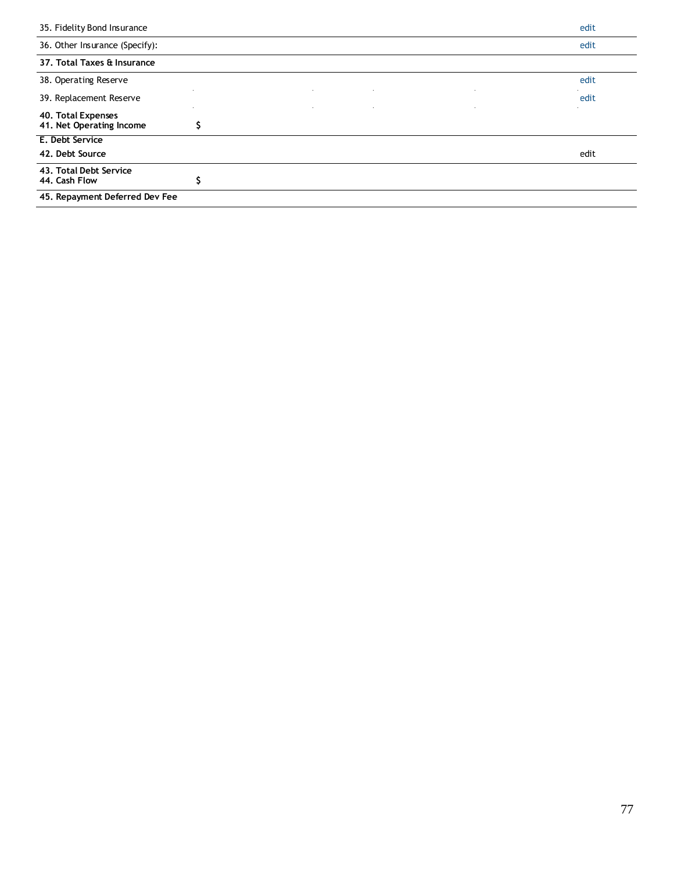| 35. Fidelity Bond Insurance                    | edit |
|------------------------------------------------|------|
| 36. Other Insurance (Specify):                 | edit |
| 37. Total Taxes & Insurance                    |      |
| 38. Operating Reserve                          | edit |
| 39. Replacement Reserve                        | edit |
| 40. Total Expenses<br>41. Net Operating Income |      |
| E. Debt Service                                |      |
| 42. Debt Source                                | edit |
| 43. Total Debt Service<br>44. Cash Flow        |      |
| 45. Repayment Deferred Dev Fee                 |      |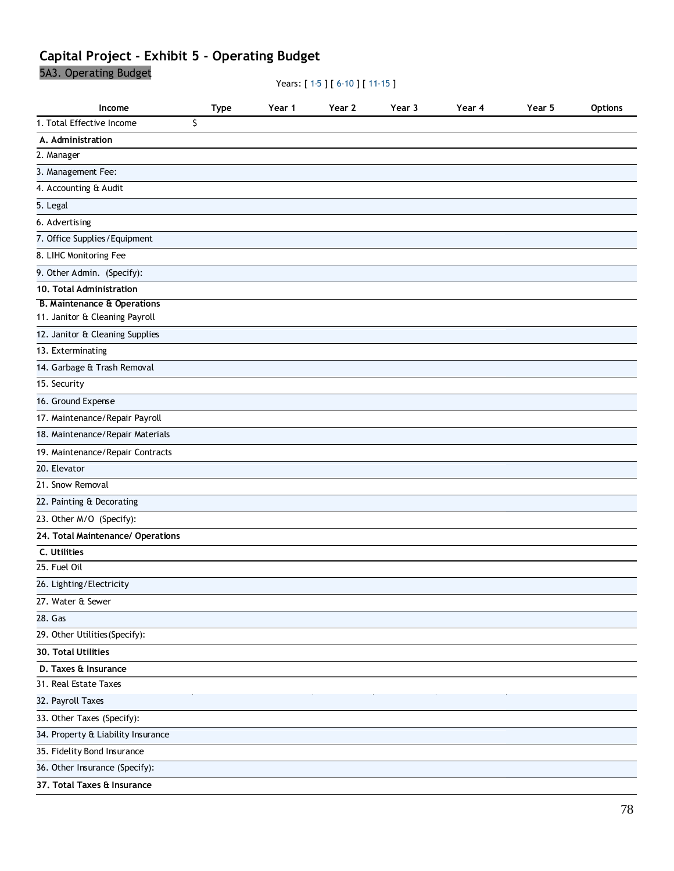# **Capital Project - Exhibit 5 - Operating Budget**

5A3. Operating Budget

Years: [ 1-5 ] [ 6-10 ] [ 11-15 ]

| Income                                 | Type | Year 1 | Year 2 | Year 3 | Year 4 | Year 5 | <b>Options</b> |
|----------------------------------------|------|--------|--------|--------|--------|--------|----------------|
| 1. Total Effective Income              | \$   |        |        |        |        |        |                |
| A. Administration                      |      |        |        |        |        |        |                |
| 2. Manager                             |      |        |        |        |        |        |                |
| 3. Management Fee:                     |      |        |        |        |        |        |                |
| 4. Accounting & Audit                  |      |        |        |        |        |        |                |
| 5. Legal                               |      |        |        |        |        |        |                |
| 6. Advertising                         |      |        |        |        |        |        |                |
| 7. Office Supplies / Equipment         |      |        |        |        |        |        |                |
| 8. LIHC Monitoring Fee                 |      |        |        |        |        |        |                |
| 9. Other Admin. (Specify):             |      |        |        |        |        |        |                |
| 10. Total Administration               |      |        |        |        |        |        |                |
| <b>B. Maintenance &amp; Operations</b> |      |        |        |        |        |        |                |
| 11. Janitor & Cleaning Payroll         |      |        |        |        |        |        |                |
| 12. Janitor & Cleaning Supplies        |      |        |        |        |        |        |                |
| 13. Exterminating                      |      |        |        |        |        |        |                |
| 14. Garbage & Trash Removal            |      |        |        |        |        |        |                |
| 15. Security                           |      |        |        |        |        |        |                |
| 16. Ground Expense                     |      |        |        |        |        |        |                |
| 17. Maintenance/Repair Payroll         |      |        |        |        |        |        |                |
| 18. Maintenance/Repair Materials       |      |        |        |        |        |        |                |
| 19. Maintenance/Repair Contracts       |      |        |        |        |        |        |                |
| 20. Elevator                           |      |        |        |        |        |        |                |
| 21. Snow Removal                       |      |        |        |        |        |        |                |
| 22. Painting & Decorating              |      |        |        |        |        |        |                |
| 23. Other M/O (Specify):               |      |        |        |        |        |        |                |
| 24. Total Maintenance/ Operations      |      |        |        |        |        |        |                |
| C. Utilities                           |      |        |        |        |        |        |                |
| 25. Fuel Oil                           |      |        |        |        |        |        |                |
| 26. Lighting/Electricity               |      |        |        |        |        |        |                |
| 27. Water & Sewer                      |      |        |        |        |        |        |                |
| 28. Gas                                |      |        |        |        |        |        |                |
| 29. Other Utilities (Specify):         |      |        |        |        |        |        |                |
| 30. Total Utilities                    |      |        |        |        |        |        |                |
| D. Taxes & Insurance                   |      |        |        |        |        |        |                |
| 31. Real Estate Taxes                  |      |        |        |        |        |        |                |
| 32. Payroll Taxes                      |      |        |        |        |        |        |                |
| 33. Other Taxes (Specify):             |      |        |        |        |        |        |                |
| 34. Property & Liability Insurance     |      |        |        |        |        |        |                |
| 35. Fidelity Bond Insurance            |      |        |        |        |        |        |                |
| 36. Other Insurance (Specify):         |      |        |        |        |        |        |                |
| 37. Total Taxes & Insurance            |      |        |        |        |        |        |                |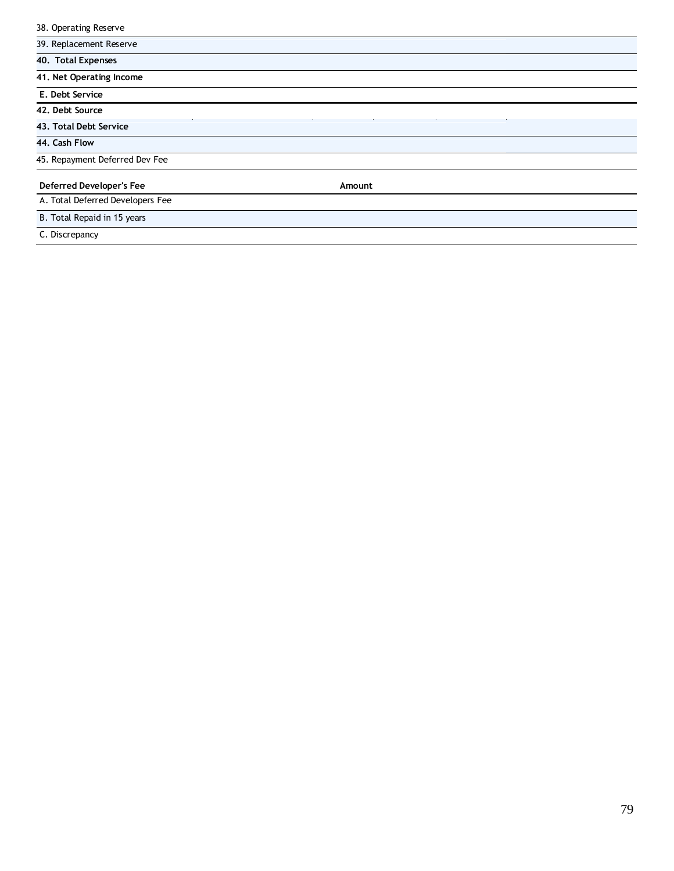| 38. Operating Reserve            |        |  |
|----------------------------------|--------|--|
| 39. Replacement Reserve          |        |  |
| 40. Total Expenses               |        |  |
| 41. Net Operating Income         |        |  |
| E. Debt Service                  |        |  |
| 42. Debt Source                  |        |  |
| 43. Total Debt Service           |        |  |
| 44. Cash Flow                    |        |  |
| 45. Repayment Deferred Dev Fee   |        |  |
| Deferred Developer's Fee         | Amount |  |
| A. Total Deferred Developers Fee |        |  |
| B. Total Repaid in 15 years      |        |  |
| C. Discrepancy                   |        |  |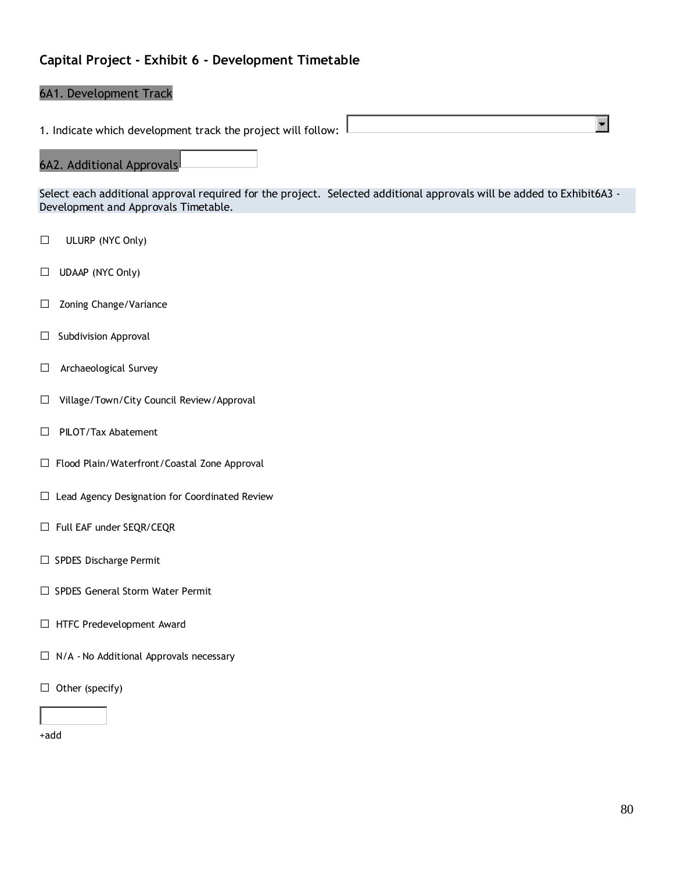## **Capital Project - Exhibit 6 - Development Timetable**

#### 6A1. Development Track

1. Indicate which development track the project will follow:  $\frac{1}{2}$ 

#### 6A2. Additional Approvals

Select each additional approval required for the project. Selected additional approvals will be added to Exhibit6A3 - Development and Approvals Timetable.

- □ ULURP (NYC Only)
- □ UDAAP (NYC Only)
- □ Zoning Change/Variance
- $\Box$  Subdivision Approval
- □ Archaeological Survey
- □Village/Town/City Council Review/Approval
- □ PILOT/Tax Abatement
- □ Flood Plain/Waterfront/Coastal Zone Approval
- □ Lead Agency Designation for Coordinated Review
- □ Full EAF under SEQR/CEQR
- □ SPDES Discharge Permit
- □ SPDES General Storm Water Permit
- □ HTFC Predevelopment Award
- $\Box$  N/A No Additional Approvals necessary
- $\Box$  Other (specify)

+add

 $\blacksquare$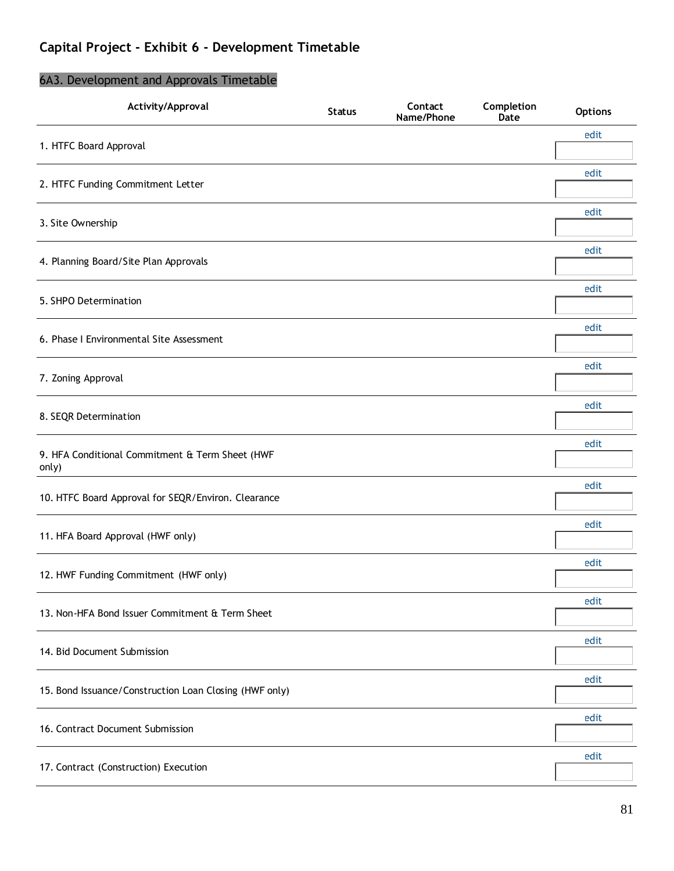## **Capital Project - Exhibit 6 - Development Timetable**

## **Activity/Approval Status Contact Name/Phone Completion Options** 1. HTFC Board Approval edit 2. HTFC Funding Commitment Letter edit 3. Site Ownership edit 4. Planning Board/Site Plan Approvals edit 5. SHPO Determination edit 6. Phase I Environmental Site Assessment edit 7. Zoning Approval edit 8. SEQR Determination edit 9. HFA Conditional Commitment & Term Sheet (HWF only) edit 10. HTFC Board Approval for SEQR/Environ. Clearance edit 11. HFA Board Approval (HWF only) edit 12. HWF Funding Commitment (HWF only) edit 13. Non-HFA Bond Issuer Commitment & Term Sheet edit 14. Bid Document Submission edit 15. Bond Issuance/Construction Loan Closing (HWF only) edit 16. Contract Document Submission edit 17. Contract (Construction) Execution edit

### 6A3. Development and Approvals Timetable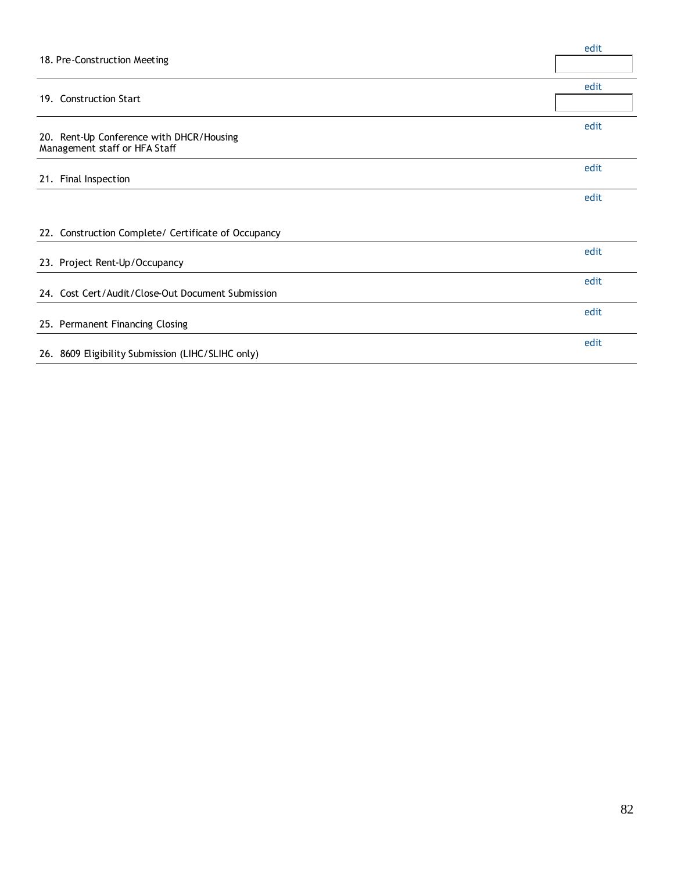| 18. Pre-Construction Meeting                                              | edit |
|---------------------------------------------------------------------------|------|
| 19. Construction Start                                                    | edit |
| 20. Rent-Up Conference with DHCR/Housing<br>Management staff or HFA Staff | edit |
| 21. Final Inspection                                                      | edit |
|                                                                           | edit |
| 22. Construction Complete/ Certificate of Occupancy                       |      |
| 23. Project Rent-Up/Occupancy                                             | edit |
| 24. Cost Cert/Audit/Close-Out Document Submission                         | edit |
| 25. Permanent Financing Closing                                           | edit |
| 26. 8609 Eligibility Submission (LIHC/SLIHC only)                         | edit |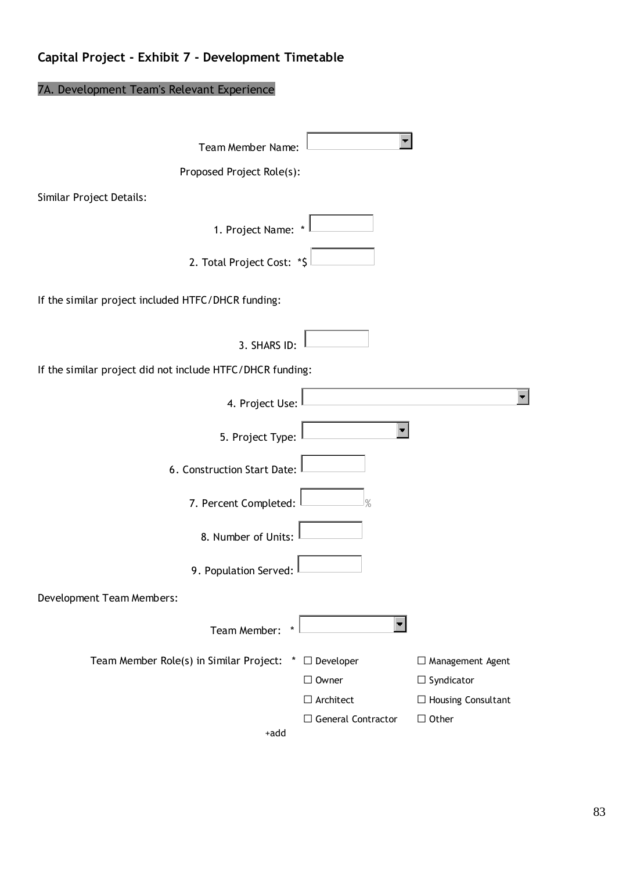# **Capital Project - Exhibit 7 - Development Timetable**

# 7A. Development Team's Relevant Experience

| Team Member Name:                                               |                           |                           |
|-----------------------------------------------------------------|---------------------------|---------------------------|
| Proposed Project Role(s):                                       |                           |                           |
| Similar Project Details:                                        |                           |                           |
| 1. Project Name: *                                              |                           |                           |
| 2. Total Project Cost: *\$                                      |                           |                           |
| If the similar project included HTFC/DHCR funding:              |                           |                           |
| 3. SHARS ID:                                                    |                           |                           |
| If the similar project did not include HTFC/DHCR funding:       |                           |                           |
| 4. Project Use:                                                 |                           |                           |
| 5. Project Type:                                                |                           |                           |
| 6. Construction Start Date:                                     |                           |                           |
| 7. Percent Completed:                                           | $\frac{9}{6}$             |                           |
| 8. Number of Units:                                             |                           |                           |
| 9. Population Served:                                           |                           |                           |
| Development Team Members:                                       |                           |                           |
| Team Member:                                                    |                           |                           |
| Team Member Role(s) in Similar Project:<br>$\ddot{\phantom{1}}$ | $\Box$ Developer          | $\Box$ Management Agent   |
|                                                                 | $\Box$ Owner              | $\Box$ Syndicator         |
|                                                                 | $\Box$ Architect          | $\Box$ Housing Consultant |
| +add                                                            | $\Box$ General Contractor | $\Box$ Other              |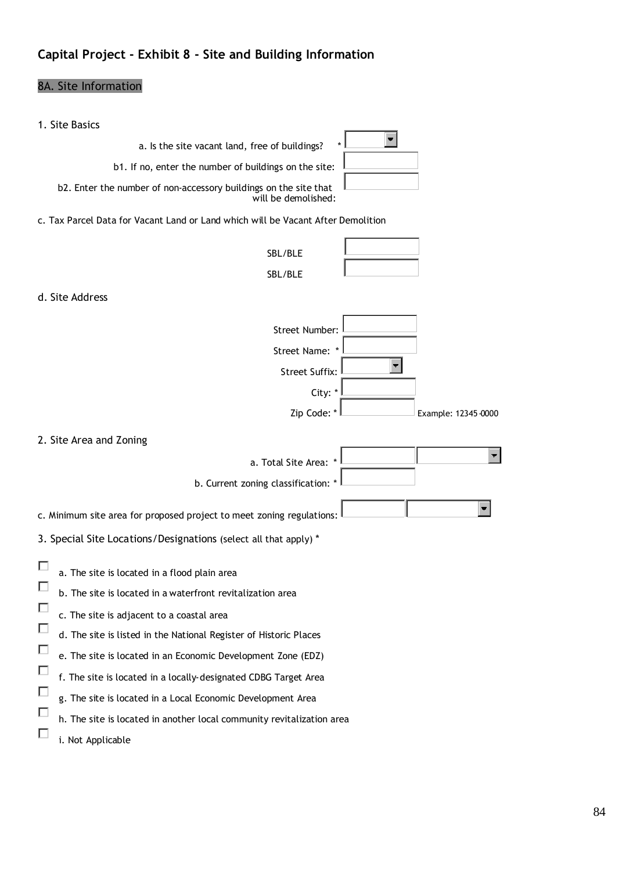# **Capital Project - Exhibit 8 - Site and Building Information**

# 8A. Site Information

| 1. Site Basics                                                                                                                                                                                                                                                                                                                                                                                                                                                                                                         |
|------------------------------------------------------------------------------------------------------------------------------------------------------------------------------------------------------------------------------------------------------------------------------------------------------------------------------------------------------------------------------------------------------------------------------------------------------------------------------------------------------------------------|
| a. Is the site vacant land, free of buildings?                                                                                                                                                                                                                                                                                                                                                                                                                                                                         |
| b1. If no, enter the number of buildings on the site:                                                                                                                                                                                                                                                                                                                                                                                                                                                                  |
| b2. Enter the number of non-accessory buildings on the site that<br>will be demolished:                                                                                                                                                                                                                                                                                                                                                                                                                                |
| c. Tax Parcel Data for Vacant Land or Land which will be Vacant After Demolition                                                                                                                                                                                                                                                                                                                                                                                                                                       |
| SBL/BLE                                                                                                                                                                                                                                                                                                                                                                                                                                                                                                                |
| SBL/BLE                                                                                                                                                                                                                                                                                                                                                                                                                                                                                                                |
| d. Site Address                                                                                                                                                                                                                                                                                                                                                                                                                                                                                                        |
| Street Number:                                                                                                                                                                                                                                                                                                                                                                                                                                                                                                         |
| Street Name: *                                                                                                                                                                                                                                                                                                                                                                                                                                                                                                         |
| <b>Street Suffix:</b>                                                                                                                                                                                                                                                                                                                                                                                                                                                                                                  |
| City: *                                                                                                                                                                                                                                                                                                                                                                                                                                                                                                                |
| Zip Code: *<br>Example: 12345-0000                                                                                                                                                                                                                                                                                                                                                                                                                                                                                     |
| 2. Site Area and Zoning                                                                                                                                                                                                                                                                                                                                                                                                                                                                                                |
| a. Total Site Area:                                                                                                                                                                                                                                                                                                                                                                                                                                                                                                    |
| b. Current zoning classification: *                                                                                                                                                                                                                                                                                                                                                                                                                                                                                    |
| c. Minimum site area for proposed project to meet zoning regulations:                                                                                                                                                                                                                                                                                                                                                                                                                                                  |
| 3. Special Site Locations/Designations (select all that apply) *                                                                                                                                                                                                                                                                                                                                                                                                                                                       |
| a. The site is located in a flood plain area<br>ш<br>b. The site is located in a waterfront revitalization area<br>c. The site is adjacent to a coastal area<br>d. The site is listed in the National Register of Historic Places<br>□<br>e. The site is located in an Economic Development Zone (EDZ)<br>f. The site is located in a locally-designated CDBG Target Area<br>g. The site is located in a Local Economic Development Area<br>□<br>h. The site is located in another local community revitalization area |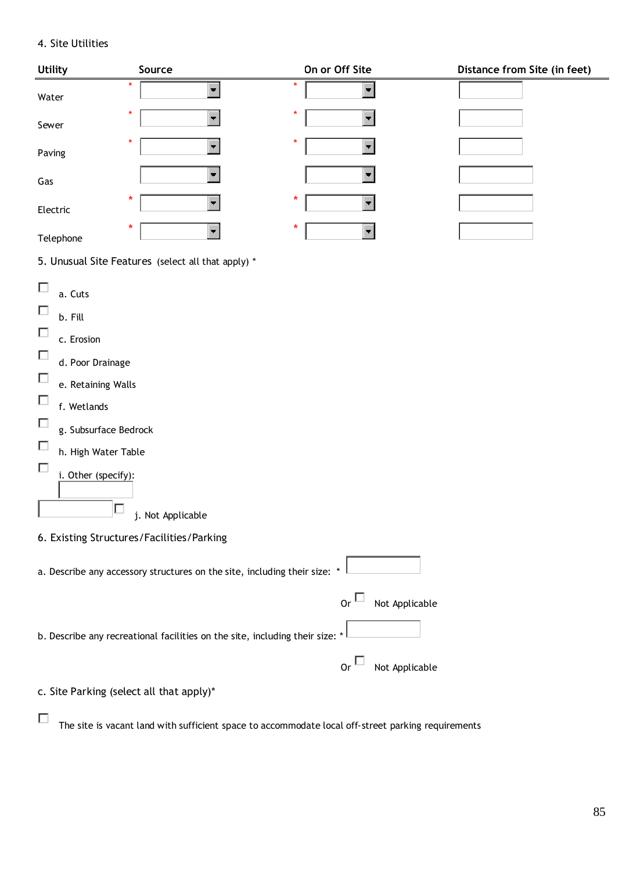### 4. Site Utilities

| <b>Utility</b>                                                                                                                                                                                                          | Source                                                                       | On or Off Site                                            | Distance from Site (in feet) |
|-------------------------------------------------------------------------------------------------------------------------------------------------------------------------------------------------------------------------|------------------------------------------------------------------------------|-----------------------------------------------------------|------------------------------|
| $\star$<br>Water                                                                                                                                                                                                        | $\blacksquare$                                                               | $\star$<br>$\blacksquare$                                 |                              |
| ŵ,<br>Sewer                                                                                                                                                                                                             | $\overline{\phantom{a}}$                                                     | $\star$                                                   |                              |
| ×<br>Paving                                                                                                                                                                                                             | $\overline{\phantom{a}}$                                                     | $\star$                                                   |                              |
| Gas                                                                                                                                                                                                                     | $\blacksquare$                                                               |                                                           |                              |
| *<br>Electric                                                                                                                                                                                                           | $\overline{\phantom{a}}$                                                     | *<br>$\blacksquare$                                       |                              |
| ŵ<br>Telephone                                                                                                                                                                                                          |                                                                              | $\ast$                                                    |                              |
|                                                                                                                                                                                                                         | 5. Unusual Site Features (select all that apply) *                           |                                                           |                              |
| $\Box$<br>a. Cuts<br>П<br>b. Fill<br>П<br>c. Erosion<br>$\Box$<br>d. Poor Drainage<br>П<br>e. Retaining Walls<br>П<br>f. Wetlands<br>П<br>g. Subsurface Bedrock<br>П<br>h. High Water Table<br>П<br>i. Other (specify): | j. Not Applicable                                                            |                                                           |                              |
| 6. Existing Structures/Facilities/Parking                                                                                                                                                                               |                                                                              |                                                           |                              |
|                                                                                                                                                                                                                         | a. Describe any accessory structures on the site, including their size: *    |                                                           |                              |
|                                                                                                                                                                                                                         | b. Describe any recreational facilities on the site, including their size: * | or $\Box$<br>Not Applicable<br>$or\Box$<br>Not Applicable |                              |
| c. Site Parking (select all that apply)*                                                                                                                                                                                |                                                                              |                                                           |                              |
|                                                                                                                                                                                                                         |                                                                              |                                                           |                              |

 $\Box$  The site is vacant land with sufficient space to accommodate local off-street parking requirements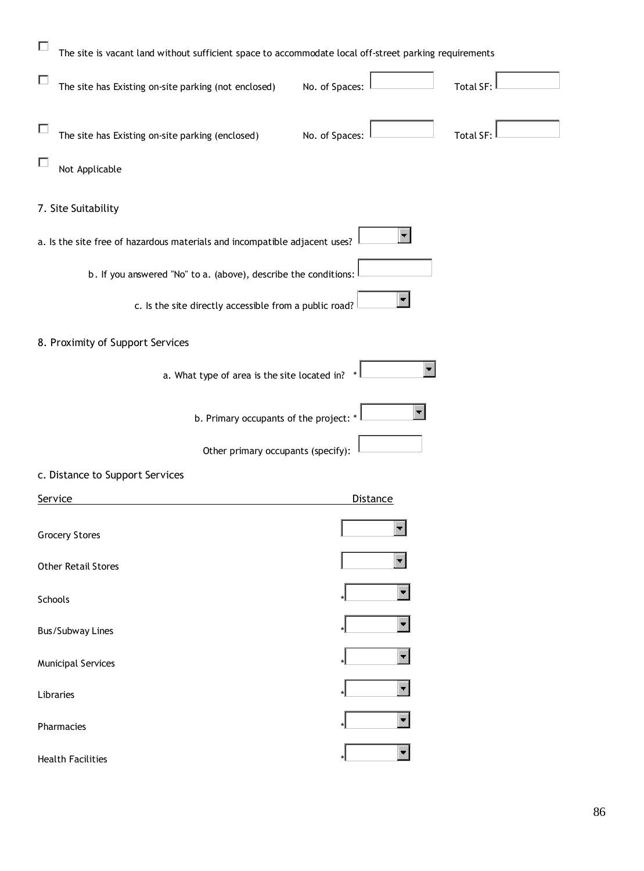| Е<br>The site is vacant land without sufficient space to accommodate local off-street parking requirements |                 |                  |
|------------------------------------------------------------------------------------------------------------|-----------------|------------------|
| The site has Existing on-site parking (not enclosed)                                                       | No. of Spaces:  | <b>Total SF:</b> |
| The site has Existing on-site parking (enclosed)                                                           | No. of Spaces:  | <b>Total SF:</b> |
| Not Applicable                                                                                             |                 |                  |
| 7. Site Suitability                                                                                        |                 |                  |
| a. Is the site free of hazardous materials and incompatible adjacent uses?                                 |                 |                  |
| b. If you answered "No" to a. (above), describe the conditions:                                            |                 |                  |
| c. Is the site directly accessible from a public road?                                                     |                 |                  |
| 8. Proximity of Support Services                                                                           |                 |                  |
| a. What type of area is the site located in?                                                               |                 |                  |
| b. Primary occupants of the project: *                                                                     |                 |                  |
| Other primary occupants (specify):                                                                         |                 |                  |
| c. Distance to Support Services                                                                            |                 |                  |
| Service                                                                                                    | <u>Distance</u> |                  |
| <b>Grocery Stores</b>                                                                                      |                 |                  |
| <b>Other Retail Stores</b>                                                                                 |                 |                  |
| Schools                                                                                                    |                 |                  |
| <b>Bus/Subway Lines</b>                                                                                    |                 |                  |
| <b>Municipal Services</b>                                                                                  |                 |                  |
| Libraries                                                                                                  |                 |                  |
| Pharmacies                                                                                                 |                 |                  |
| <b>Health Facilities</b>                                                                                   |                 |                  |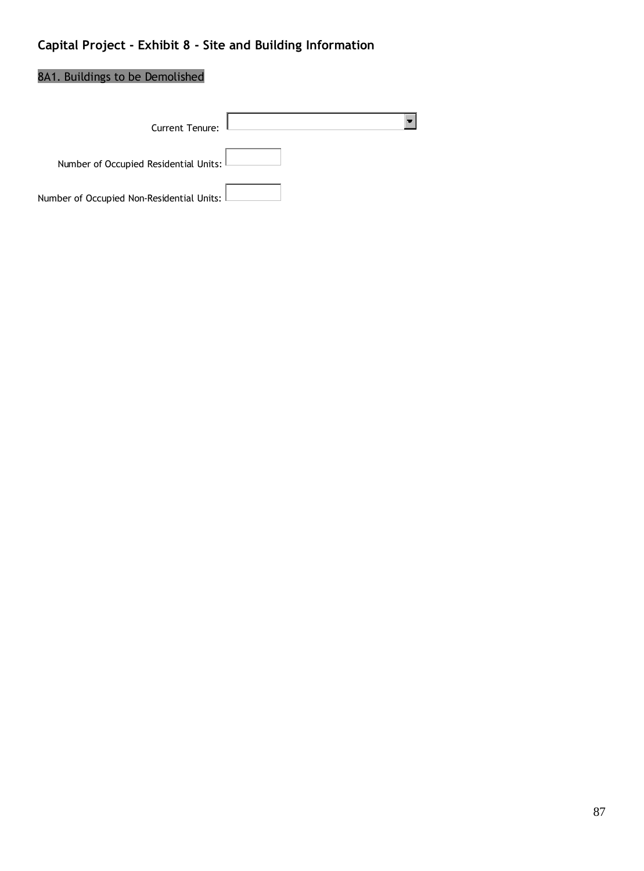# **Capital Project - Exhibit 8 - Site and Building Information**

## 8A1. Buildings to be Demolished

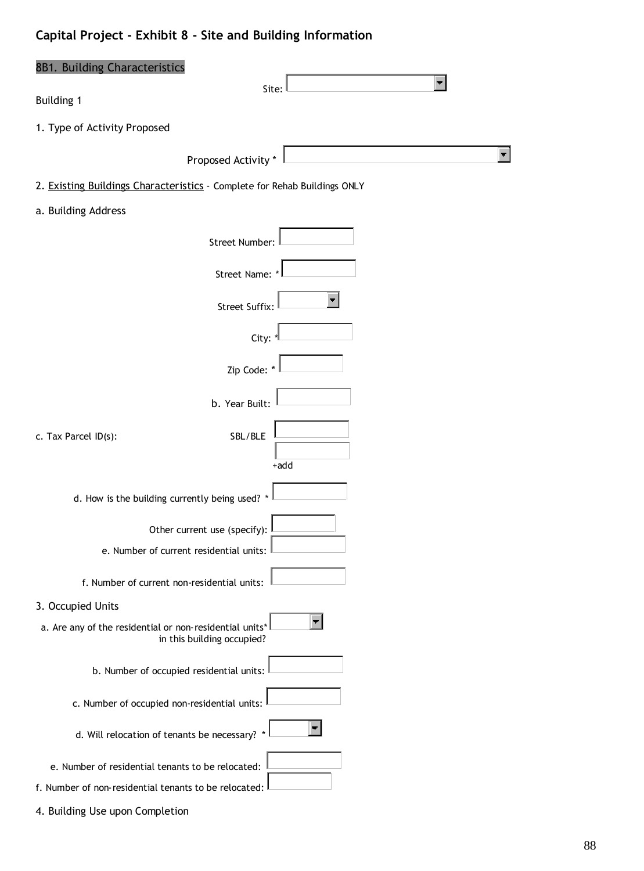# **Capital Project - Exhibit 8 - Site and Building Information**

| 8B1. Building Characteristics                                                         |       |
|---------------------------------------------------------------------------------------|-------|
| <b>Building 1</b>                                                                     | Site: |
| 1. Type of Activity Proposed                                                          |       |
| Proposed Activity *                                                                   |       |
| 2. Existing Buildings Characteristics - Complete for Rehab Buildings ONLY             |       |
| a. Building Address                                                                   |       |
| Street Number:                                                                        |       |
| Street Name: *                                                                        |       |
| Street Suffix:                                                                        |       |
| City: '                                                                               |       |
| Zip Code: *                                                                           |       |
| b. Year Built:                                                                        |       |
| SBL/BLE<br>c. Tax Parcel ID(s):                                                       |       |
|                                                                                       | +add  |
| d. How is the building currently being used? *                                        |       |
| Other current use (specify):                                                          |       |
| e. Number of current residential units:                                               |       |
| f. Number of current non-residential units:                                           |       |
| 3. Occupied Units                                                                     |       |
| a. Are any of the residential or non-residential units*<br>in this building occupied? |       |
| b. Number of occupied residential units:                                              |       |
| c. Number of occupied non-residential units:                                          |       |
| d. Will relocation of tenants be necessary? *                                         |       |
| e. Number of residential tenants to be relocated:                                     |       |
| f. Number of non-residential tenants to be relocated:                                 |       |

4. Building Use upon Completion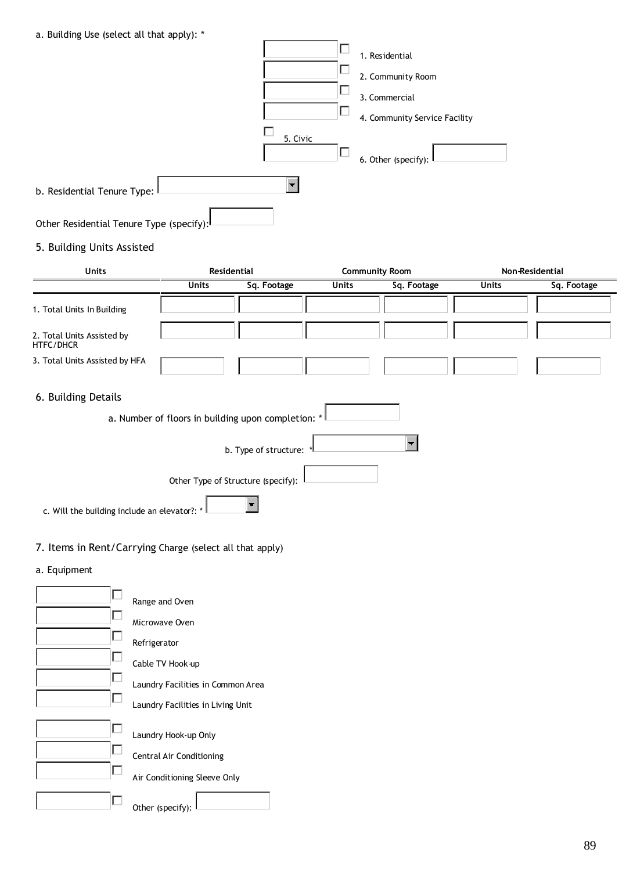|  | a. Building Use (select all that apply): * |  |  |  |  |  |  |
|--|--------------------------------------------|--|--|--|--|--|--|
|--|--------------------------------------------|--|--|--|--|--|--|

 $\Box$  Other (specify):

| b. Residential Tenure Type:<br>Other Residential Tenure Type (specify):                                 |                                                                                       | 5. Civic<br>$\blacksquare$ | Г<br>ட<br>ட           | 1. Residential<br>2. Community Room<br>3. Commercial<br>4. Community Service Facility<br>6. Other (specify): |              |                 |
|---------------------------------------------------------------------------------------------------------|---------------------------------------------------------------------------------------|----------------------------|-----------------------|--------------------------------------------------------------------------------------------------------------|--------------|-----------------|
| 5. Building Units Assisted                                                                              |                                                                                       |                            |                       |                                                                                                              |              |                 |
| Units                                                                                                   | Residential                                                                           |                            | <b>Community Room</b> |                                                                                                              |              | Non-Residential |
|                                                                                                         | <b>Units</b>                                                                          | Sq. Footage                | <b>Units</b>          | Sq. Footage                                                                                                  | <b>Units</b> | Sq. Footage     |
| 1. Total Units In Building<br>2. Total Units Assisted by<br>HTFC/DHCR<br>3. Total Units Assisted by HFA |                                                                                       |                            |                       |                                                                                                              |              |                 |
| 6. Building Details                                                                                     | a. Number of floors in building upon completion: *                                    |                            |                       |                                                                                                              |              |                 |
| c. Will the building include an elevator?: *                                                            | Other Type of Structure (specify):                                                    | b. Type of structure:      |                       |                                                                                                              |              |                 |
| 7. Items in Rent/Carrying Charge (select all that apply)                                                |                                                                                       |                            |                       |                                                                                                              |              |                 |
| a. Equipment<br>Е                                                                                       | Range and Oven<br>Microwave Oven                                                      |                            |                       |                                                                                                              |              |                 |
| L<br>Refrigerator<br>□<br>L                                                                             | Cable TV Hook-up<br>Laundry Facilities in Common Area                                 |                            |                       |                                                                                                              |              |                 |
| L<br>L<br>□                                                                                             | Laundry Facilities in Living Unit<br>Laundry Hook-up Only<br>Central Air Conditioning |                            |                       |                                                                                                              |              |                 |
|                                                                                                         | Air Conditioning Sleeve Only                                                          |                            |                       |                                                                                                              |              |                 |

89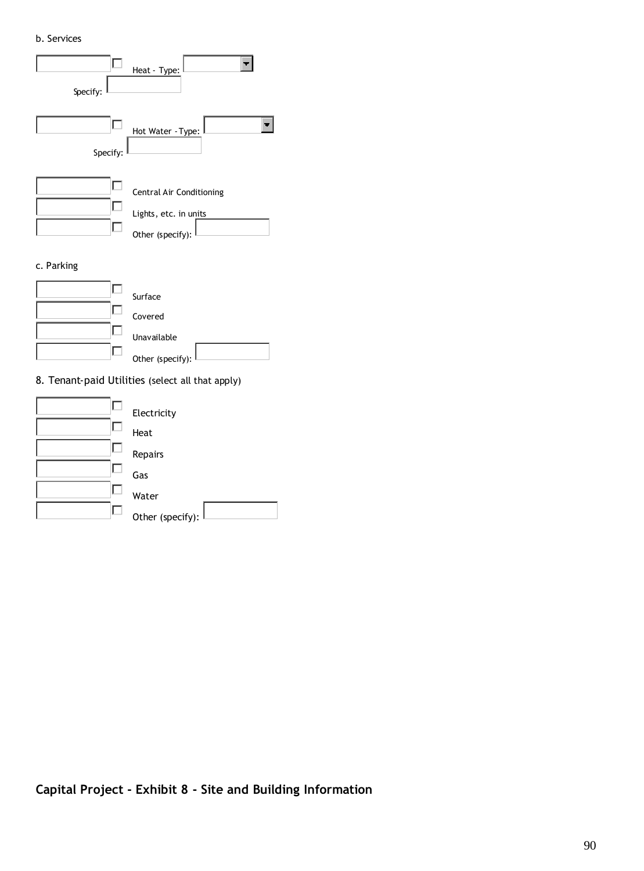#### b. Services



Repairs

Gas

 $\Box$  $\Box$ 

 $\Box$  $\Box$ 

Water

Other (specify):  $|$ 

| Capital Project - Exhibit 8 - Site and Building Information |  |  |  |  |
|-------------------------------------------------------------|--|--|--|--|
|-------------------------------------------------------------|--|--|--|--|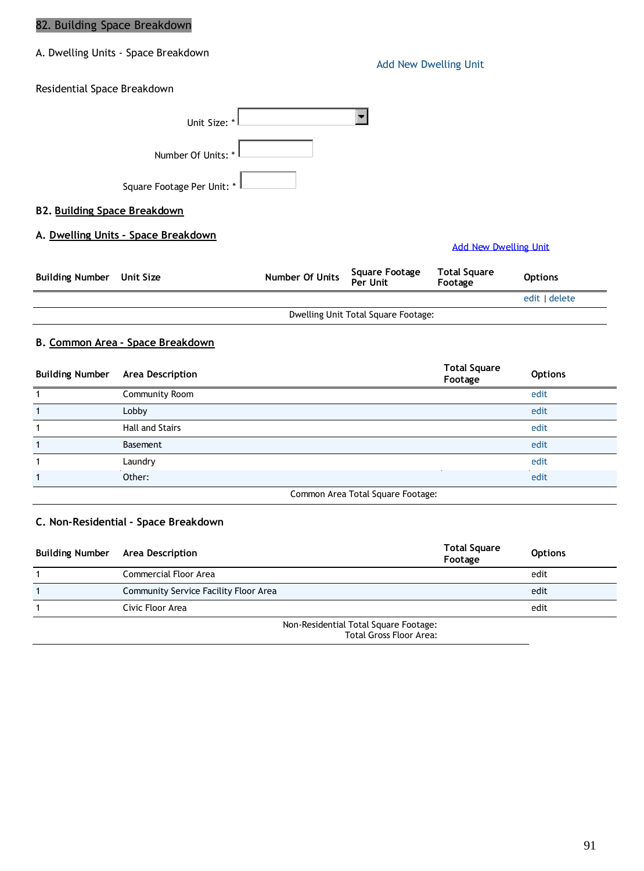### 82. Building Space Breakdown

A. Dwelling Units - Space Breakdown

Add New Dwelling Unit

Residential Space Breakdown

|                            | Unit Size: *       |  |
|----------------------------|--------------------|--|
|                            | Number Of Units: * |  |
| Square Footage Per Unit: * |                    |  |

**B2. Building Space Breakdown**

**A. Dwelling Units - Space Breakdown**

#### Add New Dwelling Unit

| Building Number Unit Size | Number Of Units | Square Footage<br>Per Unit          | <b>Total Square</b><br>Footage | <b>Options</b> |
|---------------------------|-----------------|-------------------------------------|--------------------------------|----------------|
|                           |                 |                                     |                                | edit   delete  |
|                           |                 | Dwelling Unit Total Square Footage: |                                |                |

### **B. Common Area - Space Breakdown**

| <b>Building Number</b> | <b>Area Description</b> |                                   | <b>Total Square</b><br>Footage | <b>Options</b> |
|------------------------|-------------------------|-----------------------------------|--------------------------------|----------------|
|                        | Community Room          |                                   |                                | edit           |
|                        | Lobby                   |                                   |                                | edit           |
|                        | Hall and Stairs         |                                   |                                | edit           |
|                        | Basement                |                                   |                                | edit           |
|                        | Laundry                 |                                   |                                | edit           |
|                        | Other:                  |                                   |                                | edit           |
|                        |                         | Common Area Total Square Footage: |                                |                |

#### **C. Non-Residential - Space Breakdown**

| <b>Building Number</b> | <b>Area Description</b>                                                 | <b>Total Square</b><br>Footage | <b>Options</b> |
|------------------------|-------------------------------------------------------------------------|--------------------------------|----------------|
|                        | Commercial Floor Area                                                   |                                | edit           |
|                        | Community Service Facility Floor Area                                   |                                | edit           |
|                        | Civic Floor Area                                                        |                                | edit           |
|                        | Non-Residential Total Square Footage:<br><b>Total Gross Floor Area:</b> |                                |                |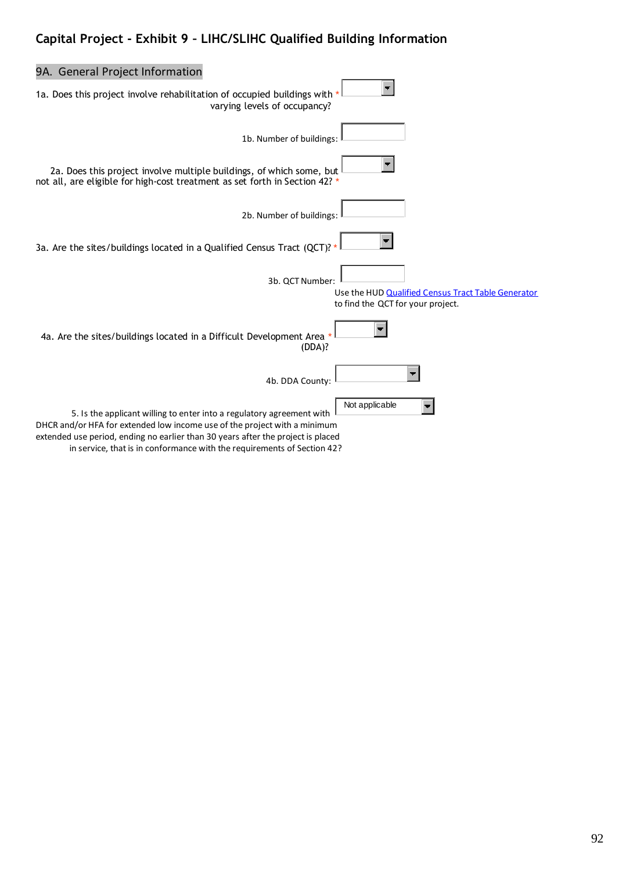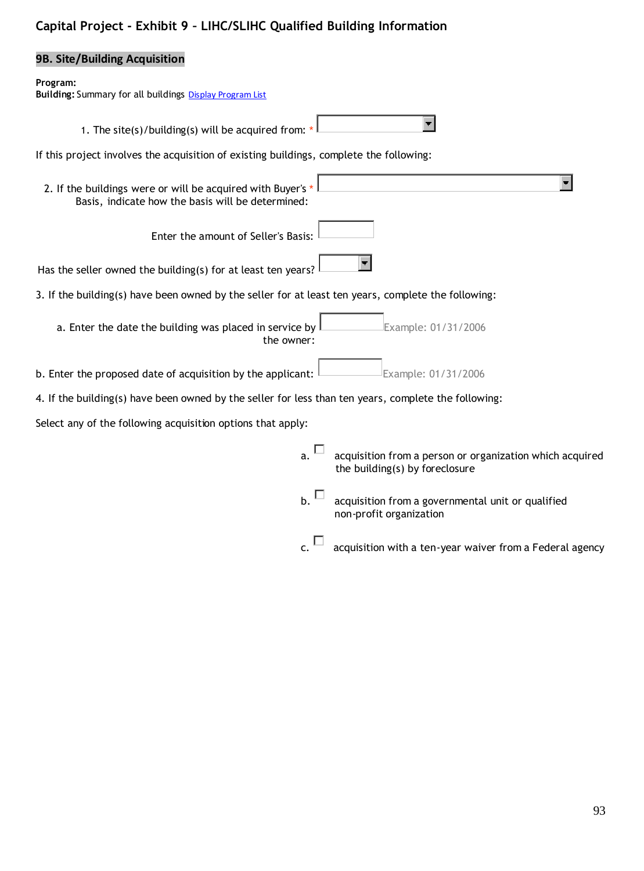## **9B. Site/Building Acquisition**

#### **Program:**

| <b>Building: Summary for all buildings Display Program List</b>                                                  |                                                                                            |
|------------------------------------------------------------------------------------------------------------------|--------------------------------------------------------------------------------------------|
| 1. The site(s)/building(s) will be acquired from:                                                                |                                                                                            |
| If this project involves the acquisition of existing buildings, complete the following:                          |                                                                                            |
| 2. If the buildings were or will be acquired with Buyer's *<br>Basis, indicate how the basis will be determined: |                                                                                            |
| Enter the amount of Seller's Basis:                                                                              |                                                                                            |
| Has the seller owned the building(s) for at least ten years?                                                     |                                                                                            |
| 3. If the building(s) have been owned by the seller for at least ten years, complete the following:              |                                                                                            |
| a. Enter the date the building was placed in service by<br>the owner:                                            | Example: 01/31/2006                                                                        |
| b. Enter the proposed date of acquisition by the applicant:                                                      | Example: 01/31/2006                                                                        |
| 4. If the building(s) have been owned by the seller for less than ten years, complete the following:             |                                                                                            |
| Select any of the following acquisition options that apply:                                                      |                                                                                            |
| a.                                                                                                               | acquisition from a person or organization which acquired<br>the building(s) by foreclosure |
| b.                                                                                                               | acquisition from a governmental unit or qualified<br>non-profit organization               |
| c.                                                                                                               | acquisition with a ten-year waiver from a Federal agency                                   |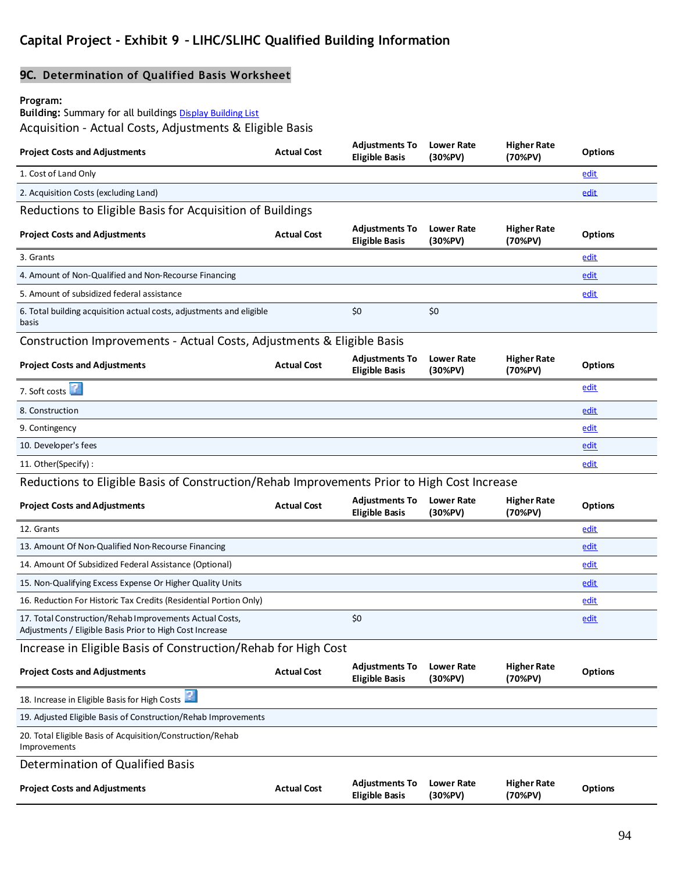## **9C. Determination of Qualified Basis Worksheet**

#### **Program:**

**Building:** Summary for all buildings Display Building List

Acquisition - Actual Costs, Adjustments & Eligible Basis

| <b>Project Costs and Adjustments</b>                                                                                | <b>Actual Cost</b> | <b>Adjustments To</b><br><b>Eligible Basis</b> | <b>Lower Rate</b><br>(30%PV) | <b>Higher Rate</b><br>(70%PV) | <b>Options</b> |
|---------------------------------------------------------------------------------------------------------------------|--------------------|------------------------------------------------|------------------------------|-------------------------------|----------------|
| 1. Cost of Land Only                                                                                                |                    |                                                |                              |                               | edit           |
| 2. Acquisition Costs (excluding Land)                                                                               |                    |                                                |                              |                               | edit           |
| Reductions to Eligible Basis for Acquisition of Buildings                                                           |                    |                                                |                              |                               |                |
| <b>Project Costs and Adjustments</b>                                                                                | <b>Actual Cost</b> | <b>Adjustments To</b><br><b>Eligible Basis</b> | Lower Rate<br>(30%PV)        | <b>Higher Rate</b><br>(70%PV) | <b>Options</b> |
| 3. Grants                                                                                                           |                    |                                                |                              |                               | edit           |
| 4. Amount of Non-Qualified and Non-Recourse Financing                                                               |                    |                                                |                              |                               | edit           |
| 5. Amount of subsidized federal assistance                                                                          |                    |                                                |                              |                               | edit           |
| 6. Total building acquisition actual costs, adjustments and eligible<br>basis                                       |                    | \$0                                            | \$0                          |                               |                |
| Construction Improvements - Actual Costs, Adjustments & Eligible Basis                                              |                    |                                                |                              |                               |                |
| <b>Project Costs and Adjustments</b>                                                                                | <b>Actual Cost</b> | <b>Adjustments To</b><br><b>Eligible Basis</b> | <b>Lower Rate</b><br>(30%PV) | <b>Higher Rate</b><br>(70%PV) | <b>Options</b> |
| 7. Soft costs                                                                                                       |                    |                                                |                              |                               | <u>edit</u>    |
| 8. Construction                                                                                                     |                    |                                                |                              |                               | edit           |
| 9. Contingency                                                                                                      |                    |                                                |                              |                               | edit           |
| 10. Developer's fees                                                                                                |                    |                                                |                              |                               | edit           |
| 11. Other(Specify):                                                                                                 |                    |                                                |                              |                               | <u>edit</u>    |
| Reductions to Eligible Basis of Construction/Rehab Improvements Prior to High Cost Increase                         |                    |                                                |                              |                               |                |
| <b>Project Costs and Adjustments</b>                                                                                | <b>Actual Cost</b> | <b>Adjustments To</b><br><b>Eligible Basis</b> | <b>Lower Rate</b><br>(30%PV) | <b>Higher Rate</b><br>(70%PV) | <b>Options</b> |
| 12. Grants                                                                                                          |                    |                                                |                              |                               | edit           |
| 13. Amount Of Non-Qualified Non-Recourse Financing                                                                  |                    |                                                |                              |                               | edit           |
| 14. Amount Of Subsidized Federal Assistance (Optional)                                                              |                    |                                                |                              |                               | edit           |
| 15. Non-Qualifying Excess Expense Or Higher Quality Units                                                           |                    |                                                |                              |                               | <u>edit</u>    |
| 16. Reduction For Historic Tax Credits (Residential Portion Only)                                                   |                    |                                                |                              |                               | <u>edit</u>    |
| 17. Total Construction/Rehab Improvements Actual Costs,<br>Adjustments / Eligible Basis Prior to High Cost Increase |                    | \$0                                            |                              |                               | <u>edit</u>    |
| Increase in Eligible Basis of Construction/Rehab for High Cost                                                      |                    |                                                |                              |                               |                |
| <b>Project Costs and Adjustments</b>                                                                                | <b>Actual Cost</b> | <b>Adjustments To</b><br><b>Eligible Basis</b> | <b>Lower Rate</b><br>(30%PV) | <b>Higher Rate</b><br>(70%PV) | <b>Options</b> |
| 18. Increase in Eligible Basis for High Costs                                                                       |                    |                                                |                              |                               |                |
| 19. Adjusted Eligible Basis of Construction/Rehab Improvements                                                      |                    |                                                |                              |                               |                |
| 20. Total Eligible Basis of Acquisition/Construction/Rehab<br>Improvements                                          |                    |                                                |                              |                               |                |
| Determination of Qualified Basis                                                                                    |                    |                                                |                              |                               |                |
| <b>Project Costs and Adjustments</b>                                                                                | <b>Actual Cost</b> | <b>Adjustments To</b><br><b>Eligible Basis</b> | Lower Rate<br>(30%PV)        | <b>Higher Rate</b><br>(70%PV) | <b>Options</b> |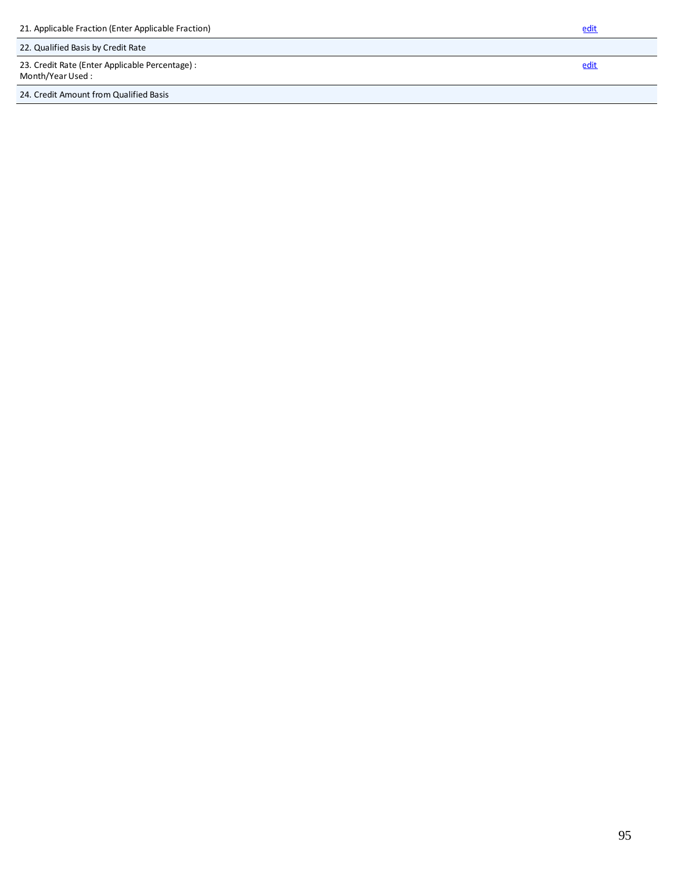| 21. Applicable Fraction (Enter Applicable Fraction)                  | edit |
|----------------------------------------------------------------------|------|
| 22. Qualified Basis by Credit Rate                                   |      |
| 23. Credit Rate (Enter Applicable Percentage) :<br>Month/Year Used : | edit |
| 24. Credit Amount from Qualified Basis                               |      |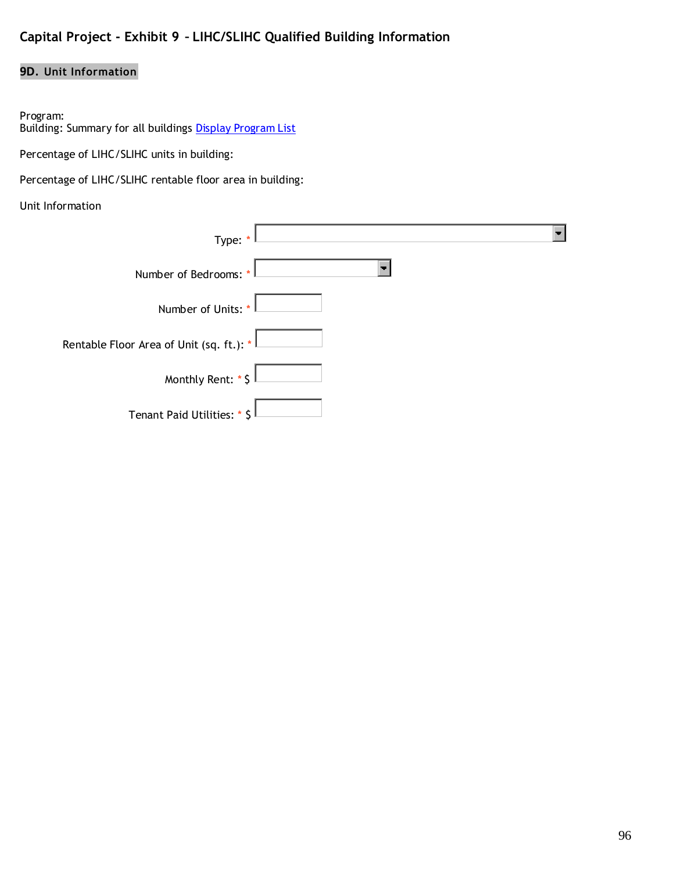### **9D. Unit Information**

#### Program:

Building: Summary for all buildings <mark>Display Program List</mark>

Percentage of LIHC/SLIHC units in building:

Percentage of LIHC/SLIHC rentable floor area in building:

#### Unit Information

| Type: *                                                  |
|----------------------------------------------------------|
| Number of Bedrooms: *                                    |
| Number of Units: *                                       |
| Rentable Floor Area of Unit (sq. ft.): $^{\ast}$ $\vert$ |
| Monthly Rent: * \$                                       |
| Tenant Paid Utilities: * \$                              |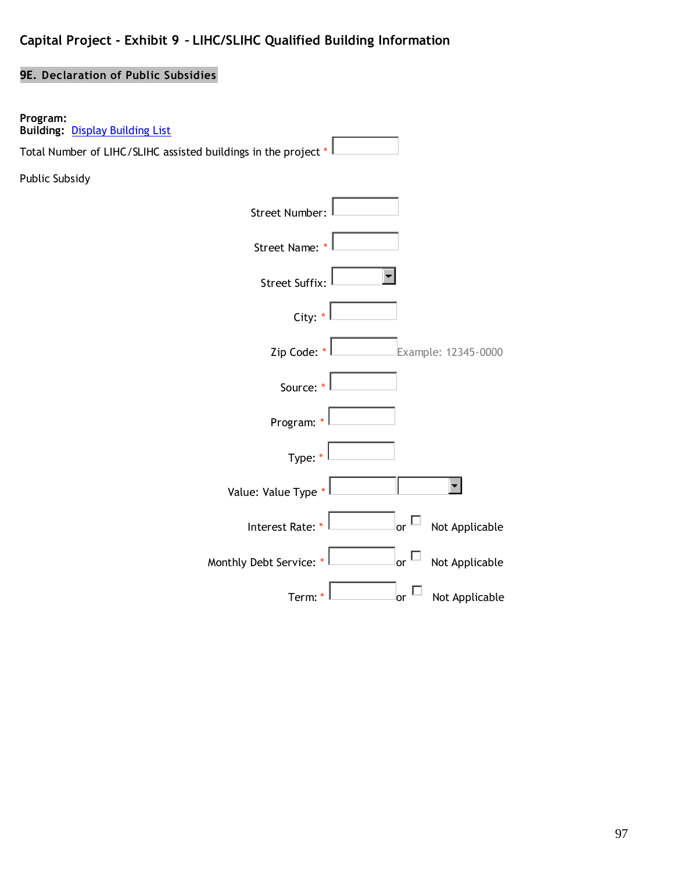## **9E. Declaration of Public Subsidies**

| Program:<br><b>Building: Display Building List</b>             |
|----------------------------------------------------------------|
| Total Number of LIHC/SLIHC assisted buildings in the project * |
| Public Subsidy                                                 |
| <b>Street Number:</b>                                          |
| Street Name: *                                                 |
| <b>Street Suffix:</b>                                          |
| City: *                                                        |
| Zip Code: *<br>Example: 12345-0000                             |
| Source: *                                                      |
| Program: *                                                     |
| Type: *                                                        |
| Value: Value Type *                                            |
| Interest Rate: *<br>or $^{\mathsf{L}}$<br>Not Applicable       |
| or $\Box$<br>Monthly Debt Service: *<br>Not Applicable         |
| Not Applicable<br>Term:*<br><b>or</b>                          |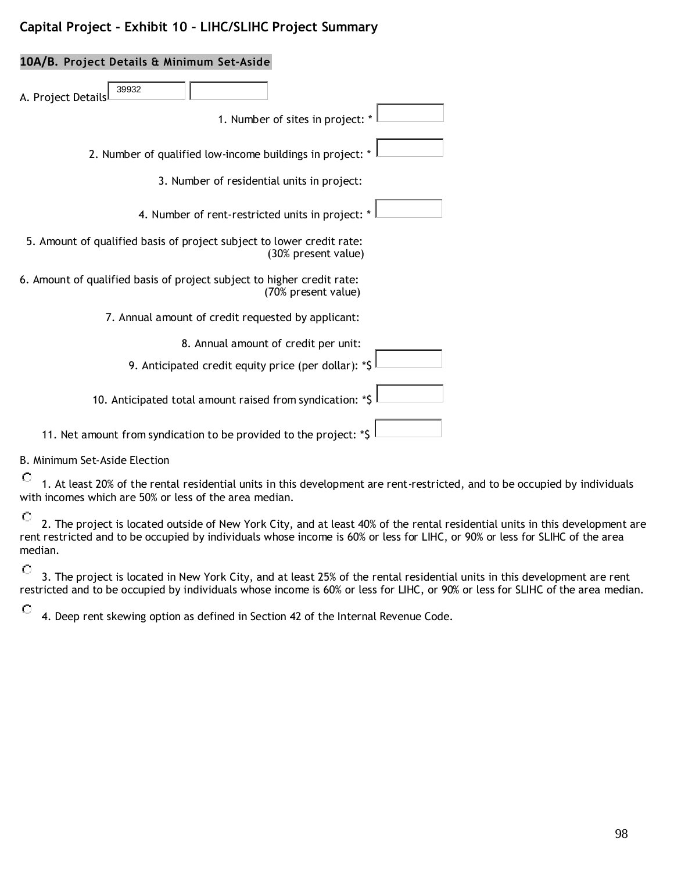## **Capital Project - Exhibit 10 – LIHC/SLIHC Project Summary**

# **10A/B. Project Details & Minimum Set-Aside** A. Project Details 39932 1. Number of sites in project: 2. Number of qualified low-income buildings in project: \* 3. Number of residential units in project: 4. Number of rent-restricted units in project: 5. Amount of qualified basis of project subject to lower credit rate: (30% present value) 6. Amount of qualified basis of project subject to higher credit rate: (70% present value) 7. Annual amount of credit requested by applicant: 8. Annual amount of credit per unit: 9. Anticipated credit equity price (per dollar): \*\$ 10. Anticipated total amount raised from syndication: \*\$ 11. Net amount from syndication to be provided to the project: \*\$

#### B. Minimum Set-Aside Election

 $\circ$ 

 $\circ$ 1. At least 20% of the rental residential units in this development are rent-restricted, and to be occupied by individuals with incomes which are 50% or less of the area median.

O 2. The project is located outside of New York City, and at least 40% of the rental residential units in this development are rent restricted and to be occupied by individuals whose income is 60% or less for LIHC, or 90% or less for SLIHC of the area median.

 $\circ$ 3. The project is located in New York City, and at least 25% of the rental residential units in this development are rent restricted and to be occupied by individuals whose income is 60% or less for LIHC, or 90% or less for SLIHC of the area median.

4. Deep rent skewing option as defined in Section 42 of the Internal Revenue Code.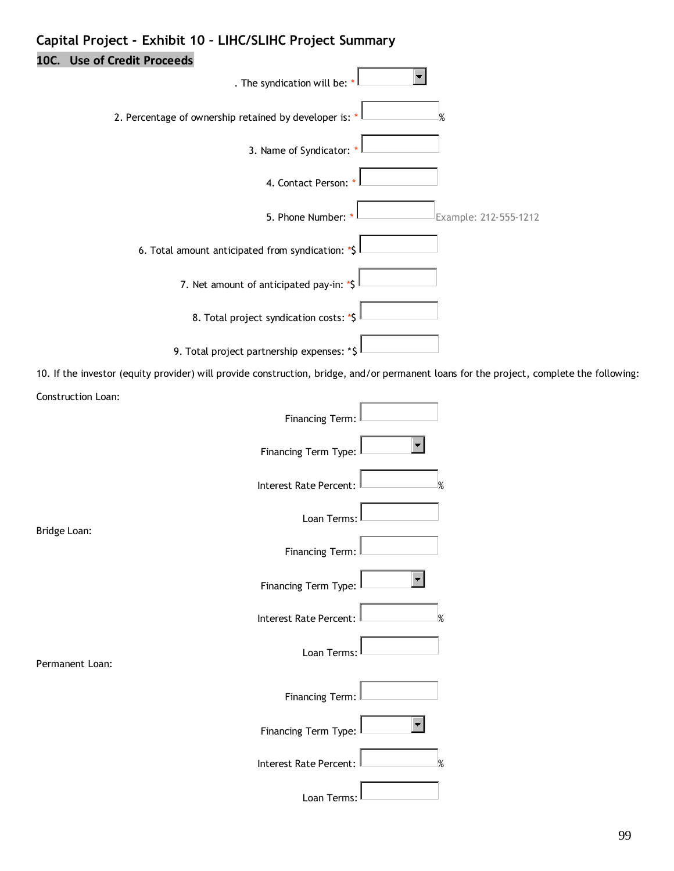# **Capital Project - Exhibit 10 – LIHC/SLIHC Project Summary**

**10C. Use of Credit Proceeds**

| . The syndication will be:                                                                                                               |                       |
|------------------------------------------------------------------------------------------------------------------------------------------|-----------------------|
| 2. Percentage of ownership retained by developer is:                                                                                     |                       |
| 3. Name of Syndicator:                                                                                                                   |                       |
| 4. Contact Person:                                                                                                                       |                       |
| 5. Phone Number:                                                                                                                         | Example: 212-555-1212 |
| 6. Total amount anticipated from syndication: *\$                                                                                        |                       |
| 7. Net amount of anticipated pay-in: *\$                                                                                                 |                       |
| 8. Total project syndication costs: *\$                                                                                                  |                       |
| 9. Total project partnership expenses: *\$                                                                                               |                       |
| 10. If the investor (equity provider) will provide construction, bridge, and/or permanent loans for the project, complete the following: |                       |
| Construction Loan:                                                                                                                       |                       |
| Financing Term:                                                                                                                          |                       |
| Financing Term Type:                                                                                                                     |                       |
| Interest Rate Percent:                                                                                                                   |                       |
| Loan Terms:                                                                                                                              |                       |
| Bridge Loan:<br><b>Financing Term:</b>                                                                                                   |                       |
| Financing Term Type:                                                                                                                     |                       |
| Interest Rate Percent:                                                                                                                   | ℅                     |
| Loan Terms:<br>Permanent Loan:                                                                                                           |                       |
| Financing Term:                                                                                                                          |                       |
| Financing Term Type:                                                                                                                     |                       |
| Interest Rate Percent:                                                                                                                   |                       |
| Loan Terms:                                                                                                                              |                       |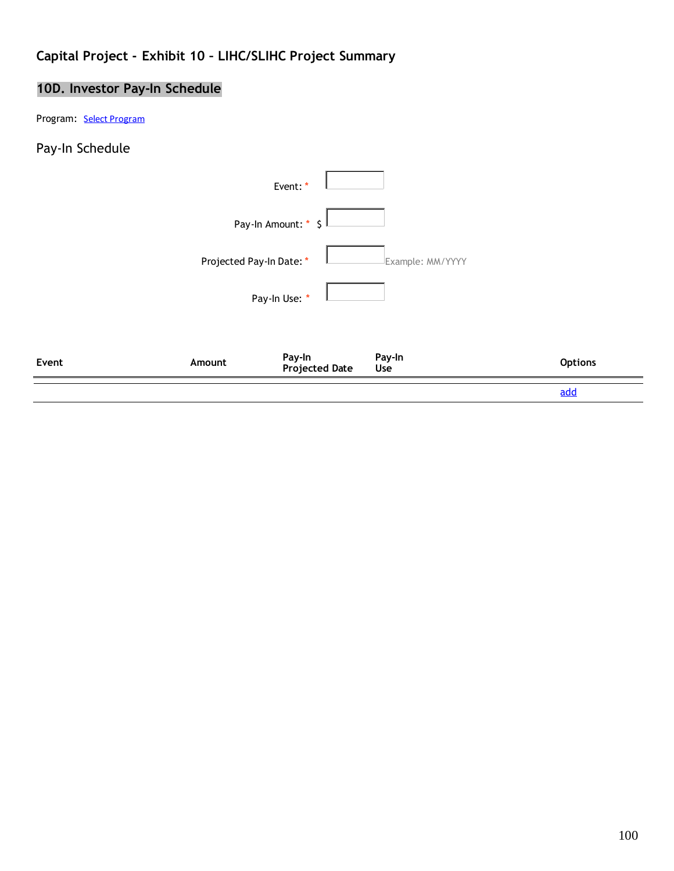# **Capital Project - Exhibit 10 – LIHC/SLIHC Project Summary**

# **10D. Investor Pay-In Schedule**

Program: Select Program

## Pay-In Schedule

|       |                          |                          |                  | add            |
|-------|--------------------------|--------------------------|------------------|----------------|
| Event | Amount                   | Pay-In<br>Projected Date | Pay-In<br>Use    | <b>Options</b> |
|       |                          | Pay-In Use: *            |                  |                |
|       | Projected Pay-In Date: * |                          | Example: MM/YYYY |                |
|       |                          | Pay-In Amount: * \$      |                  |                |
|       |                          | Event: *                 |                  |                |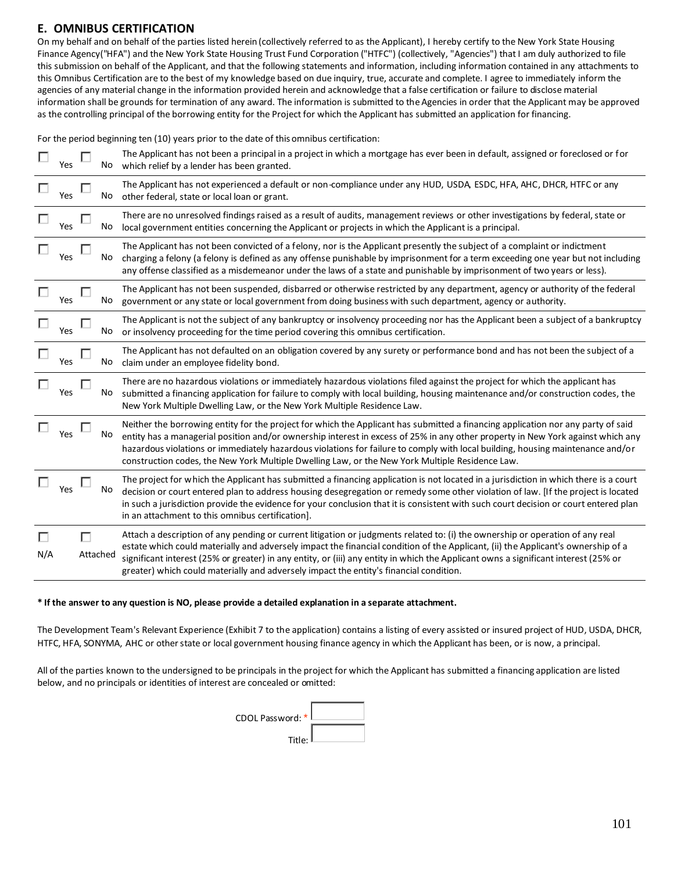#### **E. OMNIBUS CERTIFICATION**

On my behalf and on behalf of the parties listed herein (collectively referred to as the Applicant), I hereby certify to the New York State Housing Finance Agency("HFA") and the New York State Housing Trust Fund Corporation ("HTFC") (collectively, "Agencies") that I am duly authorized to file this submission on behalf of the Applicant, and that the following statements and information, including information contained in any attachments to this Omnibus Certification are to the best of my knowledge based on due inquiry, true, accurate and complete. I agree to immediately inform the agencies of any material change in the information provided herein and acknowledge that a false certification or failure to disclose material information shall be grounds for termination of any award. The information is submitted to the Agencies in order that the Applicant may be approved as the controlling principal of the borrowing entity for the Project for which the Applicant has submitted an application for financing.

For the period beginning ten (10) years prior to the date of this omnibus certification:

|          | Yes |   | No       | The Applicant has not been a principal in a project in which a mortgage has ever been in default, assigned or foreclosed or for<br>which relief by a lender has been granted.                                                                                                                                                                                                                                                                                                                            |
|----------|-----|---|----------|----------------------------------------------------------------------------------------------------------------------------------------------------------------------------------------------------------------------------------------------------------------------------------------------------------------------------------------------------------------------------------------------------------------------------------------------------------------------------------------------------------|
|          | Yes |   | No       | The Applicant has not experienced a default or non-compliance under any HUD, USDA, ESDC, HFA, AHC, DHCR, HTFC or any<br>other federal, state or local loan or grant.                                                                                                                                                                                                                                                                                                                                     |
|          | Yes |   | No       | There are no unresolved findings raised as a result of audits, management reviews or other investigations by federal, state or<br>local government entities concerning the Applicant or projects in which the Applicant is a principal.                                                                                                                                                                                                                                                                  |
|          | Yes |   | No       | The Applicant has not been convicted of a felony, nor is the Applicant presently the subject of a complaint or indictment<br>charging a felony (a felony is defined as any offense punishable by imprisonment for a term exceeding one year but not including<br>any offense classified as a misdemeanor under the laws of a state and punishable by imprisonment of two years or less).                                                                                                                 |
|          | Yes |   | No       | The Applicant has not been suspended, disbarred or otherwise restricted by any department, agency or authority of the federal<br>government or any state or local government from doing business with such department, agency or authority.                                                                                                                                                                                                                                                              |
|          | Yes |   | No       | The Applicant is not the subject of any bankruptcy or insolvency proceeding nor has the Applicant been a subject of a bankruptcy<br>or insolvency proceeding for the time period covering this omnibus certification.                                                                                                                                                                                                                                                                                    |
|          | Yes |   | No       | The Applicant has not defaulted on an obligation covered by any surety or performance bond and has not been the subject of a<br>claim under an employee fidelity bond.                                                                                                                                                                                                                                                                                                                                   |
|          | Yes |   | No       | There are no hazardous violations or immediately hazardous violations filed against the project for which the applicant has<br>submitted a financing application for failure to comply with local building, housing maintenance and/or construction codes, the<br>New York Multiple Dwelling Law, or the New York Multiple Residence Law.                                                                                                                                                                |
|          | Yes |   | No       | Neither the borrowing entity for the project for which the Applicant has submitted a financing application nor any party of said<br>entity has a managerial position and/or ownership interest in excess of 25% in any other property in New York against which any<br>hazardous violations or immediately hazardous violations for failure to comply with local building, housing maintenance and/or<br>construction codes, the New York Multiple Dwelling Law, or the New York Multiple Residence Law. |
|          | Yes |   | No       | The project for which the Applicant has submitted a financing application is not located in a jurisdiction in which there is a court<br>decision or court entered plan to address housing desegregation or remedy some other violation of law. [If the project is located<br>in such a jurisdiction provide the evidence for your conclusion that it is consistent with such court decision or court entered plan<br>in an attachment to this omnibus certification].                                    |
| П<br>N/A |     | П | Attached | Attach a description of any pending or current litigation or judgments related to: (i) the ownership or operation of any real<br>estate which could materially and adversely impact the financial condition of the Applicant, (ii) the Applicant's ownership of a<br>significant interest (25% or greater) in any entity, or (iii) any entity in which the Applicant owns a significant interest (25% or<br>greater) which could materially and adversely impact the entity's financial condition.       |

#### **\* If the answer to any question is NO, please provide a detailed explanation in a separate attachment.**

The Development Team's Relevant Experience (Exhibit 7 to the application) contains a listing of every assisted or insured project of HUD, USDA, DHCR, HTFC, HFA, SONYMA, AHC or other state or local government housing finance agency in which the Applicant has been, or is now, a principal.

All of the parties known to the undersigned to be principals in the project for which the Applicant has submitted a financing application are listed below, and no principals or identities of interest are concealed or omitted:

| CDOL Password: * l |  |
|--------------------|--|
| Title: l           |  |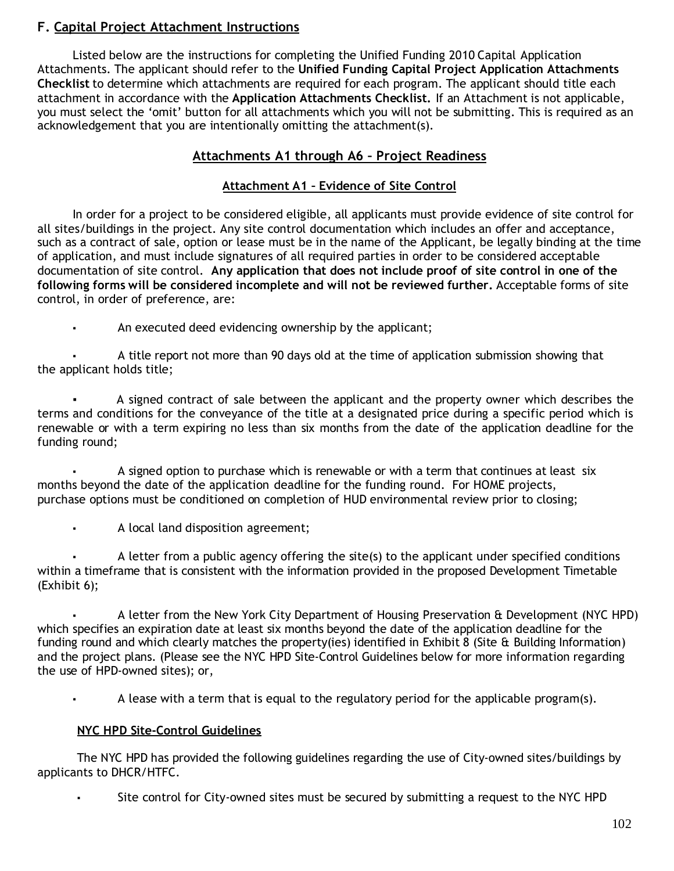### **F. Capital Project Attachment Instructions**

Listed below are the instructions for completing the Unified Funding 2010 Capital Application Attachments. The applicant should refer to the **Unified Funding Capital Project Application Attachments Checklist** to determine which attachments are required for each program. The applicant should title each attachment in accordance with the **Application Attachments Checklist.** If an Attachment is not applicable, you must select the 'omit' button for all attachments which you will not be submitting. This is required as an acknowledgement that you are intentionally omitting the attachment(s).

### **Attachments A1 through A6 – Project Readiness**

### **Attachment A1 – Evidence of Site Control**

In order for a project to be considered eligible, all applicants must provide evidence of site control for all sites/buildings in the project. Any site control documentation which includes an offer and acceptance, such as a contract of sale, option or lease must be in the name of the Applicant, be legally binding at the time of application, and must include signatures of all required parties in order to be considered acceptable documentation of site control. **Any application that does not include proof of site control in one of the following forms will be considered incomplete and will not be reviewed further.** Acceptable forms of site control, in order of preference, are:

An executed deed evidencing ownership by the applicant;

A title report not more than 90 days old at the time of application submission showing that the applicant holds title;

A signed contract of sale between the applicant and the property owner which describes the terms and conditions for the conveyance of the title at a designated price during a specific period which is renewable or with a term expiring no less than six months from the date of the application deadline for the funding round;

A signed option to purchase which is renewable or with a term that continues at least six months beyond the date of the application deadline for the funding round. For HOME projects, purchase options must be conditioned on completion of HUD environmental review prior to closing;

A local land disposition agreement;

A letter from a public agency offering the site(s) to the applicant under specified conditions within a timeframe that is consistent with the information provided in the proposed Development Timetable (Exhibit 6);

A letter from the New York City Department of Housing Preservation & Development (NYC HPD) which specifies an expiration date at least six months beyond the date of the application deadline for the funding round and which clearly matches the property(ies) identified in Exhibit 8 (Site & Building Information) and the project plans. (Please see the NYC HPD Site-Control Guidelines below for more information regarding the use of HPD-owned sites); or,

A lease with a term that is equal to the regulatory period for the applicable program(s).

#### **NYC HPD Site-Control Guidelines**

The NYC HPD has provided the following guidelines regarding the use of City-owned sites/buildings by applicants to DHCR/HTFC.

Site control for City-owned sites must be secured by submitting a request to the NYC HPD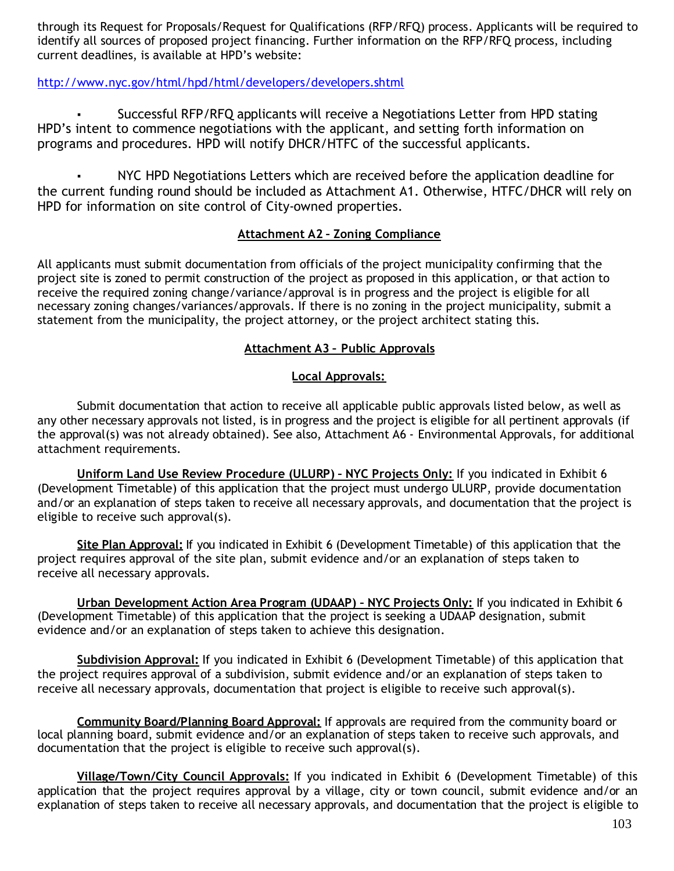through its Request for Proposals/Request for Qualifications (RFP/RFQ) process. Applicants will be required to identify all sources of proposed project financing. Further information on the RFP/RFQ process, including current deadlines, is available at HPD's website:

### http://www.nyc.gov/html/hpd/html/developers/developers.shtml

Successful RFP/RFQ applicants will receive a Negotiations Letter from HPD stating HPD's intent to commence negotiations with the applicant, and setting forth information on programs and procedures. HPD will notify DHCR/HTFC of the successful applicants.

NYC HPD Negotiations Letters which are received before the application deadline for the current funding round should be included as Attachment A1. Otherwise, HTFC/DHCR will rely on HPD for information on site control of City-owned properties.

#### **Attachment A2 – Zoning Compliance**

All applicants must submit documentation from officials of the project municipality confirming that the project site is zoned to permit construction of the project as proposed in this application, or that action to receive the required zoning change/variance/approval is in progress and the project is eligible for all necessary zoning changes/variances/approvals. If there is no zoning in the project municipality, submit a statement from the municipality, the project attorney, or the project architect stating this.

#### **Attachment A3 – Public Approvals**

#### **Local Approvals:**

Submit documentation that action to receive all applicable public approvals listed below, as well as any other necessary approvals not listed, is in progress and the project is eligible for all pertinent approvals (if the approval(s) was not already obtained). See also, Attachment A6 - Environmental Approvals, for additional attachment requirements.

**Uniform Land Use Review Procedure (ULURP) – NYC Projects Only:** If you indicated in Exhibit 6 (Development Timetable) of this application that the project must undergo ULURP, provide documentation and/or an explanation of steps taken to receive all necessary approvals, and documentation that the project is eligible to receive such approval(s).

**Site Plan Approval:** If you indicated in Exhibit 6 (Development Timetable) of this application that the project requires approval of the site plan, submit evidence and/or an explanation of steps taken to receive all necessary approvals.

**Urban Development Action Area Program (UDAAP) – NYC Projects Only:** If you indicated in Exhibit 6 (Development Timetable) of this application that the project is seeking a UDAAP designation, submit evidence and/or an explanation of steps taken to achieve this designation.

**Subdivision Approval:** If you indicated in Exhibit 6 (Development Timetable) of this application that the project requires approval of a subdivision, submit evidence and/or an explanation of steps taken to receive all necessary approvals, documentation that project is eligible to receive such approval(s).

**Community Board/Planning Board Approval:** If approvals are required from the community board or local planning board, submit evidence and/or an explanation of steps taken to receive such approvals, and documentation that the project is eligible to receive such approval(s).

**Village/Town/City Council Approvals:** If you indicated in Exhibit 6 (Development Timetable) of this application that the project requires approval by a village, city or town council, submit evidence and/or an explanation of steps taken to receive all necessary approvals, and documentation that the project is eligible to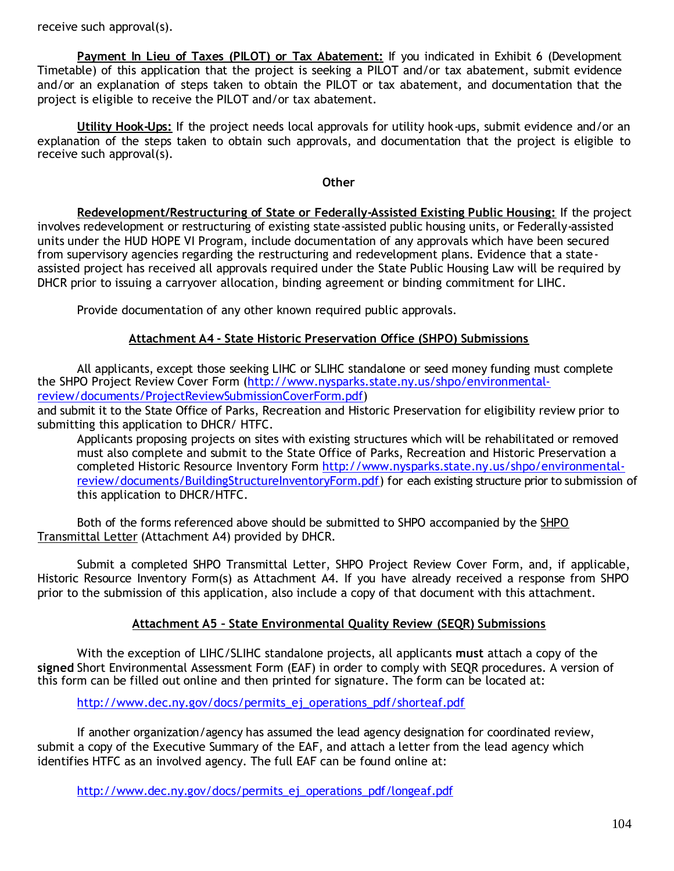receive such approval(s).

**Payment In Lieu of Taxes (PILOT) or Tax Abatement:** If you indicated in Exhibit 6 (Development Timetable) of this application that the project is seeking a PILOT and/or tax abatement, submit evidence and/or an explanation of steps taken to obtain the PILOT or tax abatement, and documentation that the project is eligible to receive the PILOT and/or tax abatement.

**Utility Hook-Ups:** If the project needs local approvals for utility hook-ups, submit evidence and/or an explanation of the steps taken to obtain such approvals, and documentation that the project is eligible to receive such approval(s).

#### **Other**

**Redevelopment/Restructuring of State or Federally-Assisted Existing Public Housing:** If the project involves redevelopment or restructuring of existing state-assisted public housing units, or Federally-assisted units under the HUD HOPE VI Program, include documentation of any approvals which have been secured from supervisory agencies regarding the restructuring and redevelopment plans. Evidence that a stateassisted project has received all approvals required under the State Public Housing Law will be required by DHCR prior to issuing a carryover allocation, binding agreement or binding commitment for LIHC.

Provide documentation of any other known required public approvals.

#### **Attachment A4 - State Historic Preservation Office (SHPO) Submissions**

All applicants, except those seeking LIHC or SLIHC standalone or seed money funding must complete the SHPO Project Review Cover Form (http://www.nysparks.state.ny.us/shpo/environmentalreview/documents/ProjectReviewSubmissionCoverForm.pdf)

and submit it to the State Office of Parks, Recreation and Historic Preservation for eligibility review prior to submitting this application to DHCR/ HTFC.

Applicants proposing projects on sites with existing structures which will be rehabilitated or removed must also complete and submit to the State Office of Parks, Recreation and Historic Preservation a completed Historic Resource Inventory Form http://www.nysparks.state.ny.us/shpo/environmentalreview/documents/BuildingStructureInventoryForm.pdf) for each existing structure prior to submission of this application to DHCR/HTFC.

Both of the forms referenced above should be submitted to SHPO accompanied by the SHPO Transmittal Letter (Attachment A4) provided by DHCR.

Submit a completed SHPO Transmittal Letter, SHPO Project Review Cover Form, and, if applicable, Historic Resource Inventory Form(s) as Attachment A4. If you have already received a response from SHPO prior to the submission of this application, also include a copy of that document with this attachment.

#### **Attachment A5 – State Environmental Quality Review (SEQR) Submissions**

With the exception of LIHC/SLIHC standalone projects, all applicants **must** attach a copy of the **signed** Short Environmental Assessment Form (EAF) in order to comply with SEQR procedures. A version of this form can be filled out online and then printed for signature. The form can be located at:

http://www.dec.ny.gov/docs/permits\_ej\_operations\_pdf/shorteaf.pdf

If another organization/agency has assumed the lead agency designation for coordinated review, submit a copy of the Executive Summary of the EAF, and attach a letter from the lead agency which identifies HTFC as an involved agency. The full EAF can be found online at:

http://www.dec.ny.gov/docs/permits\_ej\_operations\_pdf/longeaf.pdf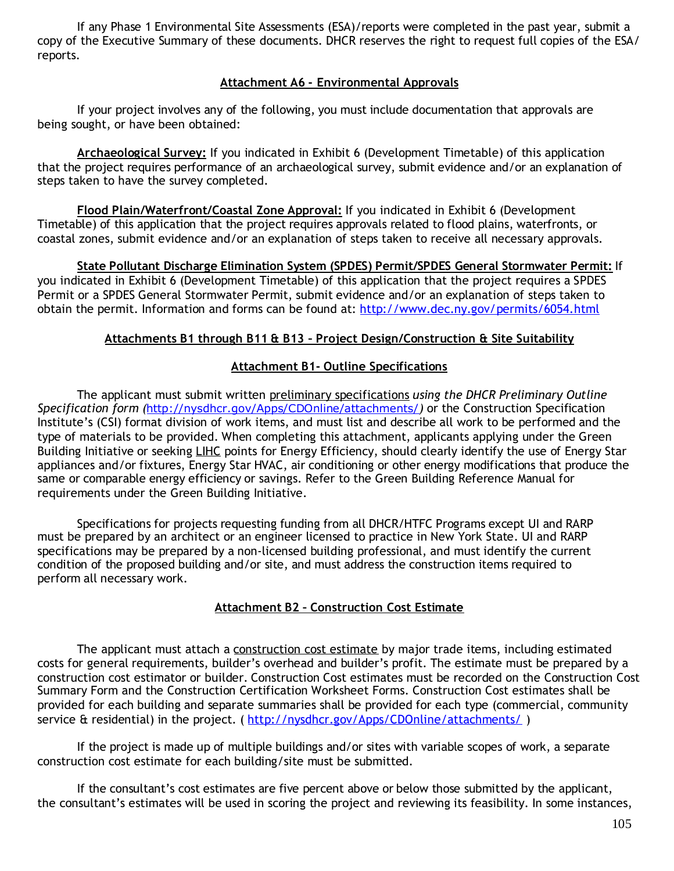If any Phase 1 Environmental Site Assessments (ESA)/reports were completed in the past year, submit a copy of the Executive Summary of these documents. DHCR reserves the right to request full copies of the ESA/ reports.

#### **Attachment A6 - Environmental Approvals**

If your project involves any of the following, you must include documentation that approvals are being sought, or have been obtained:

**Archaeological Survey:** If you indicated in Exhibit 6 (Development Timetable) of this application that the project requires performance of an archaeological survey, submit evidence and/or an explanation of steps taken to have the survey completed.

**Flood Plain/Waterfront/Coastal Zone Approval:** If you indicated in Exhibit 6 (Development Timetable) of this application that the project requires approvals related to flood plains, waterfronts, or coastal zones, submit evidence and/or an explanation of steps taken to receive all necessary approvals.

**State Pollutant Discharge Elimination System (SPDES) Permit/SPDES General Stormwater Permit:** If you indicated in Exhibit 6 (Development Timetable) of this application that the project requires a SPDES Permit or a SPDES General Stormwater Permit, submit evidence and/or an explanation of steps taken to obtain the permit. Information and forms can be found at: http://www.dec.ny.gov/permits/6054.html

#### **Attachments B1 through B11 & B13 – Project Design/Construction & Site Suitability**

#### **Attachment B1- Outline Specifications**

The applicant must submit written preliminary specifications *using the DHCR Preliminary Outline Specification form (*http://nysdhcr.gov/Apps/CDOnline/attachments/*)* or the Construction Specification Institute's (CSI) format division of work items, and must list and describe all work to be performed and the type of materials to be provided. When completing this attachment, applicants applying under the Green Building Initiative or seeking LIHC points for Energy Efficiency, should clearly identify the use of Energy Star appliances and/or fixtures, Energy Star HVAC, air conditioning or other energy modifications that produce the same or comparable energy efficiency or savings. Refer to the Green Building Reference Manual for requirements under the Green Building Initiative.

Specifications for projects requesting funding from all DHCR/HTFC Programs except UI and RARP must be prepared by an architect or an engineer licensed to practice in New York State. UI and RARP specifications may be prepared by a non-licensed building professional, and must identify the current condition of the proposed building and/or site, and must address the construction items required to perform all necessary work.

#### **Attachment B2 – Construction Cost Estimate**

The applicant must attach a construction cost estimate by major trade items, including estimated costs for general requirements, builder's overhead and builder's profit. The estimate must be prepared by a construction cost estimator or builder. Construction Cost estimates must be recorded on the Construction Cost Summary Form and the Construction Certification Worksheet Forms. Construction Cost estimates shall be provided for each building and separate summaries shall be provided for each type (commercial, community service & residential) in the project. (http://nysdhcr.gov/Apps/CDOnline/attachments/)

If the project is made up of multiple buildings and/or sites with variable scopes of work, a separate construction cost estimate for each building/site must be submitted.

If the consultant's cost estimates are five percent above or below those submitted by the applicant, the consultant's estimates will be used in scoring the project and reviewing its feasibility. In some instances,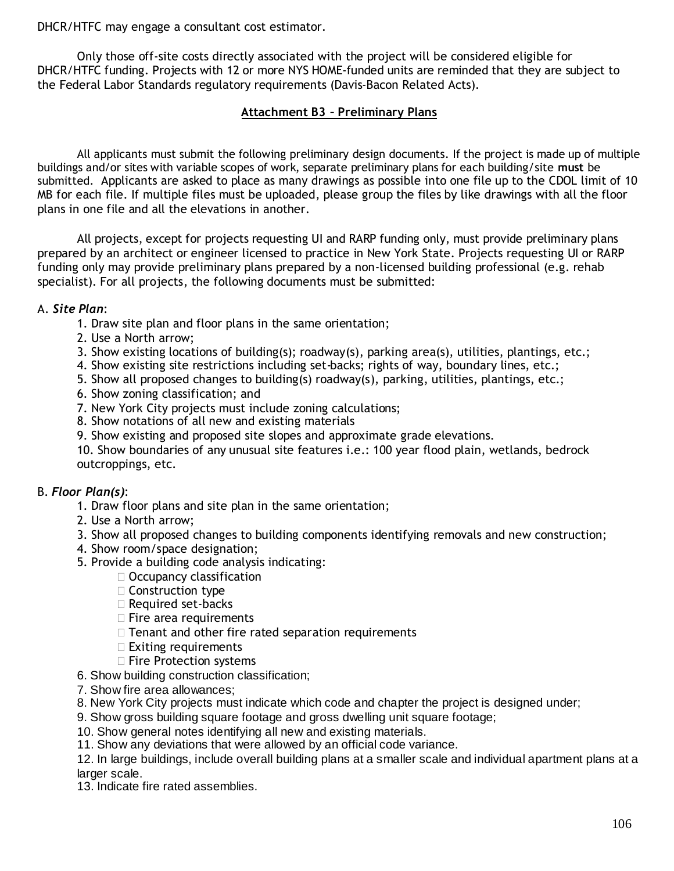DHCR/HTFC may engage a consultant cost estimator.

Only those off-site costs directly associated with the project will be considered eligible for DHCR/HTFC funding. Projects with 12 or more NYS HOME-funded units are reminded that they are subject to the Federal Labor Standards regulatory requirements (Davis-Bacon Related Acts).

#### **Attachment B3 – Preliminary Plans**

All applicants must submit the following preliminary design documents. If the project is made up of multiple buildings and/or sites with variable scopes of work, separate preliminary plans for each building/site **must** be submitted. Applicants are asked to place as many drawings as possible into one file up to the CDOL limit of 10 MB for each file. If multiple files must be uploaded, please group the files by like drawings with all the floor plans in one file and all the elevations in another.

All projects, except for projects requesting UI and RARP funding only, must provide preliminary plans prepared by an architect or engineer licensed to practice in New York State. Projects requesting UI or RARP funding only may provide preliminary plans prepared by a non-licensed building professional (e.g. rehab specialist). For all projects, the following documents must be submitted:

#### A. *Site Plan*:

- 1. Draw site plan and floor plans in the same orientation;
- 2. Use a North arrow;
- 3. Show existing locations of building(s); roadway(s), parking area(s), utilities, plantings, etc.;
- 4. Show existing site restrictions including set-backs; rights of way, boundary lines, etc.;
- 5. Show all proposed changes to building(s) roadway(s), parking, utilities, plantings, etc.;
- 6. Show zoning classification; and
- 7. New York City projects must include zoning calculations;
- 8. Show notations of all new and existing materials
- 9. Show existing and proposed site slopes and approximate grade elevations.

10. Show boundaries of any unusual site features i.e.: 100 year flood plain, wetlands, bedrock outcroppings, etc.

#### B. *Floor Plan(s)*:

- 1. Draw floor plans and site plan in the same orientation;
- 2. Use a North arrow;
- 3. Show all proposed changes to building components identifying removals and new construction;
- 4. Show room/space designation;
- 5. Provide a building code analysis indicating:
	- □ Occupancy classification
	- □ Construction type
	- □ Required set-backs
	- $\Box$  Fire area requirements
	- $\Box$  Tenant and other fire rated separation requirements
	- $\Box$  Exiting requirements
	- □ Fire Protection systems
- 6. Show building construction classification;
- 7. Show fire area allowances;
- 8. New York City projects must indicate which code and chapter the project is designed under;
- 9. Show gross building square footage and gross dwelling unit square footage;
- 10. Show general notes identifying all new and existing materials.
- 11. Show any deviations that were allowed by an official code variance.

12. In large buildings, include overall building plans at a smaller scale and individual apartment plans at a larger scale.

13. Indicate fire rated assemblies.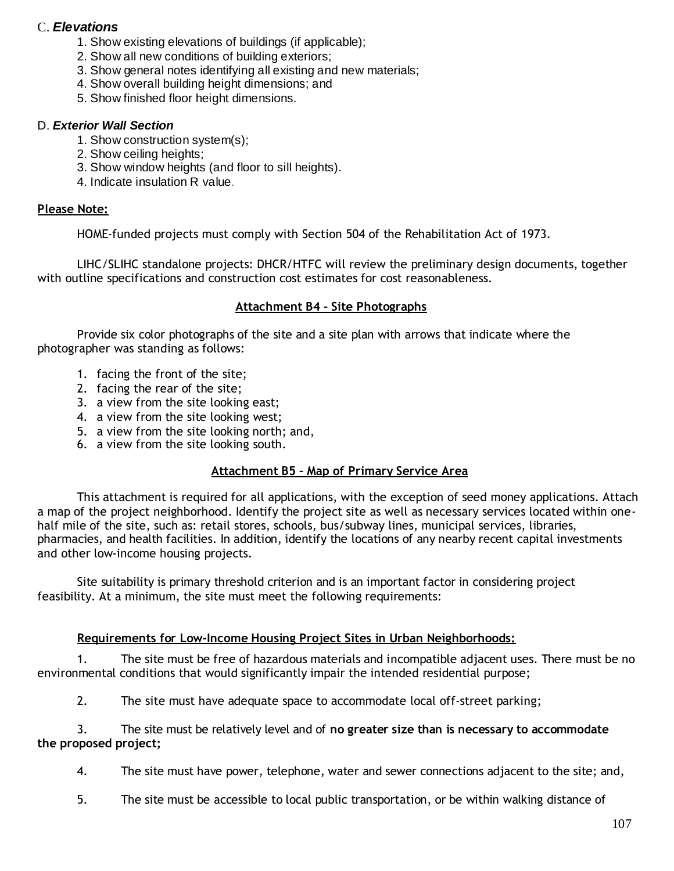### C. *Elevations*

- 1. Show existing elevations of buildings (if applicable);
- 2. Show all new conditions of building exteriors;
- 3. Show general notes identifying all existing and new materials;
- 4. Show overall building height dimensions; and
- 5. Show finished floor height dimensions.

#### D. *Exterior Wall Section*

- 1. Show construction system(s);
- 2. Show ceiling heights;
- 3. Show window heights (and floor to sill heights).
- 4. Indicate insulation R value.

#### **Please Note:**

HOME-funded projects must comply with Section 504 of the Rehabilitation Act of 1973.

LIHC/SLIHC standalone projects: DHCR/HTFC will review the preliminary design documents, together with outline specifications and construction cost estimates for cost reasonableness.

#### **Attachment B4 – Site Photographs**

Provide six color photographs of the site and a site plan with arrows that indicate where the photographer was standing as follows:

- 1. facing the front of the site;
- 2. facing the rear of the site;
- 3. a view from the site looking east;
- 4. a view from the site looking west;
- 5. a view from the site looking north; and,
- 6. a view from the site looking south.

#### **Attachment B5 – Map of Primary Service Area**

This attachment is required for all applications, with the exception of seed money applications. Attach a map of the project neighborhood. Identify the project site as well as necessary services located within onehalf mile of the site, such as: retail stores, schools, bus/subway lines, municipal services, libraries, pharmacies, and health facilities. In addition, identify the locations of any nearby recent capital investments and other low-income housing projects.

Site suitability is primary threshold criterion and is an important factor in considering project feasibility. At a minimum, the site must meet the following requirements:

#### **Requirements for Low-Income Housing Project Sites in Urban Neighborhoods:**

1. The site must be free of hazardous materials and incompatible adjacent uses. There must be no environmental conditions that would significantly impair the intended residential purpose;

2. The site must have adequate space to accommodate local off-street parking;

3. The site must be relatively level and of **no greater size than is necessary to accommodate the proposed project;**

4. The site must have power, telephone, water and sewer connections adjacent to the site; and,

5. The site must be accessible to local public transportation, or be within walking distance of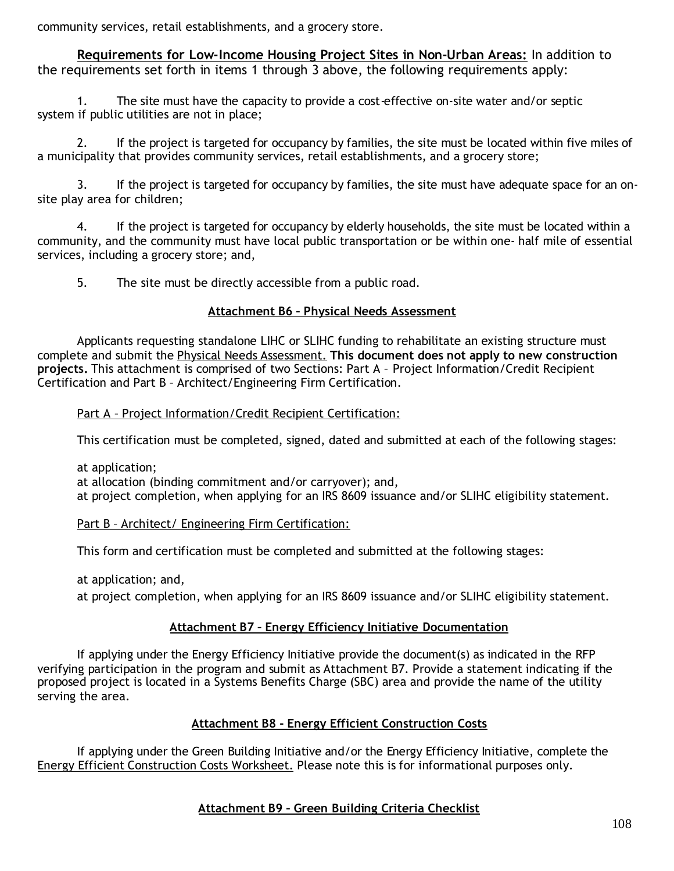community services, retail establishments, and a grocery store.

**Requirements for Low-Income Housing Project Sites in Non-Urban Areas:** In addition to the requirements set forth in items 1 through 3 above, the following requirements apply:

1. The site must have the capacity to provide a cost-effective on-site water and/or septic system if public utilities are not in place;

2. If the project is targeted for occupancy by families, the site must be located within five miles of a municipality that provides community services, retail establishments, and a grocery store;

3. If the project is targeted for occupancy by families, the site must have adequate space for an onsite play area for children;

4. If the project is targeted for occupancy by elderly households, the site must be located within a community, and the community must have local public transportation or be within one- half mile of essential services, including a grocery store; and,

5. The site must be directly accessible from a public road.

#### **Attachment B6 – Physical Needs Assessment**

Applicants requesting standalone LIHC or SLIHC funding to rehabilitate an existing structure must complete and submit the Physical Needs Assessment. **This document does not apply to new construction projects.** This attachment is comprised of two Sections: Part A – Project Information/Credit Recipient Certification and Part B – Architect/Engineering Firm Certification.

Part A - Project Information/Credit Recipient Certification:

This certification must be completed, signed, dated and submitted at each of the following stages:

at application;

at allocation (binding commitment and/or carryover); and, at project completion, when applying for an IRS 8609 issuance and/or SLIHC eligibility statement.

#### Part B – Architect/ Engineering Firm Certification:

This form and certification must be completed and submitted at the following stages:

at application; and,

at project completion, when applying for an IRS 8609 issuance and/or SLIHC eligibility statement.

#### **Attachment B7 – Energy Efficiency Initiative Documentation**

If applying under the Energy Efficiency Initiative provide the document(s) as indicated in the RFP verifying participation in the program and submit as Attachment B7. Provide a statement indicating if the proposed project is located in a Systems Benefits Charge (SBC) area and provide the name of the utility serving the area.

#### **Attachment B8 - Energy Efficient Construction Costs**

If applying under the Green Building Initiative and/or the Energy Efficiency Initiative, complete the Energy Efficient Construction Costs Worksheet. Please note this is for informational purposes only.

### **Attachment B9 – Green Building Criteria Checklist**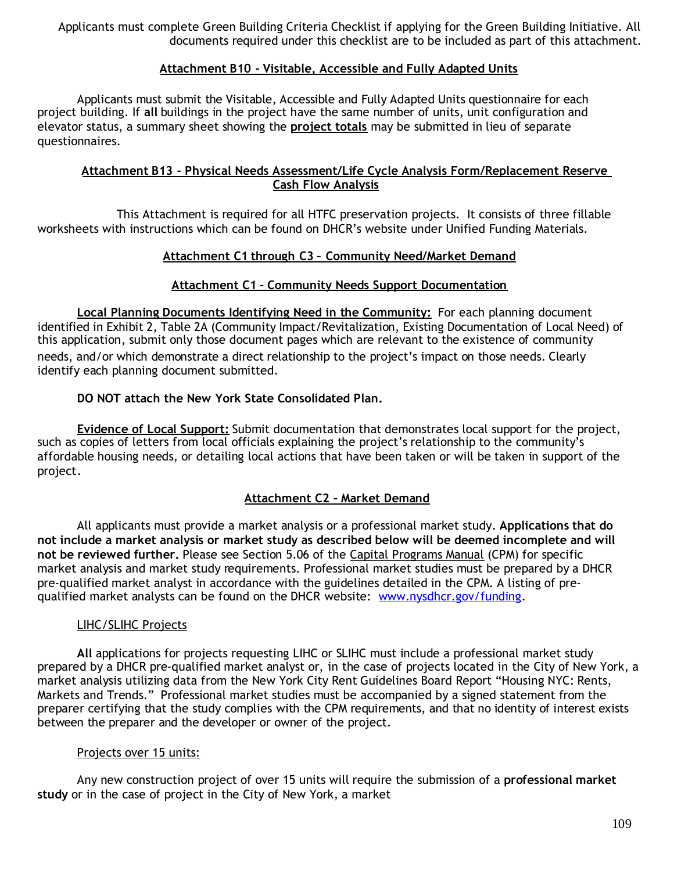Applicants must complete Green Building Criteria Checklist if applying for the Green Building Initiative. All documents required under this checklist are to be included as part of this attachment.

### **Attachment B10 - Visitable, Accessible and Fully Adapted Units**

Applicants must submit the Visitable, Accessible and Fully Adapted Units questionnaire for each project building. If **all** buildings in the project have the same number of units, unit configuration and elevator status, a summary sheet showing the **project totals** may be submitted in lieu of separate questionnaires.

#### **Attachment B13 – Physical Needs Assessment/Life Cycle Analysis Form/Replacement Reserve Cash Flow Analysis**

This Attachment is required for all HTFC preservation projects. It consists of three fillable worksheets with instructions which can be found on DHCR's website under Unified Funding Materials.

#### **Attachment C1 through C3 – Community Need/Market Demand**

#### **Attachment C1 – Community Needs Support Documentation**

**Local Planning Documents Identifying Need in the Community:** For each planning document identified in Exhibit 2, Table 2A (Community Impact/Revitalization, Existing Documentation of Local Need) of this application, submit only those document pages which are relevant to the existence of community needs, and/or which demonstrate a direct relationship to the project's impact on those needs. Clearly identify each planning document submitted.

#### **DO NOT attach the New York State Consolidated Plan.**

**Evidence of Local Support:** Submit documentation that demonstrates local support for the project, such as copies of letters from local officials explaining the project's relationship to the community's affordable housing needs, or detailing local actions that have been taken or will be taken in support of the project.

### **Attachment C2 – Market Demand**

All applicants must provide a market analysis or a professional market study. **Applications that do not include a market analysis or market study as described below will be deemed incomplete and will not be reviewed further.** Please see Section 5.06 of the Capital Programs Manual (CPM) for specific market analysis and market study requirements. Professional market studies must be prepared by a DHCR pre-qualified market analyst in accordance with the guidelines detailed in the CPM. A listing of prequalified market analysts can be found on the DHCR website: www.nysdhcr.gov/funding.

#### LIHC/SLIHC Projects

**All** applications for projects requesting LIHC or SLIHC must include a professional market study prepared by a DHCR pre-qualified market analyst or, in the case of projects located in the City of New York, a market analysis utilizing data from the New York City Rent Guidelines Board Report "Housing NYC: Rents, Markets and Trends." Professional market studies must be accompanied by a signed statement from the preparer certifying that the study complies with the CPM requirements, and that no identity of interest exists between the preparer and the developer or owner of the project.

#### Projects over 15 units:

Any new construction project of over 15 units will require the submission of a **professional market study** or in the case of project in the City of New York, a market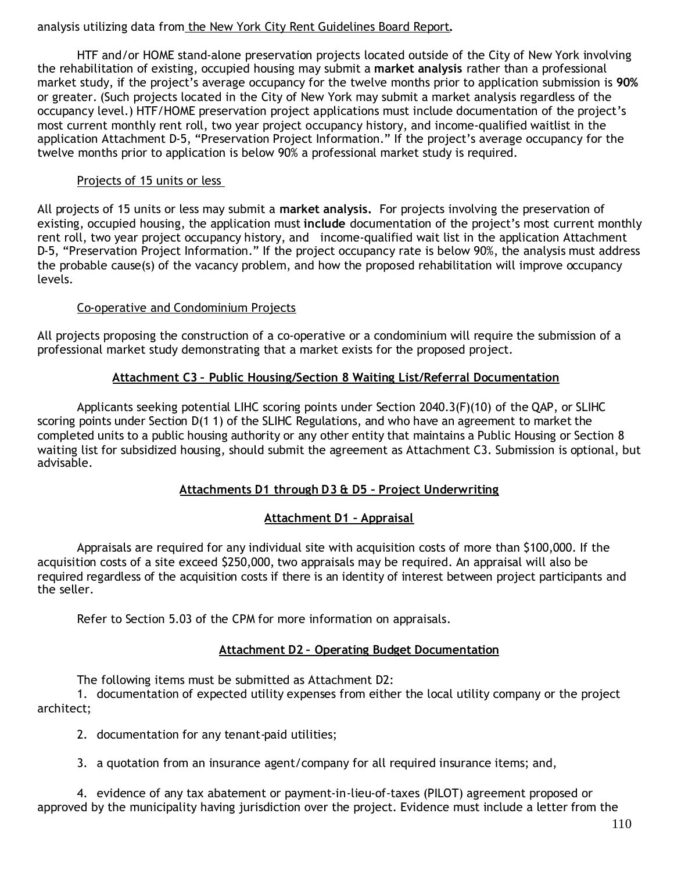### analysis utilizing data from the New York City Rent Guidelines Board Report**.**

HTF and/or HOME stand-alone preservation projects located outside of the City of New York involving the rehabilitation of existing, occupied housing may submit a **market analysis** rather than a professional market study, if the project's average occupancy for the twelve months prior to application submission is **90%** or greater. (Such projects located in the City of New York may submit a market analysis regardless of the occupancy level.) HTF/HOME preservation project applications must include documentation of the project's most current monthly rent roll, two year project occupancy history, and income-qualified waitlist in the application Attachment D-5, "Preservation Project Information." If the project's average occupancy for the twelve months prior to application is below 90% a professional market study is required.

### Projects of 15 units or less

All projects of 15 units or less may submit a **market analysis.** For projects involving the preservation of existing, occupied housing, the application must **include** documentation of the project's most current monthly rent roll, two year project occupancy history, and income-qualified wait list in the application Attachment D-5, "Preservation Project Information." If the project occupancy rate is below 90%, the analysis must address the probable cause(s) of the vacancy problem, and how the proposed rehabilitation will improve occupancy levels.

### Co-operative and Condominium Projects

All projects proposing the construction of a co-operative or a condominium will require the submission of a professional market study demonstrating that a market exists for the proposed project.

### **Attachment C3 – Public Housing/Section 8 Waiting List/Referral Documentation**

Applicants seeking potential LIHC scoring points under Section 2040.3(F)(10) of the QAP, or SLIHC scoring points under Section D(1 1) of the SLIHC Regulations, and who have an agreement to market the completed units to a public housing authority or any other entity that maintains a Public Housing or Section 8 waiting list for subsidized housing, should submit the agreement as Attachment C3. Submission is optional, but advisable.

## **Attachments D1 through D3 & D5 – Project Underwriting**

## **Attachment D1 – Appraisal**

Appraisals are required for any individual site with acquisition costs of more than \$100,000. If the acquisition costs of a site exceed \$250,000, two appraisals may be required. An appraisal will also be required regardless of the acquisition costs if there is an identity of interest between project participants and the seller.

Refer to Section 5.03 of the CPM for more information on appraisals.

## **Attachment D2 – Operating Budget Documentation**

The following items must be submitted as Attachment D2:

1. documentation of expected utility expenses from either the local utility company or the project architect;

2. documentation for any tenant-paid utilities;

3. a quotation from an insurance agent/company for all required insurance items; and,

4. evidence of any tax abatement or payment-in-lieu-of-taxes (PILOT) agreement proposed or approved by the municipality having jurisdiction over the project. Evidence must include a letter from the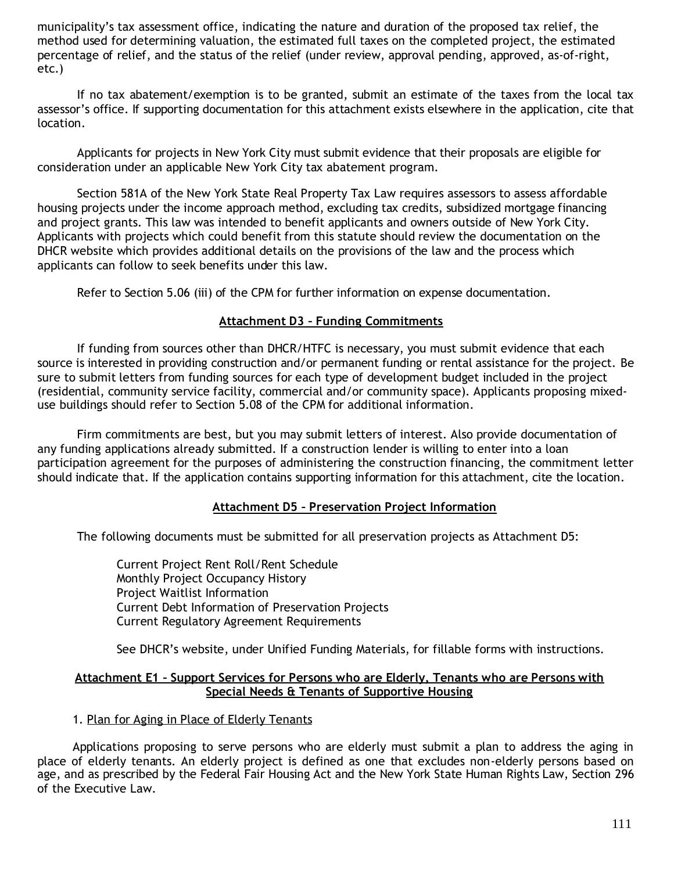municipality's tax assessment office, indicating the nature and duration of the proposed tax relief, the method used for determining valuation, the estimated full taxes on the completed project, the estimated percentage of relief, and the status of the relief (under review, approval pending, approved, as-of-right, etc.)

If no tax abatement/exemption is to be granted, submit an estimate of the taxes from the local tax assessor's office. If supporting documentation for this attachment exists elsewhere in the application, cite that location.

Applicants for projects in New York City must submit evidence that their proposals are eligible for consideration under an applicable New York City tax abatement program.

Section 581A of the New York State Real Property Tax Law requires assessors to assess affordable housing projects under the income approach method, excluding tax credits, subsidized mortgage financing and project grants. This law was intended to benefit applicants and owners outside of New York City. Applicants with projects which could benefit from this statute should review the documentation on the DHCR website which provides additional details on the provisions of the law and the process which applicants can follow to seek benefits under this law.

Refer to Section 5.06 (iii) of the CPM for further information on expense documentation.

### **Attachment D3 – Funding Commitments**

If funding from sources other than DHCR/HTFC is necessary, you must submit evidence that each source is interested in providing construction and/or permanent funding or rental assistance for the project. Be sure to submit letters from funding sources for each type of development budget included in the project (residential, community service facility, commercial and/or community space). Applicants proposing mixeduse buildings should refer to Section 5.08 of the CPM for additional information.

Firm commitments are best, but you may submit letters of interest. Also provide documentation of any funding applications already submitted. If a construction lender is willing to enter into a loan participation agreement for the purposes of administering the construction financing, the commitment letter should indicate that. If the application contains supporting information for this attachment, cite the location.

### **Attachment D5 – Preservation Project Information**

The following documents must be submitted for all preservation projects as Attachment D5:

Current Project Rent Roll/Rent Schedule Monthly Project Occupancy History Project Waitlist Information Current Debt Information of Preservation Projects Current Regulatory Agreement Requirements

See DHCR's website, under Unified Funding Materials, for fillable forms with instructions.

#### **Attachment E1 – Support Services for Persons who are Elderly, Tenants who are Persons with Special Needs & Tenants of Supportive Housing**

### 1. Plan for Aging in Place of Elderly Tenants

Applications proposing to serve persons who are elderly must submit a plan to address the aging in place of elderly tenants. An elderly project is defined as one that excludes non-elderly persons based on age, and as prescribed by the Federal Fair Housing Act and the New York State Human Rights Law, Section 296 of the Executive Law.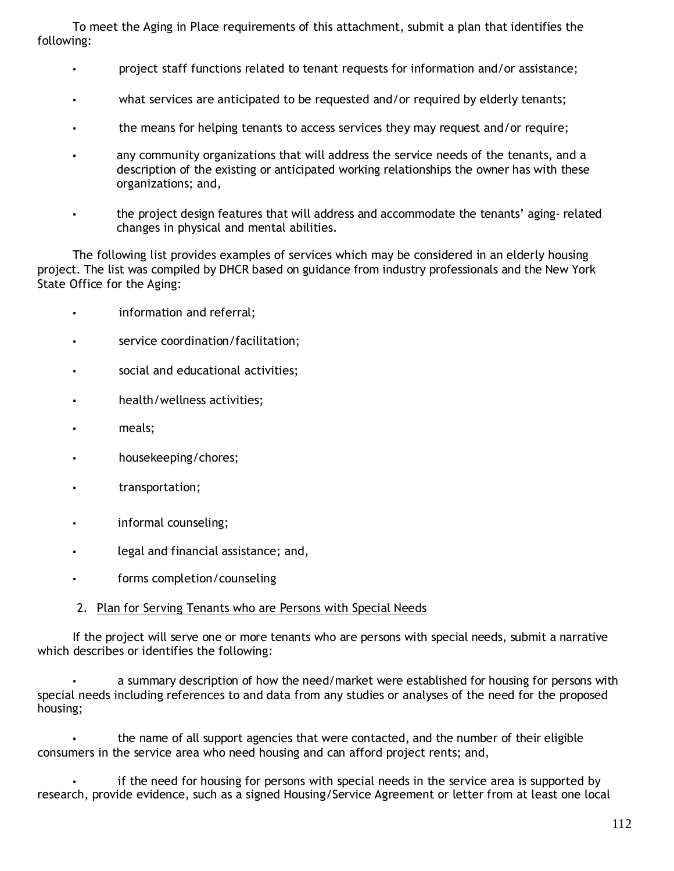To meet the Aging in Place requirements of this attachment, submit a plan that identifies the following:

- project staff functions related to tenant requests for information and/or assistance;
- what services are anticipated to be requested and/or required by elderly tenants;
- the means for helping tenants to access services they may request and/or require;
- any community organizations that will address the service needs of the tenants, and a description of the existing or anticipated working relationships the owner has with these organizations; and,
- the project design features that will address and accommodate the tenants' aging- related changes in physical and mental abilities.

The following list provides examples of services which may be considered in an elderly housing project. The list was compiled by DHCR based on guidance from industry professionals and the New York State Office for the Aging:

- information and referral;
- service coordination/facilitation;
- social and educational activities;
- health/wellness activities;
- meals;
- housekeeping/chores;
- transportation;
- informal counseling;
- legal and financial assistance; and.
- forms completion/counseling

### 2. Plan for Serving Tenants who are Persons with Special Needs

If the project will serve one or more tenants who are persons with special needs, submit a narrative which describes or identifies the following:

a summary description of how the need/market were established for housing for persons with special needs including references to and data from any studies or analyses of the need for the proposed housing;

the name of all support agencies that were contacted, and the number of their eligible consumers in the service area who need housing and can afford project rents; and,

if the need for housing for persons with special needs in the service area is supported by research, provide evidence, such as a signed Housing/Service Agreement or letter from at least one local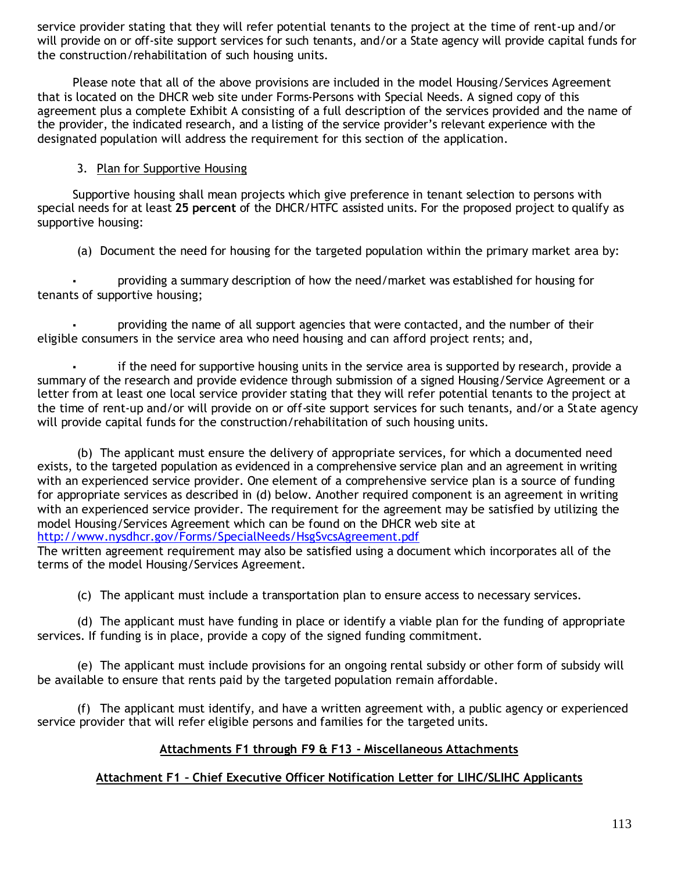service provider stating that they will refer potential tenants to the project at the time of rent-up and/or will provide on or off-site support services for such tenants, and/or a State agency will provide capital funds for the construction/rehabilitation of such housing units.

Please note that all of the above provisions are included in the model Housing/Services Agreement that is located on the DHCR web site under Forms-Persons with Special Needs. A signed copy of this agreement plus a complete Exhibit A consisting of a full description of the services provided and the name of the provider, the indicated research, and a listing of the service provider's relevant experience with the designated population will address the requirement for this section of the application.

### 3. Plan for Supportive Housing

Supportive housing shall mean projects which give preference in tenant selection to persons with special needs for at least **25 percent** of the DHCR/HTFC assisted units. For the proposed project to qualify as supportive housing:

(a) Document the need for housing for the targeted population within the primary market area by:

providing a summary description of how the need/market was established for housing for tenants of supportive housing;

providing the name of all support agencies that were contacted, and the number of their eligible consumers in the service area who need housing and can afford project rents; and,

if the need for supportive housing units in the service area is supported by research, provide a summary of the research and provide evidence through submission of a signed Housing/Service Agreement or a letter from at least one local service provider stating that they will refer potential tenants to the project at the time of rent-up and/or will provide on or off-site support services for such tenants, and/or a State agency will provide capital funds for the construction/rehabilitation of such housing units.

(b) The applicant must ensure the delivery of appropriate services, for which a documented need exists, to the targeted population as evidenced in a comprehensive service plan and an agreement in writing with an experienced service provider. One element of a comprehensive service plan is a source of funding for appropriate services as described in (d) below. Another required component is an agreement in writing with an experienced service provider. The requirement for the agreement may be satisfied by utilizing the model Housing/Services Agreement which can be found on the DHCR web site at http://www.nysdhcr.gov/Forms/SpecialNeeds/HsgSvcsAgreement.pdf

The written agreement requirement may also be satisfied using a document which incorporates all of the terms of the model Housing/Services Agreement.

(c) The applicant must include a transportation plan to ensure access to necessary services.

(d) The applicant must have funding in place or identify a viable plan for the funding of appropriate services. If funding is in place, provide a copy of the signed funding commitment.

(e) The applicant must include provisions for an ongoing rental subsidy or other form of subsidy will be available to ensure that rents paid by the targeted population remain affordable.

(f) The applicant must identify, and have a written agreement with, a public agency or experienced service provider that will refer eligible persons and families for the targeted units.

## **Attachments F1 through F9 & F13 - Miscellaneous Attachments**

## **Attachment F1 – Chief Executive Officer Notification Letter for LIHC/SLIHC Applicants**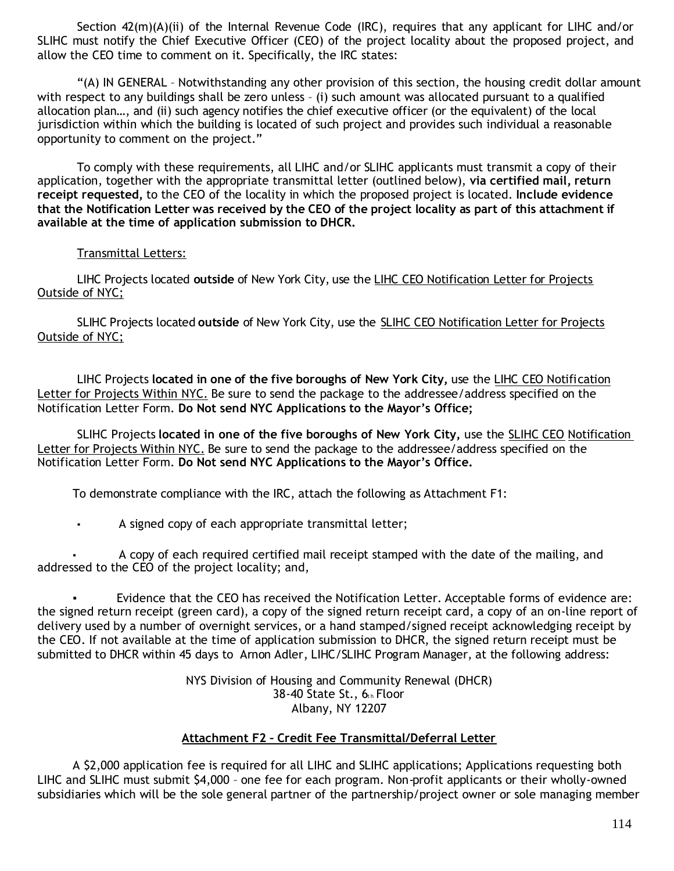Section 42(m)(A)(ii) of the Internal Revenue Code (IRC), requires that any applicant for LIHC and/or SLIHC must notify the Chief Executive Officer (CEO) of the project locality about the proposed project, and allow the CEO time to comment on it. Specifically, the IRC states:

"(A) IN GENERAL – Notwithstanding any other provision of this section, the housing credit dollar amount with respect to any buildings shall be zero unless - (i) such amount was allocated pursuant to a qualified allocation plan…, and (ii) such agency notifies the chief executive officer (or the equivalent) of the local jurisdiction within which the building is located of such project and provides such individual a reasonable opportunity to comment on the project."

To comply with these requirements, all LIHC and/or SLIHC applicants must transmit a copy of their application, together with the appropriate transmittal letter (outlined below), **via certified mail, return receipt requested,** to the CEO of the locality in which the proposed project is located. **Include evidence that the Notification Letter was received by the CEO of the project locality as part of this attachment if available at the time of application submission to DHCR.**

### Transmittal Letters:

LIHC Projects located **outside** of New York City, use the LIHC CEO Notification Letter for Projects Outside of NYC;

SLIHC Projects located **outside** of New York City, use the SLIHC CEO Notification Letter for Projects Outside of NYC;

LIHC Projects **located in one of the five boroughs of New York City,** use the LIHC CEO Notification Letter for Projects Within NYC. Be sure to send the package to the addressee/address specified on the Notification Letter Form. **Do Not send NYC Applications to the Mayor's Office;**

SLIHC Projects **located in one of the five boroughs of New York City,** use the SLIHC CEO Notification Letter for Projects Within NYC. Be sure to send the package to the addressee/address specified on the Notification Letter Form. **Do Not send NYC Applications to the Mayor's Office.**

To demonstrate compliance with the IRC, attach the following as Attachment F1:

▪ A signed copy of each appropriate transmittal letter;

A copy of each required certified mail receipt stamped with the date of the mailing, and addressed to the CEO of the project locality; and,

Evidence that the CEO has received the Notification Letter. Acceptable forms of evidence are: the signed return receipt (green card), a copy of the signed return receipt card, a copy of an on-line report of delivery used by a number of overnight services, or a hand stamped/signed receipt acknowledging receipt by the CEO. If not available at the time of application submission to DHCR, the signed return receipt must be submitted to DHCR within 45 days to Arnon Adler, LIHC/SLIHC Program Manager, at the following address:

> NYS Division of Housing and Community Renewal (DHCR)  $38-40$  State St.,  $6<sub>th</sub>$  Floor Albany, NY 12207

### **Attachment F2 – Credit Fee Transmittal/Deferral Letter**

A \$2,000 application fee is required for all LIHC and SLIHC applications; Applications requesting both LIHC and SLIHC must submit \$4,000 – one fee for each program. Non-profit applicants or their wholly-owned subsidiaries which will be the sole general partner of the partnership/project owner or sole managing member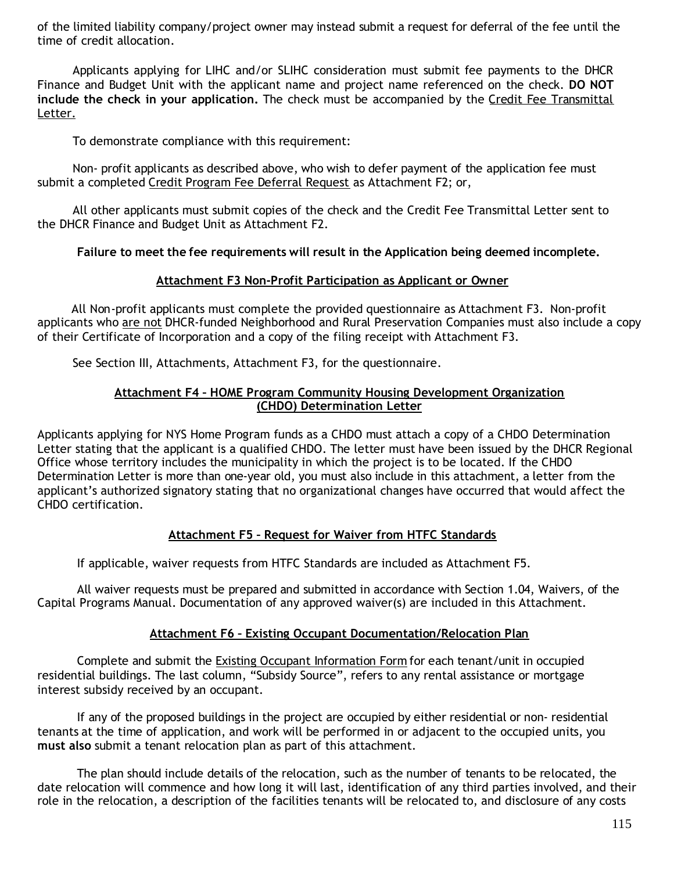of the limited liability company/project owner may instead submit a request for deferral of the fee until the time of credit allocation.

Applicants applying for LIHC and/or SLIHC consideration must submit fee payments to the DHCR Finance and Budget Unit with the applicant name and project name referenced on the check. **DO NOT include the check in your application.** The check must be accompanied by the Credit Fee Transmittal Letter.

To demonstrate compliance with this requirement:

Non- profit applicants as described above, who wish to defer payment of the application fee must submit a completed Credit Program Fee Deferral Request as Attachment F2; or,

All other applicants must submit copies of the check and the Credit Fee Transmittal Letter sent to the DHCR Finance and Budget Unit as Attachment F2.

#### **Failure to meet the fee requirements will result in the Application being deemed incomplete.**

#### **Attachment F3 Non-Profit Participation as Applicant or Owner**

All Non-profit applicants must complete the provided questionnaire as Attachment F3. Non-profit applicants who are not DHCR-funded Neighborhood and Rural Preservation Companies must also include a copy of their Certificate of Incorporation and a copy of the filing receipt with Attachment F3.

See Section III, Attachments, Attachment F3, for the questionnaire.

#### **Attachment F4 – HOME Program Community Housing Development Organization (CHDO) Determination Letter**

Applicants applying for NYS Home Program funds as a CHDO must attach a copy of a CHDO Determination Letter stating that the applicant is a qualified CHDO. The letter must have been issued by the DHCR Regional Office whose territory includes the municipality in which the project is to be located. If the CHDO Determination Letter is more than one-year old, you must also include in this attachment, a letter from the applicant's authorized signatory stating that no organizational changes have occurred that would affect the CHDO certification.

### **Attachment F5 – Request for Waiver from HTFC Standards**

If applicable, waiver requests from HTFC Standards are included as Attachment F5.

All waiver requests must be prepared and submitted in accordance with Section 1.04, Waivers, of the Capital Programs Manual. Documentation of any approved waiver(s) are included in this Attachment.

#### **Attachment F6 – Existing Occupant Documentation/Relocation Plan**

Complete and submit the Existing Occupant Information Form for each tenant/unit in occupied residential buildings. The last column, "Subsidy Source", refers to any rental assistance or mortgage interest subsidy received by an occupant.

If any of the proposed buildings in the project are occupied by either residential or non- residential tenants at the time of application, and work will be performed in or adjacent to the occupied units, you **must also** submit a tenant relocation plan as part of this attachment.

The plan should include details of the relocation, such as the number of tenants to be relocated, the date relocation will commence and how long it will last, identification of any third parties involved, and their role in the relocation, a description of the facilities tenants will be relocated to, and disclosure of any costs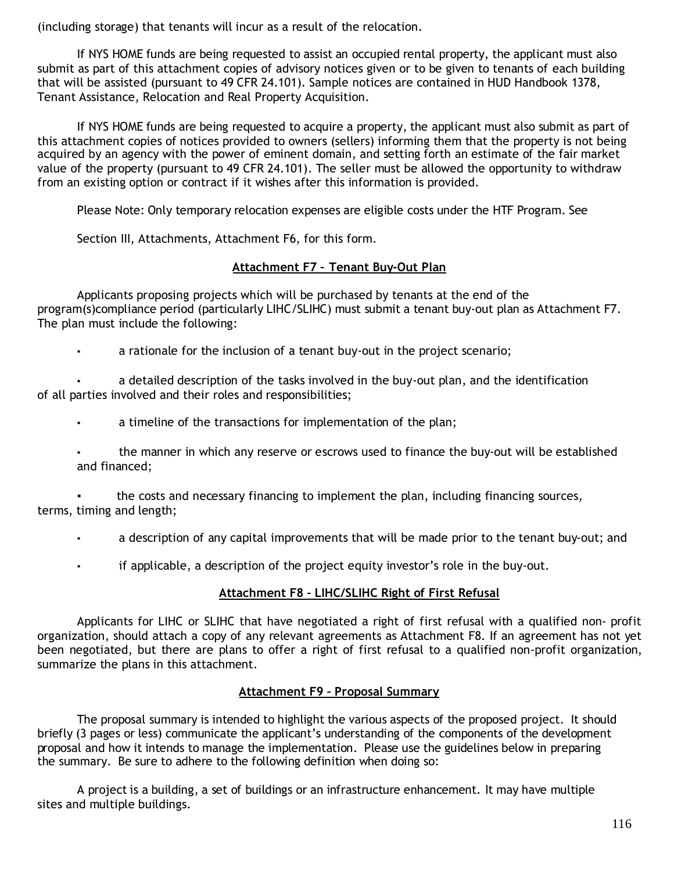(including storage) that tenants will incur as a result of the relocation.

If NYS HOME funds are being requested to assist an occupied rental property, the applicant must also submit as part of this attachment copies of advisory notices given or to be given to tenants of each building that will be assisted (pursuant to 49 CFR 24.101). Sample notices are contained in HUD Handbook 1378, Tenant Assistance, Relocation and Real Property Acquisition.

If NYS HOME funds are being requested to acquire a property, the applicant must also submit as part of this attachment copies of notices provided to owners (sellers) informing them that the property is not being acquired by an agency with the power of eminent domain, and setting forth an estimate of the fair market value of the property (pursuant to 49 CFR 24.101). The seller must be allowed the opportunity to withdraw from an existing option or contract if it wishes after this information is provided.

Please Note: Only temporary relocation expenses are eligible costs under the HTF Program. See

Section III, Attachments, Attachment F6, for this form.

## **Attachment F7 – Tenant Buy-Out Plan**

Applicants proposing projects which will be purchased by tenants at the end of the program(s)compliance period (particularly LIHC/SLIHC) must submit a tenant buy-out plan as Attachment F7. The plan must include the following:

▪ a rationale for the inclusion of a tenant buy-out in the project scenario;

a detailed description of the tasks involved in the buy-out plan, and the identification of all parties involved and their roles and responsibilities;

- a timeline of the transactions for implementation of the plan;
- the manner in which any reserve or escrows used to finance the buy-out will be established and financed;

the costs and necessary financing to implement the plan, including financing sources, terms, timing and length;

- a description of any capital improvements that will be made prior to the tenant buy-out; and
- if applicable, a description of the project equity investor's role in the buy-out.

## **Attachment F8 – LIHC/SLIHC Right of First Refusal**

Applicants for LIHC or SLIHC that have negotiated a right of first refusal with a qualified non- profit organization, should attach a copy of any relevant agreements as Attachment F8. If an agreement has not yet been negotiated, but there are plans to offer a right of first refusal to a qualified non-profit organization, summarize the plans in this attachment.

### **Attachment F9 – Proposal Summary**

The proposal summary is intended to highlight the various aspects of the proposed project. It should briefly (3 pages or less) communicate the applicant's understanding of the components of the development proposal and how it intends to manage the implementation. Please use the guidelines below in preparing the summary. Be sure to adhere to the following definition when doing so:

A project is a building, a set of buildings or an infrastructure enhancement. It may have multiple sites and multiple buildings.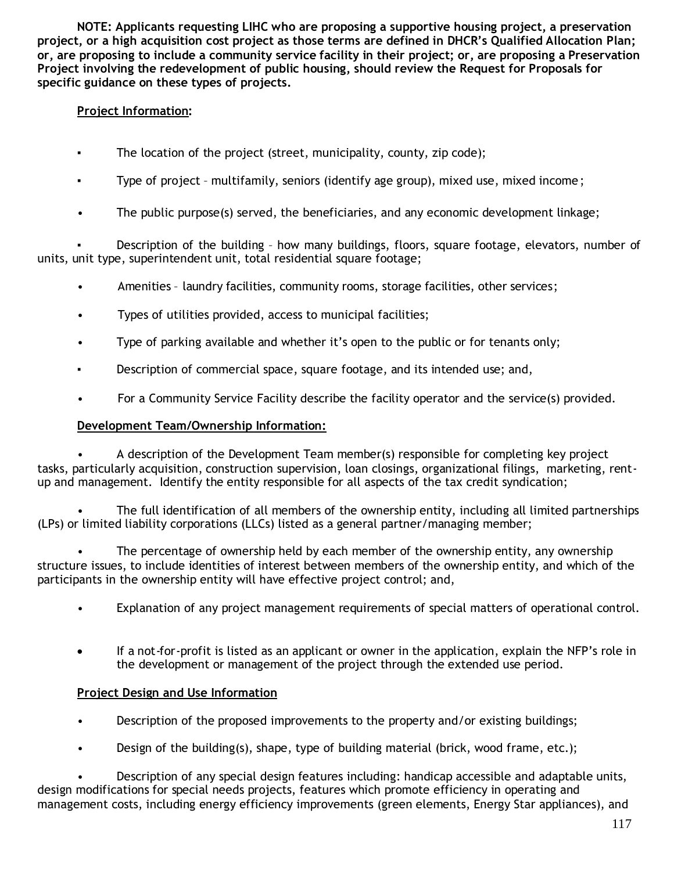**NOTE: Applicants requesting LIHC who are proposing a supportive housing project, a preservation project, or a high acquisition cost project as those terms are defined in DHCR's Qualified Allocation Plan; or, are proposing to include a community service facility in their project; or, are proposing a Preservation Project involving the redevelopment of public housing, should review the Request for Proposals for specific guidance on these types of projects.**

## **Project Information:**

- The location of the project (street, municipality, county, zip code);
- Type of project multifamily, seniors (identify age group), mixed use, mixed income ;
- The public purpose(s) served, the beneficiaries, and any economic development linkage;

Description of the building - how many buildings, floors, square footage, elevators, number of units, unit type, superintendent unit, total residential square footage;

- Amenities laundry facilities, community rooms, storage facilities, other services;
- Types of utilities provided, access to municipal facilities;
- Type of parking available and whether it's open to the public or for tenants only;
- Description of commercial space, square footage, and its intended use; and,
- For a Community Service Facility describe the facility operator and the service(s) provided.

## **Development Team/Ownership Information:**

• A description of the Development Team member(s) responsible for completing key project tasks, particularly acquisition, construction supervision, loan closings, organizational filings, marketing, rentup and management. Identify the entity responsible for all aspects of the tax credit syndication;

• The full identification of all members of the ownership entity, including all limited partnerships (LPs) or limited liability corporations (LLCs) listed as a general partner/managing member;

The percentage of ownership held by each member of the ownership entity, any ownership structure issues, to include identities of interest between members of the ownership entity, and which of the participants in the ownership entity will have effective project control; and,

- Explanation of any project management requirements of special matters of operational control.
- If a not-for-profit is listed as an applicant or owner in the application, explain the NFP's role in the development or management of the project through the extended use period.

## **Project Design and Use Information**

- Description of the proposed improvements to the property and/or existing buildings;
- Design of the building(s), shape, type of building material (brick, wood frame, etc.);

• Description of any special design features including: handicap accessible and adaptable units, design modifications for special needs projects, features which promote efficiency in operating and management costs, including energy efficiency improvements (green elements, Energy Star appliances), and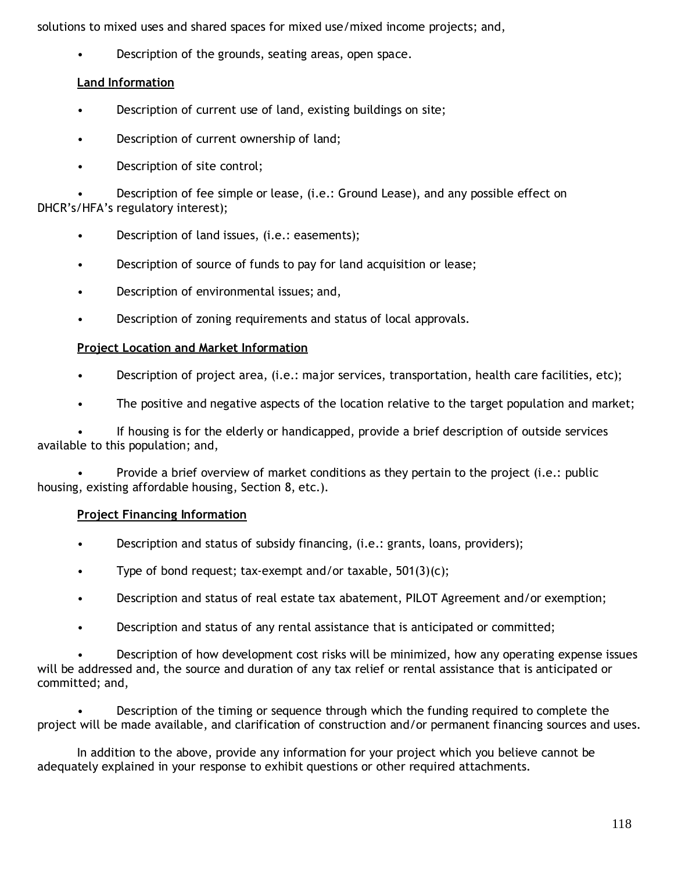solutions to mixed uses and shared spaces for mixed use/mixed income projects; and,

Description of the grounds, seating areas, open space.

## **Land Information**

- Description of current use of land, existing buildings on site;
- Description of current ownership of land;
- Description of site control;

• Description of fee simple or lease, (i.e.: Ground Lease), and any possible effect on DHCR's/HFA's regulatory interest);

- Description of land issues, (i.e.: easements);
- Description of source of funds to pay for land acquisition or lease;
- Description of environmental issues; and,
- Description of zoning requirements and status of local approvals.

## **Project Location and Market Information**

- Description of project area, (i.e.: major services, transportation, health care facilities, etc);
- The positive and negative aspects of the location relative to the target population and market;

• If housing is for the elderly or handicapped, provide a brief description of outside services available to this population; and,

• Provide a brief overview of market conditions as they pertain to the project (i.e.: public housing, existing affordable housing, Section 8, etc.).

## **Project Financing Information**

- Description and status of subsidy financing, (i.e.: grants, loans, providers);
- Type of bond request; tax-exempt and/or taxable,  $501(3)(c)$ ;
- Description and status of real estate tax abatement, PILOT Agreement and/or exemption;
- Description and status of any rental assistance that is anticipated or committed;

• Description of how development cost risks will be minimized, how any operating expense issues will be addressed and, the source and duration of any tax relief or rental assistance that is anticipated or committed; and,

• Description of the timing or sequence through which the funding required to complete the project will be made available, and clarification of construction and/or permanent financing sources and uses.

In addition to the above, provide any information for your project which you believe cannot be adequately explained in your response to exhibit questions or other required attachments.